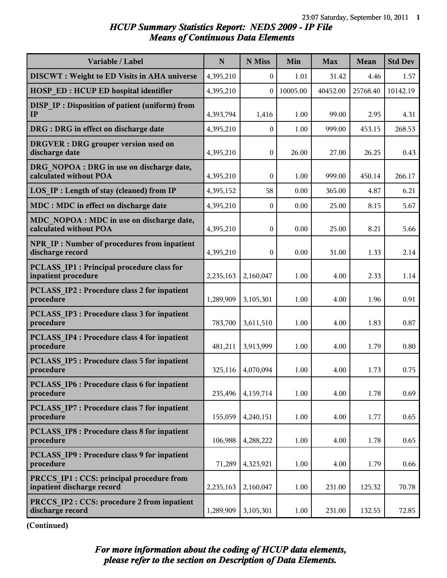#### *HCUP Summary Statistics Report: NEDS 2009 - IP File Means of Continuous Data Elements*

| Variable / Label                                                               | $\mathbf N$ | N Miss       | Min      | <b>Max</b> | Mean     | <b>Std Dev</b> |
|--------------------------------------------------------------------------------|-------------|--------------|----------|------------|----------|----------------|
| <b>DISCWT</b> : Weight to ED Visits in AHA universe                            | 4,395,210   | $\bf{0}$     | 1.01     | 31.42      | 4.46     | 1.57           |
| <b>HOSP ED: HCUP ED hospital identifier</b>                                    | 4,395,210   | $\mathbf{0}$ | 10005.00 | 40452.00   | 25768.40 | 10142.19       |
| DISP IP: Disposition of patient (uniform) from<br>IP                           | 4,393,794   | 1,416        | 1.00     | 99.00      | 2.95     | 4.31           |
| DRG : DRG in effect on discharge date                                          | 4,395,210   | $\bf{0}$     | 1.00     | 999.00     | 453.15   | 268.53         |
| <b>DRGVER</b> : DRG grouper version used on<br>discharge date                  | 4,395,210   | $\mathbf{0}$ | 26.00    | 27.00      | 26.25    | 0.43           |
| DRG NOPOA : DRG in use on discharge date,<br>calculated without POA            | 4,395,210   | $\mathbf{0}$ | 1.00     | 999.00     | 450.14   | 266.17         |
| LOS IP : Length of stay (cleaned) from IP                                      | 4,395,152   | 58           | 0.00     | 365.00     | 4.87     | 6.21           |
| MDC : MDC in effect on discharge date                                          | 4,395,210   | $\mathbf{0}$ | 0.00     | 25.00      | 8.15     | 5.67           |
| MDC NOPOA : MDC in use on discharge date,<br>calculated without POA            | 4,395,210   | $\mathbf{0}$ | 0.00     | 25.00      | 8.21     | 5.66           |
| <b>NPR IP: Number of procedures from inpatient</b><br>discharge record         | 4,395,210   | $\mathbf{0}$ | 0.00     | 31.00      | 1.33     | 2.14           |
| <b>PCLASS IP1 : Principal procedure class for</b><br>inpatient procedure       | 2,235,163   | 2,160,047    | 1.00     | 4.00       | 2.33     | 1.14           |
| <b>PCLASS IP2 : Procedure class 2 for inpatient</b><br>procedure               | 1,289,909   | 3,105,301    | 1.00     | 4.00       | 1.96     | 0.91           |
| <b>PCLASS IP3 : Procedure class 3 for inpatient</b><br>procedure               | 783,700     | 3,611,510    | 1.00     | 4.00       | 1.83     | 0.87           |
| <b>PCLASS IP4 : Procedure class 4 for inpatient</b><br>procedure               | 481,211     | 3,913,999    | 1.00     | 4.00       | 1.79     | 0.80           |
| <b>PCLASS IP5: Procedure class 5 for inpatient</b><br>procedure                | 325,116     | 4,070,094    | 1.00     | 4.00       | 1.73     | 0.75           |
| PCLASS IP6 : Procedure class 6 for inpatient<br>procedure                      | 235,496     | 4,159,714    | 1.00     | 4.00       | 1.78     | 0.69           |
| <b>PCLASS IP7: Procedure class 7 for inpatient</b><br>procedure                | 155,059     | 4,240,151    | 1.00     | 4.00       | 1.77     | 0.65           |
| <b>PCLASS IP8 : Procedure class 8 for inpatient</b><br>procedure               | 106,988     | 4,288,222    | 1.00     | 4.00       | 1.78     | 0.65           |
| PCLASS IP9 : Procedure class 9 for inpatient<br>procedure                      | 71,289      | 4,323,921    | 1.00     | 4.00       | 1.79     | 0.66           |
| <b>PRCCS IP1 : CCS: principal procedure from</b><br>inpatient discharge record | 2,235,163   | 2,160,047    | 1.00     | 231.00     | 125.32   | 70.78          |
| <b>PRCCS IP2: CCS: procedure 2 from inpatient</b><br>discharge record          | 1,289,909   | 3,105,301    | 1.00     | 231.00     | 132.55   | 72.85          |

**(Continued)**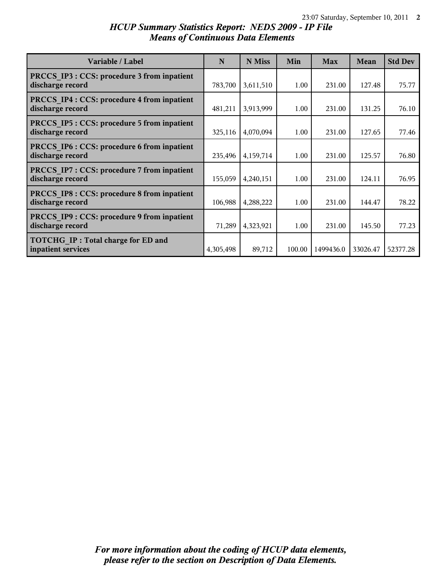# *HCUP Summary Statistics Report: NEDS 2009 - IP File Means of Continuous Data Elements*

| Variable / Label                                                       | N         | N Miss    | Min    | <b>Max</b> | Mean     | <b>Std Dev</b> |
|------------------------------------------------------------------------|-----------|-----------|--------|------------|----------|----------------|
| PRCCS IP3 : CCS: procedure 3 from inpatient<br>discharge record        | 783,700   | 3,611,510 | 1.00   | 231.00     | 127.48   | 75.77          |
| <b>PRCCS IP4 : CCS: procedure 4 from inpatient</b><br>discharge record | 481,211   | 3,913,999 | 1.00   | 231.00     | 131.25   | 76.10          |
| PRCCS IP5 : CCS: procedure 5 from inpatient<br>discharge record        | 325,116   | 4,070,094 | 1.00   | 231.00     | 127.65   | 77.46          |
| PRCCS IP6 : CCS: procedure 6 from inpatient<br>discharge record        | 235,496   | 4,159,714 | 1.00   | 231.00     | 125.57   | 76.80          |
| PRCCS IP7 : CCS: procedure 7 from inpatient<br>discharge record        | 155,059   | 4,240,151 | 1.00   | 231.00     | 124.11   | 76.95          |
| PRCCS IP8 : CCS: procedure 8 from inpatient<br>discharge record        | 106,988   | 4,288,222 | 1.00   | 231.00     | 144.47   | 78.22          |
| <b>PRCCS IP9: CCS: procedure 9 from inpatient</b><br>discharge record  | 71,289    | 4,323,921 | 1.00   | 231.00     | 145.50   | 77.23          |
| TOTCHG IP: Total charge for ED and<br>inpatient services               | 4,305,498 | 89,712    | 100.00 | 1499436.0  | 33026.47 | 52377.28       |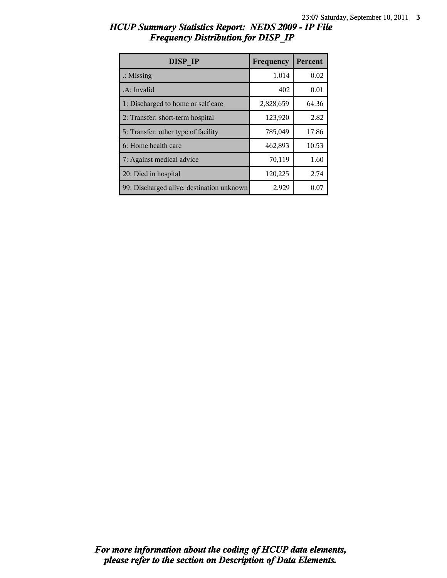| <b>DISP IP</b>                            | Frequency | Percent |
|-------------------------------------------|-----------|---------|
| $\therefore$ Missing                      | 1,014     | 0.02    |
| .A: Invalid                               | 402       | 0.01    |
| 1: Discharged to home or self care        | 2,828,659 | 64.36   |
| 2: Transfer: short-term hospital          | 123,920   | 2.82    |
| 5: Transfer: other type of facility       | 785,049   | 17.86   |
| 6: Home health care                       | 462,893   | 10.53   |
| 7: Against medical advice                 | 70,119    | 1.60    |
| 20: Died in hospital                      | 120,225   | 2.74    |
| 99: Discharged alive, destination unknown | 2,929     | 0.07    |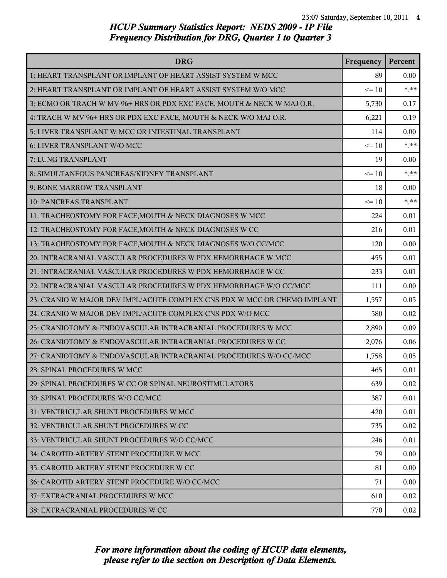| <b>DRG</b>                                                               | Frequency | Percent |
|--------------------------------------------------------------------------|-----------|---------|
| 1: HEART TRANSPLANT OR IMPLANT OF HEART ASSIST SYSTEM W MCC              | 89        | 0.00    |
| 2: HEART TRANSPLANT OR IMPLANT OF HEART ASSIST SYSTEM W/O MCC            | $\leq 10$ | $* * *$ |
| 3: ECMO OR TRACH W MV 96+ HRS OR PDX EXC FACE, MOUTH & NECK W MAJ O.R.   | 5,730     | 0.17    |
| 4: TRACH W MV 96+ HRS OR PDX EXC FACE, MOUTH & NECK W/O MAJ O.R.         | 6,221     | 0.19    |
| 5: LIVER TRANSPLANT W MCC OR INTESTINAL TRANSPLANT                       | 114       | 0.00    |
| 6: LIVER TRANSPLANT W/O MCC                                              | $\leq 10$ | $* * *$ |
| 7: LUNG TRANSPLANT                                                       | 19        | 0.00    |
| 8: SIMULTANEOUS PANCREAS/KIDNEY TRANSPLANT                               | $\leq 10$ | $* * *$ |
| 9: BONE MARROW TRANSPLANT                                                | 18        | 0.00    |
| <b>10: PANCREAS TRANSPLANT</b>                                           | $\leq 10$ | $***$   |
| 11: TRACHEOSTOMY FOR FACE, MOUTH & NECK DIAGNOSES W MCC                  | 224       | 0.01    |
| 12: TRACHEOSTOMY FOR FACE, MOUTH & NECK DIAGNOSES W CC                   | 216       | 0.01    |
| 13: TRACHEOSTOMY FOR FACE, MOUTH & NECK DIAGNOSES W/O CC/MCC             | 120       | 0.00    |
| 20: INTRACRANIAL VASCULAR PROCEDURES W PDX HEMORRHAGE W MCC              | 455       | 0.01    |
| 21: INTRACRANIAL VASCULAR PROCEDURES W PDX HEMORRHAGE W CC               | 233       | 0.01    |
| 22: INTRACRANIAL VASCULAR PROCEDURES W PDX HEMORRHAGE W/O CC/MCC         | 111       | 0.00    |
| 23: CRANIO W MAJOR DEV IMPL/ACUTE COMPLEX CNS PDX W MCC OR CHEMO IMPLANT | 1,557     | 0.05    |
| 24: CRANIO W MAJOR DEV IMPL/ACUTE COMPLEX CNS PDX W/O MCC                | 580       | 0.02    |
| 25: CRANIOTOMY & ENDOVASCULAR INTRACRANIAL PROCEDURES W MCC              | 2,890     | 0.09    |
| 26: CRANIOTOMY & ENDOVASCULAR INTRACRANIAL PROCEDURES W CC               | 2,076     | 0.06    |
| 27: CRANIOTOMY & ENDOVASCULAR INTRACRANIAL PROCEDURES W/O CC/MCC         | 1,758     | 0.05    |
| 28: SPINAL PROCEDURES W MCC                                              | 465       | 0.01    |
| 29: SPINAL PROCEDURES W CC OR SPINAL NEUROSTIMULATORS                    | 639       | 0.02    |
| 30: SPINAL PROCEDURES W/O CC/MCC                                         | 387       | 0.01    |
| 31: VENTRICULAR SHUNT PROCEDURES W MCC                                   | 420       | 0.01    |
| 32: VENTRICULAR SHUNT PROCEDURES W CC                                    | 735       | 0.02    |
| 33: VENTRICULAR SHUNT PROCEDURES W/O CC/MCC                              | 246       | 0.01    |
| 34: CAROTID ARTERY STENT PROCEDURE W MCC                                 | 79        | 0.00    |
| 35: CAROTID ARTERY STENT PROCEDURE W CC                                  | 81        | 0.00    |
| 36: CAROTID ARTERY STENT PROCEDURE W/O CC/MCC                            | 71        | 0.00    |
| 37: EXTRACRANIAL PROCEDURES W MCC                                        | 610       | 0.02    |
| 38: EXTRACRANIAL PROCEDURES W CC                                         | 770       | 0.02    |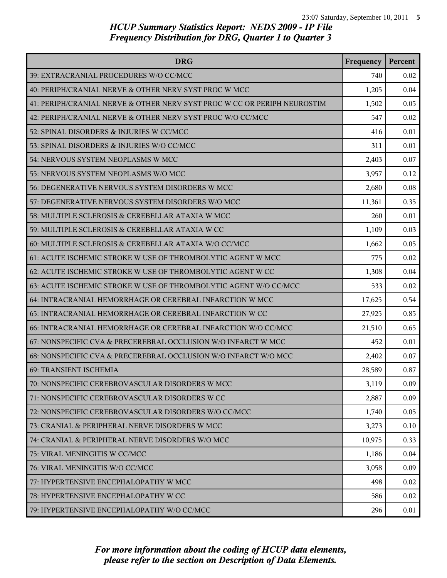| <b>DRG</b>                                                               | Frequency | Percent |
|--------------------------------------------------------------------------|-----------|---------|
| 39: EXTRACRANIAL PROCEDURES W/O CC/MCC                                   | 740       | 0.02    |
| 40: PERIPH/CRANIAL NERVE & OTHER NERV SYST PROC W MCC                    | 1,205     | 0.04    |
| 41: PERIPH/CRANIAL NERVE & OTHER NERV SYST PROC W CC OR PERIPH NEUROSTIM | 1,502     | 0.05    |
| 42: PERIPH/CRANIAL NERVE & OTHER NERV SYST PROC W/O CC/MCC               | 547       | 0.02    |
| 52: SPINAL DISORDERS & INJURIES W CC/MCC                                 | 416       | 0.01    |
| 53: SPINAL DISORDERS & INJURIES W/O CC/MCC                               | 311       | 0.01    |
| 54: NERVOUS SYSTEM NEOPLASMS W MCC                                       | 2,403     | 0.07    |
| 55: NERVOUS SYSTEM NEOPLASMS W/O MCC                                     | 3,957     | 0.12    |
| 56: DEGENERATIVE NERVOUS SYSTEM DISORDERS W MCC                          | 2,680     | 0.08    |
| 57: DEGENERATIVE NERVOUS SYSTEM DISORDERS W/O MCC                        | 11,361    | 0.35    |
| 58: MULTIPLE SCLEROSIS & CEREBELLAR ATAXIA W MCC                         | 260       | 0.01    |
| 59: MULTIPLE SCLEROSIS & CEREBELLAR ATAXIA W CC                          | 1,109     | 0.03    |
| 60: MULTIPLE SCLEROSIS & CEREBELLAR ATAXIA W/O CC/MCC                    | 1,662     | 0.05    |
| 61: ACUTE ISCHEMIC STROKE W USE OF THROMBOLYTIC AGENT W MCC              | 775       | 0.02    |
| 62: ACUTE ISCHEMIC STROKE W USE OF THROMBOLYTIC AGENT W CC               | 1,308     | 0.04    |
| 63: ACUTE ISCHEMIC STROKE W USE OF THROMBOLYTIC AGENT W/O CC/MCC         | 533       | 0.02    |
| 64: INTRACRANIAL HEMORRHAGE OR CEREBRAL INFARCTION W MCC                 | 17,625    | 0.54    |
| 65: INTRACRANIAL HEMORRHAGE OR CEREBRAL INFARCTION W CC                  | 27,925    | 0.85    |
| 66: INTRACRANIAL HEMORRHAGE OR CEREBRAL INFARCTION W/O CC/MCC            | 21,510    | 0.65    |
| 67: NONSPECIFIC CVA & PRECEREBRAL OCCLUSION W/O INFARCT W MCC            | 452       | 0.01    |
| 68: NONSPECIFIC CVA & PRECEREBRAL OCCLUSION W/O INFARCT W/O MCC          | 2,402     | 0.07    |
| 69: TRANSIENT ISCHEMIA                                                   | 28,589    | 0.87    |
| 70: NONSPECIFIC CEREBROVASCULAR DISORDERS W MCC                          | 3,119     | 0.09    |
| 71: NONSPECIFIC CEREBROVASCULAR DISORDERS W CC                           | 2,887     | 0.09    |
| 72: NONSPECIFIC CEREBROVASCULAR DISORDERS W/O CC/MCC                     | 1,740     | 0.05    |
| 73: CRANIAL & PERIPHERAL NERVE DISORDERS W MCC                           | 3,273     | 0.10    |
| 74: CRANIAL & PERIPHERAL NERVE DISORDERS W/O MCC                         | 10,975    | 0.33    |
| 75: VIRAL MENINGITIS W CC/MCC                                            | 1,186     | 0.04    |
| 76: VIRAL MENINGITIS W/O CC/MCC                                          | 3,058     | 0.09    |
| 77: HYPERTENSIVE ENCEPHALOPATHY W MCC                                    | 498       | 0.02    |
| 78: HYPERTENSIVE ENCEPHALOPATHY W CC                                     | 586       | 0.02    |
| 79: HYPERTENSIVE ENCEPHALOPATHY W/O CC/MCC                               | 296       | 0.01    |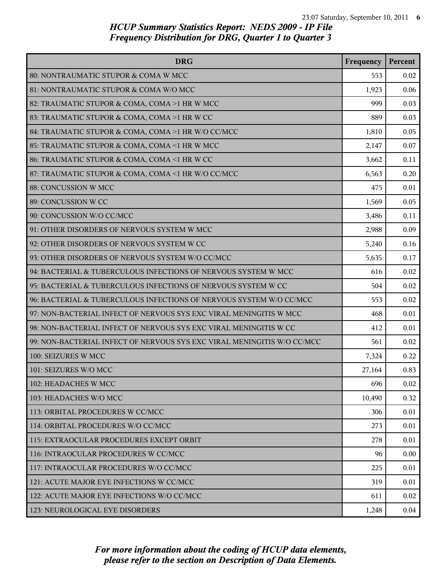| <b>DRG</b>                                                              | Frequency | Percent |
|-------------------------------------------------------------------------|-----------|---------|
| 80: NONTRAUMATIC STUPOR & COMA W MCC                                    | 553       | 0.02    |
| 81: NONTRAUMATIC STUPOR & COMA W/O MCC                                  | 1,923     | 0.06    |
| 82: TRAUMATIC STUPOR & COMA, COMA >1 HR W MCC                           | 999       | 0.03    |
| 83: TRAUMATIC STUPOR & COMA, COMA >1 HR W CC                            | 889       | 0.03    |
| 84: TRAUMATIC STUPOR & COMA, COMA >1 HR W/O CC/MCC                      | 1,810     | 0.05    |
| 85: TRAUMATIC STUPOR & COMA, COMA <1 HR W MCC                           | 2,147     | 0.07    |
| 86: TRAUMATIC STUPOR & COMA, COMA <1 HR W CC                            | 3,662     | 0.11    |
| 87: TRAUMATIC STUPOR & COMA, COMA <1 HR W/O CC/MCC                      | 6,563     | 0.20    |
| 88: CONCUSSION W MCC                                                    | 475       | 0.01    |
| 89: CONCUSSION W CC                                                     | 1,569     | 0.05    |
| 90: CONCUSSION W/O CC/MCC                                               | 3,486     | 0.11    |
| 91: OTHER DISORDERS OF NERVOUS SYSTEM W MCC                             | 2,988     | 0.09    |
| 92: OTHER DISORDERS OF NERVOUS SYSTEM W CC                              | 5,240     | 0.16    |
| 93: OTHER DISORDERS OF NERVOUS SYSTEM W/O CC/MCC                        | 5,635     | 0.17    |
| 94: BACTERIAL & TUBERCULOUS INFECTIONS OF NERVOUS SYSTEM W MCC          | 616       | 0.02    |
| 95: BACTERIAL & TUBERCULOUS INFECTIONS OF NERVOUS SYSTEM W CC           | 504       | 0.02    |
| 96: BACTERIAL & TUBERCULOUS INFECTIONS OF NERVOUS SYSTEM W/O CC/MCC     | 553       | 0.02    |
| 97: NON-BACTERIAL INFECT OF NERVOUS SYS EXC VIRAL MENINGITIS W MCC      | 468       | 0.01    |
| 98: NON-BACTERIAL INFECT OF NERVOUS SYS EXC VIRAL MENINGITIS W CC       | 412       | 0.01    |
| 99: NON-BACTERIAL INFECT OF NERVOUS SYS EXC VIRAL MENINGITIS W/O CC/MCC | 561       | 0.02    |
| 100: SEIZURES W MCC                                                     | 7,324     | 0.22    |
| 101: SEIZURES W/O MCC                                                   | 27,164    | 0.83    |
| 102: HEADACHES W MCC                                                    | 696       | 0.02    |
| 103: HEADACHES W/O MCC                                                  | 10,490    | 0.32    |
| 113: ORBITAL PROCEDURES W CC/MCC                                        | 306       | 0.01    |
| 114: ORBITAL PROCEDURES W/O CC/MCC                                      | 273       | 0.01    |
| 115: EXTRAOCULAR PROCEDURES EXCEPT ORBIT                                | 278       | 0.01    |
| 116: INTRAOCULAR PROCEDURES W CC/MCC                                    | 96        | 0.00    |
| 117: INTRAOCULAR PROCEDURES W/O CC/MCC                                  | 225       | 0.01    |
| 121: ACUTE MAJOR EYE INFECTIONS W CC/MCC                                | 319       | 0.01    |
| 122: ACUTE MAJOR EYE INFECTIONS W/O CC/MCC                              | 611       | 0.02    |
| 123: NEUROLOGICAL EYE DISORDERS                                         | 1,248     | 0.04    |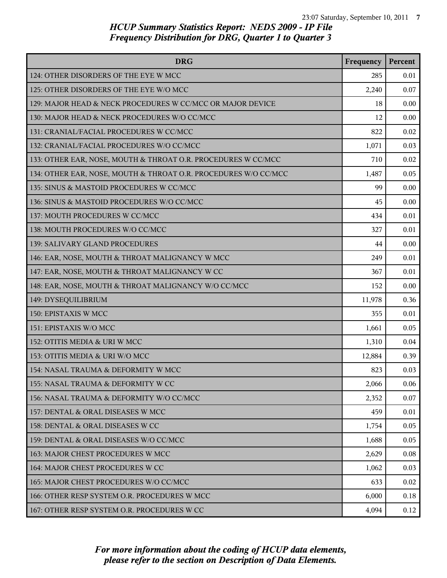| <b>DRG</b>                                                      | Frequency | Percent  |
|-----------------------------------------------------------------|-----------|----------|
| 124: OTHER DISORDERS OF THE EYE W MCC                           | 285       | 0.01     |
| 125: OTHER DISORDERS OF THE EYE W/O MCC                         | 2,240     | 0.07     |
| 129: MAJOR HEAD & NECK PROCEDURES W CC/MCC OR MAJOR DEVICE      | 18        | 0.00     |
| 130: MAJOR HEAD & NECK PROCEDURES W/O CC/MCC                    | 12        | 0.00     |
| 131: CRANIAL/FACIAL PROCEDURES W CC/MCC                         | 822       | 0.02     |
| 132: CRANIAL/FACIAL PROCEDURES W/O CC/MCC                       | 1,071     | 0.03     |
| 133: OTHER EAR, NOSE, MOUTH & THROAT O.R. PROCEDURES W CC/MCC   | 710       | 0.02     |
| 134: OTHER EAR, NOSE, MOUTH & THROAT O.R. PROCEDURES W/O CC/MCC | 1,487     | 0.05     |
| 135: SINUS & MASTOID PROCEDURES W CC/MCC                        | 99        | 0.00     |
| 136: SINUS & MASTOID PROCEDURES W/O CC/MCC                      | 45        | 0.00     |
| 137: MOUTH PROCEDURES W CC/MCC                                  | 434       | 0.01     |
| 138: MOUTH PROCEDURES W/O CC/MCC                                | 327       | 0.01     |
| 139: SALIVARY GLAND PROCEDURES                                  | 44        | 0.00     |
| 146: EAR, NOSE, MOUTH & THROAT MALIGNANCY W MCC                 | 249       | 0.01     |
| 147: EAR, NOSE, MOUTH & THROAT MALIGNANCY W CC                  | 367       | 0.01     |
| 148: EAR, NOSE, MOUTH & THROAT MALIGNANCY W/O CC/MCC            | 152       | 0.00     |
| 149: DYSEQUILIBRIUM                                             | 11,978    | 0.36     |
| 150: EPISTAXIS W MCC                                            | 355       | 0.01     |
| 151: EPISTAXIS W/O MCC                                          | 1,661     | 0.05     |
| 152: OTITIS MEDIA & URI W MCC                                   | 1,310     | 0.04     |
| 153: OTITIS MEDIA & URI W/O MCC                                 | 12,884    | 0.39     |
| l 154: NASAL TRAUMA & DEFORMITY W MCC                           | 823       | 0.03     |
| 155: NASAL TRAUMA & DEFORMITY W CC                              | 2,066     | 0.06     |
| 156: NASAL TRAUMA & DEFORMITY W/O CC/MCC                        | 2,352     | 0.07     |
| 157: DENTAL & ORAL DISEASES W MCC                               | 459       | 0.01     |
| 158: DENTAL & ORAL DISEASES W CC                                | 1,754     | 0.05     |
| 159: DENTAL & ORAL DISEASES W/O CC/MCC                          | 1,688     | 0.05     |
| 163: MAJOR CHEST PROCEDURES W MCC                               | 2,629     | $0.08\,$ |
| 164: MAJOR CHEST PROCEDURES W CC                                | 1,062     | 0.03     |
| 165: MAJOR CHEST PROCEDURES W/O CC/MCC                          | 633       | 0.02     |
| 166: OTHER RESP SYSTEM O.R. PROCEDURES W MCC                    | 6,000     | 0.18     |
| 167: OTHER RESP SYSTEM O.R. PROCEDURES W CC                     | 4,094     | 0.12     |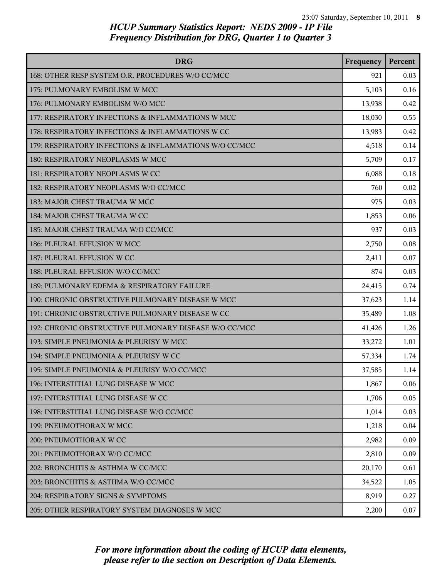| <b>DRG</b>                                             | Frequency | Percent |
|--------------------------------------------------------|-----------|---------|
| 168: OTHER RESP SYSTEM O.R. PROCEDURES W/O CC/MCC      | 921       | 0.03    |
| 175: PULMONARY EMBOLISM W MCC                          | 5,103     | 0.16    |
| 176: PULMONARY EMBOLISM W/O MCC                        | 13,938    | 0.42    |
| 177: RESPIRATORY INFECTIONS & INFLAMMATIONS W MCC      | 18,030    | 0.55    |
| 178: RESPIRATORY INFECTIONS & INFLAMMATIONS W CC       | 13,983    | 0.42    |
| 179: RESPIRATORY INFECTIONS & INFLAMMATIONS W/O CC/MCC | 4,518     | 0.14    |
| 180: RESPIRATORY NEOPLASMS W MCC                       | 5,709     | 0.17    |
| 181: RESPIRATORY NEOPLASMS W CC                        | 6,088     | 0.18    |
| 182: RESPIRATORY NEOPLASMS W/O CC/MCC                  | 760       | 0.02    |
| 183: MAJOR CHEST TRAUMA W MCC                          | 975       | 0.03    |
| 184: MAJOR CHEST TRAUMA W CC                           | 1,853     | 0.06    |
| 185: MAJOR CHEST TRAUMA W/O CC/MCC                     | 937       | 0.03    |
| 186: PLEURAL EFFUSION W MCC                            | 2,750     | 0.08    |
| 187: PLEURAL EFFUSION W CC                             | 2,411     | 0.07    |
| 188: PLEURAL EFFUSION W/O CC/MCC                       | 874       | 0.03    |
| 189: PULMONARY EDEMA & RESPIRATORY FAILURE             | 24,415    | 0.74    |
| 190: CHRONIC OBSTRUCTIVE PULMONARY DISEASE W MCC       | 37,623    | 1.14    |
| 191: CHRONIC OBSTRUCTIVE PULMONARY DISEASE W CC        | 35,489    | 1.08    |
| 192: CHRONIC OBSTRUCTIVE PULMONARY DISEASE W/O CC/MCC  | 41,426    | 1.26    |
| 193: SIMPLE PNEUMONIA & PLEURISY W MCC                 | 33,272    | 1.01    |
| 194: SIMPLE PNEUMONIA & PLEURISY W CC                  | 57,334    | 1.74    |
| 195: SIMPLE PNEUMONIA & PLEURISY W/O CC/MCC            | 37,585    | 1.14    |
| 196: INTERSTITIAL LUNG DISEASE W MCC                   | 1,867     | 0.06    |
| 197: INTERSTITIAL LUNG DISEASE W CC                    | 1,706     | 0.05    |
| 198: INTERSTITIAL LUNG DISEASE W/O CC/MCC              | 1,014     | 0.03    |
| 199: PNEUMOTHORAX W MCC                                | 1,218     | 0.04    |
| 200: PNEUMOTHORAX W CC                                 | 2,982     | 0.09    |
| 201: PNEUMOTHORAX W/O CC/MCC                           | 2,810     | 0.09    |
| 202: BRONCHITIS & ASTHMA W CC/MCC                      | 20,170    | 0.61    |
| 203: BRONCHITIS & ASTHMA W/O CC/MCC                    | 34,522    | 1.05    |
| 204: RESPIRATORY SIGNS & SYMPTOMS                      | 8,919     | 0.27    |
| 205: OTHER RESPIRATORY SYSTEM DIAGNOSES W MCC          | 2,200     | 0.07    |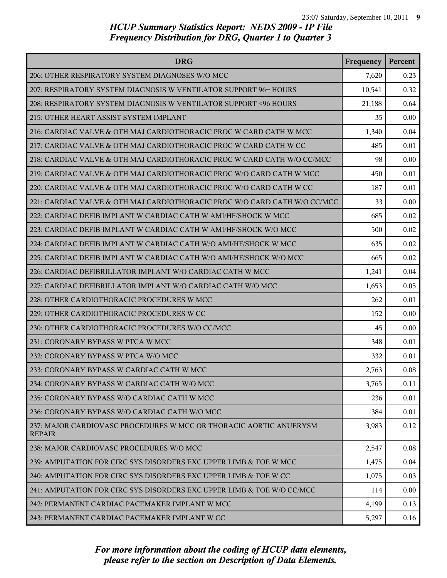| <b>DRG</b>                                                                          | Frequency | Percent |
|-------------------------------------------------------------------------------------|-----------|---------|
| 206: OTHER RESPIRATORY SYSTEM DIAGNOSES W/O MCC                                     | 7,620     | 0.23    |
| 207: RESPIRATORY SYSTEM DIAGNOSIS W VENTILATOR SUPPORT 96+ HOURS                    | 10,541    | 0.32    |
| 208: RESPIRATORY SYSTEM DIAGNOSIS W VENTILATOR SUPPORT <96 HOURS                    | 21,188    | 0.64    |
| 215: OTHER HEART ASSIST SYSTEM IMPLANT                                              | 35        | 0.00    |
| 216: CARDIAC VALVE & OTH MAJ CARDIOTHORACIC PROC W CARD CATH W MCC                  | 1,340     | 0.04    |
| 217: CARDIAC VALVE & OTH MAJ CARDIOTHORACIC PROC W CARD CATH W CC                   | 485       | 0.01    |
| 218: CARDIAC VALVE & OTH MAJ CARDIOTHORACIC PROC W CARD CATH W/O CC/MCC             | 98        | 0.00    |
| 219: CARDIAC VALVE & OTH MAJ CARDIOTHORACIC PROC W/O CARD CATH W MCC                | 450       | 0.01    |
| 220: CARDIAC VALVE & OTH MAJ CARDIOTHORACIC PROC W/O CARD CATH W CC                 | 187       | 0.01    |
| 221: CARDIAC VALVE & OTH MAJ CARDIOTHORACIC PROC W/O CARD CATH W/O CC/MCC           | 33        | 0.00    |
| 222: CARDIAC DEFIB IMPLANT W CARDIAC CATH W AMI/HF/SHOCK W MCC                      | 685       | 0.02    |
| 223: CARDIAC DEFIB IMPLANT W CARDIAC CATH W AMI/HF/SHOCK W/O MCC                    | 500       | 0.02    |
| 224: CARDIAC DEFIB IMPLANT W CARDIAC CATH W/O AMI/HF/SHOCK W MCC                    | 635       | 0.02    |
| 225: CARDIAC DEFIB IMPLANT W CARDIAC CATH W/O AMI/HF/SHOCK W/O MCC                  | 665       | 0.02    |
| 226: CARDIAC DEFIBRILLATOR IMPLANT W/O CARDIAC CATH W MCC                           | 1,241     | 0.04    |
| 227: CARDIAC DEFIBRILLATOR IMPLANT W/O CARDIAC CATH W/O MCC                         | 1,653     | 0.05    |
| 228: OTHER CARDIOTHORACIC PROCEDURES W MCC                                          | 262       | 0.01    |
| 229: OTHER CARDIOTHORACIC PROCEDURES W CC                                           | 152       | 0.00    |
| 230: OTHER CARDIOTHORACIC PROCEDURES W/O CC/MCC                                     | 45        | 0.00    |
| 231: CORONARY BYPASS W PTCA W MCC                                                   | 348       | 0.01    |
| 232: CORONARY BYPASS W PTCA W/O MCC                                                 | 332       | 0.01    |
| 233: CORONARY BYPASS W CARDIAC CATH W MCC                                           | 2,763     | 0.08    |
| 234: CORONARY BYPASS W CARDIAC CATH W/O MCC                                         | 3,765     | 0.11    |
| 235: CORONARY BYPASS W/O CARDIAC CATH W MCC                                         | 236       | 0.01    |
| 236: CORONARY BYPASS W/O CARDIAC CATH W/O MCC                                       | 384       | 0.01    |
| 237: MAJOR CARDIOVASC PROCEDURES W MCC OR THORACIC AORTIC ANUERYSM<br><b>REPAIR</b> | 3,983     | 0.12    |
| 238: MAJOR CARDIOVASC PROCEDURES W/O MCC                                            | 2,547     | 0.08    |
| 239: AMPUTATION FOR CIRC SYS DISORDERS EXC UPPER LIMB & TOE W MCC                   | 1,475     | 0.04    |
| 240: AMPUTATION FOR CIRC SYS DISORDERS EXC UPPER LIMB & TOE W CC                    | 1,075     | 0.03    |
| 241: AMPUTATION FOR CIRC SYS DISORDERS EXC UPPER LIMB & TOE W/O CC/MCC              | 114       | 0.00    |
| 242: PERMANENT CARDIAC PACEMAKER IMPLANT W MCC                                      | 4,199     | 0.13    |
| 243: PERMANENT CARDIAC PACEMAKER IMPLANT W CC                                       | 5,297     | 0.16    |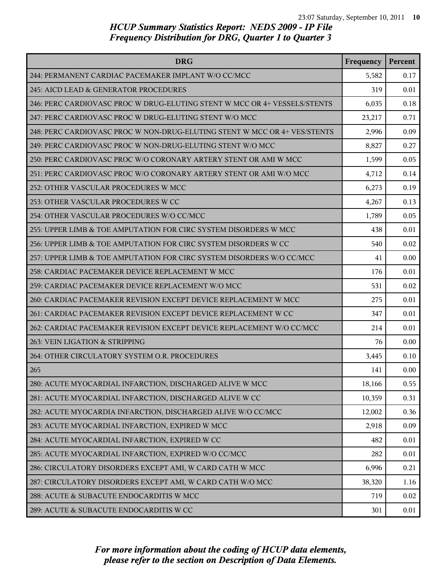| <b>DRG</b>                                                                | Frequency | Percent |
|---------------------------------------------------------------------------|-----------|---------|
| 244: PERMANENT CARDIAC PACEMAKER IMPLANT W/O CC/MCC                       | 5,582     | 0.17    |
| 245: AICD LEAD & GENERATOR PROCEDURES                                     | 319       | 0.01    |
| 246: PERC CARDIOVASC PROC W DRUG-ELUTING STENT W MCC OR 4+ VESSELS/STENTS | 6,035     | 0.18    |
| 247: PERC CARDIOVASC PROC W DRUG-ELUTING STENT W/O MCC                    | 23,217    | 0.71    |
| 248: PERC CARDIOVASC PROC W NON-DRUG-ELUTING STENT W MCC OR 4+ VES/STENTS | 2,996     | 0.09    |
| 249: PERC CARDIOVASC PROC W NON-DRUG-ELUTING STENT W/O MCC                | 8,827     | 0.27    |
| 250: PERC CARDIOVASC PROC W/O CORONARY ARTERY STENT OR AMI W MCC          | 1,599     | 0.05    |
| 251: PERC CARDIOVASC PROC W/O CORONARY ARTERY STENT OR AMI W/O MCC        | 4,712     | 0.14    |
| 252: OTHER VASCULAR PROCEDURES W MCC                                      | 6,273     | 0.19    |
| 253: OTHER VASCULAR PROCEDURES W CC                                       | 4,267     | 0.13    |
| 254: OTHER VASCULAR PROCEDURES W/O CC/MCC                                 | 1,789     | 0.05    |
| 255: UPPER LIMB & TOE AMPUTATION FOR CIRC SYSTEM DISORDERS W MCC          | 438       | 0.01    |
| 256: UPPER LIMB & TOE AMPUTATION FOR CIRC SYSTEM DISORDERS W CC           | 540       | 0.02    |
| 257: UPPER LIMB & TOE AMPUTATION FOR CIRC SYSTEM DISORDERS W/O CC/MCC     | 41        | 0.00    |
| 258: CARDIAC PACEMAKER DEVICE REPLACEMENT W MCC                           | 176       | 0.01    |
| 259: CARDIAC PACEMAKER DEVICE REPLACEMENT W/O MCC                         | 531       | 0.02    |
| 260: CARDIAC PACEMAKER REVISION EXCEPT DEVICE REPLACEMENT W MCC           | 275       | 0.01    |
| 261: CARDIAC PACEMAKER REVISION EXCEPT DEVICE REPLACEMENT W CC            | 347       | 0.01    |
| 262: CARDIAC PACEMAKER REVISION EXCEPT DEVICE REPLACEMENT W/O CC/MCC      | 214       | 0.01    |
| 263: VEIN LIGATION & STRIPPING                                            | 76        | 0.00    |
| 264: OTHER CIRCULATORY SYSTEM O.R. PROCEDURES                             | 3,445     | 0.10    |
| 265                                                                       | 141       | 0.00    |
| 280: ACUTE MYOCARDIAL INFARCTION, DISCHARGED ALIVE W MCC                  | 18,166    | 0.55    |
| 281: ACUTE MYOCARDIAL INFARCTION, DISCHARGED ALIVE W CC                   | 10,359    | 0.31    |
| 282: ACUTE MYOCARDIA INFARCTION, DISCHARGED ALIVE W/O CC/MCC              | 12,002    | 0.36    |
| 283: ACUTE MYOCARDIAL INFARCTION, EXPIRED W MCC                           | 2,918     | 0.09    |
| 284: ACUTE MYOCARDIAL INFARCTION, EXPIRED W CC                            | 482       | 0.01    |
| 285: ACUTE MYOCARDIAL INFARCTION, EXPIRED W/O CC/MCC                      | 282       | 0.01    |
| 286: CIRCULATORY DISORDERS EXCEPT AMI, W CARD CATH W MCC                  | 6,996     | 0.21    |
| 287: CIRCULATORY DISORDERS EXCEPT AMI, W CARD CATH W/O MCC                | 38,320    | 1.16    |
| 288: ACUTE & SUBACUTE ENDOCARDITIS W MCC                                  | 719       | 0.02    |
| 289: ACUTE & SUBACUTE ENDOCARDITIS W CC                                   | 301       | 0.01    |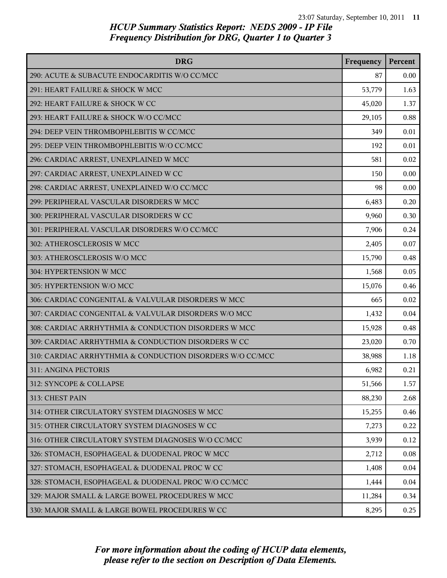| <b>DRG</b>                                                | Frequency | Percent |
|-----------------------------------------------------------|-----------|---------|
| 290: ACUTE & SUBACUTE ENDOCARDITIS W/O CC/MCC             | 87        | 0.00    |
| 291: HEART FAILURE & SHOCK W MCC                          | 53,779    | 1.63    |
| 292: HEART FAILURE & SHOCK W CC                           | 45,020    | 1.37    |
| 293: HEART FAILURE & SHOCK W/O CC/MCC                     | 29,105    | 0.88    |
| 294: DEEP VEIN THROMBOPHLEBITIS W CC/MCC                  | 349       | 0.01    |
| 295: DEEP VEIN THROMBOPHLEBITIS W/O CC/MCC                | 192       | 0.01    |
| 296: CARDIAC ARREST, UNEXPLAINED W MCC                    | 581       | 0.02    |
| 297: CARDIAC ARREST, UNEXPLAINED W CC                     | 150       | 0.00    |
| 298: CARDIAC ARREST, UNEXPLAINED W/O CC/MCC               | 98        | 0.00    |
| 299: PERIPHERAL VASCULAR DISORDERS W MCC                  | 6,483     | 0.20    |
| 300: PERIPHERAL VASCULAR DISORDERS W CC                   | 9,960     | 0.30    |
| 301: PERIPHERAL VASCULAR DISORDERS W/O CC/MCC             | 7,906     | 0.24    |
| 302: ATHEROSCLEROSIS W MCC                                | 2,405     | 0.07    |
| 303: ATHEROSCLEROSIS W/O MCC                              | 15,790    | 0.48    |
| 304: HYPERTENSION W MCC                                   | 1,568     | 0.05    |
| 305: HYPERTENSION W/O MCC                                 | 15,076    | 0.46    |
| 306: CARDIAC CONGENITAL & VALVULAR DISORDERS W MCC        | 665       | 0.02    |
| 307: CARDIAC CONGENITAL & VALVULAR DISORDERS W/O MCC      | 1,432     | 0.04    |
| 308: CARDIAC ARRHYTHMIA & CONDUCTION DISORDERS W MCC      | 15,928    | 0.48    |
| 309: CARDIAC ARRHYTHMIA & CONDUCTION DISORDERS W CC       | 23,020    | 0.70    |
| 310: CARDIAC ARRHYTHMIA & CONDUCTION DISORDERS W/O CC/MCC | 38,988    | 1.18    |
| 311: ANGINA PECTORIS                                      | 6,982     | 0.21    |
| 312: SYNCOPE & COLLAPSE                                   | 51,566    | 1.57    |
| 313: CHEST PAIN                                           | 88,230    | 2.68    |
| 314: OTHER CIRCULATORY SYSTEM DIAGNOSES W MCC             | 15,255    | 0.46    |
| 315: OTHER CIRCULATORY SYSTEM DIAGNOSES W CC              | 7,273     | 0.22    |
| 316: OTHER CIRCULATORY SYSTEM DIAGNOSES W/O CC/MCC        | 3,939     | 0.12    |
| 326: STOMACH, ESOPHAGEAL & DUODENAL PROC W MCC            | 2,712     | 0.08    |
| 327: STOMACH, ESOPHAGEAL & DUODENAL PROC W CC             | 1,408     | 0.04    |
| 328: STOMACH, ESOPHAGEAL & DUODENAL PROC W/O CC/MCC       | 1,444     | 0.04    |
| 329: MAJOR SMALL & LARGE BOWEL PROCEDURES W MCC           | 11,284    | 0.34    |
| 330: MAJOR SMALL & LARGE BOWEL PROCEDURES W CC            | 8,295     | 0.25    |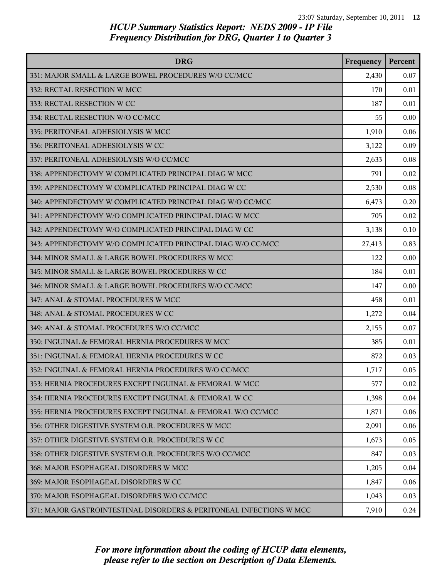| <b>DRG</b>                                                          | Frequency | Percent |
|---------------------------------------------------------------------|-----------|---------|
| 331: MAJOR SMALL & LARGE BOWEL PROCEDURES W/O CC/MCC                | 2,430     | 0.07    |
| 332: RECTAL RESECTION W MCC                                         | 170       | 0.01    |
| 333: RECTAL RESECTION W CC                                          | 187       | 0.01    |
| 334: RECTAL RESECTION W/O CC/MCC                                    | 55        | 0.00    |
| 335: PERITONEAL ADHESIOLYSIS W MCC                                  | 1,910     | 0.06    |
| 336: PERITONEAL ADHESIOLYSIS W CC                                   | 3,122     | 0.09    |
| 337: PERITONEAL ADHESIOLYSIS W/O CC/MCC                             | 2,633     | 0.08    |
| 338: APPENDECTOMY W COMPLICATED PRINCIPAL DIAG W MCC                | 791       | 0.02    |
| 339: APPENDECTOMY W COMPLICATED PRINCIPAL DIAG W CC                 | 2,530     | 0.08    |
| 340: APPENDECTOMY W COMPLICATED PRINCIPAL DIAG W/O CC/MCC           | 6,473     | 0.20    |
| 341: APPENDECTOMY W/O COMPLICATED PRINCIPAL DIAG W MCC              | 705       | 0.02    |
| 342: APPENDECTOMY W/O COMPLICATED PRINCIPAL DIAG W CC               | 3,138     | 0.10    |
| 343: APPENDECTOMY W/O COMPLICATED PRINCIPAL DIAG W/O CC/MCC         | 27,413    | 0.83    |
| 344: MINOR SMALL & LARGE BOWEL PROCEDURES W MCC                     | 122       | 0.00    |
| 345: MINOR SMALL & LARGE BOWEL PROCEDURES W CC                      | 184       | 0.01    |
| 346: MINOR SMALL & LARGE BOWEL PROCEDURES W/O CC/MCC                | 147       | 0.00    |
| 347: ANAL & STOMAL PROCEDURES W MCC                                 | 458       | 0.01    |
| 348: ANAL & STOMAL PROCEDURES W CC                                  | 1,272     | 0.04    |
| 349: ANAL & STOMAL PROCEDURES W/O CC/MCC                            | 2,155     | 0.07    |
| 350: INGUINAL & FEMORAL HERNIA PROCEDURES W MCC                     | 385       | 0.01    |
| 351: INGUINAL & FEMORAL HERNIA PROCEDURES W CC                      | 872       | 0.03    |
| 352: INGUINAL & FEMORAL HERNIA PROCEDURES W/O CC/MCC                | 1,717     | 0.05    |
| 353: HERNIA PROCEDURES EXCEPT INGUINAL & FEMORAL W MCC              | 577       | 0.02    |
| 354: HERNIA PROCEDURES EXCEPT INGUINAL & FEMORAL W CC               | 1,398     | 0.04    |
| 355: HERNIA PROCEDURES EXCEPT INGUINAL & FEMORAL W/O CC/MCC         | 1,871     | 0.06    |
| 356: OTHER DIGESTIVE SYSTEM O.R. PROCEDURES W MCC                   | 2,091     | 0.06    |
| 357: OTHER DIGESTIVE SYSTEM O.R. PROCEDURES W CC                    | 1,673     | 0.05    |
| 358: OTHER DIGESTIVE SYSTEM O.R. PROCEDURES W/O CC/MCC              | 847       | 0.03    |
| 368: MAJOR ESOPHAGEAL DISORDERS W MCC                               | 1,205     | 0.04    |
| 369: MAJOR ESOPHAGEAL DISORDERS W CC                                | 1,847     | 0.06    |
| 370: MAJOR ESOPHAGEAL DISORDERS W/O CC/MCC                          | 1,043     | 0.03    |
| 371: MAJOR GASTROINTESTINAL DISORDERS & PERITONEAL INFECTIONS W MCC | 7,910     | 0.24    |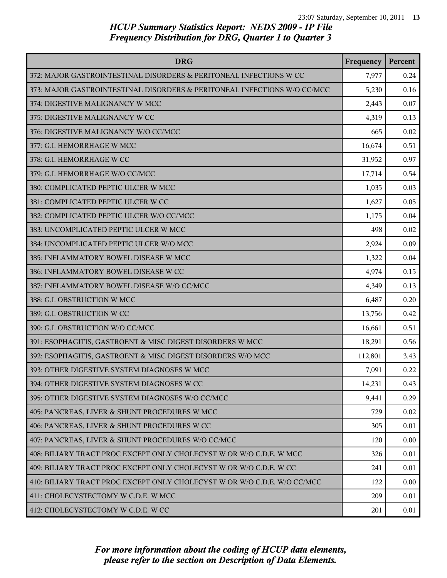| <b>DRG</b>                                                               | Frequency | Percent |
|--------------------------------------------------------------------------|-----------|---------|
| 372: MAJOR GASTROINTESTINAL DISORDERS & PERITONEAL INFECTIONS W CC       | 7,977     | 0.24    |
| 373: MAJOR GASTROINTESTINAL DISORDERS & PERITONEAL INFECTIONS W/O CC/MCC | 5,230     | 0.16    |
| 374: DIGESTIVE MALIGNANCY W MCC                                          | 2,443     | 0.07    |
| 375: DIGESTIVE MALIGNANCY W CC                                           | 4,319     | 0.13    |
| 376: DIGESTIVE MALIGNANCY W/O CC/MCC                                     | 665       | 0.02    |
| 377: G.I. HEMORRHAGE W MCC                                               | 16,674    | 0.51    |
| 378: G.I. HEMORRHAGE W CC                                                | 31,952    | 0.97    |
| 379: G.I. HEMORRHAGE W/O CC/MCC                                          | 17,714    | 0.54    |
| 380: COMPLICATED PEPTIC ULCER W MCC                                      | 1,035     | 0.03    |
| 381: COMPLICATED PEPTIC ULCER W CC                                       | 1,627     | 0.05    |
| 382: COMPLICATED PEPTIC ULCER W/O CC/MCC                                 | 1,175     | 0.04    |
| 383: UNCOMPLICATED PEPTIC ULCER W MCC                                    | 498       | 0.02    |
| 384: UNCOMPLICATED PEPTIC ULCER W/O MCC                                  | 2,924     | 0.09    |
| 385: INFLAMMATORY BOWEL DISEASE W MCC                                    | 1,322     | 0.04    |
| 386: INFLAMMATORY BOWEL DISEASE W CC                                     | 4,974     | 0.15    |
| 387: INFLAMMATORY BOWEL DISEASE W/O CC/MCC                               | 4,349     | 0.13    |
| 388: G.I. OBSTRUCTION W MCC                                              | 6,487     | 0.20    |
| 389: G.I. OBSTRUCTION W CC                                               | 13,756    | 0.42    |
| 390: G.I. OBSTRUCTION W/O CC/MCC                                         | 16,661    | 0.51    |
| 391: ESOPHAGITIS, GASTROENT & MISC DIGEST DISORDERS W MCC                | 18,291    | 0.56    |
| 392: ESOPHAGITIS, GASTROENT & MISC DIGEST DISORDERS W/O MCC              | 112,801   | 3.43    |
| 393: OTHER DIGESTIVE SYSTEM DIAGNOSES W MCC                              | 7,091     | 0.22    |
| 394: OTHER DIGESTIVE SYSTEM DIAGNOSES W CC                               | 14,231    | 0.43    |
| 395: OTHER DIGESTIVE SYSTEM DIAGNOSES W/O CC/MCC                         | 9,441     | 0.29    |
| 405: PANCREAS, LIVER & SHUNT PROCEDURES W MCC                            | 729       | 0.02    |
| 406: PANCREAS, LIVER & SHUNT PROCEDURES W CC                             | 305       | 0.01    |
| 407: PANCREAS, LIVER & SHUNT PROCEDURES W/O CC/MCC                       | 120       | 0.00    |
| 408: BILIARY TRACT PROC EXCEPT ONLY CHOLECYST W OR W/O C.D.E. W MCC      | 326       | 0.01    |
| 409: BILIARY TRACT PROC EXCEPT ONLY CHOLECYST W OR W/O C.D.E. W CC       | 241       | 0.01    |
| 410: BILIARY TRACT PROC EXCEPT ONLY CHOLECYST W OR W/O C.D.E. W/O CC/MCC | 122       | 0.00    |
| 411: CHOLECYSTECTOMY W C.D.E. W MCC                                      | 209       | 0.01    |
| 412: CHOLECYSTECTOMY W C.D.E. W CC                                       | 201       | 0.01    |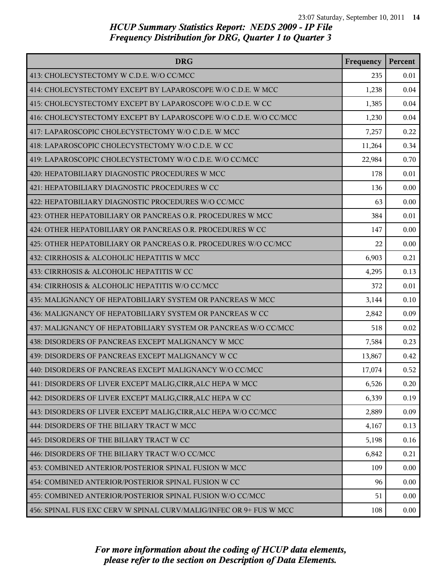| <b>DRG</b>                                                         | Frequency | Percent |
|--------------------------------------------------------------------|-----------|---------|
| 413: CHOLECYSTECTOMY W C.D.E. W/O CC/MCC                           | 235       | 0.01    |
| 414: CHOLECYSTECTOMY EXCEPT BY LAPAROSCOPE W/O C.D.E. W MCC        | 1,238     | 0.04    |
| 415: CHOLECYSTECTOMY EXCEPT BY LAPAROSCOPE W/O C.D.E. W CC         | 1,385     | 0.04    |
| 416: CHOLECYSTECTOMY EXCEPT BY LAPAROSCOPE W/O C.D.E. W/O CC/MCC   | 1,230     | 0.04    |
| 417: LAPAROSCOPIC CHOLECYSTECTOMY W/O C.D.E. W MCC                 | 7,257     | 0.22    |
| 418: LAPAROSCOPIC CHOLECYSTECTOMY W/O C.D.E. W CC                  | 11,264    | 0.34    |
| 419: LAPAROSCOPIC CHOLECYSTECTOMY W/O C.D.E. W/O CC/MCC            | 22,984    | 0.70    |
| 420: HEPATOBILIARY DIAGNOSTIC PROCEDURES W MCC                     | 178       | 0.01    |
| 421: HEPATOBILIARY DIAGNOSTIC PROCEDURES W CC                      | 136       | 0.00    |
| 422: HEPATOBILIARY DIAGNOSTIC PROCEDURES W/O CC/MCC                | 63        | 0.00    |
| 423: OTHER HEPATOBILIARY OR PANCREAS O.R. PROCEDURES W MCC         | 384       | 0.01    |
| 424: OTHER HEPATOBILIARY OR PANCREAS O.R. PROCEDURES W CC          | 147       | 0.00    |
| 425: OTHER HEPATOBILIARY OR PANCREAS O.R. PROCEDURES W/O CC/MCC    | 22        | 0.00    |
| 432: CIRRHOSIS & ALCOHOLIC HEPATITIS W MCC                         | 6,903     | 0.21    |
| 433: CIRRHOSIS & ALCOHOLIC HEPATITIS W CC                          | 4,295     | 0.13    |
| 434: CIRRHOSIS & ALCOHOLIC HEPATITIS W/O CC/MCC                    | 372       | 0.01    |
| 435: MALIGNANCY OF HEPATOBILIARY SYSTEM OR PANCREAS W MCC          | 3,144     | 0.10    |
| 436: MALIGNANCY OF HEPATOBILIARY SYSTEM OR PANCREAS W CC           | 2,842     | 0.09    |
| 437: MALIGNANCY OF HEPATOBILIARY SYSTEM OR PANCREAS W/O CC/MCC     | 518       | 0.02    |
| 438: DISORDERS OF PANCREAS EXCEPT MALIGNANCY W MCC                 | 7,584     | 0.23    |
| 439: DISORDERS OF PANCREAS EXCEPT MALIGNANCY W CC                  | 13,867    | 0.42    |
| 440: DISORDERS OF PANCREAS EXCEPT MALIGNANCY W/O CC/MCC            | 17,074    | 0.52    |
| 441: DISORDERS OF LIVER EXCEPT MALIG, CIRR, ALC HEPA W MCC         | 6,526     | 0.20    |
| 442: DISORDERS OF LIVER EXCEPT MALIG, CIRR, ALC HEPA W CC          | 6,339     | 0.19    |
| 443: DISORDERS OF LIVER EXCEPT MALIG, CIRR, ALC HEPA W/O CC/MCC    | 2,889     | 0.09    |
| 444: DISORDERS OF THE BILIARY TRACT W MCC                          | 4,167     | 0.13    |
| 445: DISORDERS OF THE BILIARY TRACT W CC                           | 5,198     | 0.16    |
| 446: DISORDERS OF THE BILIARY TRACT W/O CC/MCC                     | 6,842     | 0.21    |
| 453: COMBINED ANTERIOR/POSTERIOR SPINAL FUSION W MCC               | 109       | 0.00    |
| 454: COMBINED ANTERIOR/POSTERIOR SPINAL FUSION W CC                | 96        | 0.00    |
| 455: COMBINED ANTERIOR/POSTERIOR SPINAL FUSION W/O CC/MCC          | 51        | 0.00    |
| 456: SPINAL FUS EXC CERV W SPINAL CURV/MALIG/INFEC OR 9+ FUS W MCC | 108       | 0.00    |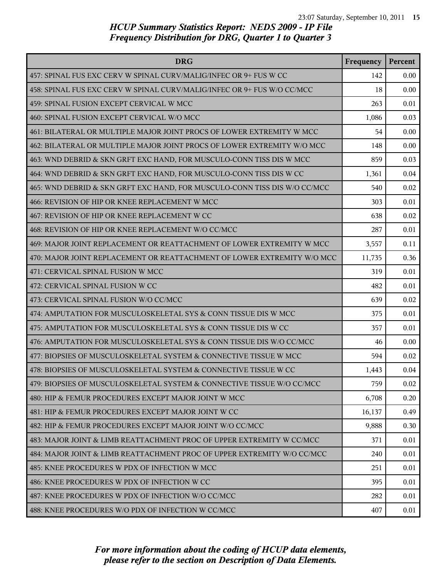| <b>DRG</b>                                                                | Frequency | Percent |
|---------------------------------------------------------------------------|-----------|---------|
| 457: SPINAL FUS EXC CERV W SPINAL CURV/MALIG/INFEC OR 9+ FUS W CC         | 142       | 0.00    |
| 458: SPINAL FUS EXC CERV W SPINAL CURV/MALIG/INFEC OR 9+ FUS W/O CC/MCC   | 18        | 0.00    |
| 459: SPINAL FUSION EXCEPT CERVICAL W MCC                                  | 263       | 0.01    |
| 460: SPINAL FUSION EXCEPT CERVICAL W/O MCC                                | 1,086     | 0.03    |
| 461: BILATERAL OR MULTIPLE MAJOR JOINT PROCS OF LOWER EXTREMITY W MCC     | 54        | 0.00    |
| 462: BILATERAL OR MULTIPLE MAJOR JOINT PROCS OF LOWER EXTREMITY W/O MCC   | 148       | 0.00    |
| 463: WND DEBRID & SKN GRFT EXC HAND, FOR MUSCULO-CONN TISS DIS W MCC      | 859       | 0.03    |
| 464: WND DEBRID & SKN GRFT EXC HAND, FOR MUSCULO-CONN TISS DIS W CC       | 1,361     | 0.04    |
| 465: WND DEBRID & SKN GRFT EXC HAND, FOR MUSCULO-CONN TISS DIS W/O CC/MCC | 540       | 0.02    |
| 466: REVISION OF HIP OR KNEE REPLACEMENT W MCC                            | 303       | 0.01    |
| 467: REVISION OF HIP OR KNEE REPLACEMENT W CC                             | 638       | 0.02    |
| 468: REVISION OF HIP OR KNEE REPLACEMENT W/O CC/MCC                       | 287       | 0.01    |
| 469: MAJOR JOINT REPLACEMENT OR REATTACHMENT OF LOWER EXTREMITY W MCC     | 3,557     | 0.11    |
| 470: MAJOR JOINT REPLACEMENT OR REATTACHMENT OF LOWER EXTREMITY W/O MCC   | 11,735    | 0.36    |
| 471: CERVICAL SPINAL FUSION W MCC                                         | 319       | 0.01    |
| 472: CERVICAL SPINAL FUSION W CC                                          | 482       | 0.01    |
| 473: CERVICAL SPINAL FUSION W/O CC/MCC                                    | 639       | 0.02    |
| 474: AMPUTATION FOR MUSCULOSKELETAL SYS & CONN TISSUE DIS W MCC           | 375       | 0.01    |
| 475: AMPUTATION FOR MUSCULOSKELETAL SYS & CONN TISSUE DIS W CC            | 357       | 0.01    |
| 476: AMPUTATION FOR MUSCULOSKELETAL SYS & CONN TISSUE DIS W/O CC/MCC      | 46        | 0.00    |
| 477: BIOPSIES OF MUSCULOSKELETAL SYSTEM & CONNECTIVE TISSUE W MCC         | 594       | 0.02    |
| 478: BIOPSIES OF MUSCULOSKELETAL SYSTEM & CONNECTIVE TISSUE W CC          | 1,443     | 0.04    |
| 479: BIOPSIES OF MUSCULOSKELETAL SYSTEM & CONNECTIVE TISSUE W/O CC/MCC    | 759       | 0.02    |
| 480: HIP & FEMUR PROCEDURES EXCEPT MAJOR JOINT W MCC                      | 6,708     | 0.20    |
| 481: HIP & FEMUR PROCEDURES EXCEPT MAJOR JOINT W CC                       | 16,137    | 0.49    |
| 482: HIP & FEMUR PROCEDURES EXCEPT MAJOR JOINT W/O CC/MCC                 | 9,888     | 0.30    |
| 483: MAJOR JOINT & LIMB REATTACHMENT PROC OF UPPER EXTREMITY W CC/MCC     | 371       | 0.01    |
| 484: MAJOR JOINT & LIMB REATTACHMENT PROC OF UPPER EXTREMITY W/O CC/MCC   | 240       | 0.01    |
| 485: KNEE PROCEDURES W PDX OF INFECTION W MCC                             | 251       | 0.01    |
| 486: KNEE PROCEDURES W PDX OF INFECTION W CC                              | 395       | 0.01    |
| 487: KNEE PROCEDURES W PDX OF INFECTION W/O CC/MCC                        | 282       | 0.01    |
| 488: KNEE PROCEDURES W/O PDX OF INFECTION W CC/MCC                        | 407       | 0.01    |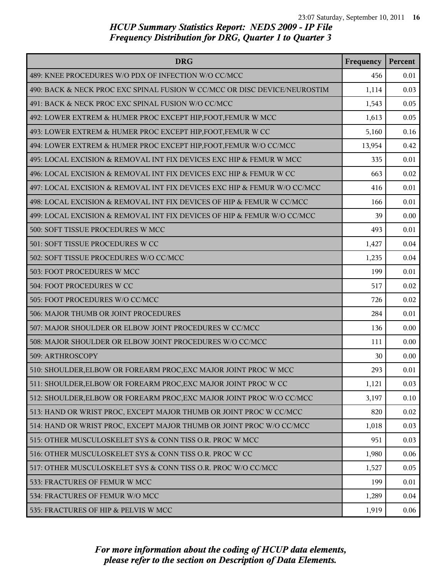| <b>DRG</b>                                                                | Frequency | Percent |
|---------------------------------------------------------------------------|-----------|---------|
| 489: KNEE PROCEDURES W/O PDX OF INFECTION W/O CC/MCC                      | 456       | 0.01    |
| 490: BACK & NECK PROC EXC SPINAL FUSION W CC/MCC OR DISC DEVICE/NEUROSTIM | 1,114     | 0.03    |
| 491: BACK & NECK PROC EXC SPINAL FUSION W/O CC/MCC                        | 1,543     | 0.05    |
| 492: LOWER EXTREM & HUMER PROC EXCEPT HIP, FOOT, FEMUR W MCC              | 1,613     | 0.05    |
| 493: LOWER EXTREM & HUMER PROC EXCEPT HIP, FOOT, FEMUR W CC               | 5,160     | 0.16    |
| 494: LOWER EXTREM & HUMER PROC EXCEPT HIP, FOOT, FEMUR W/O CC/MCC         | 13,954    | 0.42    |
| 495: LOCAL EXCISION & REMOVAL INT FIX DEVICES EXC HIP & FEMUR W MCC       | 335       | 0.01    |
| 496: LOCAL EXCISION & REMOVAL INT FIX DEVICES EXC HIP & FEMUR W CC        | 663       | 0.02    |
| 497: LOCAL EXCISION & REMOVAL INT FIX DEVICES EXC HIP & FEMUR W/O CC/MCC  | 416       | 0.01    |
| 498: LOCAL EXCISION & REMOVAL INT FIX DEVICES OF HIP & FEMUR W CC/MCC     | 166       | 0.01    |
| 499: LOCAL EXCISION & REMOVAL INT FIX DEVICES OF HIP & FEMUR W/O CC/MCC   | 39        | 0.00    |
| 500: SOFT TISSUE PROCEDURES W MCC                                         | 493       | 0.01    |
| 501: SOFT TISSUE PROCEDURES W CC                                          | 1,427     | 0.04    |
| 502: SOFT TISSUE PROCEDURES W/O CC/MCC                                    | 1,235     | 0.04    |
| 503: FOOT PROCEDURES W MCC                                                | 199       | 0.01    |
| 504: FOOT PROCEDURES W CC                                                 | 517       | 0.02    |
| 505: FOOT PROCEDURES W/O CC/MCC                                           | 726       | 0.02    |
| 506: MAJOR THUMB OR JOINT PROCEDURES                                      | 284       | 0.01    |
| 507: MAJOR SHOULDER OR ELBOW JOINT PROCEDURES W CC/MCC                    | 136       | 0.00    |
| 508: MAJOR SHOULDER OR ELBOW JOINT PROCEDURES W/O CC/MCC                  | 111       | 0.00    |
| 509: ARTHROSCOPY                                                          | 30        | 0.00    |
| 510: SHOULDER, ELBOW OR FOREARM PROC, EXC MAJOR JOINT PROC W MCC          | 293       | 0.01    |
| 511: SHOULDER, ELBOW OR FOREARM PROC, EXC MAJOR JOINT PROC W CC           | 1,121     | 0.03    |
| 512: SHOULDER, ELBOW OR FOREARM PROC, EXC MAJOR JOINT PROC W/O CC/MCC     | 3,197     | 0.10    |
| 513: HAND OR WRIST PROC, EXCEPT MAJOR THUMB OR JOINT PROC W CC/MCC        | 820       | 0.02    |
| 514: HAND OR WRIST PROC, EXCEPT MAJOR THUMB OR JOINT PROC W/O CC/MCC      | 1,018     | 0.03    |
| 515: OTHER MUSCULOSKELET SYS & CONN TISS O.R. PROC W MCC                  | 951       | 0.03    |
| 516: OTHER MUSCULOSKELET SYS & CONN TISS O.R. PROC W CC                   | 1,980     | 0.06    |
| 517: OTHER MUSCULOSKELET SYS & CONN TISS O.R. PROC W/O CC/MCC             | 1,527     | 0.05    |
| 533: FRACTURES OF FEMUR W MCC                                             | 199       | 0.01    |
| 534: FRACTURES OF FEMUR W/O MCC                                           | 1,289     | 0.04    |
| 535: FRACTURES OF HIP & PELVIS W MCC                                      | 1,919     | 0.06    |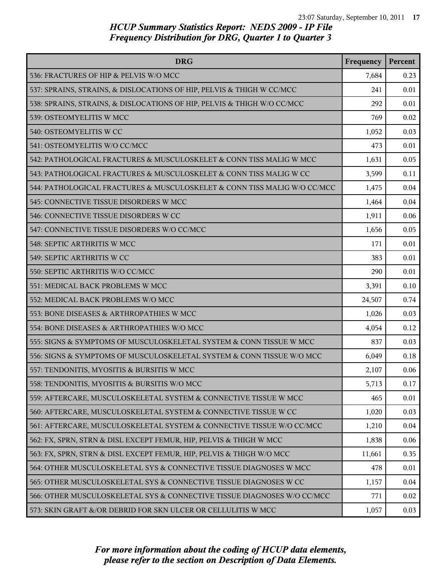| <b>DRG</b>                                                               | Frequency | Percent |
|--------------------------------------------------------------------------|-----------|---------|
| 536: FRACTURES OF HIP & PELVIS W/O MCC                                   | 7,684     | 0.23    |
| 537: SPRAINS, STRAINS, & DISLOCATIONS OF HIP, PELVIS & THIGH W CC/MCC    | 241       | 0.01    |
| 538: SPRAINS, STRAINS, & DISLOCATIONS OF HIP, PELVIS & THIGH W/O CC/MCC  | 292       | 0.01    |
| 539: OSTEOMYELITIS W MCC                                                 | 769       | 0.02    |
| 540: OSTEOMYELITIS W CC                                                  | 1,052     | 0.03    |
| 541: OSTEOMYELITIS W/O CC/MCC                                            | 473       | 0.01    |
| 542: PATHOLOGICAL FRACTURES & MUSCULOSKELET & CONN TISS MALIG W MCC      | 1,631     | 0.05    |
| 543: PATHOLOGICAL FRACTURES & MUSCULOSKELET & CONN TISS MALIG W CC       | 3,599     | 0.11    |
| 544: PATHOLOGICAL FRACTURES & MUSCULOSKELET & CONN TISS MALIG W/O CC/MCC | 1,475     | 0.04    |
| 545: CONNECTIVE TISSUE DISORDERS W MCC                                   | 1,464     | 0.04    |
| 546: CONNECTIVE TISSUE DISORDERS W CC                                    | 1,911     | 0.06    |
| 547: CONNECTIVE TISSUE DISORDERS W/O CC/MCC                              | 1,656     | 0.05    |
| 548: SEPTIC ARTHRITIS W MCC                                              | 171       | 0.01    |
| 549: SEPTIC ARTHRITIS W CC                                               | 383       | 0.01    |
| 550: SEPTIC ARTHRITIS W/O CC/MCC                                         | 290       | 0.01    |
| 551: MEDICAL BACK PROBLEMS W MCC                                         | 3,391     | 0.10    |
| 552: MEDICAL BACK PROBLEMS W/O MCC                                       | 24,507    | 0.74    |
| 553: BONE DISEASES & ARTHROPATHIES W MCC                                 | 1,026     | 0.03    |
| 554: BONE DISEASES & ARTHROPATHIES W/O MCC                               | 4,054     | 0.12    |
| 555: SIGNS & SYMPTOMS OF MUSCULOSKELETAL SYSTEM & CONN TISSUE W MCC      | 837       | 0.03    |
| 556: SIGNS & SYMPTOMS OF MUSCULOSKELETAL SYSTEM & CONN TISSUE W/O MCC    | 6,049     | 0.18    |
| 557: TENDONITIS, MYOSITIS & BURSITIS W MCC                               | 2,107     | 0.06    |
| 558: TENDONITIS, MYOSITIS & BURSITIS W/O MCC                             | 5,713     | 0.17    |
| 559: AFTERCARE, MUSCULOSKELETAL SYSTEM & CONNECTIVE TISSUE W MCC         | 465       | 0.01    |
| 560: AFTERCARE, MUSCULOSKELETAL SYSTEM & CONNECTIVE TISSUE W CC          | 1,020     | 0.03    |
| 561: AFTERCARE, MUSCULOSKELETAL SYSTEM & CONNECTIVE TISSUE W/O CC/MCC    | 1,210     | 0.04    |
| 562: FX, SPRN, STRN & DISL EXCEPT FEMUR, HIP, PELVIS & THIGH W MCC       | 1,838     | 0.06    |
| 563: FX, SPRN, STRN & DISL EXCEPT FEMUR, HIP, PELVIS & THIGH W/O MCC     | 11,661    | 0.35    |
| 564: OTHER MUSCULOSKELETAL SYS & CONNECTIVE TISSUE DIAGNOSES W MCC       | 478       | 0.01    |
| 565: OTHER MUSCULOSKELETAL SYS & CONNECTIVE TISSUE DIAGNOSES W CC        | 1,157     | 0.04    |
| 566: OTHER MUSCULOSKELETAL SYS & CONNECTIVE TISSUE DIAGNOSES W/O CC/MCC  | 771       | 0.02    |
| 573: SKIN GRAFT &/OR DEBRID FOR SKN ULCER OR CELLULITIS W MCC            | 1,057     | 0.03    |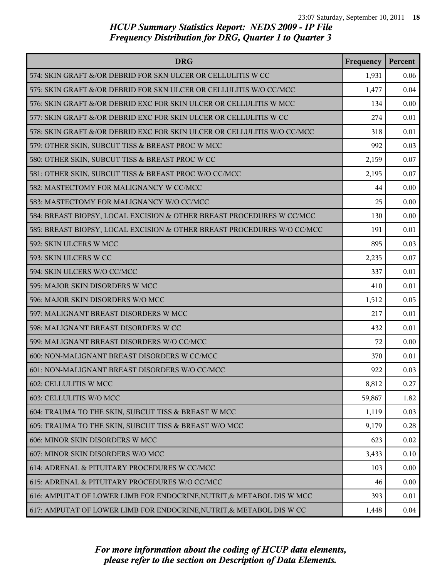| <b>DRG</b>                                                              | Frequency | Percent |
|-------------------------------------------------------------------------|-----------|---------|
| 574: SKIN GRAFT &/OR DEBRID FOR SKN ULCER OR CELLULITIS W CC            | 1,931     | 0.06    |
| 575: SKIN GRAFT &/OR DEBRID FOR SKN ULCER OR CELLULITIS W/O CC/MCC      | 1,477     | 0.04    |
| 576: SKIN GRAFT &/OR DEBRID EXC FOR SKIN ULCER OR CELLULITIS W MCC      | 134       | 0.00    |
| 577: SKIN GRAFT &/OR DEBRID EXC FOR SKIN ULCER OR CELLULITIS W CC       | 274       | 0.01    |
| 578: SKIN GRAFT &/OR DEBRID EXC FOR SKIN ULCER OR CELLULITIS W/O CC/MCC | 318       | 0.01    |
| 579: OTHER SKIN, SUBCUT TISS & BREAST PROC W MCC                        | 992       | 0.03    |
| 580: OTHER SKIN, SUBCUT TISS & BREAST PROC W CC                         | 2,159     | 0.07    |
| 581: OTHER SKIN, SUBCUT TISS & BREAST PROC W/O CC/MCC                   | 2,195     | 0.07    |
| 582: MASTECTOMY FOR MALIGNANCY W CC/MCC                                 | 44        | 0.00    |
| 583: MASTECTOMY FOR MALIGNANCY W/O CC/MCC                               | 25        | 0.00    |
| 584: BREAST BIOPSY, LOCAL EXCISION & OTHER BREAST PROCEDURES W CC/MCC   | 130       | 0.00    |
| 585: BREAST BIOPSY, LOCAL EXCISION & OTHER BREAST PROCEDURES W/O CC/MCC | 191       | 0.01    |
| 592: SKIN ULCERS W MCC                                                  | 895       | 0.03    |
| 593: SKIN ULCERS W CC                                                   | 2,235     | 0.07    |
| 594: SKIN ULCERS W/O CC/MCC                                             | 337       | 0.01    |
| 595: MAJOR SKIN DISORDERS W MCC                                         | 410       | 0.01    |
| 596: MAJOR SKIN DISORDERS W/O MCC                                       | 1,512     | 0.05    |
| 597: MALIGNANT BREAST DISORDERS W MCC                                   | 217       | 0.01    |
| 598: MALIGNANT BREAST DISORDERS W CC                                    | 432       | 0.01    |
| 599: MALIGNANT BREAST DISORDERS W/O CC/MCC                              | 72        | 0.00    |
| 600: NON-MALIGNANT BREAST DISORDERS W CC/MCC                            | 370       | 0.01    |
| 601: NON-MALIGNANT BREAST DISORDERS W/O CC/MCC                          | 922       | 0.03    |
| 602: CELLULITIS W MCC                                                   | 8,812     | 0.27    |
| 603: CELLULITIS W/O MCC                                                 | 59,867    | 1.82    |
| 604: TRAUMA TO THE SKIN, SUBCUT TISS & BREAST W MCC                     | 1,119     | 0.03    |
| 605: TRAUMA TO THE SKIN, SUBCUT TISS & BREAST W/O MCC                   | 9,179     | 0.28    |
| 606: MINOR SKIN DISORDERS W MCC                                         | 623       | 0.02    |
| 607: MINOR SKIN DISORDERS W/O MCC                                       | 3,433     | 0.10    |
| 614: ADRENAL & PITUITARY PROCEDURES W CC/MCC                            | 103       | 0.00    |
| 615: ADRENAL & PITUITARY PROCEDURES W/O CC/MCC                          | 46        | 0.00    |
| 616: AMPUTAT OF LOWER LIMB FOR ENDOCRINE, NUTRIT, & METABOL DIS W MCC   | 393       | 0.01    |
| 617: AMPUTAT OF LOWER LIMB FOR ENDOCRINE, NUTRIT, & METABOL DIS W CC    | 1,448     | 0.04    |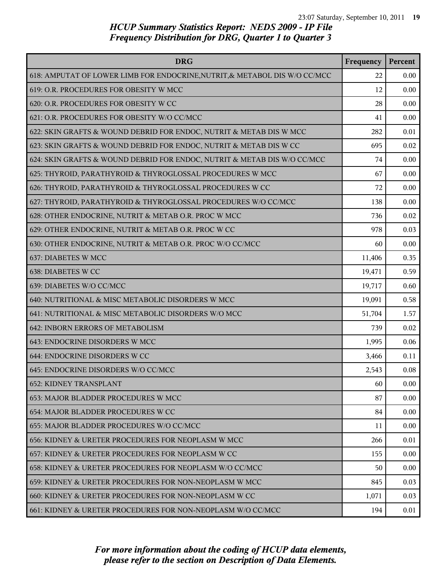| <b>DRG</b>                                                                 | Frequency | Percent |
|----------------------------------------------------------------------------|-----------|---------|
| 618: AMPUTAT OF LOWER LIMB FOR ENDOCRINE, NUTRIT, & METABOL DIS W/O CC/MCC | 22        | 0.00    |
| 619: O.R. PROCEDURES FOR OBESITY W MCC                                     | 12        | 0.00    |
| 620: O.R. PROCEDURES FOR OBESITY W CC                                      | 28        | 0.00    |
| 621: O.R. PROCEDURES FOR OBESITY W/O CC/MCC                                | 41        | 0.00    |
| 622: SKIN GRAFTS & WOUND DEBRID FOR ENDOC, NUTRIT & METAB DIS W MCC        | 282       | 0.01    |
| 623: SKIN GRAFTS & WOUND DEBRID FOR ENDOC, NUTRIT & METAB DIS W CC         | 695       | 0.02    |
| 624: SKIN GRAFTS & WOUND DEBRID FOR ENDOC, NUTRIT & METAB DIS W/O CC/MCC   | 74        | 0.00    |
| 625: THYROID, PARATHYROID & THYROGLOSSAL PROCEDURES W MCC                  | 67        | 0.00    |
| 626: THYROID, PARATHYROID & THYROGLOSSAL PROCEDURES W CC                   | 72        | 0.00    |
| 627: THYROID, PARATHYROID & THYROGLOSSAL PROCEDURES W/O CC/MCC             | 138       | 0.00    |
| 628: OTHER ENDOCRINE, NUTRIT & METAB O.R. PROC W MCC                       | 736       | 0.02    |
| 629: OTHER ENDOCRINE, NUTRIT & METAB O.R. PROC W CC                        | 978       | 0.03    |
| 630: OTHER ENDOCRINE, NUTRIT & METAB O.R. PROC W/O CC/MCC                  | 60        | 0.00    |
| 637: DIABETES W MCC                                                        | 11,406    | 0.35    |
| 638: DIABETES W CC                                                         | 19,471    | 0.59    |
| 639: DIABETES W/O CC/MCC                                                   | 19,717    | 0.60    |
| 640: NUTRITIONAL & MISC METABOLIC DISORDERS W MCC                          | 19,091    | 0.58    |
| 641: NUTRITIONAL & MISC METABOLIC DISORDERS W/O MCC                        | 51,704    | 1.57    |
| 642: INBORN ERRORS OF METABOLISM                                           | 739       | 0.02    |
| 643: ENDOCRINE DISORDERS W MCC                                             | 1,995     | 0.06    |
| 644: ENDOCRINE DISORDERS W CC                                              | 3,466     | 0.11    |
| 645: ENDOCRINE DISORDERS W/O CC/MCC                                        | 2,543     | 0.08    |
| <b>652: KIDNEY TRANSPLANT</b>                                              | 60        | 0.00    |
| 653: MAJOR BLADDER PROCEDURES W MCC                                        | 87        | 0.00    |
| 654: MAJOR BLADDER PROCEDURES W CC                                         | 84        | 0.00    |
| 655: MAJOR BLADDER PROCEDURES W/O CC/MCC                                   | 11        | 0.00    |
| 656: KIDNEY & URETER PROCEDURES FOR NEOPLASM W MCC                         | 266       | 0.01    |
| 657: KIDNEY & URETER PROCEDURES FOR NEOPLASM W CC                          | 155       | 0.00    |
| 658: KIDNEY & URETER PROCEDURES FOR NEOPLASM W/O CC/MCC                    | 50        | 0.00    |
| 659: KIDNEY & URETER PROCEDURES FOR NON-NEOPLASM W MCC                     | 845       | 0.03    |
| 660: KIDNEY & URETER PROCEDURES FOR NON-NEOPLASM W CC                      | 1,071     | 0.03    |
| 661: KIDNEY & URETER PROCEDURES FOR NON-NEOPLASM W/O CC/MCC                | 194       | 0.01    |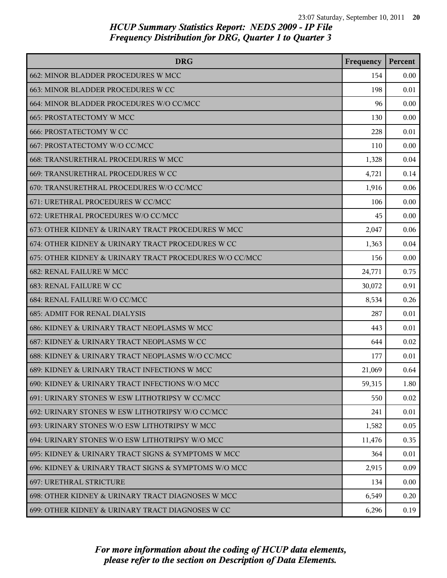| <b>DRG</b>                                              | Frequency | Percent |
|---------------------------------------------------------|-----------|---------|
| 662: MINOR BLADDER PROCEDURES W MCC                     | 154       | 0.00    |
| 663: MINOR BLADDER PROCEDURES W CC                      | 198       | 0.01    |
| 664: MINOR BLADDER PROCEDURES W/O CC/MCC                | 96        | 0.00    |
| 665: PROSTATECTOMY W MCC                                | 130       | 0.00    |
| <b>666: PROSTATECTOMY W CC</b>                          | 228       | 0.01    |
| 667: PROSTATECTOMY W/O CC/MCC                           | 110       | 0.00    |
| 668: TRANSURETHRAL PROCEDURES W MCC                     | 1,328     | 0.04    |
| 669: TRANSURETHRAL PROCEDURES W CC                      | 4,721     | 0.14    |
| 670: TRANSURETHRAL PROCEDURES W/O CC/MCC                | 1,916     | 0.06    |
| 671: URETHRAL PROCEDURES W CC/MCC                       | 106       | 0.00    |
| 672: URETHRAL PROCEDURES W/O CC/MCC                     | 45        | 0.00    |
| 673: OTHER KIDNEY & URINARY TRACT PROCEDURES W MCC      | 2,047     | 0.06    |
| 674: OTHER KIDNEY & URINARY TRACT PROCEDURES W CC       | 1,363     | 0.04    |
| 675: OTHER KIDNEY & URINARY TRACT PROCEDURES W/O CC/MCC | 156       | 0.00    |
| <b>682: RENAL FAILURE W MCC</b>                         | 24,771    | 0.75    |
| 683: RENAL FAILURE W CC                                 | 30,072    | 0.91    |
| 684: RENAL FAILURE W/O CC/MCC                           | 8,534     | 0.26    |
| <b>685: ADMIT FOR RENAL DIALYSIS</b>                    | 287       | 0.01    |
| 686: KIDNEY & URINARY TRACT NEOPLASMS W MCC             | 443       | 0.01    |
| 687: KIDNEY & URINARY TRACT NEOPLASMS W CC              | 644       | 0.02    |
| 688: KIDNEY & URINARY TRACT NEOPLASMS W/O CC/MCC        | 177       | 0.01    |
| 689: KIDNEY & URINARY TRACT INFECTIONS W MCC            | 21,069    | 0.64    |
| 690: KIDNEY & URINARY TRACT INFECTIONS W/O MCC          | 59,315    | 1.80    |
| 691: URINARY STONES W ESW LITHOTRIPSY W CC/MCC          | 550       | 0.02    |
| 692: URINARY STONES W ESW LITHOTRIPSY W/O CC/MCC        | 241       | 0.01    |
| 693: URINARY STONES W/O ESW LITHOTRIPSY W MCC           | 1,582     | 0.05    |
| 694: URINARY STONES W/O ESW LITHOTRIPSY W/O MCC         | 11,476    | 0.35    |
| 695: KIDNEY & URINARY TRACT SIGNS & SYMPTOMS W MCC      | 364       | 0.01    |
| 696: KIDNEY & URINARY TRACT SIGNS & SYMPTOMS W/O MCC    | 2,915     | 0.09    |
| <b>697: URETHRAL STRICTURE</b>                          | 134       | 0.00    |
| 698: OTHER KIDNEY & URINARY TRACT DIAGNOSES W MCC       | 6,549     | 0.20    |
| 699: OTHER KIDNEY & URINARY TRACT DIAGNOSES W CC        | 6,296     | 0.19    |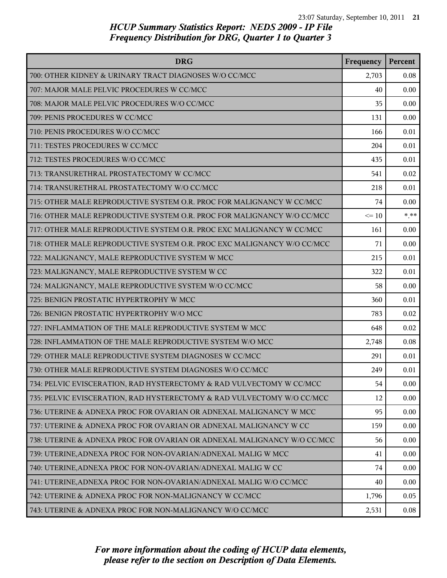| <b>DRG</b>                                                              | Frequency | Percent  |
|-------------------------------------------------------------------------|-----------|----------|
| 700: OTHER KIDNEY & URINARY TRACT DIAGNOSES W/O CC/MCC                  | 2,703     | 0.08     |
| 707: MAJOR MALE PELVIC PROCEDURES W CC/MCC                              | 40        | 0.00     |
| 708: MAJOR MALE PELVIC PROCEDURES W/O CC/MCC                            | 35        | 0.00     |
| 709: PENIS PROCEDURES W CC/MCC                                          | 131       | 0.00     |
| 710: PENIS PROCEDURES W/O CC/MCC                                        | 166       | 0.01     |
| 711: TESTES PROCEDURES W CC/MCC                                         | 204       | 0.01     |
| 712: TESTES PROCEDURES W/O CC/MCC                                       | 435       | 0.01     |
| 713: TRANSURETHRAL PROSTATECTOMY W CC/MCC                               | 541       | 0.02     |
| 714: TRANSURETHRAL PROSTATECTOMY W/O CC/MCC                             | 218       | 0.01     |
| 715: OTHER MALE REPRODUCTIVE SYSTEM O.R. PROC FOR MALIGNANCY W CC/MCC   | 74        | 0.00     |
| 716: OTHER MALE REPRODUCTIVE SYSTEM O.R. PROC FOR MALIGNANCY W/O CC/MCC | $\leq 10$ | $*$ $**$ |
| 717: OTHER MALE REPRODUCTIVE SYSTEM O.R. PROC EXC MALIGNANCY W CC/MCC   | 161       | 0.00     |
| 718: OTHER MALE REPRODUCTIVE SYSTEM O.R. PROC EXC MALIGNANCY W/O CC/MCC | 71        | 0.00     |
| 722: MALIGNANCY, MALE REPRODUCTIVE SYSTEM W MCC                         | 215       | 0.01     |
| 723: MALIGNANCY, MALE REPRODUCTIVE SYSTEM W CC                          | 322       | 0.01     |
| 724: MALIGNANCY, MALE REPRODUCTIVE SYSTEM W/O CC/MCC                    | 58        | 0.00     |
| 725: BENIGN PROSTATIC HYPERTROPHY W MCC                                 | 360       | 0.01     |
| 726: BENIGN PROSTATIC HYPERTROPHY W/O MCC                               | 783       | 0.02     |
| 727: INFLAMMATION OF THE MALE REPRODUCTIVE SYSTEM W MCC                 | 648       | 0.02     |
| 728: INFLAMMATION OF THE MALE REPRODUCTIVE SYSTEM W/O MCC               | 2,748     | 0.08     |
| 729: OTHER MALE REPRODUCTIVE SYSTEM DIAGNOSES W CC/MCC                  | 291       | 0.01     |
| 730: OTHER MALE REPRODUCTIVE SYSTEM DIAGNOSES W/O CC/MCC                | 249       | 0.01     |
| 734: PELVIC EVISCERATION, RAD HYSTERECTOMY & RAD VULVECTOMY W CC/MCC    | 54        | 0.00     |
| 735: PELVIC EVISCERATION, RAD HYSTERECTOMY & RAD VULVECTOMY W/O CC/MCC  | 12        | 0.00     |
| 736: UTERINE & ADNEXA PROC FOR OVARIAN OR ADNEXAL MALIGNANCY W MCC      | 95        | 0.00     |
| 737: UTERINE & ADNEXA PROC FOR OVARIAN OR ADNEXAL MALIGNANCY W CC       | 159       | 0.00     |
| 738: UTERINE & ADNEXA PROC FOR OVARIAN OR ADNEXAL MALIGNANCY W/O CC/MCC | 56        | 0.00     |
| 739: UTERINE, ADNEXA PROC FOR NON-OVARIAN/ADNEXAL MALIG W MCC           | 41        | 0.00     |
| 740: UTERINE, ADNEXA PROC FOR NON-OVARIAN/ADNEXAL MALIG W CC            | 74        | 0.00     |
| 741: UTERINE, ADNEXA PROC FOR NON-OVARIAN/ADNEXAL MALIG W/O CC/MCC      | 40        | 0.00     |
| 742: UTERINE & ADNEXA PROC FOR NON-MALIGNANCY W CC/MCC                  | 1,796     | 0.05     |
| 743: UTERINE & ADNEXA PROC FOR NON-MALIGNANCY W/O CC/MCC                | 2,531     | 0.08     |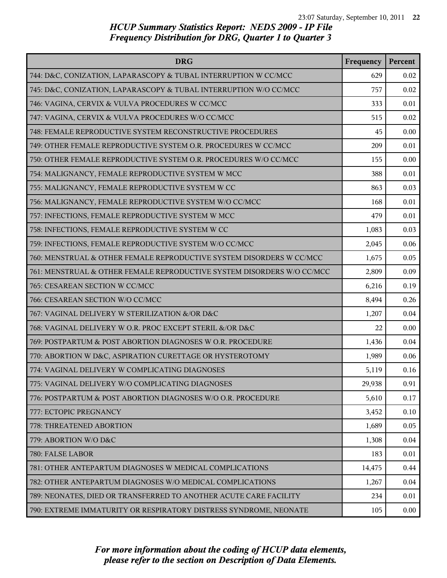| <b>DRG</b>                                                             | Frequency | Percent |
|------------------------------------------------------------------------|-----------|---------|
| 744: D&C, CONIZATION, LAPARASCOPY & TUBAL INTERRUPTION W CC/MCC        | 629       | 0.02    |
| 745: D&C, CONIZATION, LAPARASCOPY & TUBAL INTERRUPTION W/O CC/MCC      | 757       | 0.02    |
| 746: VAGINA, CERVIX & VULVA PROCEDURES W CC/MCC                        | 333       | 0.01    |
| 747: VAGINA, CERVIX & VULVA PROCEDURES W/O CC/MCC                      | 515       | 0.02    |
| 748: FEMALE REPRODUCTIVE SYSTEM RECONSTRUCTIVE PROCEDURES              | 45        | 0.00    |
| 749: OTHER FEMALE REPRODUCTIVE SYSTEM O.R. PROCEDURES W CC/MCC         | 209       | 0.01    |
| 750: OTHER FEMALE REPRODUCTIVE SYSTEM O.R. PROCEDURES W/O CC/MCC       | 155       | 0.00    |
| 754: MALIGNANCY, FEMALE REPRODUCTIVE SYSTEM W MCC                      | 388       | 0.01    |
| 755: MALIGNANCY, FEMALE REPRODUCTIVE SYSTEM W CC                       | 863       | 0.03    |
| 756: MALIGNANCY, FEMALE REPRODUCTIVE SYSTEM W/O CC/MCC                 | 168       | 0.01    |
| 757: INFECTIONS, FEMALE REPRODUCTIVE SYSTEM W MCC                      | 479       | 0.01    |
| 758: INFECTIONS, FEMALE REPRODUCTIVE SYSTEM W CC                       | 1,083     | 0.03    |
| 759: INFECTIONS, FEMALE REPRODUCTIVE SYSTEM W/O CC/MCC                 | 2,045     | 0.06    |
| 760: MENSTRUAL & OTHER FEMALE REPRODUCTIVE SYSTEM DISORDERS W CC/MCC   | 1,675     | 0.05    |
| 761: MENSTRUAL & OTHER FEMALE REPRODUCTIVE SYSTEM DISORDERS W/O CC/MCC | 2,809     | 0.09    |
| 765: CESAREAN SECTION W CC/MCC                                         | 6,216     | 0.19    |
| 766: CESAREAN SECTION W/O CC/MCC                                       | 8,494     | 0.26    |
| 767: VAGINAL DELIVERY W STERILIZATION &/OR D&C                         | 1,207     | 0.04    |
| 768: VAGINAL DELIVERY W O.R. PROC EXCEPT STERIL &/OR D&C               | 22        | 0.00    |
| 769: POSTPARTUM & POST ABORTION DIAGNOSES W O.R. PROCEDURE             | 1,436     | 0.04    |
| 770: ABORTION W D&C, ASPIRATION CURETTAGE OR HYSTEROTOMY               | 1,989     | 0.06    |
| 774: VAGINAL DELIVERY W COMPLICATING DIAGNOSES                         | 5,119     | 0.16    |
| 775: VAGINAL DELIVERY W/O COMPLICATING DIAGNOSES                       | 29,938    | 0.91    |
| 776: POSTPARTUM & POST ABORTION DIAGNOSES W/O O.R. PROCEDURE           | 5,610     | 0.17    |
| 777: ECTOPIC PREGNANCY                                                 | 3,452     | 0.10    |
| 778: THREATENED ABORTION                                               | 1,689     | 0.05    |
| 779: ABORTION W/O D&C                                                  | 1,308     | 0.04    |
| 780: FALSE LABOR                                                       | 183       | 0.01    |
| 781: OTHER ANTEPARTUM DIAGNOSES W MEDICAL COMPLICATIONS                | 14,475    | 0.44    |
| 782: OTHER ANTEPARTUM DIAGNOSES W/O MEDICAL COMPLICATIONS              | 1,267     | 0.04    |
| 789: NEONATES, DIED OR TRANSFERRED TO ANOTHER ACUTE CARE FACILITY      | 234       | 0.01    |
| 790: EXTREME IMMATURITY OR RESPIRATORY DISTRESS SYNDROME, NEONATE      | 105       | 0.00    |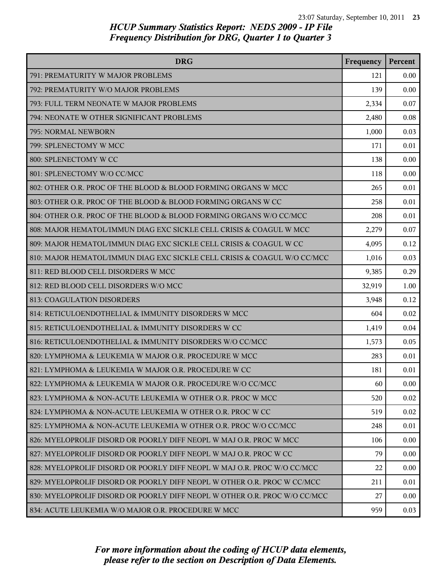| <b>DRG</b>                                                                | Frequency | Percent |
|---------------------------------------------------------------------------|-----------|---------|
| 791: PREMATURITY W MAJOR PROBLEMS                                         | 121       | 0.00    |
| 792: PREMATURITY W/O MAJOR PROBLEMS                                       | 139       | 0.00    |
| 793: FULL TERM NEONATE W MAJOR PROBLEMS                                   | 2,334     | 0.07    |
| 794: NEONATE W OTHER SIGNIFICANT PROBLEMS                                 | 2,480     | 0.08    |
| 795: NORMAL NEWBORN                                                       | 1,000     | 0.03    |
| 799: SPLENECTOMY W MCC                                                    | 171       | 0.01    |
| 800: SPLENECTOMY W CC                                                     | 138       | 0.00    |
| 801: SPLENECTOMY W/O CC/MCC                                               | 118       | 0.00    |
| 802: OTHER O.R. PROC OF THE BLOOD & BLOOD FORMING ORGANS W MCC            | 265       | 0.01    |
| 803: OTHER O.R. PROC OF THE BLOOD & BLOOD FORMING ORGANS W CC             | 258       | 0.01    |
| 804: OTHER O.R. PROC OF THE BLOOD & BLOOD FORMING ORGANS W/O CC/MCC       | 208       | 0.01    |
| 808: MAJOR HEMATOL/IMMUN DIAG EXC SICKLE CELL CRISIS & COAGUL W MCC       | 2,279     | 0.07    |
| 809: MAJOR HEMATOL/IMMUN DIAG EXC SICKLE CELL CRISIS & COAGUL W CC        | 4,095     | 0.12    |
| 810: MAJOR HEMATOL/IMMUN DIAG EXC SICKLE CELL CRISIS & COAGUL W/O CC/MCC  | 1,016     | 0.03    |
| 811: RED BLOOD CELL DISORDERS W MCC                                       | 9,385     | 0.29    |
| 812: RED BLOOD CELL DISORDERS W/O MCC                                     | 32,919    | 1.00    |
| 813: COAGULATION DISORDERS                                                | 3,948     | 0.12    |
| 814: RETICULOENDOTHELIAL & IMMUNITY DISORDERS W MCC                       | 604       | 0.02    |
| 815: RETICULOENDOTHELIAL & IMMUNITY DISORDERS W CC                        | 1,419     | 0.04    |
| 816: RETICULOENDOTHELIAL & IMMUNITY DISORDERS W/O CC/MCC                  | 1,573     | 0.05    |
| 820: LYMPHOMA & LEUKEMIA W MAJOR O.R. PROCEDURE W MCC                     | 283       | 0.01    |
| 821: LYMPHOMA & LEUKEMIA W MAJOR O.R. PROCEDURE W CC                      | 181       | 0.01    |
| 822: LYMPHOMA & LEUKEMIA W MAJOR O.R. PROCEDURE W/O CC/MCC                | 60        | 0.00    |
| 823: LYMPHOMA & NON-ACUTE LEUKEMIA W OTHER O.R. PROC W MCC                | 520       | 0.02    |
| 824: LYMPHOMA & NON-ACUTE LEUKEMIA W OTHER O.R. PROC W CC                 | 519       | 0.02    |
| 825: LYMPHOMA & NON-ACUTE LEUKEMIA W OTHER O.R. PROC W/O CC/MCC           | 248       | 0.01    |
| 826: MYELOPROLIF DISORD OR POORLY DIFF NEOPL W MAJ O.R. PROC W MCC        | 106       | 0.00    |
| 827: MYELOPROLIF DISORD OR POORLY DIFF NEOPL W MAJ O.R. PROC W CC         | 79        | 0.00    |
| 828: MYELOPROLIF DISORD OR POORLY DIFF NEOPL W MAJ O.R. PROC W/O CC/MCC   | 22        | 0.00    |
| 829: MYELOPROLIF DISORD OR POORLY DIFF NEOPL W OTHER O.R. PROC W CC/MCC   | 211       | 0.01    |
| 830: MYELOPROLIF DISORD OR POORLY DIFF NEOPL W OTHER O.R. PROC W/O CC/MCC | 27        | 0.00    |
| 834: ACUTE LEUKEMIA W/O MAJOR O.R. PROCEDURE W MCC                        | 959       | 0.03    |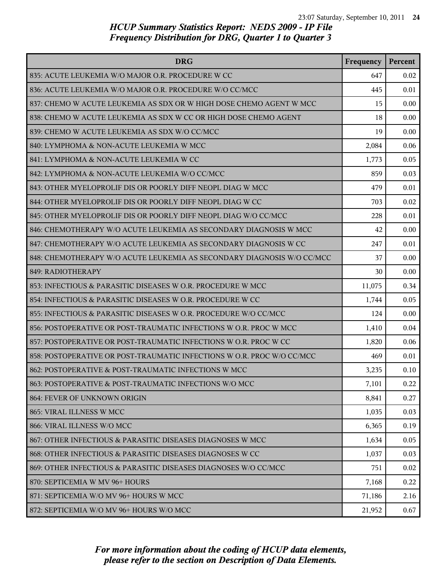| <b>DRG</b>                                                             | Frequency | Percent |
|------------------------------------------------------------------------|-----------|---------|
| 835: ACUTE LEUKEMIA W/O MAJOR O.R. PROCEDURE W CC                      | 647       | 0.02    |
| 836: ACUTE LEUKEMIA W/O MAJOR O.R. PROCEDURE W/O CC/MCC                | 445       | 0.01    |
| 837: CHEMO W ACUTE LEUKEMIA AS SDX OR W HIGH DOSE CHEMO AGENT W MCC    | 15        | 0.00    |
| 838: CHEMO W ACUTE LEUKEMIA AS SDX W CC OR HIGH DOSE CHEMO AGENT       | 18        | 0.00    |
| 839: CHEMO W ACUTE LEUKEMIA AS SDX W/O CC/MCC                          | 19        | 0.00    |
| 840: LYMPHOMA & NON-ACUTE LEUKEMIA W MCC                               | 2,084     | 0.06    |
| 841: LYMPHOMA & NON-ACUTE LEUKEMIA W CC                                | 1,773     | 0.05    |
| 842: LYMPHOMA & NON-ACUTE LEUKEMIA W/O CC/MCC                          | 859       | 0.03    |
| 843: OTHER MYELOPROLIF DIS OR POORLY DIFF NEOPL DIAG W MCC             | 479       | 0.01    |
| 844: OTHER MYELOPROLIF DIS OR POORLY DIFF NEOPL DIAG W CC              | 703       | 0.02    |
| 845: OTHER MYELOPROLIF DIS OR POORLY DIFF NEOPL DIAG W/O CC/MCC        | 228       | 0.01    |
| 846: CHEMOTHERAPY W/O ACUTE LEUKEMIA AS SECONDARY DIAGNOSIS W MCC      | 42        | 0.00    |
| 847: CHEMOTHERAPY W/O ACUTE LEUKEMIA AS SECONDARY DIAGNOSIS W CC       | 247       | 0.01    |
| 848: CHEMOTHERAPY W/O ACUTE LEUKEMIA AS SECONDARY DIAGNOSIS W/O CC/MCC | 37        | 0.00    |
| 849: RADIOTHERAPY                                                      | 30        | 0.00    |
| 853: INFECTIOUS & PARASITIC DISEASES W O.R. PROCEDURE W MCC            | 11,075    | 0.34    |
| 854: INFECTIOUS & PARASITIC DISEASES W O.R. PROCEDURE W CC             | 1,744     | 0.05    |
| 855: INFECTIOUS & PARASITIC DISEASES W O.R. PROCEDURE W/O CC/MCC       | 124       | 0.00    |
| 856: POSTOPERATIVE OR POST-TRAUMATIC INFECTIONS W O.R. PROC W MCC      | 1,410     | 0.04    |
| 857: POSTOPERATIVE OR POST-TRAUMATIC INFECTIONS W O.R. PROC W CC       | 1,820     | 0.06    |
| 858: POSTOPERATIVE OR POST-TRAUMATIC INFECTIONS W O.R. PROC W/O CC/MCC | 469       | 0.01    |
| 862: POSTOPERATIVE & POST-TRAUMATIC INFECTIONS W MCC                   | 3,235     | 0.10    |
| 863: POSTOPERATIVE & POST-TRAUMATIC INFECTIONS W/O MCC                 | 7,101     | 0.22    |
| 864: FEVER OF UNKNOWN ORIGIN                                           | 8,841     | 0.27    |
| 865: VIRAL ILLNESS W MCC                                               | 1,035     | 0.03    |
| 866: VIRAL ILLNESS W/O MCC                                             | 6,365     | 0.19    |
| 867: OTHER INFECTIOUS & PARASITIC DISEASES DIAGNOSES W MCC             | 1,634     | 0.05    |
| 868: OTHER INFECTIOUS & PARASITIC DISEASES DIAGNOSES W CC              | 1,037     | 0.03    |
| 869: OTHER INFECTIOUS & PARASITIC DISEASES DIAGNOSES W/O CC/MCC        | 751       | 0.02    |
| 870: SEPTICEMIA W MV 96+ HOURS                                         | 7,168     | 0.22    |
| 871: SEPTICEMIA W/O MV 96+ HOURS W MCC                                 | 71,186    | 2.16    |
| 872: SEPTICEMIA W/O MV 96+ HOURS W/O MCC                               | 21,952    | 0.67    |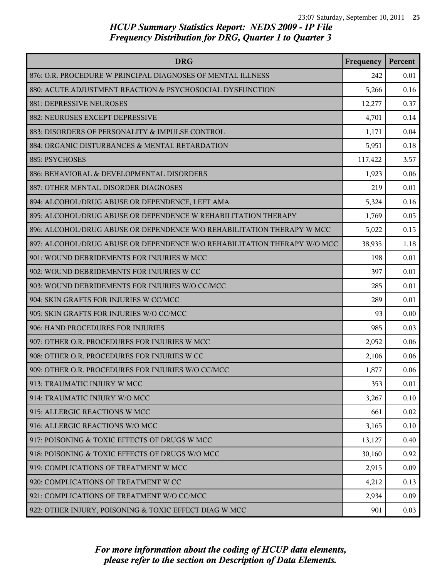| <b>DRG</b>                                                               | Frequency | Percent |
|--------------------------------------------------------------------------|-----------|---------|
| 876: O.R. PROCEDURE W PRINCIPAL DIAGNOSES OF MENTAL ILLNESS              | 242       | 0.01    |
| 880: ACUTE ADJUSTMENT REACTION & PSYCHOSOCIAL DYSFUNCTION                | 5,266     | 0.16    |
| 881: DEPRESSIVE NEUROSES                                                 | 12,277    | 0.37    |
| 882: NEUROSES EXCEPT DEPRESSIVE                                          | 4,701     | 0.14    |
| 883: DISORDERS OF PERSONALITY & IMPULSE CONTROL                          | 1,171     | 0.04    |
| 884: ORGANIC DISTURBANCES & MENTAL RETARDATION                           | 5,951     | 0.18    |
| 885: PSYCHOSES                                                           | 117,422   | 3.57    |
| 886: BEHAVIORAL & DEVELOPMENTAL DISORDERS                                | 1,923     | 0.06    |
| 887: OTHER MENTAL DISORDER DIAGNOSES                                     | 219       | 0.01    |
| 894: ALCOHOL/DRUG ABUSE OR DEPENDENCE, LEFT AMA                          | 5,324     | 0.16    |
| 895: ALCOHOL/DRUG ABUSE OR DEPENDENCE W REHABILITATION THERAPY           | 1,769     | 0.05    |
| 896: ALCOHOL/DRUG ABUSE OR DEPENDENCE W/O REHABILITATION THERAPY W MCC   | 5,022     | 0.15    |
| 897: ALCOHOL/DRUG ABUSE OR DEPENDENCE W/O REHABILITATION THERAPY W/O MCC | 38,935    | 1.18    |
| 901: WOUND DEBRIDEMENTS FOR INJURIES W MCC                               | 198       | 0.01    |
| 902: WOUND DEBRIDEMENTS FOR INJURIES W CC                                | 397       | 0.01    |
| 903: WOUND DEBRIDEMENTS FOR INJURIES W/O CC/MCC                          | 285       | 0.01    |
| 904: SKIN GRAFTS FOR INJURIES W CC/MCC                                   | 289       | 0.01    |
| 905: SKIN GRAFTS FOR INJURIES W/O CC/MCC                                 | 93        | 0.00    |
| 906: HAND PROCEDURES FOR INJURIES                                        | 985       | 0.03    |
| 907: OTHER O.R. PROCEDURES FOR INJURIES W MCC                            | 2,052     | 0.06    |
| 908: OTHER O.R. PROCEDURES FOR INJURIES W CC                             | 2,106     | 0.06    |
| 909: OTHER O.R. PROCEDURES FOR INJURIES W/O CC/MCC                       | 1,877     | 0.06    |
| 913: TRAUMATIC INJURY W MCC                                              | 353       | 0.01    |
| 914: TRAUMATIC INJURY W/O MCC                                            | 3,267     | 0.10    |
| 915: ALLERGIC REACTIONS W MCC                                            | 661       | 0.02    |
| 916: ALLERGIC REACTIONS W/O MCC                                          | 3,165     | 0.10    |
| 917: POISONING & TOXIC EFFECTS OF DRUGS W MCC                            | 13,127    | 0.40    |
| 918: POISONING & TOXIC EFFECTS OF DRUGS W/O MCC                          | 30,160    | 0.92    |
| 919: COMPLICATIONS OF TREATMENT W MCC                                    | 2,915     | 0.09    |
| 920: COMPLICATIONS OF TREATMENT W CC                                     | 4,212     | 0.13    |
| 921: COMPLICATIONS OF TREATMENT W/O CC/MCC                               | 2,934     | 0.09    |
| 922: OTHER INJURY, POISONING & TOXIC EFFECT DIAG W MCC                   | 901       | 0.03    |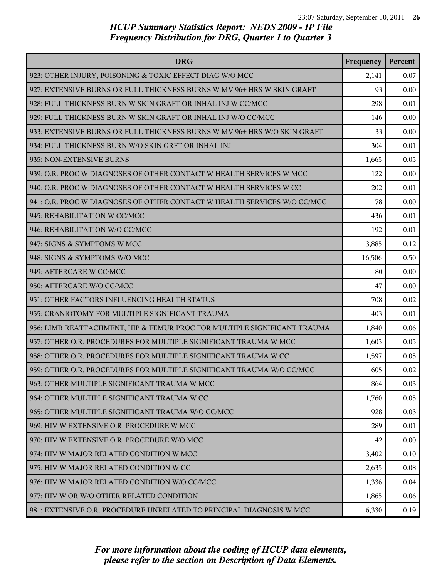| <b>DRG</b>                                                               | Frequency | Percent |
|--------------------------------------------------------------------------|-----------|---------|
| 923: OTHER INJURY, POISONING & TOXIC EFFECT DIAG W/O MCC                 | 2,141     | 0.07    |
| 927: EXTENSIVE BURNS OR FULL THICKNESS BURNS W MV 96+ HRS W SKIN GRAFT   | 93        | 0.00    |
| 928: FULL THICKNESS BURN W SKIN GRAFT OR INHAL INJ W CC/MCC              | 298       | 0.01    |
| 929: FULL THICKNESS BURN W SKIN GRAFT OR INHAL INJ W/O CC/MCC            | 146       | 0.00    |
| 933: EXTENSIVE BURNS OR FULL THICKNESS BURNS W MV 96+ HRS W/O SKIN GRAFT | 33        | 0.00    |
| 934: FULL THICKNESS BURN W/O SKIN GRFT OR INHAL INJ                      | 304       | 0.01    |
| 935: NON-EXTENSIVE BURNS                                                 | 1,665     | 0.05    |
| 939: O.R. PROC W DIAGNOSES OF OTHER CONTACT W HEALTH SERVICES W MCC      | 122       | 0.00    |
| 940: O.R. PROC W DIAGNOSES OF OTHER CONTACT W HEALTH SERVICES W CC       | 202       | 0.01    |
| 941: O.R. PROC W DIAGNOSES OF OTHER CONTACT W HEALTH SERVICES W/O CC/MCC | 78        | 0.00    |
| 945: REHABILITATION W CC/MCC                                             | 436       | 0.01    |
| 946: REHABILITATION W/O CC/MCC                                           | 192       | 0.01    |
| 947: SIGNS & SYMPTOMS W MCC                                              | 3,885     | 0.12    |
| 948: SIGNS & SYMPTOMS W/O MCC                                            | 16,506    | 0.50    |
| 949: AFTERCARE W CC/MCC                                                  | 80        | 0.00    |
| 950: AFTERCARE W/O CC/MCC                                                | 47        | 0.00    |
| 951: OTHER FACTORS INFLUENCING HEALTH STATUS                             | 708       | 0.02    |
| 955: CRANIOTOMY FOR MULTIPLE SIGNIFICANT TRAUMA                          | 403       | 0.01    |
| 956: LIMB REATTACHMENT, HIP & FEMUR PROC FOR MULTIPLE SIGNIFICANT TRAUMA | 1,840     | 0.06    |
| 957: OTHER O.R. PROCEDURES FOR MULTIPLE SIGNIFICANT TRAUMA W MCC         | 1,603     | 0.05    |
| 958: OTHER O.R. PROCEDURES FOR MULTIPLE SIGNIFICANT TRAUMA W CC          | 1,597     | 0.05    |
| 959: OTHER O.R. PROCEDURES FOR MULTIPLE SIGNIFICANT TRAUMA W/O CC/MCC    | 605       | 0.02    |
| 963: OTHER MULTIPLE SIGNIFICANT TRAUMA W MCC                             | 864       | 0.03    |
| 964: OTHER MULTIPLE SIGNIFICANT TRAUMA W CC                              | 1,760     | 0.05    |
| 965: OTHER MULTIPLE SIGNIFICANT TRAUMA W/O CC/MCC                        | 928       | 0.03    |
| 969: HIV W EXTENSIVE O.R. PROCEDURE W MCC                                | 289       | 0.01    |
| 970: HIV W EXTENSIVE O.R. PROCEDURE W/O MCC                              | 42        | 0.00    |
| 974: HIV W MAJOR RELATED CONDITION W MCC                                 | 3,402     | 0.10    |
| 975: HIV W MAJOR RELATED CONDITION W CC                                  | 2,635     | 0.08    |
| 976: HIV W MAJOR RELATED CONDITION W/O CC/MCC                            | 1,336     | 0.04    |
| 977: HIV W OR W/O OTHER RELATED CONDITION                                | 1,865     | 0.06    |
| 981: EXTENSIVE O.R. PROCEDURE UNRELATED TO PRINCIPAL DIAGNOSIS W MCC     | 6,330     | 0.19    |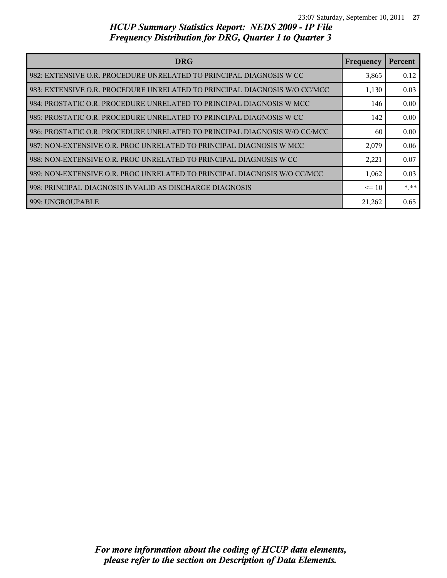| <b>DRG</b>                                                                | Frequency | Percent |
|---------------------------------------------------------------------------|-----------|---------|
| 982: EXTENSIVE O.R. PROCEDURE UNRELATED TO PRINCIPAL DIAGNOSIS W CC       | 3,865     | 0.12    |
| 983: EXTENSIVE O.R. PROCEDURE UNRELATED TO PRINCIPAL DIAGNOSIS W/O CC/MCC | 1,130     | 0.03    |
| 984: PROSTATIC O.R. PROCEDURE UNRELATED TO PRINCIPAL DIAGNOSIS W MCC      | 146       | 0.00    |
| 985: PROSTATIC O.R. PROCEDURE UNRELATED TO PRINCIPAL DIAGNOSIS W CC       | 142       | 0.00    |
| 986: PROSTATIC O.R. PROCEDURE UNRELATED TO PRINCIPAL DIAGNOSIS W/O CC/MCC | 60        | 0.00    |
| 987: NON-EXTENSIVE O.R. PROC UNRELATED TO PRINCIPAL DIAGNOSIS W MCC       | 2,079     | 0.06    |
| 988: NON-EXTENSIVE O.R. PROC UNRELATED TO PRINCIPAL DIAGNOSIS W CC        | 2,221     | 0.07    |
| 989: NON-EXTENSIVE O.R. PROC UNRELATED TO PRINCIPAL DIAGNOSIS W/O CC/MCC  | 1,062     | 0.03    |
| 998: PRINCIPAL DIAGNOSIS INVALID AS DISCHARGE DIAGNOSIS                   | $\leq 10$ | * **    |
| 999: UNGROUPABLE                                                          | 21,262    | 0.65    |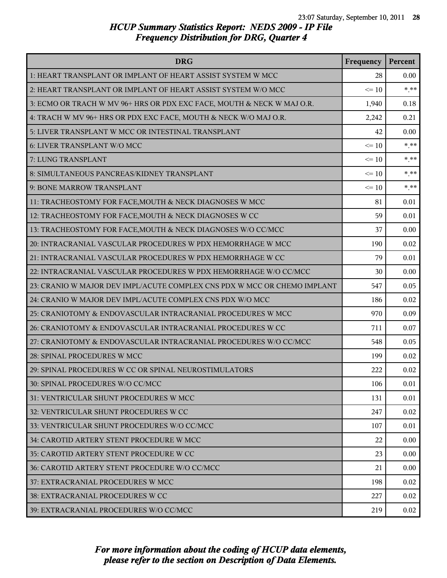| <b>DRG</b>                                                               | Frequency | Percent |
|--------------------------------------------------------------------------|-----------|---------|
| 1: HEART TRANSPLANT OR IMPLANT OF HEART ASSIST SYSTEM W MCC              | 28        | 0.00    |
| 2: HEART TRANSPLANT OR IMPLANT OF HEART ASSIST SYSTEM W/O MCC            | $\leq 10$ | $***$   |
| 3: ECMO OR TRACH W MV 96+ HRS OR PDX EXC FACE, MOUTH & NECK W MAJ O.R.   | 1,940     | 0.18    |
| 4: TRACH W MV 96+ HRS OR PDX EXC FACE, MOUTH & NECK W/O MAJ O.R.         | 2,242     | 0.21    |
| 5: LIVER TRANSPLANT W MCC OR INTESTINAL TRANSPLANT                       | 42        | 0.00    |
| 6: LIVER TRANSPLANT W/O MCC                                              | $\leq 10$ | $*$ **  |
| 7: LUNG TRANSPLANT                                                       | $\leq 10$ | $***$   |
| 8: SIMULTANEOUS PANCREAS/KIDNEY TRANSPLANT                               | $\leq 10$ | $* * *$ |
| 9: BONE MARROW TRANSPLANT                                                | $\leq 10$ | $***$   |
| 11: TRACHEOSTOMY FOR FACE, MOUTH & NECK DIAGNOSES W MCC                  | 81        | 0.01    |
| 12: TRACHEOSTOMY FOR FACE, MOUTH & NECK DIAGNOSES W CC                   | 59        | 0.01    |
| 13: TRACHEOSTOMY FOR FACE, MOUTH & NECK DIAGNOSES W/O CC/MCC             | 37        | 0.00    |
| 20: INTRACRANIAL VASCULAR PROCEDURES W PDX HEMORRHAGE W MCC              | 190       | 0.02    |
| 21: INTRACRANIAL VASCULAR PROCEDURES W PDX HEMORRHAGE W CC               | 79        | 0.01    |
| 22: INTRACRANIAL VASCULAR PROCEDURES W PDX HEMORRHAGE W/O CC/MCC         | 30        | 0.00    |
| 23: CRANIO W MAJOR DEV IMPL/ACUTE COMPLEX CNS PDX W MCC OR CHEMO IMPLANT | 547       | 0.05    |
| 24: CRANIO W MAJOR DEV IMPL/ACUTE COMPLEX CNS PDX W/O MCC                | 186       | 0.02    |
| 25: CRANIOTOMY & ENDOVASCULAR INTRACRANIAL PROCEDURES W MCC              | 970       | 0.09    |
| 26: CRANIOTOMY & ENDOVASCULAR INTRACRANIAL PROCEDURES W CC               | 711       | 0.07    |
| 27: CRANIOTOMY & ENDOVASCULAR INTRACRANIAL PROCEDURES W/O CC/MCC         | 548       | 0.05    |
| 28: SPINAL PROCEDURES W MCC                                              | 199       | 0.02    |
| 29: SPINAL PROCEDURES W CC OR SPINAL NEUROSTIMULATORS                    | 222       | 0.02    |
| 30: SPINAL PROCEDURES W/O CC/MCC                                         | 106       | 0.01    |
| 31: VENTRICULAR SHUNT PROCEDURES W MCC                                   | 131       | 0.01    |
| 32: VENTRICULAR SHUNT PROCEDURES W CC                                    | 247       | 0.02    |
| 33: VENTRICULAR SHUNT PROCEDURES W/O CC/MCC                              | 107       | 0.01    |
| 34: CAROTID ARTERY STENT PROCEDURE W MCC                                 | 22        | 0.00    |
| 35: CAROTID ARTERY STENT PROCEDURE W CC                                  | 23        | 0.00    |
| 36: CAROTID ARTERY STENT PROCEDURE W/O CC/MCC                            | 21        | 0.00    |
| 37: EXTRACRANIAL PROCEDURES W MCC                                        | 198       | 0.02    |
| 38: EXTRACRANIAL PROCEDURES W CC                                         | 227       | 0.02    |
| 39: EXTRACRANIAL PROCEDURES W/O CC/MCC                                   | 219       | 0.02    |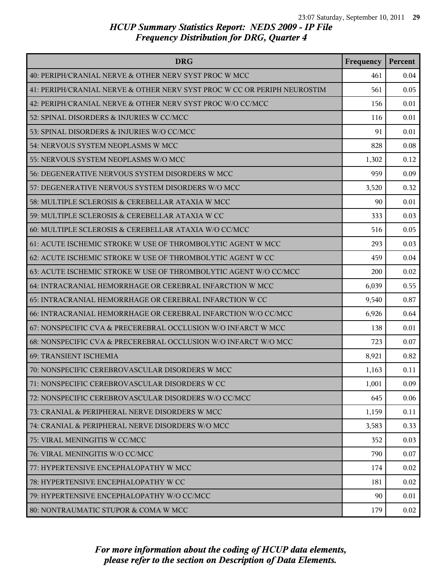| <b>DRG</b>                                                               | Frequency | Percent |
|--------------------------------------------------------------------------|-----------|---------|
| 40: PERIPH/CRANIAL NERVE & OTHER NERV SYST PROC W MCC                    | 461       | 0.04    |
| 41: PERIPH/CRANIAL NERVE & OTHER NERV SYST PROC W CC OR PERIPH NEUROSTIM | 561       | 0.05    |
| 42: PERIPH/CRANIAL NERVE & OTHER NERV SYST PROC W/O CC/MCC               | 156       | 0.01    |
| 52: SPINAL DISORDERS & INJURIES W CC/MCC                                 | 116       | 0.01    |
| 53: SPINAL DISORDERS & INJURIES W/O CC/MCC                               | 91        | 0.01    |
| 54: NERVOUS SYSTEM NEOPLASMS W MCC                                       | 828       | 0.08    |
| 55: NERVOUS SYSTEM NEOPLASMS W/O MCC                                     | 1,302     | 0.12    |
| 56: DEGENERATIVE NERVOUS SYSTEM DISORDERS W MCC                          | 959       | 0.09    |
| 57: DEGENERATIVE NERVOUS SYSTEM DISORDERS W/O MCC                        | 3,520     | 0.32    |
| 58: MULTIPLE SCLEROSIS & CEREBELLAR ATAXIA W MCC                         | 90        | 0.01    |
| 59: MULTIPLE SCLEROSIS & CEREBELLAR ATAXIA W CC                          | 333       | 0.03    |
| 60: MULTIPLE SCLEROSIS & CEREBELLAR ATAXIA W/O CC/MCC                    | 516       | 0.05    |
| 61: ACUTE ISCHEMIC STROKE W USE OF THROMBOLYTIC AGENT W MCC              | 293       | 0.03    |
| 62: ACUTE ISCHEMIC STROKE W USE OF THROMBOLYTIC AGENT W CC               | 459       | 0.04    |
| 63: ACUTE ISCHEMIC STROKE W USE OF THROMBOLYTIC AGENT W/O CC/MCC         | 200       | 0.02    |
| 64: INTRACRANIAL HEMORRHAGE OR CEREBRAL INFARCTION W MCC                 | 6,039     | 0.55    |
| 65: INTRACRANIAL HEMORRHAGE OR CEREBRAL INFARCTION W CC                  | 9,540     | 0.87    |
| 66: INTRACRANIAL HEMORRHAGE OR CEREBRAL INFARCTION W/O CC/MCC            | 6,926     | 0.64    |
| 67: NONSPECIFIC CVA & PRECEREBRAL OCCLUSION W/O INFARCT W MCC            | 138       | 0.01    |
| 68: NONSPECIFIC CVA & PRECEREBRAL OCCLUSION W/O INFARCT W/O MCC          | 723       | 0.07    |
| <b>69: TRANSIENT ISCHEMIA</b>                                            | 8,921     | 0.82    |
| 70: NONSPECIFIC CEREBROVASCULAR DISORDERS W MCC                          | 1,163     | 0.11    |
| 71: NONSPECIFIC CEREBROVASCULAR DISORDERS W CC                           | 1,001     | 0.09    |
| 72: NONSPECIFIC CEREBROVASCULAR DISORDERS W/O CC/MCC                     | 645       | 0.06    |
| 73: CRANIAL & PERIPHERAL NERVE DISORDERS W MCC                           | 1,159     | 0.11    |
| 74: CRANIAL & PERIPHERAL NERVE DISORDERS W/O MCC                         | 3,583     | 0.33    |
| 75: VIRAL MENINGITIS W CC/MCC                                            | 352       | 0.03    |
| 76: VIRAL MENINGITIS W/O CC/MCC                                          | 790       | 0.07    |
| 77: HYPERTENSIVE ENCEPHALOPATHY W MCC                                    | 174       | 0.02    |
| 78: HYPERTENSIVE ENCEPHALOPATHY W CC                                     | 181       | 0.02    |
| 79: HYPERTENSIVE ENCEPHALOPATHY W/O CC/MCC                               | 90        | 0.01    |
| 80: NONTRAUMATIC STUPOR & COMA W MCC                                     | 179       | 0.02    |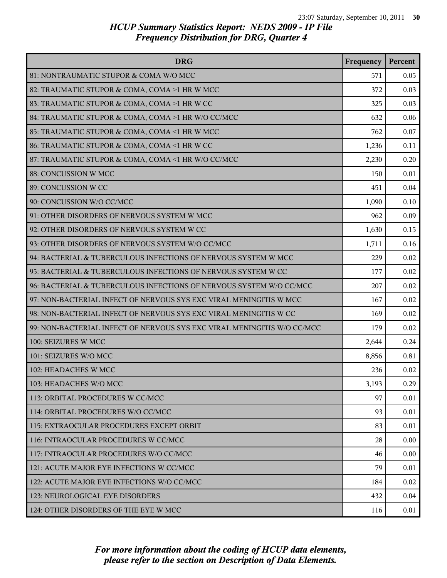| <b>DRG</b>                                                              | Frequency | Percent |
|-------------------------------------------------------------------------|-----------|---------|
| 81: NONTRAUMATIC STUPOR & COMA W/O MCC                                  | 571       | 0.05    |
| 82: TRAUMATIC STUPOR & COMA, COMA >1 HR W MCC                           | 372       | 0.03    |
| 83: TRAUMATIC STUPOR & COMA, COMA >1 HR W CC                            | 325       | 0.03    |
| 84: TRAUMATIC STUPOR & COMA, COMA >1 HR W/O CC/MCC                      | 632       | 0.06    |
| 85: TRAUMATIC STUPOR & COMA, COMA <1 HR W MCC                           | 762       | 0.07    |
| 86: TRAUMATIC STUPOR & COMA, COMA <1 HR W CC                            | 1,236     | 0.11    |
| 87: TRAUMATIC STUPOR & COMA, COMA <1 HR W/O CC/MCC                      | 2,230     | 0.20    |
| 88: CONCUSSION W MCC                                                    | 150       | 0.01    |
| 89: CONCUSSION W CC                                                     | 451       | 0.04    |
| 90: CONCUSSION W/O CC/MCC                                               | 1,090     | 0.10    |
| 91: OTHER DISORDERS OF NERVOUS SYSTEM W MCC                             | 962       | 0.09    |
| 92: OTHER DISORDERS OF NERVOUS SYSTEM W CC                              | 1,630     | 0.15    |
| 93: OTHER DISORDERS OF NERVOUS SYSTEM W/O CC/MCC                        | 1,711     | 0.16    |
| 94: BACTERIAL & TUBERCULOUS INFECTIONS OF NERVOUS SYSTEM W MCC          | 229       | 0.02    |
| 95: BACTERIAL & TUBERCULOUS INFECTIONS OF NERVOUS SYSTEM W CC           | 177       | 0.02    |
| 96: BACTERIAL & TUBERCULOUS INFECTIONS OF NERVOUS SYSTEM W/O CC/MCC     | 207       | 0.02    |
| 97: NON-BACTERIAL INFECT OF NERVOUS SYS EXC VIRAL MENINGITIS W MCC      | 167       | 0.02    |
| 98: NON-BACTERIAL INFECT OF NERVOUS SYS EXC VIRAL MENINGITIS W CC       | 169       | 0.02    |
| 99: NON-BACTERIAL INFECT OF NERVOUS SYS EXC VIRAL MENINGITIS W/O CC/MCC | 179       | 0.02    |
| 100: SEIZURES W MCC                                                     | 2,644     | 0.24    |
| 101: SEIZURES W/O MCC                                                   | 8,856     | 0.81    |
| 102: HEADACHES W MCC                                                    | 236       | 0.02    |
| 103: HEADACHES W/O MCC                                                  | 3,193     | 0.29    |
| 113: ORBITAL PROCEDURES W CC/MCC                                        | 97        | 0.01    |
| 114: ORBITAL PROCEDURES W/O CC/MCC                                      | 93        | 0.01    |
| 115: EXTRAOCULAR PROCEDURES EXCEPT ORBIT                                | 83        | 0.01    |
| 116: INTRAOCULAR PROCEDURES W CC/MCC                                    | 28        | 0.00    |
| 117: INTRAOCULAR PROCEDURES W/O CC/MCC                                  | 46        | 0.00    |
| 121: ACUTE MAJOR EYE INFECTIONS W CC/MCC                                | 79        | 0.01    |
| 122: ACUTE MAJOR EYE INFECTIONS W/O CC/MCC                              | 184       | 0.02    |
| 123: NEUROLOGICAL EYE DISORDERS                                         | 432       | 0.04    |
| 124: OTHER DISORDERS OF THE EYE W MCC                                   | 116       | 0.01    |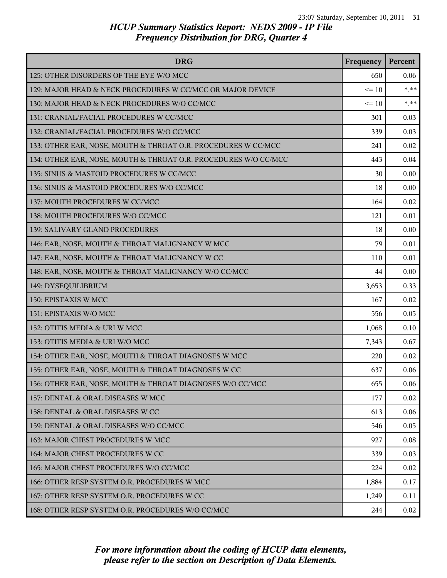| <b>DRG</b>                                                      | Frequency | Percent |
|-----------------------------------------------------------------|-----------|---------|
| 125: OTHER DISORDERS OF THE EYE W/O MCC                         | 650       | 0.06    |
| 129: MAJOR HEAD & NECK PROCEDURES W CC/MCC OR MAJOR DEVICE      | $\leq 10$ | $* * *$ |
| 130: MAJOR HEAD & NECK PROCEDURES W/O CC/MCC                    | $\leq 10$ | $***$   |
| 131: CRANIAL/FACIAL PROCEDURES W CC/MCC                         | 301       | 0.03    |
| 132: CRANIAL/FACIAL PROCEDURES W/O CC/MCC                       | 339       | 0.03    |
| 133: OTHER EAR, NOSE, MOUTH & THROAT O.R. PROCEDURES W CC/MCC   | 241       | 0.02    |
| 134: OTHER EAR, NOSE, MOUTH & THROAT O.R. PROCEDURES W/O CC/MCC | 443       | 0.04    |
| 135: SINUS & MASTOID PROCEDURES W CC/MCC                        | 30        | 0.00    |
| 136: SINUS & MASTOID PROCEDURES W/O CC/MCC                      | 18        | 0.00    |
| 137: MOUTH PROCEDURES W CC/MCC                                  | 164       | 0.02    |
| 138: MOUTH PROCEDURES W/O CC/MCC                                | 121       | 0.01    |
| 139: SALIVARY GLAND PROCEDURES                                  | 18        | 0.00    |
| 146: EAR, NOSE, MOUTH & THROAT MALIGNANCY W MCC                 | 79        | 0.01    |
| 147: EAR, NOSE, MOUTH & THROAT MALIGNANCY W CC                  | 110       | 0.01    |
| 148: EAR, NOSE, MOUTH & THROAT MALIGNANCY W/O CC/MCC            | 44        | 0.00    |
| 149: DYSEQUILIBRIUM                                             | 3,653     | 0.33    |
| 150: EPISTAXIS W MCC                                            | 167       | 0.02    |
| 151: EPISTAXIS W/O MCC                                          | 556       | 0.05    |
| 152: OTITIS MEDIA & URI W MCC                                   | 1,068     | 0.10    |
| 153: OTITIS MEDIA & URI W/O MCC                                 | 7,343     | 0.67    |
| 154: OTHER EAR, NOSE, MOUTH & THROAT DIAGNOSES W MCC            | 220       | 0.02    |
| 155: OTHER EAR, NOSE, MOUTH & THROAT DIAGNOSES W CC             | 637       | 0.06    |
| 156: OTHER EAR, NOSE, MOUTH & THROAT DIAGNOSES W/O CC/MCC       | 655       | 0.06    |
| 157: DENTAL & ORAL DISEASES W MCC                               | 177       | 0.02    |
| 158: DENTAL & ORAL DISEASES W CC                                | 613       | 0.06    |
| 159: DENTAL & ORAL DISEASES W/O CC/MCC                          | 546       | 0.05    |
| 163: MAJOR CHEST PROCEDURES W MCC                               | 927       | 0.08    |
| 164: MAJOR CHEST PROCEDURES W CC                                | 339       | 0.03    |
| 165: MAJOR CHEST PROCEDURES W/O CC/MCC                          | 224       | 0.02    |
| 166: OTHER RESP SYSTEM O.R. PROCEDURES W MCC                    | 1,884     | 0.17    |
| 167: OTHER RESP SYSTEM O.R. PROCEDURES W CC                     | 1,249     | 0.11    |
| 168: OTHER RESP SYSTEM O.R. PROCEDURES W/O CC/MCC               | 244       | 0.02    |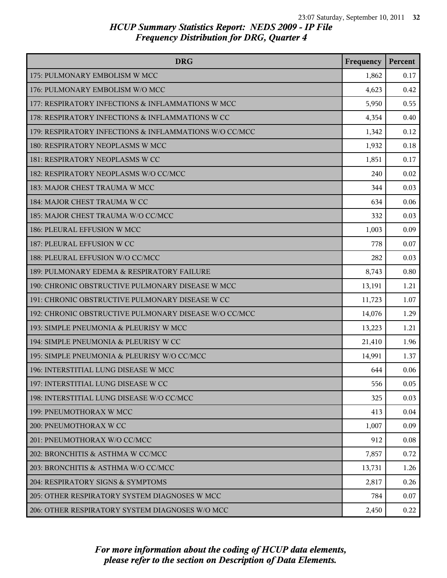| <b>DRG</b>                                             | Frequency | Percent |
|--------------------------------------------------------|-----------|---------|
| 175: PULMONARY EMBOLISM W MCC                          | 1,862     | 0.17    |
| 176: PULMONARY EMBOLISM W/O MCC                        | 4,623     | 0.42    |
| 177: RESPIRATORY INFECTIONS & INFLAMMATIONS W MCC      | 5,950     | 0.55    |
| 178: RESPIRATORY INFECTIONS & INFLAMMATIONS W CC       | 4,354     | 0.40    |
| 179: RESPIRATORY INFECTIONS & INFLAMMATIONS W/O CC/MCC | 1,342     | 0.12    |
| 180: RESPIRATORY NEOPLASMS W MCC                       | 1,932     | 0.18    |
| 181: RESPIRATORY NEOPLASMS W CC                        | 1,851     | 0.17    |
| 182: RESPIRATORY NEOPLASMS W/O CC/MCC                  | 240       | 0.02    |
| 183: MAJOR CHEST TRAUMA W MCC                          | 344       | 0.03    |
| 184: MAJOR CHEST TRAUMA W CC                           | 634       | 0.06    |
| 185: MAJOR CHEST TRAUMA W/O CC/MCC                     | 332       | 0.03    |
| 186: PLEURAL EFFUSION W MCC                            | 1,003     | 0.09    |
| 187: PLEURAL EFFUSION W CC                             | 778       | 0.07    |
| 188: PLEURAL EFFUSION W/O CC/MCC                       | 282       | 0.03    |
| 189: PULMONARY EDEMA & RESPIRATORY FAILURE             | 8,743     | 0.80    |
| 190: CHRONIC OBSTRUCTIVE PULMONARY DISEASE W MCC       | 13,191    | 1.21    |
| 191: CHRONIC OBSTRUCTIVE PULMONARY DISEASE W CC        | 11,723    | 1.07    |
| 192: CHRONIC OBSTRUCTIVE PULMONARY DISEASE W/O CC/MCC  | 14,076    | 1.29    |
| 193: SIMPLE PNEUMONIA & PLEURISY W MCC                 | 13,223    | 1.21    |
| 194: SIMPLE PNEUMONIA & PLEURISY W CC                  | 21,410    | 1.96    |
| 195: SIMPLE PNEUMONIA & PLEURISY W/O CC/MCC            | 14,991    | 1.37    |
| 196: INTERSTITIAL LUNG DISEASE W MCC                   | 644       | 0.06    |
| 197: INTERSTITIAL LUNG DISEASE W CC                    | 556       | 0.05    |
| 198: INTERSTITIAL LUNG DISEASE W/O CC/MCC              | 325       | 0.03    |
| 199: PNEUMOTHORAX W MCC                                | 413       | 0.04    |
| 200: PNEUMOTHORAX W CC                                 | 1,007     | 0.09    |
| 201: PNEUMOTHORAX W/O CC/MCC                           | 912       | 0.08    |
| 202: BRONCHITIS & ASTHMA W CC/MCC                      | 7,857     | 0.72    |
| 203: BRONCHITIS & ASTHMA W/O CC/MCC                    | 13,731    | 1.26    |
| 204: RESPIRATORY SIGNS & SYMPTOMS                      | 2,817     | 0.26    |
| 205: OTHER RESPIRATORY SYSTEM DIAGNOSES W MCC          | 784       | 0.07    |
| 206: OTHER RESPIRATORY SYSTEM DIAGNOSES W/O MCC        | 2,450     | 0.22    |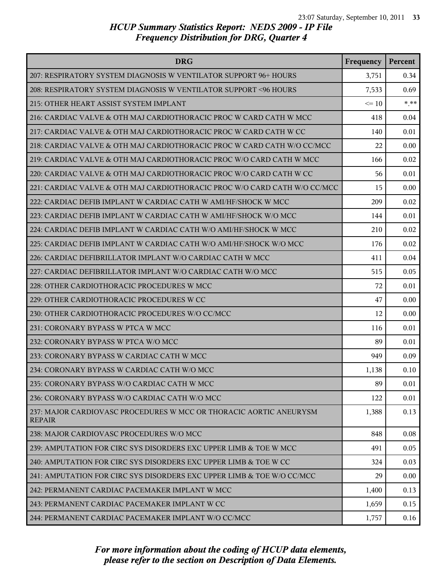| <b>DRG</b>                                                                          | Frequency | Percent |
|-------------------------------------------------------------------------------------|-----------|---------|
| 207: RESPIRATORY SYSTEM DIAGNOSIS W VENTILATOR SUPPORT 96+ HOURS                    | 3,751     | 0.34    |
| 208: RESPIRATORY SYSTEM DIAGNOSIS W VENTILATOR SUPPORT <96 HOURS                    | 7,533     | 0.69    |
| 215: OTHER HEART ASSIST SYSTEM IMPLANT                                              | $\leq 10$ | $***$   |
| 216: CARDIAC VALVE & OTH MAJ CARDIOTHORACIC PROC W CARD CATH W MCC                  | 418       | 0.04    |
| 217: CARDIAC VALVE & OTH MAJ CARDIOTHORACIC PROC W CARD CATH W CC                   | 140       | 0.01    |
| 218: CARDIAC VALVE & OTH MAJ CARDIOTHORACIC PROC W CARD CATH W/O CC/MCC             | 22        | 0.00    |
| 219: CARDIAC VALVE & OTH MAJ CARDIOTHORACIC PROC W/O CARD CATH W MCC                | 166       | 0.02    |
| 220: CARDIAC VALVE & OTH MAJ CARDIOTHORACIC PROC W/O CARD CATH W CC                 | 56        | 0.01    |
| 221: CARDIAC VALVE & OTH MAJ CARDIOTHORACIC PROC W/O CARD CATH W/O CC/MCC           | 15        | 0.00    |
| 222: CARDIAC DEFIB IMPLANT W CARDIAC CATH W AMI/HF/SHOCK W MCC                      | 209       | 0.02    |
| 223: CARDIAC DEFIB IMPLANT W CARDIAC CATH W AMI/HF/SHOCK W/O MCC                    | 144       | 0.01    |
| 224: CARDIAC DEFIB IMPLANT W CARDIAC CATH W/O AMI/HF/SHOCK W MCC                    | 210       | 0.02    |
| 225: CARDIAC DEFIB IMPLANT W CARDIAC CATH W/O AMI/HF/SHOCK W/O MCC                  | 176       | 0.02    |
| 226: CARDIAC DEFIBRILLATOR IMPLANT W/O CARDIAC CATH W MCC                           | 411       | 0.04    |
| 227: CARDIAC DEFIBRILLATOR IMPLANT W/O CARDIAC CATH W/O MCC                         | 515       | 0.05    |
| 228: OTHER CARDIOTHORACIC PROCEDURES W MCC                                          | 72        | 0.01    |
| 229: OTHER CARDIOTHORACIC PROCEDURES W CC                                           | 47        | 0.00    |
| 230: OTHER CARDIOTHORACIC PROCEDURES W/O CC/MCC                                     | 12        | 0.00    |
| 231: CORONARY BYPASS W PTCA W MCC                                                   | 116       | 0.01    |
| 232: CORONARY BYPASS W PTCA W/O MCC                                                 | 89        | 0.01    |
| 233: CORONARY BYPASS W CARDIAC CATH W MCC                                           | 949       | 0.09    |
| 234: CORONARY BYPASS W CARDIAC CATH W/O MCC                                         | 1,138     | 0.10    |
| 235: CORONARY BYPASS W/O CARDIAC CATH W MCC                                         | 89        | 0.01    |
| 236: CORONARY BYPASS W/O CARDIAC CATH W/O MCC                                       | 122       | 0.01    |
| 237: MAJOR CARDIOVASC PROCEDURES W MCC OR THORACIC AORTIC ANEURYSM<br><b>REPAIR</b> | 1,388     | 0.13    |
| 238: MAJOR CARDIOVASC PROCEDURES W/O MCC                                            | 848       | 0.08    |
| 239: AMPUTATION FOR CIRC SYS DISORDERS EXC UPPER LIMB & TOE W MCC                   | 491       | 0.05    |
| 240: AMPUTATION FOR CIRC SYS DISORDERS EXC UPPER LIMB & TOE W CC                    | 324       | 0.03    |
| 241: AMPUTATION FOR CIRC SYS DISORDERS EXC UPPER LIMB & TOE W/O CC/MCC              | 29        | 0.00    |
| 242: PERMANENT CARDIAC PACEMAKER IMPLANT W MCC                                      | 1,400     | 0.13    |
| 243: PERMANENT CARDIAC PACEMAKER IMPLANT W CC                                       | 1,659     | 0.15    |
| 244: PERMANENT CARDIAC PACEMAKER IMPLANT W/O CC/MCC                                 | 1,757     | 0.16    |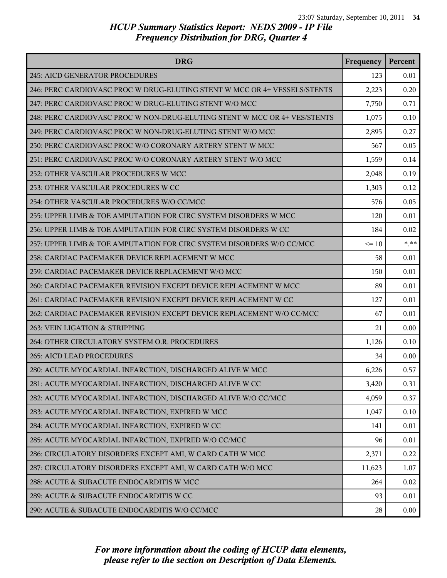| <b>DRG</b>                                                                | Frequency | Percent |
|---------------------------------------------------------------------------|-----------|---------|
| <b>245: AICD GENERATOR PROCEDURES</b>                                     | 123       | 0.01    |
| 246: PERC CARDIOVASC PROC W DRUG-ELUTING STENT W MCC OR 4+ VESSELS/STENTS | 2,223     | 0.20    |
| 247: PERC CARDIOVASC PROC W DRUG-ELUTING STENT W/O MCC                    | 7,750     | 0.71    |
| 248: PERC CARDIOVASC PROC W NON-DRUG-ELUTING STENT W MCC OR 4+ VES/STENTS | 1,075     | 0.10    |
| 249: PERC CARDIOVASC PROC W NON-DRUG-ELUTING STENT W/O MCC                | 2,895     | 0.27    |
| 250: PERC CARDIOVASC PROC W/O CORONARY ARTERY STENT W MCC                 | 567       | 0.05    |
| 251: PERC CARDIOVASC PROC W/O CORONARY ARTERY STENT W/O MCC               | 1,559     | 0.14    |
| 252: OTHER VASCULAR PROCEDURES W MCC                                      | 2,048     | 0.19    |
| 253: OTHER VASCULAR PROCEDURES W CC                                       | 1,303     | 0.12    |
| 254: OTHER VASCULAR PROCEDURES W/O CC/MCC                                 | 576       | 0.05    |
| 255: UPPER LIMB & TOE AMPUTATION FOR CIRC SYSTEM DISORDERS W MCC          | 120       | 0.01    |
| 256: UPPER LIMB & TOE AMPUTATION FOR CIRC SYSTEM DISORDERS W CC           | 184       | 0.02    |
| 257: UPPER LIMB & TOE AMPUTATION FOR CIRC SYSTEM DISORDERS W/O CC/MCC     | $\leq 10$ | $* * *$ |
| 258: CARDIAC PACEMAKER DEVICE REPLACEMENT W MCC                           | 58        | 0.01    |
| 259: CARDIAC PACEMAKER DEVICE REPLACEMENT W/O MCC                         | 150       | 0.01    |
| 260: CARDIAC PACEMAKER REVISION EXCEPT DEVICE REPLACEMENT W MCC           | 89        | 0.01    |
| 261: CARDIAC PACEMAKER REVISION EXCEPT DEVICE REPLACEMENT W CC            | 127       | 0.01    |
| 262: CARDIAC PACEMAKER REVISION EXCEPT DEVICE REPLACEMENT W/O CC/MCC      | 67        | 0.01    |
| 263: VEIN LIGATION & STRIPPING                                            | 21        | 0.00    |
| 264: OTHER CIRCULATORY SYSTEM O.R. PROCEDURES                             | 1,126     | 0.10    |
| <b>265: AICD LEAD PROCEDURES</b>                                          | 34        | 0.00    |
| 280: ACUTE MYOCARDIAL INFARCTION, DISCHARGED ALIVE W MCC                  | 6,226     | 0.57    |
| 281: ACUTE MYOCARDIAL INFARCTION, DISCHARGED ALIVE W CC                   | 3,420     | 0.31    |
| 282: ACUTE MYOCARDIAL INFARCTION, DISCHARGED ALIVE W/O CC/MCC             | 4,059     | 0.37    |
| 283: ACUTE MYOCARDIAL INFARCTION, EXPIRED W MCC                           | 1,047     | 0.10    |
| 284: ACUTE MYOCARDIAL INFARCTION, EXPIRED W CC                            | 141       | 0.01    |
| 285: ACUTE MYOCARDIAL INFARCTION, EXPIRED W/O CC/MCC                      | 96        | 0.01    |
| 286: CIRCULATORY DISORDERS EXCEPT AMI, W CARD CATH W MCC                  | 2,371     | 0.22    |
| 287: CIRCULATORY DISORDERS EXCEPT AMI, W CARD CATH W/O MCC                | 11,623    | 1.07    |
| 288: ACUTE & SUBACUTE ENDOCARDITIS W MCC                                  | 264       | 0.02    |
| 289: ACUTE & SUBACUTE ENDOCARDITIS W CC                                   | 93        | 0.01    |
| 290: ACUTE & SUBACUTE ENDOCARDITIS W/O CC/MCC                             | 28        | 0.00    |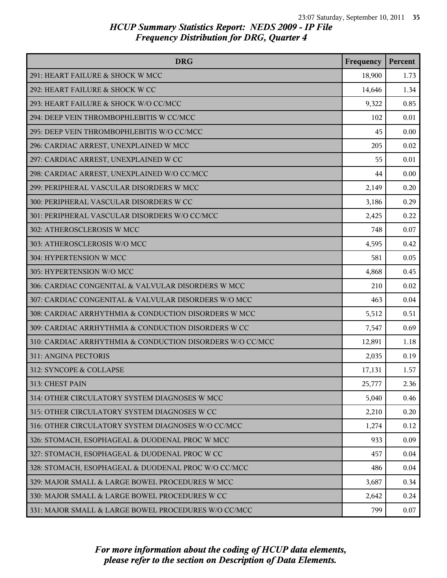| <b>DRG</b>                                                | Frequency | Percent |
|-----------------------------------------------------------|-----------|---------|
| 291: HEART FAILURE & SHOCK W MCC                          | 18,900    | 1.73    |
| 292: HEART FAILURE & SHOCK W CC                           | 14,646    | 1.34    |
| 293: HEART FAILURE & SHOCK W/O CC/MCC                     | 9,322     | 0.85    |
| 294: DEEP VEIN THROMBOPHLEBITIS W CC/MCC                  | 102       | 0.01    |
| 295: DEEP VEIN THROMBOPHLEBITIS W/O CC/MCC                | 45        | 0.00    |
| 296: CARDIAC ARREST, UNEXPLAINED W MCC                    | 205       | 0.02    |
| 297: CARDIAC ARREST, UNEXPLAINED W CC                     | 55        | 0.01    |
| 298: CARDIAC ARREST, UNEXPLAINED W/O CC/MCC               | 44        | 0.00    |
| 299: PERIPHERAL VASCULAR DISORDERS W MCC                  | 2,149     | 0.20    |
| 300: PERIPHERAL VASCULAR DISORDERS W CC                   | 3,186     | 0.29    |
| 301: PERIPHERAL VASCULAR DISORDERS W/O CC/MCC             | 2,425     | 0.22    |
| 302: ATHEROSCLEROSIS W MCC                                | 748       | 0.07    |
| 303: ATHEROSCLEROSIS W/O MCC                              | 4,595     | 0.42    |
| 304: HYPERTENSION W MCC                                   | 581       | 0.05    |
| 305: HYPERTENSION W/O MCC                                 | 4,868     | 0.45    |
| 306: CARDIAC CONGENITAL & VALVULAR DISORDERS W MCC        | 210       | 0.02    |
| 307: CARDIAC CONGENITAL & VALVULAR DISORDERS W/O MCC      | 463       | 0.04    |
| 308: CARDIAC ARRHYTHMIA & CONDUCTION DISORDERS W MCC      | 5,512     | 0.51    |
| 309: CARDIAC ARRHYTHMIA & CONDUCTION DISORDERS W CC       | 7,547     | 0.69    |
| 310: CARDIAC ARRHYTHMIA & CONDUCTION DISORDERS W/O CC/MCC | 12,891    | 1.18    |
| 311: ANGINA PECTORIS                                      | 2,035     | 0.19    |
| 312: SYNCOPE & COLLAPSE                                   | 17,131    | 1.57    |
| 313: CHEST PAIN                                           | 25,777    | 2.36    |
| 314: OTHER CIRCULATORY SYSTEM DIAGNOSES W MCC             | 5,040     | 0.46    |
| 315: OTHER CIRCULATORY SYSTEM DIAGNOSES W CC              | 2,210     | 0.20    |
| 316: OTHER CIRCULATORY SYSTEM DIAGNOSES W/O CC/MCC        | 1,274     | 0.12    |
| 326: STOMACH, ESOPHAGEAL & DUODENAL PROC W MCC            | 933       | 0.09    |
| 327: STOMACH, ESOPHAGEAL & DUODENAL PROC W CC             | 457       | 0.04    |
| 328: STOMACH, ESOPHAGEAL & DUODENAL PROC W/O CC/MCC       | 486       | 0.04    |
| 329: MAJOR SMALL & LARGE BOWEL PROCEDURES W MCC           | 3,687     | 0.34    |
| 330: MAJOR SMALL & LARGE BOWEL PROCEDURES W CC            | 2,642     | 0.24    |
| 331: MAJOR SMALL & LARGE BOWEL PROCEDURES W/O CC/MCC      | 799       | 0.07    |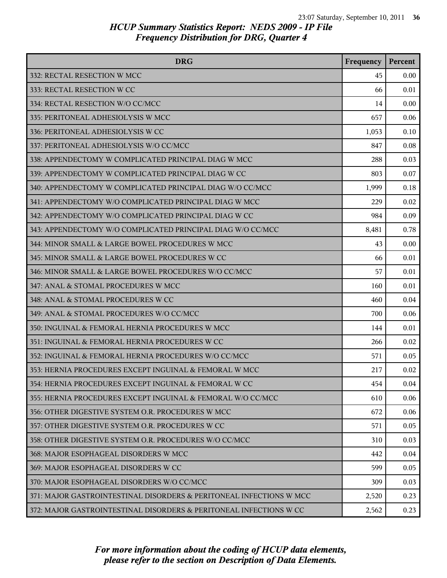| <b>DRG</b>                                                          | Frequency | Percent |
|---------------------------------------------------------------------|-----------|---------|
| 332: RECTAL RESECTION W MCC                                         | 45        | 0.00    |
| 333: RECTAL RESECTION W CC                                          | 66        | 0.01    |
| 334: RECTAL RESECTION W/O CC/MCC                                    | 14        | 0.00    |
| 335: PERITONEAL ADHESIOLYSIS W MCC                                  | 657       | 0.06    |
| 336: PERITONEAL ADHESIOLYSIS W CC                                   | 1,053     | 0.10    |
| 337: PERITONEAL ADHESIOLYSIS W/O CC/MCC                             | 847       | 0.08    |
| 338: APPENDECTOMY W COMPLICATED PRINCIPAL DIAG W MCC                | 288       | 0.03    |
| 339: APPENDECTOMY W COMPLICATED PRINCIPAL DIAG W CC                 | 803       | 0.07    |
| 340: APPENDECTOMY W COMPLICATED PRINCIPAL DIAG W/O CC/MCC           | 1,999     | 0.18    |
| 341: APPENDECTOMY W/O COMPLICATED PRINCIPAL DIAG W MCC              | 229       | 0.02    |
| 342: APPENDECTOMY W/O COMPLICATED PRINCIPAL DIAG W CC               | 984       | 0.09    |
| 343: APPENDECTOMY W/O COMPLICATED PRINCIPAL DIAG W/O CC/MCC         | 8,481     | 0.78    |
| 344: MINOR SMALL & LARGE BOWEL PROCEDURES W MCC                     | 43        | 0.00    |
| 345: MINOR SMALL & LARGE BOWEL PROCEDURES W CC                      | 66        | 0.01    |
| 346: MINOR SMALL & LARGE BOWEL PROCEDURES W/O CC/MCC                | 57        | 0.01    |
| 347: ANAL & STOMAL PROCEDURES W MCC                                 | 160       | 0.01    |
| 348: ANAL & STOMAL PROCEDURES W CC                                  | 460       | 0.04    |
| 349: ANAL & STOMAL PROCEDURES W/O CC/MCC                            | 700       | 0.06    |
| 350: INGUINAL & FEMORAL HERNIA PROCEDURES W MCC                     | 144       | 0.01    |
| 351: INGUINAL & FEMORAL HERNIA PROCEDURES W CC                      | 266       | 0.02    |
| 352: INGUINAL & FEMORAL HERNIA PROCEDURES W/O CC/MCC                | 571       | 0.05    |
| 353: HERNIA PROCEDURES EXCEPT INGUINAL & FEMORAL W MCC              | 217       | 0.02    |
| 354: HERNIA PROCEDURES EXCEPT INGUINAL & FEMORAL W CC               | 454       | 0.04    |
| 355: HERNIA PROCEDURES EXCEPT INGUINAL & FEMORAL W/O CC/MCC         | 610       | 0.06    |
| 356: OTHER DIGESTIVE SYSTEM O.R. PROCEDURES W MCC                   | 672       | 0.06    |
| 357: OTHER DIGESTIVE SYSTEM O.R. PROCEDURES W CC                    | 571       | 0.05    |
| 358: OTHER DIGESTIVE SYSTEM O.R. PROCEDURES W/O CC/MCC              | 310       | 0.03    |
| 368: MAJOR ESOPHAGEAL DISORDERS W MCC                               | 442       | 0.04    |
| 369: MAJOR ESOPHAGEAL DISORDERS W CC                                | 599       | 0.05    |
| 370: MAJOR ESOPHAGEAL DISORDERS W/O CC/MCC                          | 309       | 0.03    |
| 371: MAJOR GASTROINTESTINAL DISORDERS & PERITONEAL INFECTIONS W MCC | 2,520     | 0.23    |
| 372: MAJOR GASTROINTESTINAL DISORDERS & PERITONEAL INFECTIONS W CC  | 2,562     | 0.23    |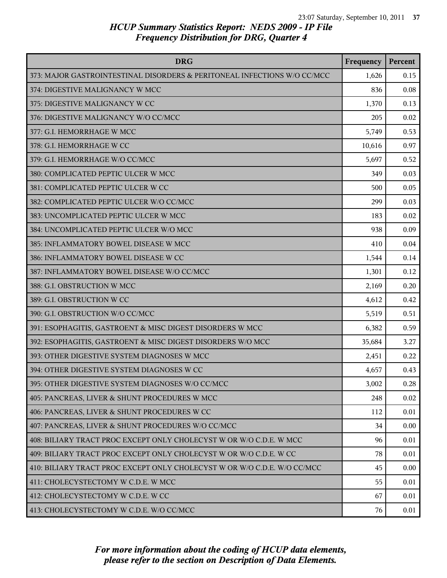| <b>DRG</b>                                                               | Frequency | Percent |
|--------------------------------------------------------------------------|-----------|---------|
| 373: MAJOR GASTROINTESTINAL DISORDERS & PERITONEAL INFECTIONS W/O CC/MCC | 1,626     | 0.15    |
| 374: DIGESTIVE MALIGNANCY W MCC                                          | 836       | 0.08    |
| 375: DIGESTIVE MALIGNANCY W CC                                           | 1,370     | 0.13    |
| 376: DIGESTIVE MALIGNANCY W/O CC/MCC                                     | 205       | 0.02    |
| 377: G.I. HEMORRHAGE W MCC                                               | 5,749     | 0.53    |
| 378: G.I. HEMORRHAGE W CC                                                | 10,616    | 0.97    |
| 379: G.I. HEMORRHAGE W/O CC/MCC                                          | 5,697     | 0.52    |
| 380: COMPLICATED PEPTIC ULCER W MCC                                      | 349       | 0.03    |
| 381: COMPLICATED PEPTIC ULCER W CC                                       | 500       | 0.05    |
| 382: COMPLICATED PEPTIC ULCER W/O CC/MCC                                 | 299       | 0.03    |
| 383: UNCOMPLICATED PEPTIC ULCER W MCC                                    | 183       | 0.02    |
| 384: UNCOMPLICATED PEPTIC ULCER W/O MCC                                  | 938       | 0.09    |
| 385: INFLAMMATORY BOWEL DISEASE W MCC                                    | 410       | 0.04    |
| 386: INFLAMMATORY BOWEL DISEASE W CC                                     | 1,544     | 0.14    |
| 387: INFLAMMATORY BOWEL DISEASE W/O CC/MCC                               | 1,301     | 0.12    |
| 388: G.I. OBSTRUCTION W MCC                                              | 2,169     | 0.20    |
| 389: G.I. OBSTRUCTION W CC                                               | 4,612     | 0.42    |
| 390: G.I. OBSTRUCTION W/O CC/MCC                                         | 5,519     | 0.51    |
| 391: ESOPHAGITIS, GASTROENT & MISC DIGEST DISORDERS W MCC                | 6,382     | 0.59    |
| 392: ESOPHAGITIS, GASTROENT & MISC DIGEST DISORDERS W/O MCC              | 35,684    | 3.27    |
| 393: OTHER DIGESTIVE SYSTEM DIAGNOSES W MCC                              | 2,451     | 0.22    |
| 394: OTHER DIGESTIVE SYSTEM DIAGNOSES W CC                               | 4,657     | 0.43    |
| 395: OTHER DIGESTIVE SYSTEM DIAGNOSES W/O CC/MCC                         | 3,002     | 0.28    |
| 405: PANCREAS, LIVER & SHUNT PROCEDURES W MCC                            | 248       | 0.02    |
| 406: PANCREAS, LIVER & SHUNT PROCEDURES W CC                             | 112       | 0.01    |
| 407: PANCREAS, LIVER & SHUNT PROCEDURES W/O CC/MCC                       | 34        | 0.00    |
| 408: BILIARY TRACT PROC EXCEPT ONLY CHOLECYST W OR W/O C.D.E. W MCC      | 96        | 0.01    |
| 409: BILIARY TRACT PROC EXCEPT ONLY CHOLECYST W OR W/O C.D.E. W CC       | 78        | 0.01    |
| 410: BILIARY TRACT PROC EXCEPT ONLY CHOLECYST W OR W/O C.D.E. W/O CC/MCC | 45        | 0.00    |
| 411: CHOLECYSTECTOMY W C.D.E. W MCC                                      | 55        | 0.01    |
| 412: CHOLECYSTECTOMY W C.D.E. W CC                                       | 67        | 0.01    |
| 413: CHOLECYSTECTOMY W C.D.E. W/O CC/MCC                                 | 76        | 0.01    |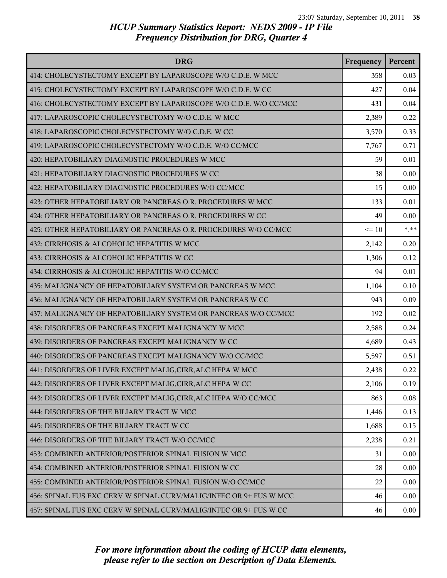| <b>DRG</b>                                                         | Frequency | Percent |
|--------------------------------------------------------------------|-----------|---------|
| 414: CHOLECYSTECTOMY EXCEPT BY LAPAROSCOPE W/O C.D.E. W MCC        | 358       | 0.03    |
| 415: CHOLECYSTECTOMY EXCEPT BY LAPAROSCOPE W/O C.D.E. W CC         | 427       | 0.04    |
| 416: CHOLECYSTECTOMY EXCEPT BY LAPAROSCOPE W/O C.D.E. W/O CC/MCC   | 431       | 0.04    |
| 417: LAPAROSCOPIC CHOLECYSTECTOMY W/O C.D.E. W MCC                 | 2,389     | 0.22    |
| 418: LAPAROSCOPIC CHOLECYSTECTOMY W/O C.D.E. W CC                  | 3,570     | 0.33    |
| 419: LAPAROSCOPIC CHOLECYSTECTOMY W/O C.D.E. W/O CC/MCC            | 7,767     | 0.71    |
| 420: HEPATOBILIARY DIAGNOSTIC PROCEDURES W MCC                     | 59        | 0.01    |
| 421: HEPATOBILIARY DIAGNOSTIC PROCEDURES W CC                      | 38        | 0.00    |
| 422: HEPATOBILIARY DIAGNOSTIC PROCEDURES W/O CC/MCC                | 15        | 0.00    |
| 423: OTHER HEPATOBILIARY OR PANCREAS O.R. PROCEDURES W MCC         | 133       | 0.01    |
| 424: OTHER HEPATOBILIARY OR PANCREAS O.R. PROCEDURES W CC          | 49        | 0.00    |
| 425: OTHER HEPATOBILIARY OR PANCREAS O.R. PROCEDURES W/O CC/MCC    | $\leq 10$ | $***$   |
| 432: CIRRHOSIS & ALCOHOLIC HEPATITIS W MCC                         | 2,142     | 0.20    |
| 433: CIRRHOSIS & ALCOHOLIC HEPATITIS W CC                          | 1,306     | 0.12    |
| 434: CIRRHOSIS & ALCOHOLIC HEPATITIS W/O CC/MCC                    | 94        | 0.01    |
| 435: MALIGNANCY OF HEPATOBILIARY SYSTEM OR PANCREAS W MCC          | 1,104     | 0.10    |
| 436: MALIGNANCY OF HEPATOBILIARY SYSTEM OR PANCREAS W CC           | 943       | 0.09    |
| 437: MALIGNANCY OF HEPATOBILIARY SYSTEM OR PANCREAS W/O CC/MCC     | 192       | 0.02    |
| 438: DISORDERS OF PANCREAS EXCEPT MALIGNANCY W MCC                 | 2,588     | 0.24    |
| 439: DISORDERS OF PANCREAS EXCEPT MALIGNANCY W CC                  | 4,689     | 0.43    |
| 440: DISORDERS OF PANCREAS EXCEPT MALIGNANCY W/O CC/MCC            | 5,597     | 0.51    |
| 441: DISORDERS OF LIVER EXCEPT MALIG, CIRR, ALC HEPA W MCC         | 2,438     | 0.22    |
| 442: DISORDERS OF LIVER EXCEPT MALIG, CIRR, ALC HEPA W CC          | 2,106     | 0.19    |
| 443: DISORDERS OF LIVER EXCEPT MALIG, CIRR, ALC HEPA W/O CC/MCC    | 863       | 0.08    |
| 444: DISORDERS OF THE BILIARY TRACT W MCC                          | 1,446     | 0.13    |
| 445: DISORDERS OF THE BILIARY TRACT W CC                           | 1,688     | 0.15    |
| 446: DISORDERS OF THE BILIARY TRACT W/O CC/MCC                     | 2,238     | 0.21    |
| 453: COMBINED ANTERIOR/POSTERIOR SPINAL FUSION W MCC               | 31        | 0.00    |
| 454: COMBINED ANTERIOR/POSTERIOR SPINAL FUSION W CC                | 28        | 0.00    |
| 455: COMBINED ANTERIOR/POSTERIOR SPINAL FUSION W/O CC/MCC          | 22        | 0.00    |
| 456: SPINAL FUS EXC CERV W SPINAL CURV/MALIG/INFEC OR 9+ FUS W MCC | 46        | 0.00    |
| 457: SPINAL FUS EXC CERV W SPINAL CURV/MALIG/INFEC OR 9+ FUS W CC  | 46        | 0.00    |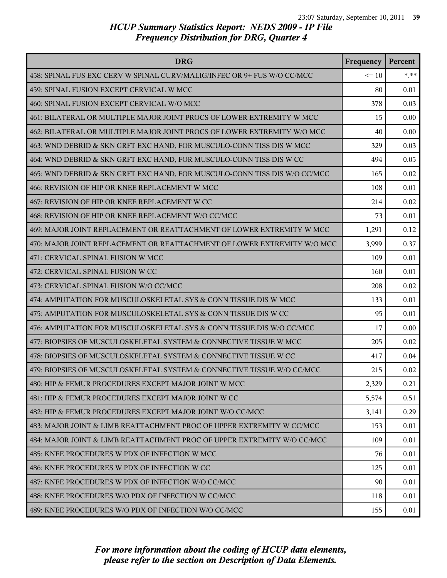| <b>DRG</b>                                                                | Frequency | Percent |
|---------------------------------------------------------------------------|-----------|---------|
| 458: SPINAL FUS EXC CERV W SPINAL CURV/MALIG/INFEC OR 9+ FUS W/O CC/MCC   | $\leq 10$ | $*.**$  |
| 459: SPINAL FUSION EXCEPT CERVICAL W MCC                                  | 80        | 0.01    |
| 460: SPINAL FUSION EXCEPT CERVICAL W/O MCC                                | 378       | 0.03    |
| 461: BILATERAL OR MULTIPLE MAJOR JOINT PROCS OF LOWER EXTREMITY W MCC     | 15        | 0.00    |
| 462: BILATERAL OR MULTIPLE MAJOR JOINT PROCS OF LOWER EXTREMITY W/O MCC   | 40        | 0.00    |
| 463: WND DEBRID & SKN GRFT EXC HAND, FOR MUSCULO-CONN TISS DIS W MCC      | 329       | 0.03    |
| 464: WND DEBRID & SKN GRFT EXC HAND, FOR MUSCULO-CONN TISS DIS W CC       | 494       | 0.05    |
| 465: WND DEBRID & SKN GRFT EXC HAND, FOR MUSCULO-CONN TISS DIS W/O CC/MCC | 165       | 0.02    |
| 466: REVISION OF HIP OR KNEE REPLACEMENT W MCC                            | 108       | 0.01    |
| 467: REVISION OF HIP OR KNEE REPLACEMENT W CC                             | 214       | 0.02    |
| 468: REVISION OF HIP OR KNEE REPLACEMENT W/O CC/MCC                       | 73        | 0.01    |
| 469: MAJOR JOINT REPLACEMENT OR REATTACHMENT OF LOWER EXTREMITY W MCC     | 1,291     | 0.12    |
| 470: MAJOR JOINT REPLACEMENT OR REATTACHMENT OF LOWER EXTREMITY W/O MCC   | 3,999     | 0.37    |
| 471: CERVICAL SPINAL FUSION W MCC                                         | 109       | 0.01    |
| 472: CERVICAL SPINAL FUSION W CC                                          | 160       | 0.01    |
| 473: CERVICAL SPINAL FUSION W/O CC/MCC                                    | 208       | 0.02    |
| 474: AMPUTATION FOR MUSCULOSKELETAL SYS & CONN TISSUE DIS W MCC           | 133       | 0.01    |
| 475: AMPUTATION FOR MUSCULOSKELETAL SYS & CONN TISSUE DIS W CC            | 95        | 0.01    |
| 476: AMPUTATION FOR MUSCULOSKELETAL SYS & CONN TISSUE DIS W/O CC/MCC      | 17        | 0.00    |
| 477: BIOPSIES OF MUSCULOSKELETAL SYSTEM & CONNECTIVE TISSUE W MCC         | 205       | 0.02    |
| 478: BIOPSIES OF MUSCULOSKELETAL SYSTEM & CONNECTIVE TISSUE W CC          | 417       | 0.04    |
| 479: BIOPSIES OF MUSCULOSKELETAL SYSTEM & CONNECTIVE TISSUE W/O CC/MCC    | 215       | 0.02    |
| 480: HIP & FEMUR PROCEDURES EXCEPT MAJOR JOINT W MCC                      | 2,329     | 0.21    |
| 481: HIP & FEMUR PROCEDURES EXCEPT MAJOR JOINT W CC                       | 5,574     | 0.51    |
| 482: HIP & FEMUR PROCEDURES EXCEPT MAJOR JOINT W/O CC/MCC                 | 3,141     | 0.29    |
| 483: MAJOR JOINT & LIMB REATTACHMENT PROC OF UPPER EXTREMITY W CC/MCC     | 153       | 0.01    |
| 484: MAJOR JOINT & LIMB REATTACHMENT PROC OF UPPER EXTREMITY W/O CC/MCC   | 109       | 0.01    |
| 485: KNEE PROCEDURES W PDX OF INFECTION W MCC                             | 76        | 0.01    |
| 486: KNEE PROCEDURES W PDX OF INFECTION W CC                              | 125       | 0.01    |
| 487: KNEE PROCEDURES W PDX OF INFECTION W/O CC/MCC                        | 90        | 0.01    |
| 488: KNEE PROCEDURES W/O PDX OF INFECTION W CC/MCC                        | 118       | 0.01    |
| 489: KNEE PROCEDURES W/O PDX OF INFECTION W/O CC/MCC                      | 155       | 0.01    |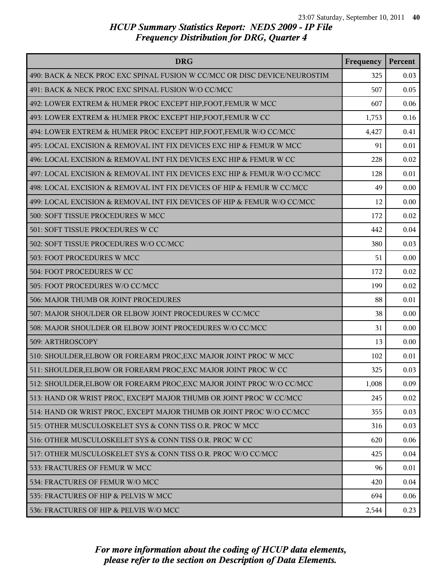| <b>DRG</b>                                                                | Frequency | Percent |
|---------------------------------------------------------------------------|-----------|---------|
| 490: BACK & NECK PROC EXC SPINAL FUSION W CC/MCC OR DISC DEVICE/NEUROSTIM | 325       | 0.03    |
| 491: BACK & NECK PROC EXC SPINAL FUSION W/O CC/MCC                        | 507       | 0.05    |
| 492: LOWER EXTREM & HUMER PROC EXCEPT HIP, FOOT, FEMUR W MCC              | 607       | 0.06    |
| 493: LOWER EXTREM & HUMER PROC EXCEPT HIP, FOOT, FEMUR W CC               | 1,753     | 0.16    |
| 494: LOWER EXTREM & HUMER PROC EXCEPT HIP, FOOT, FEMUR W/O CC/MCC         | 4,427     | 0.41    |
| 495: LOCAL EXCISION & REMOVAL INT FIX DEVICES EXC HIP & FEMUR W MCC       | 91        | 0.01    |
| 496: LOCAL EXCISION & REMOVAL INT FIX DEVICES EXC HIP & FEMUR W CC        | 228       | 0.02    |
| 497: LOCAL EXCISION & REMOVAL INT FIX DEVICES EXC HIP & FEMUR W/O CC/MCC  | 128       | 0.01    |
| 498: LOCAL EXCISION & REMOVAL INT FIX DEVICES OF HIP & FEMUR W CC/MCC     | 49        | 0.00    |
| 499: LOCAL EXCISION & REMOVAL INT FIX DEVICES OF HIP & FEMUR W/O CC/MCC   | 12        | 0.00    |
| 500: SOFT TISSUE PROCEDURES W MCC                                         | 172       | 0.02    |
| 501: SOFT TISSUE PROCEDURES W CC                                          | 442       | 0.04    |
| 502: SOFT TISSUE PROCEDURES W/O CC/MCC                                    | 380       | 0.03    |
| 503: FOOT PROCEDURES W MCC                                                | 51        | 0.00    |
| 504: FOOT PROCEDURES W CC                                                 | 172       | 0.02    |
| 505: FOOT PROCEDURES W/O CC/MCC                                           | 199       | 0.02    |
| 506: MAJOR THUMB OR JOINT PROCEDURES                                      | 88        | 0.01    |
| 507: MAJOR SHOULDER OR ELBOW JOINT PROCEDURES W CC/MCC                    | 38        | 0.00    |
| 508: MAJOR SHOULDER OR ELBOW JOINT PROCEDURES W/O CC/MCC                  | 31        | 0.00    |
| 509: ARTHROSCOPY                                                          | 13        | 0.00    |
| 510: SHOULDER, ELBOW OR FOREARM PROC, EXC MAJOR JOINT PROC W MCC          | 102       | 0.01    |
| 511: SHOULDER, ELBOW OR FOREARM PROC, EXC MAJOR JOINT PROC W CC           | 325       | 0.03    |
| 512: SHOULDER, ELBOW OR FOREARM PROC, EXC MAJOR JOINT PROC W/O CC/MCC     | 1,008     | 0.09    |
| 513: HAND OR WRIST PROC, EXCEPT MAJOR THUMB OR JOINT PROC W CC/MCC        | 245       | 0.02    |
| 514: HAND OR WRIST PROC, EXCEPT MAJOR THUMB OR JOINT PROC W/O CC/MCC      | 355       | 0.03    |
| 515: OTHER MUSCULOSKELET SYS & CONN TISS O.R. PROC W MCC                  | 316       | 0.03    |
| 516: OTHER MUSCULOSKELET SYS & CONN TISS O.R. PROC W CC                   | 620       | 0.06    |
| 517: OTHER MUSCULOSKELET SYS & CONN TISS O.R. PROC W/O CC/MCC             | 425       | 0.04    |
| 533: FRACTURES OF FEMUR W MCC                                             | 96        | 0.01    |
| 534: FRACTURES OF FEMUR W/O MCC                                           | 420       | 0.04    |
| 535: FRACTURES OF HIP & PELVIS W MCC                                      | 694       | 0.06    |
| 536: FRACTURES OF HIP & PELVIS W/O MCC                                    | 2,544     | 0.23    |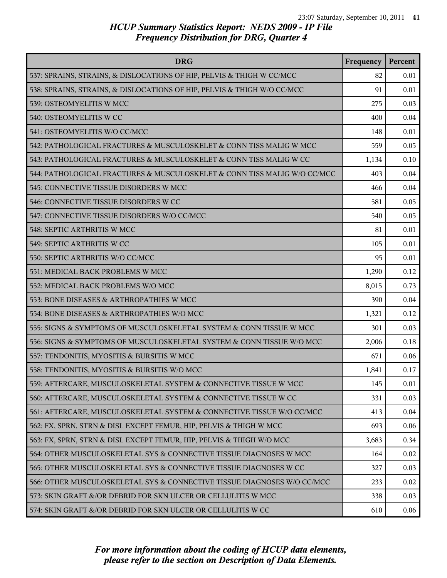| <b>DRG</b>                                                               | Frequency | Percent |
|--------------------------------------------------------------------------|-----------|---------|
| 537: SPRAINS, STRAINS, & DISLOCATIONS OF HIP, PELVIS & THIGH W CC/MCC    | 82        | 0.01    |
| 538: SPRAINS, STRAINS, & DISLOCATIONS OF HIP, PELVIS & THIGH W/O CC/MCC  | 91        | 0.01    |
| 539: OSTEOMYELITIS W MCC                                                 | 275       | 0.03    |
| 540: OSTEOMYELITIS W CC                                                  | 400       | 0.04    |
| 541: OSTEOMYELITIS W/O CC/MCC                                            | 148       | 0.01    |
| 542: PATHOLOGICAL FRACTURES & MUSCULOSKELET & CONN TISS MALIG W MCC      | 559       | 0.05    |
| 543: PATHOLOGICAL FRACTURES & MUSCULOSKELET & CONN TISS MALIG W CC       | 1,134     | 0.10    |
| 544: PATHOLOGICAL FRACTURES & MUSCULOSKELET & CONN TISS MALIG W/O CC/MCC | 403       | 0.04    |
| 545: CONNECTIVE TISSUE DISORDERS W MCC                                   | 466       | 0.04    |
| 546: CONNECTIVE TISSUE DISORDERS W CC                                    | 581       | 0.05    |
| 547: CONNECTIVE TISSUE DISORDERS W/O CC/MCC                              | 540       | 0.05    |
| 548: SEPTIC ARTHRITIS W MCC                                              | 81        | 0.01    |
| 549: SEPTIC ARTHRITIS W CC                                               | 105       | 0.01    |
| 550: SEPTIC ARTHRITIS W/O CC/MCC                                         | 95        | 0.01    |
| 551: MEDICAL BACK PROBLEMS W MCC                                         | 1,290     | 0.12    |
| 552: MEDICAL BACK PROBLEMS W/O MCC                                       | 8,015     | 0.73    |
| 553: BONE DISEASES & ARTHROPATHIES W MCC                                 | 390       | 0.04    |
| 554: BONE DISEASES & ARTHROPATHIES W/O MCC                               | 1,321     | 0.12    |
| 555: SIGNS & SYMPTOMS OF MUSCULOSKELETAL SYSTEM & CONN TISSUE W MCC      | 301       | 0.03    |
| 556: SIGNS & SYMPTOMS OF MUSCULOSKELETAL SYSTEM & CONN TISSUE W/O MCC    | 2,006     | 0.18    |
| 557: TENDONITIS, MYOSITIS & BURSITIS W MCC                               | 671       | 0.06    |
| 558: TENDONITIS, MYOSITIS & BURSITIS W/O MCC                             | 1,841     | 0.17    |
| 559: AFTERCARE, MUSCULOSKELETAL SYSTEM & CONNECTIVE TISSUE W MCC         | 145       | 0.01    |
| 560: AFTERCARE, MUSCULOSKELETAL SYSTEM & CONNECTIVE TISSUE W CC          | 331       | 0.03    |
| 561: AFTERCARE, MUSCULOSKELETAL SYSTEM & CONNECTIVE TISSUE W/O CC/MCC    | 413       | 0.04    |
| 562: FX, SPRN, STRN & DISL EXCEPT FEMUR, HIP, PELVIS & THIGH W MCC       | 693       | 0.06    |
| 563: FX, SPRN, STRN & DISL EXCEPT FEMUR, HIP, PELVIS & THIGH W/O MCC     | 3,683     | 0.34    |
| 564: OTHER MUSCULOSKELETAL SYS & CONNECTIVE TISSUE DIAGNOSES W MCC       | 164       | 0.02    |
| 565: OTHER MUSCULOSKELETAL SYS & CONNECTIVE TISSUE DIAGNOSES W CC        | 327       | 0.03    |
| 566: OTHER MUSCULOSKELETAL SYS & CONNECTIVE TISSUE DIAGNOSES W/O CC/MCC  | 233       | 0.02    |
| 573: SKIN GRAFT &/OR DEBRID FOR SKN ULCER OR CELLULITIS W MCC            | 338       | 0.03    |
| 574: SKIN GRAFT &/OR DEBRID FOR SKN ULCER OR CELLULITIS W CC             | 610       | 0.06    |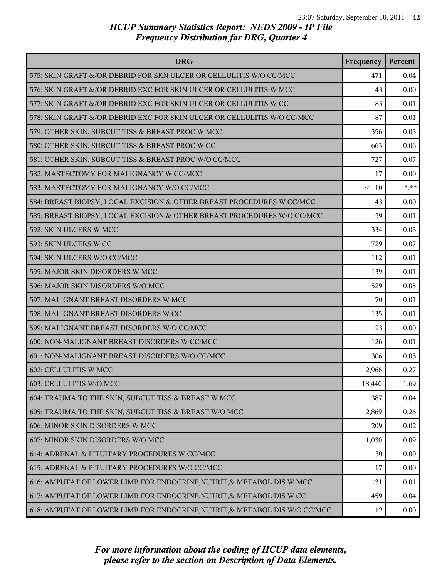| <b>DRG</b>                                                                 | Frequency | Percent |
|----------------------------------------------------------------------------|-----------|---------|
| 575: SKIN GRAFT &/OR DEBRID FOR SKN ULCER OR CELLULITIS W/O CC/MCC         | 471       | 0.04    |
| 576: SKIN GRAFT &/OR DEBRID EXC FOR SKIN ULCER OR CELLULITIS W MCC         | 43        | 0.00    |
| 577: SKIN GRAFT &/OR DEBRID EXC FOR SKIN ULCER OR CELLULITIS W CC          | 83        | 0.01    |
| 578: SKIN GRAFT &/OR DEBRID EXC FOR SKIN ULCER OR CELLULITIS W/O CC/MCC    | 87        | 0.01    |
| 579: OTHER SKIN, SUBCUT TISS & BREAST PROC W MCC                           | 356       | 0.03    |
| 580: OTHER SKIN, SUBCUT TISS & BREAST PROC W CC                            | 663       | 0.06    |
| 581: OTHER SKIN, SUBCUT TISS & BREAST PROC W/O CC/MCC                      | 727       | 0.07    |
| 582: MASTECTOMY FOR MALIGNANCY W CC/MCC                                    | 17        | 0.00    |
| 583: MASTECTOMY FOR MALIGNANCY W/O CC/MCC                                  | $\leq 10$ | $***$   |
| 584: BREAST BIOPSY, LOCAL EXCISION & OTHER BREAST PROCEDURES W CC/MCC      | 43        | 0.00    |
| 585: BREAST BIOPSY, LOCAL EXCISION & OTHER BREAST PROCEDURES W/O CC/MCC    | 59        | 0.01    |
| 592: SKIN ULCERS W MCC                                                     | 334       | 0.03    |
| 593: SKIN ULCERS W CC                                                      | 729       | 0.07    |
| 594: SKIN ULCERS W/O CC/MCC                                                | 112       | 0.01    |
| 595: MAJOR SKIN DISORDERS W MCC                                            | 139       | 0.01    |
| 596: MAJOR SKIN DISORDERS W/O MCC                                          | 529       | 0.05    |
| 597: MALIGNANT BREAST DISORDERS W MCC                                      | 70        | 0.01    |
| 598: MALIGNANT BREAST DISORDERS W CC                                       | 135       | 0.01    |
| 599: MALIGNANT BREAST DISORDERS W/O CC/MCC                                 | 23        | 0.00    |
| 600: NON-MALIGNANT BREAST DISORDERS W CC/MCC                               | 126       | 0.01    |
| 601: NON-MALIGNANT BREAST DISORDERS W/O CC/MCC                             | 306       | 0.03    |
| 602: CELLULITIS W MCC                                                      | 2,966     | 0.27    |
| 603: CELLULITIS W/O MCC                                                    | 18,440    | 1.69    |
| 604: TRAUMA TO THE SKIN, SUBCUT TISS & BREAST W MCC                        | 387       | 0.04    |
| 605: TRAUMA TO THE SKIN, SUBCUT TISS & BREAST W/O MCC                      | 2,869     | 0.26    |
| 606: MINOR SKIN DISORDERS W MCC                                            | 209       | 0.02    |
| 607: MINOR SKIN DISORDERS W/O MCC                                          | 1,030     | 0.09    |
| 614: ADRENAL & PITUITARY PROCEDURES W CC/MCC                               | 30        | 0.00    |
| 615: ADRENAL & PITUITARY PROCEDURES W/O CC/MCC                             | 17        | 0.00    |
| 616: AMPUTAT OF LOWER LIMB FOR ENDOCRINE, NUTRIT, & METABOL DIS W MCC      | 131       | 0.01    |
| 617: AMPUTAT OF LOWER LIMB FOR ENDOCRINE, NUTRIT, & METABOL DIS W CC       | 459       | 0.04    |
| 618: AMPUTAT OF LOWER LIMB FOR ENDOCRINE, NUTRIT, & METABOL DIS W/O CC/MCC | 12        | 0.00    |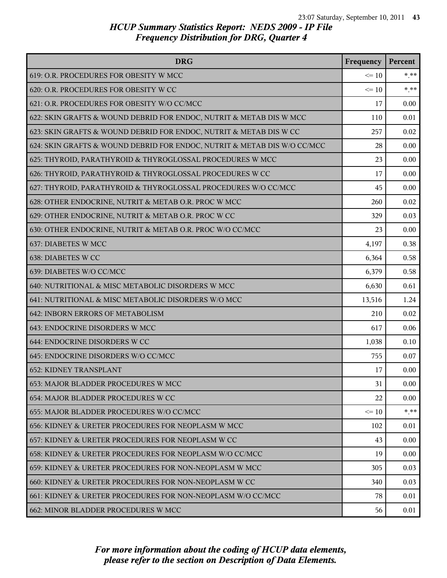| <b>DRG</b>                                                               | Frequency | Percent |
|--------------------------------------------------------------------------|-----------|---------|
| 619: O.R. PROCEDURES FOR OBESITY W MCC                                   | $\leq 10$ | $* * *$ |
| 620: O.R. PROCEDURES FOR OBESITY W CC                                    | $\leq 10$ | $***$   |
| 621: O.R. PROCEDURES FOR OBESITY W/O CC/MCC                              | 17        | 0.00    |
| 622: SKIN GRAFTS & WOUND DEBRID FOR ENDOC, NUTRIT & METAB DIS W MCC      | 110       | 0.01    |
| 623: SKIN GRAFTS & WOUND DEBRID FOR ENDOC, NUTRIT & METAB DIS W CC       | 257       | 0.02    |
| 624: SKIN GRAFTS & WOUND DEBRID FOR ENDOC, NUTRIT & METAB DIS W/O CC/MCC | 28        | 0.00    |
| 625: THYROID, PARATHYROID & THYROGLOSSAL PROCEDURES W MCC                | 23        | 0.00    |
| 626: THYROID, PARATHYROID & THYROGLOSSAL PROCEDURES W CC                 | 17        | 0.00    |
| 627: THYROID, PARATHYROID & THYROGLOSSAL PROCEDURES W/O CC/MCC           | 45        | 0.00    |
| 628: OTHER ENDOCRINE, NUTRIT & METAB O.R. PROC W MCC                     | 260       | 0.02    |
| 629: OTHER ENDOCRINE, NUTRIT & METAB O.R. PROC W CC                      | 329       | 0.03    |
| 630: OTHER ENDOCRINE, NUTRIT & METAB O.R. PROC W/O CC/MCC                | 23        | 0.00    |
| 637: DIABETES W MCC                                                      | 4,197     | 0.38    |
| 638: DIABETES W CC                                                       | 6,364     | 0.58    |
| 639: DIABETES W/O CC/MCC                                                 | 6,379     | 0.58    |
| 640: NUTRITIONAL & MISC METABOLIC DISORDERS W MCC                        | 6,630     | 0.61    |
| 641: NUTRITIONAL & MISC METABOLIC DISORDERS W/O MCC                      | 13,516    | 1.24    |
| 642: INBORN ERRORS OF METABOLISM                                         | 210       | 0.02    |
| 643: ENDOCRINE DISORDERS W MCC                                           | 617       | 0.06    |
| 644: ENDOCRINE DISORDERS W CC                                            | 1,038     | 0.10    |
| 645: ENDOCRINE DISORDERS W/O CC/MCC                                      | 755       | 0.07    |
| <b>652: KIDNEY TRANSPLANT</b>                                            | 17        | 0.00    |
| 653: MAJOR BLADDER PROCEDURES W MCC                                      | 31        | 0.00    |
| 654: MAJOR BLADDER PROCEDURES W CC                                       | 22        | 0.00    |
| 655: MAJOR BLADDER PROCEDURES W/O CC/MCC                                 | $\leq 10$ | $*$ **  |
| 656: KIDNEY & URETER PROCEDURES FOR NEOPLASM W MCC                       | 102       | 0.01    |
| 657: KIDNEY & URETER PROCEDURES FOR NEOPLASM W CC                        | 43        | 0.00    |
| 658: KIDNEY & URETER PROCEDURES FOR NEOPLASM W/O CC/MCC                  | 19        | 0.00    |
| 659: KIDNEY & URETER PROCEDURES FOR NON-NEOPLASM W MCC                   | 305       | 0.03    |
| 660: KIDNEY & URETER PROCEDURES FOR NON-NEOPLASM W CC                    | 340       | 0.03    |
| 661: KIDNEY & URETER PROCEDURES FOR NON-NEOPLASM W/O CC/MCC              | 78        | 0.01    |
| 662: MINOR BLADDER PROCEDURES W MCC                                      | 56        | 0.01    |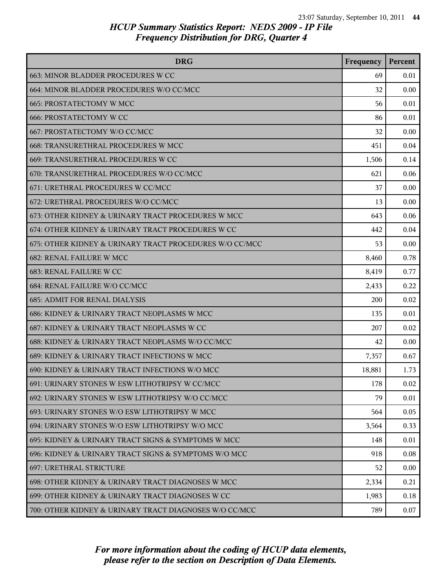| <b>DRG</b>                                              | Frequency | Percent |
|---------------------------------------------------------|-----------|---------|
| 663: MINOR BLADDER PROCEDURES W CC                      | 69        | 0.01    |
| 664: MINOR BLADDER PROCEDURES W/O CC/MCC                | 32        | 0.00    |
| 665: PROSTATECTOMY W MCC                                | 56        | 0.01    |
| <b>666: PROSTATECTOMY W CC</b>                          | 86        | 0.01    |
| 667: PROSTATECTOMY W/O CC/MCC                           | 32        | 0.00    |
| 668: TRANSURETHRAL PROCEDURES W MCC                     | 451       | 0.04    |
| 669: TRANSURETHRAL PROCEDURES W CC                      | 1,506     | 0.14    |
| 670: TRANSURETHRAL PROCEDURES W/O CC/MCC                | 621       | 0.06    |
| 671: URETHRAL PROCEDURES W CC/MCC                       | 37        | 0.00    |
| 672: URETHRAL PROCEDURES W/O CC/MCC                     | 13        | 0.00    |
| 673: OTHER KIDNEY & URINARY TRACT PROCEDURES W MCC      | 643       | 0.06    |
| 674: OTHER KIDNEY & URINARY TRACT PROCEDURES W CC       | 442       | 0.04    |
| 675: OTHER KIDNEY & URINARY TRACT PROCEDURES W/O CC/MCC | 53        | 0.00    |
| <b>682: RENAL FAILURE W MCC</b>                         | 8,460     | 0.78    |
| 683: RENAL FAILURE W CC                                 | 8,419     | 0.77    |
| 684: RENAL FAILURE W/O CC/MCC                           | 2,433     | 0.22    |
| <b>685: ADMIT FOR RENAL DIALYSIS</b>                    | 200       | 0.02    |
| 686: KIDNEY & URINARY TRACT NEOPLASMS W MCC             | 135       | 0.01    |
| 687: KIDNEY & URINARY TRACT NEOPLASMS W CC              | 207       | 0.02    |
| 688: KIDNEY & URINARY TRACT NEOPLASMS W/O CC/MCC        | 42        | 0.00    |
| 689: KIDNEY & URINARY TRACT INFECTIONS W MCC            | 7,357     | 0.67    |
| 690: KIDNEY & URINARY TRACT INFECTIONS W/O MCC          | 18,881    | 1.73    |
| 691: URINARY STONES W ESW LITHOTRIPSY W CC/MCC          | 178       | 0.02    |
| 692: URINARY STONES W ESW LITHOTRIPSY W/O CC/MCC        | 79        | 0.01    |
| 693: URINARY STONES W/O ESW LITHOTRIPSY W MCC           | 564       | 0.05    |
| 694: URINARY STONES W/O ESW LITHOTRIPSY W/O MCC         | 3,564     | 0.33    |
| 695: KIDNEY & URINARY TRACT SIGNS & SYMPTOMS W MCC      | 148       | 0.01    |
| 696: KIDNEY & URINARY TRACT SIGNS & SYMPTOMS W/O MCC    | 918       | 0.08    |
| <b>697: URETHRAL STRICTURE</b>                          | 52        | 0.00    |
| 698: OTHER KIDNEY & URINARY TRACT DIAGNOSES W MCC       | 2,334     | 0.21    |
| 699: OTHER KIDNEY & URINARY TRACT DIAGNOSES W CC        | 1,983     | 0.18    |
| 700: OTHER KIDNEY & URINARY TRACT DIAGNOSES W/O CC/MCC  | 789       | 0.07    |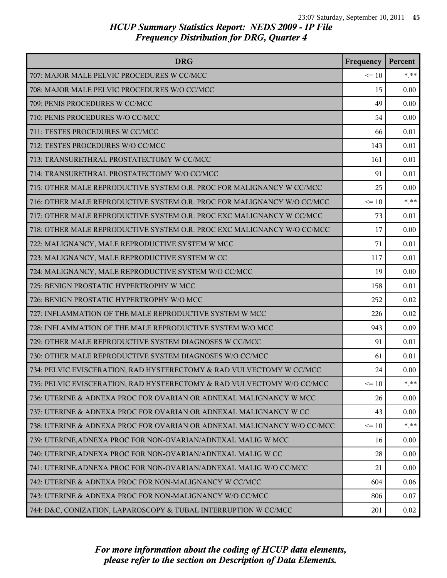| <b>DRG</b>                                                              | Frequency | Percent  |
|-------------------------------------------------------------------------|-----------|----------|
| 707: MAJOR MALE PELVIC PROCEDURES W CC/MCC                              | $\leq 10$ | $* * *$  |
| 708: MAJOR MALE PELVIC PROCEDURES W/O CC/MCC                            | 15        | 0.00     |
| 709: PENIS PROCEDURES W CC/MCC                                          | 49        | 0.00     |
| 710: PENIS PROCEDURES W/O CC/MCC                                        | 54        | 0.00     |
| 711: TESTES PROCEDURES W CC/MCC                                         | 66        | 0.01     |
| 712: TESTES PROCEDURES W/O CC/MCC                                       | 143       | 0.01     |
| 713: TRANSURETHRAL PROSTATECTOMY W CC/MCC                               | 161       | 0.01     |
| 714: TRANSURETHRAL PROSTATECTOMY W/O CC/MCC                             | 91        | 0.01     |
| 715: OTHER MALE REPRODUCTIVE SYSTEM O.R. PROC FOR MALIGNANCY W CC/MCC   | 25        | $0.00\,$ |
| 716: OTHER MALE REPRODUCTIVE SYSTEM O.R. PROC FOR MALIGNANCY W/O CC/MCC | $\leq 10$ | $* * *$  |
| 717: OTHER MALE REPRODUCTIVE SYSTEM O.R. PROC EXC MALIGNANCY W CC/MCC   | 73        | 0.01     |
| 718: OTHER MALE REPRODUCTIVE SYSTEM O.R. PROC EXC MALIGNANCY W/O CC/MCC | 17        | 0.00     |
| 722: MALIGNANCY, MALE REPRODUCTIVE SYSTEM W MCC                         | 71        | 0.01     |
| 723: MALIGNANCY, MALE REPRODUCTIVE SYSTEM W CC                          | 117       | 0.01     |
| 724: MALIGNANCY, MALE REPRODUCTIVE SYSTEM W/O CC/MCC                    | 19        | 0.00     |
| 725: BENIGN PROSTATIC HYPERTROPHY W MCC                                 | 158       | 0.01     |
| 726: BENIGN PROSTATIC HYPERTROPHY W/O MCC                               | 252       | 0.02     |
| 727: INFLAMMATION OF THE MALE REPRODUCTIVE SYSTEM W MCC                 | 226       | 0.02     |
| 728: INFLAMMATION OF THE MALE REPRODUCTIVE SYSTEM W/O MCC               | 943       | 0.09     |
| 729: OTHER MALE REPRODUCTIVE SYSTEM DIAGNOSES W CC/MCC                  | 91        | 0.01     |
| 730: OTHER MALE REPRODUCTIVE SYSTEM DIAGNOSES W/O CC/MCC                | 61        | 0.01     |
| 734: PELVIC EVISCERATION, RAD HYSTERECTOMY & RAD VULVECTOMY W CC/MCC    | 24        | 0.00     |
| 735: PELVIC EVISCERATION, RAD HYSTERECTOMY & RAD VULVECTOMY W/O CC/MCC  | $\leq 10$ | * **     |
| 736: UTERINE & ADNEXA PROC FOR OVARIAN OR ADNEXAL MALIGNANCY W MCC      | 26        | 0.00     |
| 737: UTERINE & ADNEXA PROC FOR OVARIAN OR ADNEXAL MALIGNANCY W CC       | 43        | 0.00     |
| 738: UTERINE & ADNEXA PROC FOR OVARIAN OR ADNEXAL MALIGNANCY W/O CC/MCC | $\leq 10$ | $*$ $**$ |
| 739: UTERINE, ADNEXA PROC FOR NON-OVARIAN/ADNEXAL MALIG W MCC           | 16        | 0.00     |
| 740: UTERINE, ADNEXA PROC FOR NON-OVARIAN/ADNEXAL MALIG W CC            | 28        | 0.00     |
| 741: UTERINE, ADNEXA PROC FOR NON-OVARIAN/ADNEXAL MALIG W/O CC/MCC      | 21        | 0.00     |
| 742: UTERINE & ADNEXA PROC FOR NON-MALIGNANCY W CC/MCC                  | 604       | 0.06     |
| 743: UTERINE & ADNEXA PROC FOR NON-MALIGNANCY W/O CC/MCC                | 806       | 0.07     |
| 744: D&C, CONIZATION, LAPAROSCOPY & TUBAL INTERRUPTION W CC/MCC         | 201       | 0.02     |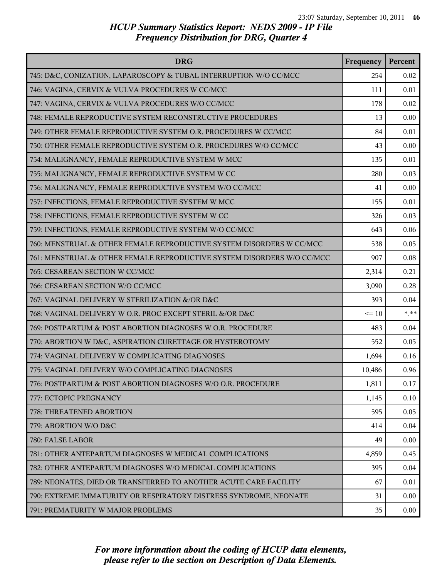| <b>DRG</b>                                                             | Frequency | Percent |
|------------------------------------------------------------------------|-----------|---------|
| 745: D&C, CONIZATION, LAPAROSCOPY & TUBAL INTERRUPTION W/O CC/MCC      | 254       | 0.02    |
| 746: VAGINA, CERVIX & VULVA PROCEDURES W CC/MCC                        | 111       | 0.01    |
| 747: VAGINA, CERVIX & VULVA PROCEDURES W/O CC/MCC                      | 178       | 0.02    |
| 748: FEMALE REPRODUCTIVE SYSTEM RECONSTRUCTIVE PROCEDURES              | 13        | 0.00    |
| 749: OTHER FEMALE REPRODUCTIVE SYSTEM O.R. PROCEDURES W CC/MCC         | 84        | 0.01    |
| 750: OTHER FEMALE REPRODUCTIVE SYSTEM O.R. PROCEDURES W/O CC/MCC       | 43        | 0.00    |
| 754: MALIGNANCY, FEMALE REPRODUCTIVE SYSTEM W MCC                      | 135       | 0.01    |
| 755: MALIGNANCY, FEMALE REPRODUCTIVE SYSTEM W CC                       | 280       | 0.03    |
| 756: MALIGNANCY, FEMALE REPRODUCTIVE SYSTEM W/O CC/MCC                 | 41        | 0.00    |
| 757: INFECTIONS, FEMALE REPRODUCTIVE SYSTEM W MCC                      | 155       | 0.01    |
| 758: INFECTIONS, FEMALE REPRODUCTIVE SYSTEM W CC                       | 326       | 0.03    |
| 759: INFECTIONS, FEMALE REPRODUCTIVE SYSTEM W/O CC/MCC                 | 643       | 0.06    |
| 760: MENSTRUAL & OTHER FEMALE REPRODUCTIVE SYSTEM DISORDERS W CC/MCC   | 538       | 0.05    |
| 761: MENSTRUAL & OTHER FEMALE REPRODUCTIVE SYSTEM DISORDERS W/O CC/MCC | 907       | 0.08    |
| 765: CESAREAN SECTION W CC/MCC                                         | 2,314     | 0.21    |
| 766: CESAREAN SECTION W/O CC/MCC                                       | 3,090     | 0.28    |
| 767: VAGINAL DELIVERY W STERILIZATION &/OR D&C                         | 393       | 0.04    |
| 768: VAGINAL DELIVERY W O.R. PROC EXCEPT STERIL &/OR D&C               | $\leq 10$ | $***$   |
| 769: POSTPARTUM & POST ABORTION DIAGNOSES WO.R. PROCEDURE              | 483       | 0.04    |
| 770: ABORTION W D&C, ASPIRATION CURETTAGE OR HYSTEROTOMY               | 552       | 0.05    |
| 774: VAGINAL DELIVERY W COMPLICATING DIAGNOSES                         | 1,694     | 0.16    |
| 775: VAGINAL DELIVERY W/O COMPLICATING DIAGNOSES                       | 10,486    | 0.96    |
| 776: POSTPARTUM & POST ABORTION DIAGNOSES W/O O.R. PROCEDURE           | 1,811     | 0.17    |
| 777: ECTOPIC PREGNANCY                                                 | 1,145     | 0.10    |
| 778: THREATENED ABORTION                                               | 595       | 0.05    |
| 779: ABORTION W/O D&C                                                  | 414       | 0.04    |
| 780: FALSE LABOR                                                       | 49        | 0.00    |
| 781: OTHER ANTEPARTUM DIAGNOSES W MEDICAL COMPLICATIONS                | 4,859     | 0.45    |
| 782: OTHER ANTEPARTUM DIAGNOSES W/O MEDICAL COMPLICATIONS              | 395       | 0.04    |
| 789: NEONATES, DIED OR TRANSFERRED TO ANOTHER ACUTE CARE FACILITY      | 67        | 0.01    |
| 790: EXTREME IMMATURITY OR RESPIRATORY DISTRESS SYNDROME, NEONATE      | 31        | 0.00    |
| 791: PREMATURITY W MAJOR PROBLEMS                                      | 35        | 0.00    |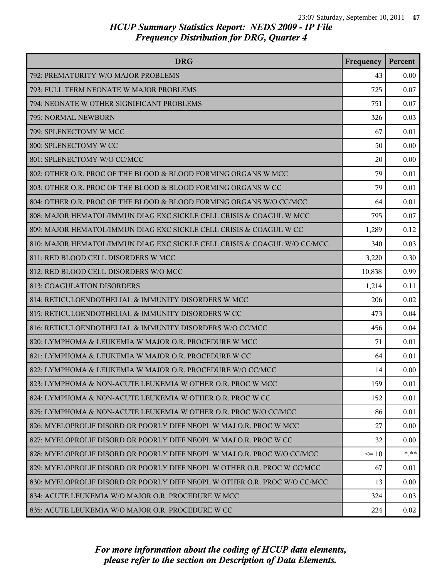| <b>DRG</b>                                                                | Frequency | Percent |
|---------------------------------------------------------------------------|-----------|---------|
| 792: PREMATURITY W/O MAJOR PROBLEMS                                       | 43        | 0.00    |
| 793: FULL TERM NEONATE W MAJOR PROBLEMS                                   | 725       | 0.07    |
| 794: NEONATE W OTHER SIGNIFICANT PROBLEMS                                 | 751       | 0.07    |
| 795: NORMAL NEWBORN                                                       | 326       | 0.03    |
| 799: SPLENECTOMY W MCC                                                    | 67        | 0.01    |
| 800: SPLENECTOMY W CC                                                     | 50        | 0.00    |
| 801: SPLENECTOMY W/O CC/MCC                                               | 20        | 0.00    |
| 802: OTHER O.R. PROC OF THE BLOOD & BLOOD FORMING ORGANS W MCC            | 79        | 0.01    |
| 803: OTHER O.R. PROC OF THE BLOOD & BLOOD FORMING ORGANS W CC             | 79        | 0.01    |
| 804: OTHER O.R. PROC OF THE BLOOD & BLOOD FORMING ORGANS W/O CC/MCC       | 64        | 0.01    |
| 808: MAJOR HEMATOL/IMMUN DIAG EXC SICKLE CELL CRISIS & COAGUL W MCC       | 795       | 0.07    |
| 809: MAJOR HEMATOL/IMMUN DIAG EXC SICKLE CELL CRISIS & COAGUL W CC        | 1,289     | 0.12    |
| 810: MAJOR HEMATOL/IMMUN DIAG EXC SICKLE CELL CRISIS & COAGUL W/O CC/MCC  | 340       | 0.03    |
| 811: RED BLOOD CELL DISORDERS W MCC                                       | 3,220     | 0.30    |
| 812: RED BLOOD CELL DISORDERS W/O MCC                                     | 10,838    | 0.99    |
| 813: COAGULATION DISORDERS                                                | 1,214     | 0.11    |
| 814: RETICULOENDOTHELIAL & IMMUNITY DISORDERS W MCC                       | 206       | 0.02    |
| 815: RETICULOENDOTHELIAL & IMMUNITY DISORDERS W CC                        | 473       | 0.04    |
| 816: RETICULOENDOTHELIAL & IMMUNITY DISORDERS W/O CC/MCC                  | 456       | 0.04    |
| 820: LYMPHOMA & LEUKEMIA W MAJOR O.R. PROCEDURE W MCC                     | 71        | 0.01    |
| 821: LYMPHOMA & LEUKEMIA W MAJOR O.R. PROCEDURE W CC                      | 64        | 0.01    |
| 822: LYMPHOMA & LEUKEMIA W MAJOR O.R. PROCEDURE W/O CC/MCC                | 14        | 0.00    |
| 823: LYMPHOMA & NON-ACUTE LEUKEMIA W OTHER O.R. PROC W MCC                | 159       | 0.01    |
| 824: LYMPHOMA & NON-ACUTE LEUKEMIA W OTHER O.R. PROC W CC                 | 152       | 0.01    |
| 825: LYMPHOMA & NON-ACUTE LEUKEMIA W OTHER O.R. PROC W/O CC/MCC           | 86        | 0.01    |
| 826: MYELOPROLIF DISORD OR POORLY DIFF NEOPL W MAJ O.R. PROC W MCC        | 27        | 0.00    |
| 827: MYELOPROLIF DISORD OR POORLY DIFF NEOPL W MAJ O.R. PROC W CC         | 32        | 0.00    |
| 828: MYELOPROLIF DISORD OR POORLY DIFF NEOPL W MAJ O.R. PROC W/O CC/MCC   | $\leq 10$ | * **    |
| 829: MYELOPROLIF DISORD OR POORLY DIFF NEOPL W OTHER O.R. PROC W CC/MCC   | 67        | 0.01    |
| 830: MYELOPROLIF DISORD OR POORLY DIFF NEOPL W OTHER O.R. PROC W/O CC/MCC | 13        | 0.00    |
| 834: ACUTE LEUKEMIA W/O MAJOR O.R. PROCEDURE W MCC                        | 324       | 0.03    |
| 835: ACUTE LEUKEMIA W/O MAJOR O.R. PROCEDURE W CC                         | 224       | 0.02    |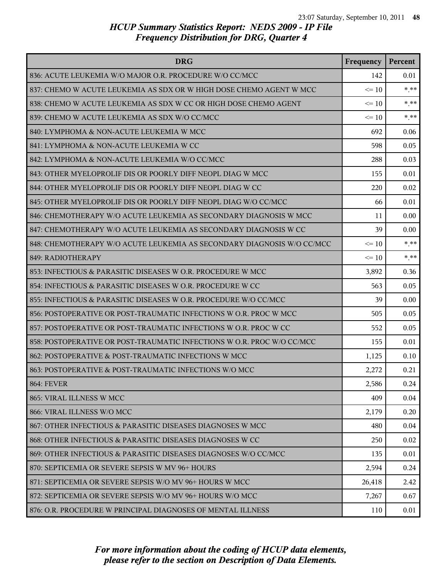| <b>DRG</b>                                                             | Frequency | Percent  |
|------------------------------------------------------------------------|-----------|----------|
| 836: ACUTE LEUKEMIA W/O MAJOR O.R. PROCEDURE W/O CC/MCC                | 142       | 0.01     |
| 837: CHEMO W ACUTE LEUKEMIA AS SDX OR W HIGH DOSE CHEMO AGENT W MCC    | $\leq 10$ | $*$ $**$ |
| 838: CHEMO W ACUTE LEUKEMIA AS SDX W CC OR HIGH DOSE CHEMO AGENT       | $\leq 10$ | $* * *$  |
| 839: CHEMO W ACUTE LEUKEMIA AS SDX W/O CC/MCC                          | $\leq 10$ | * **     |
| 840: LYMPHOMA & NON-ACUTE LEUKEMIA W MCC                               | 692       | 0.06     |
| 841: LYMPHOMA & NON-ACUTE LEUKEMIA W CC                                | 598       | 0.05     |
| 842: LYMPHOMA & NON-ACUTE LEUKEMIA W/O CC/MCC                          | 288       | 0.03     |
| 843: OTHER MYELOPROLIF DIS OR POORLY DIFF NEOPL DIAG W MCC             | 155       | 0.01     |
| 844: OTHER MYELOPROLIF DIS OR POORLY DIFF NEOPL DIAG W CC              | 220       | 0.02     |
| 845: OTHER MYELOPROLIF DIS OR POORLY DIFF NEOPL DIAG W/O CC/MCC        | 66        | 0.01     |
| 846: CHEMOTHERAPY W/O ACUTE LEUKEMIA AS SECONDARY DIAGNOSIS W MCC      | 11        | 0.00     |
| 847: CHEMOTHERAPY W/O ACUTE LEUKEMIA AS SECONDARY DIAGNOSIS W CC       | 39        | 0.00     |
| 848: CHEMOTHERAPY W/O ACUTE LEUKEMIA AS SECONDARY DIAGNOSIS W/O CC/MCC | $\leq 10$ | $* * *$  |
| 849: RADIOTHERAPY                                                      | $\leq 10$ | * **     |
| 853: INFECTIOUS & PARASITIC DISEASES W O.R. PROCEDURE W MCC            | 3,892     | 0.36     |
| 854: INFECTIOUS & PARASITIC DISEASES W O.R. PROCEDURE W CC             | 563       | 0.05     |
| 855: INFECTIOUS & PARASITIC DISEASES W O.R. PROCEDURE W/O CC/MCC       | 39        | 0.00     |
| 856: POSTOPERATIVE OR POST-TRAUMATIC INFECTIONS W O.R. PROC W MCC      | 505       | 0.05     |
| 857: POSTOPERATIVE OR POST-TRAUMATIC INFECTIONS W O.R. PROC W CC       | 552       | 0.05     |
| 858: POSTOPERATIVE OR POST-TRAUMATIC INFECTIONS W O.R. PROC W/O CC/MCC | 155       | 0.01     |
| 862: POSTOPERATIVE & POST-TRAUMATIC INFECTIONS W MCC                   | 1,125     | 0.10     |
| 863: POSTOPERATIVE & POST-TRAUMATIC INFECTIONS W/O MCC                 | 2,272     | 0.21     |
| <b>864: FEVER</b>                                                      | 2,586     | 0.24     |
| 865: VIRAL ILLNESS W MCC                                               | 409       | 0.04     |
| 866: VIRAL ILLNESS W/O MCC                                             | 2,179     | 0.20     |
| 867: OTHER INFECTIOUS & PARASITIC DISEASES DIAGNOSES W MCC             | 480       | 0.04     |
| 868: OTHER INFECTIOUS & PARASITIC DISEASES DIAGNOSES W CC              | 250       | 0.02     |
| 869: OTHER INFECTIOUS & PARASITIC DISEASES DIAGNOSES W/O CC/MCC        | 135       | 0.01     |
| 870: SEPTICEMIA OR SEVERE SEPSIS W MV 96+ HOURS                        | 2,594     | 0.24     |
| 871: SEPTICEMIA OR SEVERE SEPSIS W/O MV 96+ HOURS W MCC                | 26,418    | 2.42     |
| 872: SEPTICEMIA OR SEVERE SEPSIS W/O MV 96+ HOURS W/O MCC              | 7,267     | 0.67     |
| 876: O.R. PROCEDURE W PRINCIPAL DIAGNOSES OF MENTAL ILLNESS            | 110       | 0.01     |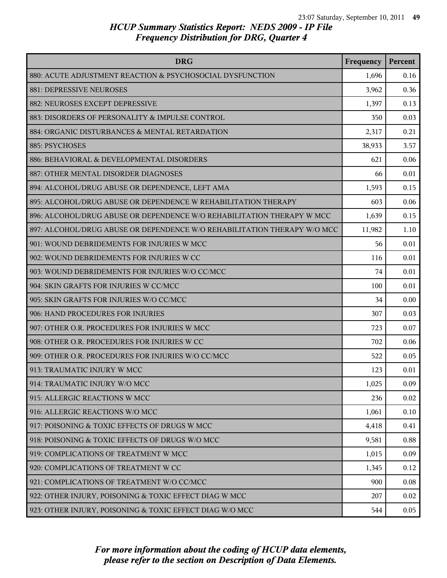| <b>DRG</b>                                                               | Frequency | Percent |
|--------------------------------------------------------------------------|-----------|---------|
| 880: ACUTE ADJUSTMENT REACTION & PSYCHOSOCIAL DYSFUNCTION                | 1,696     | 0.16    |
| 881: DEPRESSIVE NEUROSES                                                 | 3,962     | 0.36    |
| 882: NEUROSES EXCEPT DEPRESSIVE                                          | 1,397     | 0.13    |
| 883: DISORDERS OF PERSONALITY & IMPULSE CONTROL                          | 350       | 0.03    |
| 884: ORGANIC DISTURBANCES & MENTAL RETARDATION                           | 2,317     | 0.21    |
| 885: PSYCHOSES                                                           | 38,933    | 3.57    |
| 886: BEHAVIORAL & DEVELOPMENTAL DISORDERS                                | 621       | 0.06    |
| 887: OTHER MENTAL DISORDER DIAGNOSES                                     | 66        | 0.01    |
| 894: ALCOHOL/DRUG ABUSE OR DEPENDENCE, LEFT AMA                          | 1,593     | 0.15    |
| 895: ALCOHOL/DRUG ABUSE OR DEPENDENCE W REHABILITATION THERAPY           | 603       | 0.06    |
| 896: ALCOHOL/DRUG ABUSE OR DEPENDENCE W/O REHABILITATION THERAPY W MCC   | 1,639     | 0.15    |
| 897: ALCOHOL/DRUG ABUSE OR DEPENDENCE W/O REHABILITATION THERAPY W/O MCC | 11,982    | 1.10    |
| 901: WOUND DEBRIDEMENTS FOR INJURIES W MCC                               | 56        | 0.01    |
| 902: WOUND DEBRIDEMENTS FOR INJURIES W CC                                | 116       | 0.01    |
| 903: WOUND DEBRIDEMENTS FOR INJURIES W/O CC/MCC                          | 74        | 0.01    |
| 904: SKIN GRAFTS FOR INJURIES W CC/MCC                                   | 100       | 0.01    |
| 905: SKIN GRAFTS FOR INJURIES W/O CC/MCC                                 | 34        | 0.00    |
| 906: HAND PROCEDURES FOR INJURIES                                        | 307       | 0.03    |
| 907: OTHER O.R. PROCEDURES FOR INJURIES W MCC                            | 723       | 0.07    |
| 908: OTHER O.R. PROCEDURES FOR INJURIES W CC                             | 702       | 0.06    |
| 909: OTHER O.R. PROCEDURES FOR INJURIES W/O CC/MCC                       | 522       | 0.05    |
| 913: TRAUMATIC INJURY W MCC                                              | 123       | 0.01    |
| 914: TRAUMATIC INJURY W/O MCC                                            | 1,025     | 0.09    |
| 915: ALLERGIC REACTIONS W MCC                                            | 236       | 0.02    |
| 916: ALLERGIC REACTIONS W/O MCC                                          | 1,061     | 0.10    |
| 917: POISONING & TOXIC EFFECTS OF DRUGS W MCC                            | 4,418     | 0.41    |
| 918: POISONING & TOXIC EFFECTS OF DRUGS W/O MCC                          | 9,581     | 0.88    |
| 919: COMPLICATIONS OF TREATMENT W MCC                                    | 1,015     | 0.09    |
| 920: COMPLICATIONS OF TREATMENT W CC                                     | 1,345     | 0.12    |
| 921: COMPLICATIONS OF TREATMENT W/O CC/MCC                               | 900       | 0.08    |
| 922: OTHER INJURY, POISONING & TOXIC EFFECT DIAG W MCC                   | 207       | 0.02    |
| 923: OTHER INJURY, POISONING & TOXIC EFFECT DIAG W/O MCC                 | 544       | 0.05    |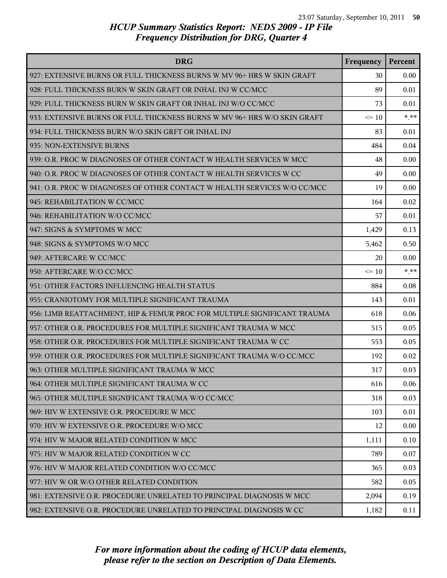| <b>DRG</b>                                                               | Frequency | Percent |
|--------------------------------------------------------------------------|-----------|---------|
| 927: EXTENSIVE BURNS OR FULL THICKNESS BURNS W MV 96+ HRS W SKIN GRAFT   | 30        | 0.00    |
| 928: FULL THICKNESS BURN W SKIN GRAFT OR INHAL INJ W CC/MCC              | 89        | 0.01    |
| 929: FULL THICKNESS BURN W SKIN GRAFT OR INHAL INJ W/O CC/MCC            | 73        | 0.01    |
| 933: EXTENSIVE BURNS OR FULL THICKNESS BURNS W MV 96+ HRS W/O SKIN GRAFT | $\leq 10$ | $***$   |
| 934: FULL THICKNESS BURN W/O SKIN GRFT OR INHAL INJ                      | 83        | 0.01    |
| 935: NON-EXTENSIVE BURNS                                                 | 484       | 0.04    |
| 939: O.R. PROC W DIAGNOSES OF OTHER CONTACT W HEALTH SERVICES W MCC      | 48        | 0.00    |
| 940: O.R. PROC W DIAGNOSES OF OTHER CONTACT W HEALTH SERVICES W CC       | 49        | 0.00    |
| 941: O.R. PROC W DIAGNOSES OF OTHER CONTACT W HEALTH SERVICES W/O CC/MCC | 19        | 0.00    |
| 945: REHABILITATION W CC/MCC                                             | 164       | 0.02    |
| 946: REHABILITATION W/O CC/MCC                                           | 57        | 0.01    |
| 947: SIGNS & SYMPTOMS W MCC                                              | 1,429     | 0.13    |
| 948: SIGNS & SYMPTOMS W/O MCC                                            | 5,462     | 0.50    |
| 949: AFTERCARE W CC/MCC                                                  | 20        | 0.00    |
| 950: AFTERCARE W/O CC/MCC                                                | $\leq 10$ | $* * *$ |
| 951: OTHER FACTORS INFLUENCING HEALTH STATUS                             | 884       | 0.08    |
| 955: CRANIOTOMY FOR MULTIPLE SIGNIFICANT TRAUMA                          | 143       | 0.01    |
| 956: LIMB REATTACHMENT, HIP & FEMUR PROC FOR MULTIPLE SIGNIFICANT TRAUMA | 618       | 0.06    |
| 957: OTHER O.R. PROCEDURES FOR MULTIPLE SIGNIFICANT TRAUMA W MCC         | 515       | 0.05    |
| 958: OTHER O.R. PROCEDURES FOR MULTIPLE SIGNIFICANT TRAUMA W CC          | 553       | 0.05    |
| 959: OTHER O.R. PROCEDURES FOR MULTIPLE SIGNIFICANT TRAUMA W/O CC/MCC    | 192       | 0.02    |
| 963: OTHER MULTIPLE SIGNIFICANT TRAUMA W MCC                             | 317       | 0.03    |
| 964: OTHER MULTIPLE SIGNIFICANT TRAUMA W CC                              | 616       | 0.06    |
| 965: OTHER MULTIPLE SIGNIFICANT TRAUMA W/O CC/MCC                        | 318       | 0.03    |
| 969: HIV W EXTENSIVE O.R. PROCEDURE W MCC                                | 103       | 0.01    |
| 970: HIV W EXTENSIVE O.R. PROCEDURE W/O MCC                              | 12        | 0.00    |
| 974: HIV W MAJOR RELATED CONDITION W MCC                                 | 1,111     | 0.10    |
| 975: HIV W MAJOR RELATED CONDITION W CC                                  | 789       | 0.07    |
| 976: HIV W MAJOR RELATED CONDITION W/O CC/MCC                            | 365       | 0.03    |
| 977: HIV W OR W/O OTHER RELATED CONDITION                                | 582       | 0.05    |
| 981: EXTENSIVE O.R. PROCEDURE UNRELATED TO PRINCIPAL DIAGNOSIS W MCC     | 2,094     | 0.19    |
| 982: EXTENSIVE O.R. PROCEDURE UNRELATED TO PRINCIPAL DIAGNOSIS W CC      | 1,182     | 0.11    |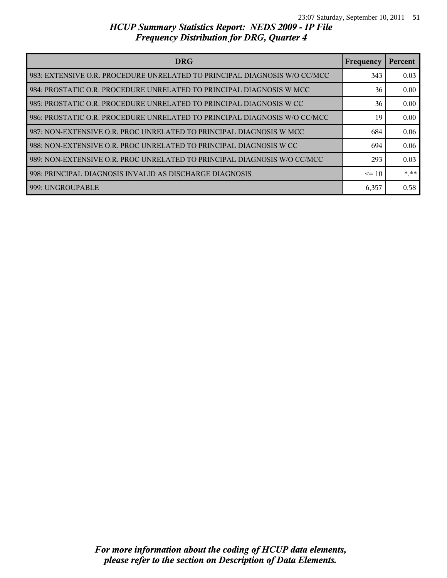| <b>DRG</b>                                                                | <b>Frequency</b> | Percent |
|---------------------------------------------------------------------------|------------------|---------|
| 983: EXTENSIVE O.R. PROCEDURE UNRELATED TO PRINCIPAL DIAGNOSIS W/O CC/MCC | 343              | 0.03    |
| 984: PROSTATIC O.R. PROCEDURE UNRELATED TO PRINCIPAL DIAGNOSIS W MCC      | 36               | 0.00    |
| 985: PROSTATIC O.R. PROCEDURE UNRELATED TO PRINCIPAL DIAGNOSIS W CC       | 36               | 0.00    |
| 986: PROSTATIC O.R. PROCEDURE UNRELATED TO PRINCIPAL DIAGNOSIS W/O CC/MCC | 19               | 0.00    |
| 987: NON-EXTENSIVE O.R. PROC UNRELATED TO PRINCIPAL DIAGNOSIS W MCC       | 684              | 0.06    |
| 988: NON-EXTENSIVE O.R. PROC UNRELATED TO PRINCIPAL DIAGNOSIS W CC        | 694              | 0.06    |
| 989: NON-EXTENSIVE O.R. PROC UNRELATED TO PRINCIPAL DIAGNOSIS W/O CC/MCC  | 293              | 0.03    |
| 998: PRINCIPAL DIAGNOSIS INVALID AS DISCHARGE DIAGNOSIS                   | $\leq$ 10        | $***$   |
| 999: UNGROUPABLE                                                          | 6,357            | 0.58    |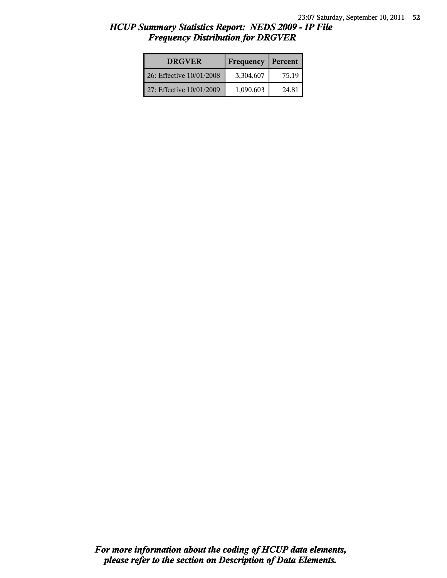| <b>DRGVER</b>            | <b>Frequency</b> | Percent |
|--------------------------|------------------|---------|
| 26: Effective 10/01/2008 | 3,304,607        | 75.19   |
| 27: Effective 10/01/2009 | 1,090,603        | 24.81   |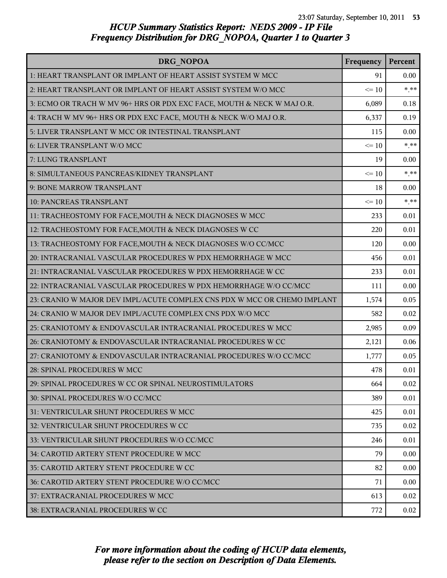| DRG NOPOA                                                                | Frequency | Percent |
|--------------------------------------------------------------------------|-----------|---------|
| 1: HEART TRANSPLANT OR IMPLANT OF HEART ASSIST SYSTEM W MCC              | 91        | 0.00    |
| 2: HEART TRANSPLANT OR IMPLANT OF HEART ASSIST SYSTEM W/O MCC            | $\leq 10$ | $***$   |
| 3: ECMO OR TRACH W MV 96+ HRS OR PDX EXC FACE, MOUTH & NECK W MAJ O.R.   | 6,089     | 0.18    |
| 4: TRACH W MV 96+ HRS OR PDX EXC FACE, MOUTH & NECK W/O MAJ O.R.         | 6,337     | 0.19    |
| 5: LIVER TRANSPLANT W MCC OR INTESTINAL TRANSPLANT                       | 115       | 0.00    |
| 6: LIVER TRANSPLANT W/O MCC                                              | $\leq 10$ | $***$   |
| 7: LUNG TRANSPLANT                                                       | 19        | 0.00    |
| 8: SIMULTANEOUS PANCREAS/KIDNEY TRANSPLANT                               | $\leq 10$ | $***$   |
| 9: BONE MARROW TRANSPLANT                                                | 18        | 0.00    |
| 10: PANCREAS TRANSPLANT                                                  | $\leq 10$ | $***$   |
| 11: TRACHEOSTOMY FOR FACE, MOUTH & NECK DIAGNOSES W MCC                  | 233       | 0.01    |
| 12: TRACHEOSTOMY FOR FACE, MOUTH & NECK DIAGNOSES W CC                   | 220       | 0.01    |
| 13: TRACHEOSTOMY FOR FACE, MOUTH & NECK DIAGNOSES W/O CC/MCC             | 120       | 0.00    |
| 20: INTRACRANIAL VASCULAR PROCEDURES W PDX HEMORRHAGE W MCC              | 456       | 0.01    |
| 21: INTRACRANIAL VASCULAR PROCEDURES W PDX HEMORRHAGE W CC               | 233       | 0.01    |
| 22: INTRACRANIAL VASCULAR PROCEDURES W PDX HEMORRHAGE W/O CC/MCC         | 111       | 0.00    |
| 23: CRANIO W MAJOR DEV IMPL/ACUTE COMPLEX CNS PDX W MCC OR CHEMO IMPLANT | 1,574     | 0.05    |
| 24: CRANIO W MAJOR DEV IMPL/ACUTE COMPLEX CNS PDX W/O MCC                | 582       | 0.02    |
| 25: CRANIOTOMY & ENDOVASCULAR INTRACRANIAL PROCEDURES W MCC              | 2,985     | 0.09    |
| 26: CRANIOTOMY & ENDOVASCULAR INTRACRANIAL PROCEDURES W CC               | 2,121     | 0.06    |
| 27: CRANIOTOMY & ENDOVASCULAR INTRACRANIAL PROCEDURES W/O CC/MCC         | 1,777     | 0.05    |
| 28: SPINAL PROCEDURES W MCC                                              | 478       | 0.01    |
| 29: SPINAL PROCEDURES W CC OR SPINAL NEUROSTIMULATORS                    | 664       | 0.02    |
| 30: SPINAL PROCEDURES W/O CC/MCC                                         | 389       | 0.01    |
| 31: VENTRICULAR SHUNT PROCEDURES W MCC                                   | 425       | 0.01    |
| 32: VENTRICULAR SHUNT PROCEDURES W CC                                    | 735       | 0.02    |
| 33: VENTRICULAR SHUNT PROCEDURES W/O CC/MCC                              | 246       | 0.01    |
| 34: CAROTID ARTERY STENT PROCEDURE W MCC                                 | 79        | 0.00    |
| 35: CAROTID ARTERY STENT PROCEDURE W CC                                  | 82        | 0.00    |
| 36: CAROTID ARTERY STENT PROCEDURE W/O CC/MCC                            | 71        | 0.00    |
| 37: EXTRACRANIAL PROCEDURES W MCC                                        | 613       | 0.02    |
| 38: EXTRACRANIAL PROCEDURES W CC                                         | 772       | 0.02    |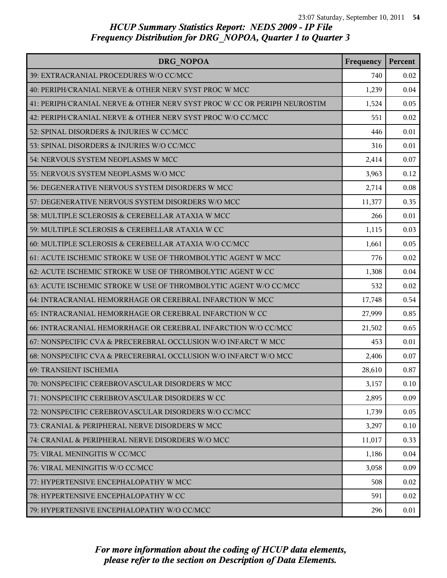| DRG NOPOA                                                                | Frequency | Percent |
|--------------------------------------------------------------------------|-----------|---------|
| 39: EXTRACRANIAL PROCEDURES W/O CC/MCC                                   | 740       | 0.02    |
| 40: PERIPH/CRANIAL NERVE & OTHER NERV SYST PROC W MCC                    | 1,239     | 0.04    |
| 41: PERIPH/CRANIAL NERVE & OTHER NERV SYST PROC W CC OR PERIPH NEUROSTIM | 1,524     | 0.05    |
| 42: PERIPH/CRANIAL NERVE & OTHER NERV SYST PROC W/O CC/MCC               | 551       | 0.02    |
| 52: SPINAL DISORDERS & INJURIES W CC/MCC                                 | 446       | 0.01    |
| 53: SPINAL DISORDERS & INJURIES W/O CC/MCC                               | 316       | 0.01    |
| 54: NERVOUS SYSTEM NEOPLASMS W MCC                                       | 2,414     | 0.07    |
| 55: NERVOUS SYSTEM NEOPLASMS W/O MCC                                     | 3,963     | 0.12    |
| 56: DEGENERATIVE NERVOUS SYSTEM DISORDERS W MCC                          | 2,714     | 0.08    |
| 57: DEGENERATIVE NERVOUS SYSTEM DISORDERS W/O MCC                        | 11,377    | 0.35    |
| 58: MULTIPLE SCLEROSIS & CEREBELLAR ATAXIA W MCC                         | 266       | 0.01    |
| 59: MULTIPLE SCLEROSIS & CEREBELLAR ATAXIA W CC                          | 1,115     | 0.03    |
| 60: MULTIPLE SCLEROSIS & CEREBELLAR ATAXIA W/O CC/MCC                    | 1,661     | 0.05    |
| 61: ACUTE ISCHEMIC STROKE W USE OF THROMBOLYTIC AGENT W MCC              | 776       | 0.02    |
| 62: ACUTE ISCHEMIC STROKE W USE OF THROMBOLYTIC AGENT W CC               | 1,308     | 0.04    |
| 63: ACUTE ISCHEMIC STROKE W USE OF THROMBOLYTIC AGENT W/O CC/MCC         | 532       | 0.02    |
| 64: INTRACRANIAL HEMORRHAGE OR CEREBRAL INFARCTION W MCC                 | 17,748    | 0.54    |
| 65: INTRACRANIAL HEMORRHAGE OR CEREBRAL INFARCTION W CC                  | 27,999    | 0.85    |
| 66: INTRACRANIAL HEMORRHAGE OR CEREBRAL INFARCTION W/O CC/MCC            | 21,502    | 0.65    |
| 67: NONSPECIFIC CVA & PRECEREBRAL OCCLUSION W/O INFARCT W MCC            | 453       | 0.01    |
| 68: NONSPECIFIC CVA & PRECEREBRAL OCCLUSION W/O INFARCT W/O MCC          | 2,406     | 0.07    |
| 69: TRANSIENT ISCHEMIA                                                   | 28,610    | 0.87    |
| 70: NONSPECIFIC CEREBROVASCULAR DISORDERS W MCC                          | 3,157     | 0.10    |
| 71: NONSPECIFIC CEREBROVASCULAR DISORDERS W CC                           | 2,895     | 0.09    |
| 72: NONSPECIFIC CEREBROVASCULAR DISORDERS W/O CC/MCC                     | 1,739     | 0.05    |
| 73: CRANIAL & PERIPHERAL NERVE DISORDERS W MCC                           | 3,297     | 0.10    |
| 74: CRANIAL & PERIPHERAL NERVE DISORDERS W/O MCC                         | 11,017    | 0.33    |
| 75: VIRAL MENINGITIS W CC/MCC                                            | 1,186     | 0.04    |
| 76: VIRAL MENINGITIS W/O CC/MCC                                          | 3,058     | 0.09    |
| 77: HYPERTENSIVE ENCEPHALOPATHY W MCC                                    | 508       | 0.02    |
| 78: HYPERTENSIVE ENCEPHALOPATHY W CC                                     | 591       | 0.02    |
| 79: HYPERTENSIVE ENCEPHALOPATHY W/O CC/MCC                               | 296       | 0.01    |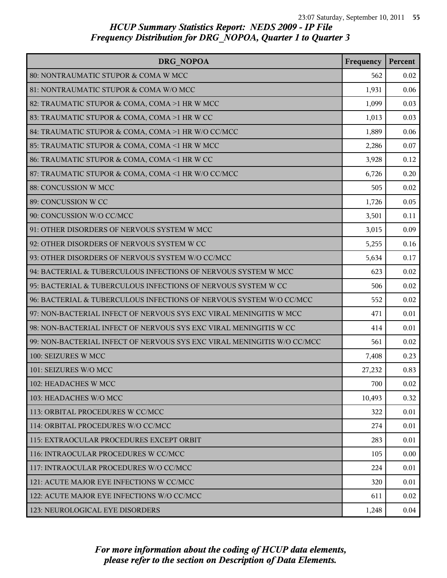| DRG NOPOA                                                               | Frequency | Percent |
|-------------------------------------------------------------------------|-----------|---------|
| 80: NONTRAUMATIC STUPOR & COMA W MCC                                    | 562       | 0.02    |
| 81: NONTRAUMATIC STUPOR & COMA W/O MCC                                  | 1,931     | 0.06    |
| 82: TRAUMATIC STUPOR & COMA, COMA >1 HR W MCC                           | 1,099     | 0.03    |
| 83: TRAUMATIC STUPOR & COMA, COMA >1 HR W CC                            | 1,013     | 0.03    |
| 84: TRAUMATIC STUPOR & COMA, COMA >1 HR W/O CC/MCC                      | 1,889     | 0.06    |
| 85: TRAUMATIC STUPOR & COMA, COMA <1 HR W MCC                           | 2,286     | 0.07    |
| 86: TRAUMATIC STUPOR & COMA, COMA <1 HR W CC                            | 3,928     | 0.12    |
| 87: TRAUMATIC STUPOR & COMA, COMA <1 HR W/O CC/MCC                      | 6,726     | 0.20    |
| 88: CONCUSSION W MCC                                                    | 505       | 0.02    |
| 89: CONCUSSION W CC                                                     | 1,726     | 0.05    |
| 90: CONCUSSION W/O CC/MCC                                               | 3,501     | 0.11    |
| 91: OTHER DISORDERS OF NERVOUS SYSTEM W MCC                             | 3,015     | 0.09    |
| 92: OTHER DISORDERS OF NERVOUS SYSTEM W CC                              | 5,255     | 0.16    |
| 93: OTHER DISORDERS OF NERVOUS SYSTEM W/O CC/MCC                        | 5,634     | 0.17    |
| 94: BACTERIAL & TUBERCULOUS INFECTIONS OF NERVOUS SYSTEM W MCC          | 623       | 0.02    |
| 95: BACTERIAL & TUBERCULOUS INFECTIONS OF NERVOUS SYSTEM W CC           | 506       | 0.02    |
| 96: BACTERIAL & TUBERCULOUS INFECTIONS OF NERVOUS SYSTEM W/O CC/MCC     | 552       | 0.02    |
| 97: NON-BACTERIAL INFECT OF NERVOUS SYS EXC VIRAL MENINGITIS W MCC      | 471       | 0.01    |
| 98: NON-BACTERIAL INFECT OF NERVOUS SYS EXC VIRAL MENINGITIS W CC       | 414       | 0.01    |
| 99: NON-BACTERIAL INFECT OF NERVOUS SYS EXC VIRAL MENINGITIS W/O CC/MCC | 561       | 0.02    |
| 100: SEIZURES W MCC                                                     | 7,408     | 0.23    |
| 101: SEIZURES W/O MCC                                                   | 27,232    | 0.83    |
| 102: HEADACHES W MCC                                                    | 700       | 0.02    |
| 103: HEADACHES W/O MCC                                                  | 10,493    | 0.32    |
| 113: ORBITAL PROCEDURES W CC/MCC                                        | 322       | 0.01    |
| 114: ORBITAL PROCEDURES W/O CC/MCC                                      | 274       | 0.01    |
| 115: EXTRAOCULAR PROCEDURES EXCEPT ORBIT                                | 283       | 0.01    |
| 116: INTRAOCULAR PROCEDURES W CC/MCC                                    | 105       | 0.00    |
| 117: INTRAOCULAR PROCEDURES W/O CC/MCC                                  | 224       | 0.01    |
| 121: ACUTE MAJOR EYE INFECTIONS W CC/MCC                                | 320       | 0.01    |
| 122: ACUTE MAJOR EYE INFECTIONS W/O CC/MCC                              | 611       | 0.02    |
| 123: NEUROLOGICAL EYE DISORDERS                                         | 1,248     | 0.04    |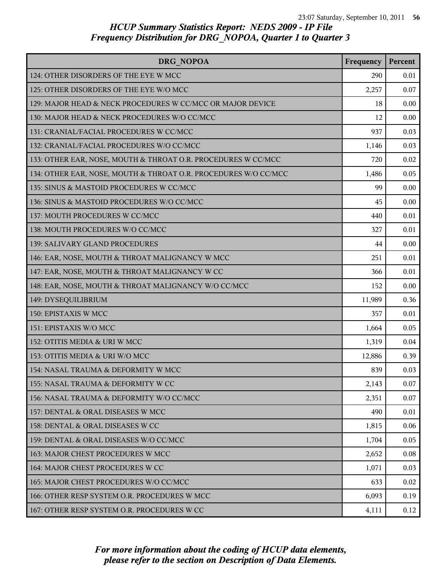| DRG NOPOA                                                       | Frequency | Percent  |
|-----------------------------------------------------------------|-----------|----------|
| 124: OTHER DISORDERS OF THE EYE W MCC                           | 290       | 0.01     |
| 125: OTHER DISORDERS OF THE EYE W/O MCC                         | 2,257     | 0.07     |
| 129: MAJOR HEAD & NECK PROCEDURES W CC/MCC OR MAJOR DEVICE      | 18        | 0.00     |
| 130: MAJOR HEAD & NECK PROCEDURES W/O CC/MCC                    | 12        | 0.00     |
| 131: CRANIAL/FACIAL PROCEDURES W CC/MCC                         | 937       | 0.03     |
| 132: CRANIAL/FACIAL PROCEDURES W/O CC/MCC                       | 1,146     | 0.03     |
| 133: OTHER EAR, NOSE, MOUTH & THROAT O.R. PROCEDURES W CC/MCC   | 720       | 0.02     |
| 134: OTHER EAR, NOSE, MOUTH & THROAT O.R. PROCEDURES W/O CC/MCC | 1,486     | 0.05     |
| 135: SINUS & MASTOID PROCEDURES W CC/MCC                        | 99        | 0.00     |
| 136: SINUS & MASTOID PROCEDURES W/O CC/MCC                      | 45        | 0.00     |
| 137: MOUTH PROCEDURES W CC/MCC                                  | 440       | 0.01     |
| 138: MOUTH PROCEDURES W/O CC/MCC                                | 327       | 0.01     |
| 139: SALIVARY GLAND PROCEDURES                                  | 44        | 0.00     |
| 146: EAR, NOSE, MOUTH & THROAT MALIGNANCY W MCC                 | 251       | 0.01     |
| 147: EAR, NOSE, MOUTH & THROAT MALIGNANCY W CC                  | 366       | 0.01     |
| 148: EAR, NOSE, MOUTH & THROAT MALIGNANCY W/O CC/MCC            | 152       | 0.00     |
| 149: DYSEQUILIBRIUM                                             | 11,989    | 0.36     |
| 150: EPISTAXIS W MCC                                            | 357       | 0.01     |
| 151: EPISTAXIS W/O MCC                                          | 1,664     | 0.05     |
| 152: OTITIS MEDIA & URI W MCC                                   | 1,319     | 0.04     |
| 153: OTITIS MEDIA & URI W/O MCC                                 | 12,886    | 0.39     |
| 154: NASAL TRAUMA & DEFORMITY W MCC                             | 839       | 0.03     |
| 155: NASAL TRAUMA & DEFORMITY W CC                              | 2,143     | 0.07     |
| 156: NASAL TRAUMA & DEFORMITY W/O CC/MCC                        | 2,351     | 0.07     |
| 157: DENTAL & ORAL DISEASES W MCC                               | 490       | 0.01     |
| l 158: DENTAL & ORAL DISEASES W CC                              | 1,815     | 0.06     |
| 159: DENTAL & ORAL DISEASES W/O CC/MCC                          | 1,704     | 0.05     |
| 163: MAJOR CHEST PROCEDURES W MCC                               | 2,652     | $0.08\,$ |
| 164: MAJOR CHEST PROCEDURES W CC                                | 1,071     | 0.03     |
| 165: MAJOR CHEST PROCEDURES W/O CC/MCC                          | 633       | 0.02     |
| 166: OTHER RESP SYSTEM O.R. PROCEDURES W MCC                    | 6,093     | 0.19     |
| 167: OTHER RESP SYSTEM O.R. PROCEDURES W CC                     | 4,111     | 0.12     |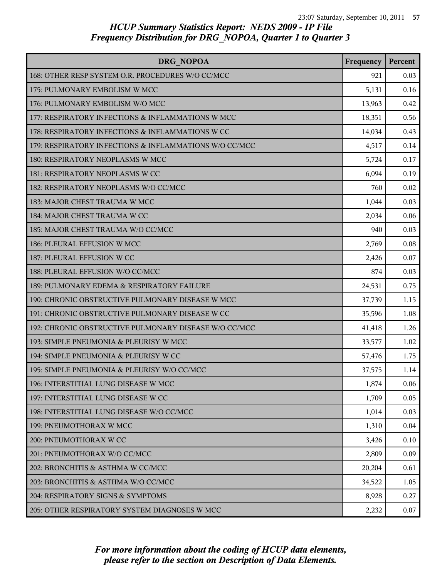| DRG NOPOA                                              | Frequency | Percent |
|--------------------------------------------------------|-----------|---------|
| 168: OTHER RESP SYSTEM O.R. PROCEDURES W/O CC/MCC      | 921       | 0.03    |
| 175: PULMONARY EMBOLISM W MCC                          | 5,131     | 0.16    |
| 176: PULMONARY EMBOLISM W/O MCC                        | 13,963    | 0.42    |
| 177: RESPIRATORY INFECTIONS & INFLAMMATIONS W MCC      | 18,351    | 0.56    |
| 178: RESPIRATORY INFECTIONS & INFLAMMATIONS W CC       | 14,034    | 0.43    |
| 179: RESPIRATORY INFECTIONS & INFLAMMATIONS W/O CC/MCC | 4,517     | 0.14    |
| 180: RESPIRATORY NEOPLASMS W MCC                       | 5,724     | 0.17    |
| 181: RESPIRATORY NEOPLASMS W CC                        | 6,094     | 0.19    |
| 182: RESPIRATORY NEOPLASMS W/O CC/MCC                  | 760       | 0.02    |
| 183: MAJOR CHEST TRAUMA W MCC                          | 1,044     | 0.03    |
| 184: MAJOR CHEST TRAUMA W CC                           | 2,034     | 0.06    |
| 185: MAJOR CHEST TRAUMA W/O CC/MCC                     | 940       | 0.03    |
| 186: PLEURAL EFFUSION W MCC                            | 2,769     | 0.08    |
| 187: PLEURAL EFFUSION W CC                             | 2,426     | 0.07    |
| 188: PLEURAL EFFUSION W/O CC/MCC                       | 874       | 0.03    |
| 189: PULMONARY EDEMA & RESPIRATORY FAILURE             | 24,531    | 0.75    |
| 190: CHRONIC OBSTRUCTIVE PULMONARY DISEASE W MCC       | 37,739    | 1.15    |
| 191: CHRONIC OBSTRUCTIVE PULMONARY DISEASE W CC        | 35,596    | 1.08    |
| 192: CHRONIC OBSTRUCTIVE PULMONARY DISEASE W/O CC/MCC  | 41,418    | 1.26    |
| 193: SIMPLE PNEUMONIA & PLEURISY W MCC                 | 33,577    | 1.02    |
| 194: SIMPLE PNEUMONIA & PLEURISY W CC                  | 57,476    | 1.75    |
| 195: SIMPLE PNEUMONIA & PLEURISY W/O CC/MCC            | 37,575    | 1.14    |
| 196: INTERSTITIAL LUNG DISEASE W MCC                   | 1,874     | 0.06    |
| 197: INTERSTITIAL LUNG DISEASE W CC                    | 1,709     | 0.05    |
| 198: INTERSTITIAL LUNG DISEASE W/O CC/MCC              | 1,014     | 0.03    |
| 199: PNEUMOTHORAX W MCC                                | 1,310     | 0.04    |
| 200: PNEUMOTHORAX W CC                                 | 3,426     | 0.10    |
| 201: PNEUMOTHORAX W/O CC/MCC                           | 2,809     | 0.09    |
| 202: BRONCHITIS & ASTHMA W CC/MCC                      | 20,204    | 0.61    |
| 203: BRONCHITIS & ASTHMA W/O CC/MCC                    | 34,522    | 1.05    |
| 204: RESPIRATORY SIGNS & SYMPTOMS                      | 8,928     | 0.27    |
| 205: OTHER RESPIRATORY SYSTEM DIAGNOSES W MCC          | 2,232     | 0.07    |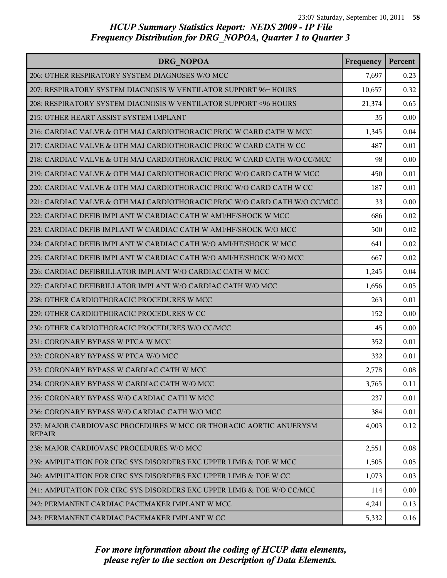| DRG NOPOA                                                                           | Frequency | Percent |
|-------------------------------------------------------------------------------------|-----------|---------|
| 206: OTHER RESPIRATORY SYSTEM DIAGNOSES W/O MCC                                     | 7,697     | 0.23    |
| 207: RESPIRATORY SYSTEM DIAGNOSIS W VENTILATOR SUPPORT 96+ HOURS                    | 10,657    | 0.32    |
| 208: RESPIRATORY SYSTEM DIAGNOSIS W VENTILATOR SUPPORT <96 HOURS                    | 21,374    | 0.65    |
| 215: OTHER HEART ASSIST SYSTEM IMPLANT                                              | 35        | 0.00    |
| 216: CARDIAC VALVE & OTH MAJ CARDIOTHORACIC PROC W CARD CATH W MCC                  | 1,345     | 0.04    |
| 217: CARDIAC VALVE & OTH MAJ CARDIOTHORACIC PROC W CARD CATH W CC                   | 487       | 0.01    |
| 218: CARDIAC VALVE & OTH MAJ CARDIOTHORACIC PROC W CARD CATH W/O CC/MCC             | 98        | 0.00    |
| 219: CARDIAC VALVE & OTH MAJ CARDIOTHORACIC PROC W/O CARD CATH W MCC                | 450       | 0.01    |
| 220: CARDIAC VALVE & OTH MAJ CARDIOTHORACIC PROC W/O CARD CATH W CC                 | 187       | 0.01    |
| 221: CARDIAC VALVE & OTH MAJ CARDIOTHORACIC PROC W/O CARD CATH W/O CC/MCC           | 33        | 0.00    |
| 222: CARDIAC DEFIB IMPLANT W CARDIAC CATH W AMI/HF/SHOCK W MCC                      | 686       | 0.02    |
| 223: CARDIAC DEFIB IMPLANT W CARDIAC CATH W AMI/HF/SHOCK W/O MCC                    | 500       | 0.02    |
| 224: CARDIAC DEFIB IMPLANT W CARDIAC CATH W/O AMI/HF/SHOCK W MCC                    | 641       | 0.02    |
| 225: CARDIAC DEFIB IMPLANT W CARDIAC CATH W/O AMI/HF/SHOCK W/O MCC                  | 667       | 0.02    |
| 226: CARDIAC DEFIBRILLATOR IMPLANT W/O CARDIAC CATH W MCC                           | 1,245     | 0.04    |
| 227: CARDIAC DEFIBRILLATOR IMPLANT W/O CARDIAC CATH W/O MCC                         | 1,656     | 0.05    |
| 228: OTHER CARDIOTHORACIC PROCEDURES W MCC                                          | 263       | 0.01    |
| 229: OTHER CARDIOTHORACIC PROCEDURES W CC                                           | 152       | 0.00    |
| 230: OTHER CARDIOTHORACIC PROCEDURES W/O CC/MCC                                     | 45        | 0.00    |
| 231: CORONARY BYPASS W PTCA W MCC                                                   | 352       | 0.01    |
| 232: CORONARY BYPASS W PTCA W/O MCC                                                 | 332       | 0.01    |
| 233: CORONARY BYPASS W CARDIAC CATH W MCC                                           | 2,778     | 0.08    |
| 234: CORONARY BYPASS W CARDIAC CATH W/O MCC                                         | 3,765     | 0.11    |
| 235: CORONARY BYPASS W/O CARDIAC CATH W MCC                                         | 237       | 0.01    |
| 236: CORONARY BYPASS W/O CARDIAC CATH W/O MCC                                       | 384       | 0.01    |
| 237: MAJOR CARDIOVASC PROCEDURES W MCC OR THORACIC AORTIC ANUERYSM<br><b>REPAIR</b> | 4,003     | 0.12    |
| 238: MAJOR CARDIOVASC PROCEDURES W/O MCC                                            | 2,551     | 0.08    |
| 239: AMPUTATION FOR CIRC SYS DISORDERS EXC UPPER LIMB & TOE W MCC                   | 1,505     | 0.05    |
| 240: AMPUTATION FOR CIRC SYS DISORDERS EXC UPPER LIMB & TOE W CC                    | 1,073     | 0.03    |
| 241: AMPUTATION FOR CIRC SYS DISORDERS EXC UPPER LIMB & TOE W/O CC/MCC              | 114       | 0.00    |
| 242: PERMANENT CARDIAC PACEMAKER IMPLANT W MCC                                      | 4,241     | 0.13    |
| 243: PERMANENT CARDIAC PACEMAKER IMPLANT W CC                                       | 5,332     | 0.16    |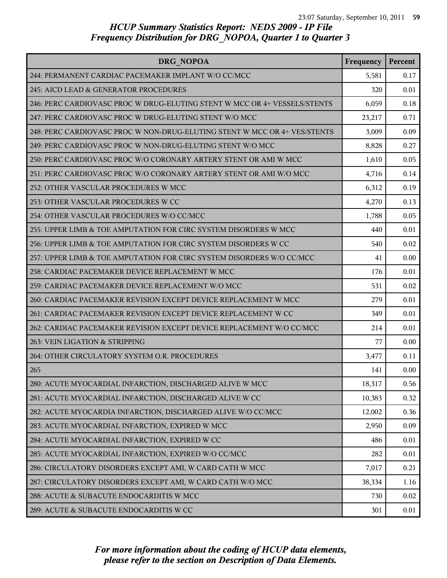| DRG NOPOA                                                                 | Frequency | Percent |
|---------------------------------------------------------------------------|-----------|---------|
| 244: PERMANENT CARDIAC PACEMAKER IMPLANT W/O CC/MCC                       | 5,581     | 0.17    |
| 245: AICD LEAD & GENERATOR PROCEDURES                                     | 320       | 0.01    |
| 246: PERC CARDIOVASC PROC W DRUG-ELUTING STENT W MCC OR 4+ VESSELS/STENTS | 6,059     | 0.18    |
| 247: PERC CARDIOVASC PROC W DRUG-ELUTING STENT W/O MCC                    | 23,217    | 0.71    |
| 248: PERC CARDIOVASC PROC W NON-DRUG-ELUTING STENT W MCC OR 4+ VES/STENTS | 3,009     | 0.09    |
| 249: PERC CARDIOVASC PROC W NON-DRUG-ELUTING STENT W/O MCC                | 8,828     | 0.27    |
| 250: PERC CARDIOVASC PROC W/O CORONARY ARTERY STENT OR AMI W MCC          | 1,610     | 0.05    |
| 251: PERC CARDIOVASC PROC W/O CORONARY ARTERY STENT OR AMI W/O MCC        | 4,716     | 0.14    |
| 252: OTHER VASCULAR PROCEDURES W MCC                                      | 6,312     | 0.19    |
| 253: OTHER VASCULAR PROCEDURES W CC                                       | 4,270     | 0.13    |
| 254: OTHER VASCULAR PROCEDURES W/O CC/MCC                                 | 1,788     | 0.05    |
| 255: UPPER LIMB & TOE AMPUTATION FOR CIRC SYSTEM DISORDERS W MCC          | 440       | 0.01    |
| 256: UPPER LIMB & TOE AMPUTATION FOR CIRC SYSTEM DISORDERS W CC           | 540       | 0.02    |
| 257: UPPER LIMB & TOE AMPUTATION FOR CIRC SYSTEM DISORDERS W/O CC/MCC     | 41        | 0.00    |
| 258: CARDIAC PACEMAKER DEVICE REPLACEMENT W MCC                           | 176       | 0.01    |
| 259: CARDIAC PACEMAKER DEVICE REPLACEMENT W/O MCC                         | 531       | 0.02    |
| 260: CARDIAC PACEMAKER REVISION EXCEPT DEVICE REPLACEMENT W MCC           | 279       | 0.01    |
| 261: CARDIAC PACEMAKER REVISION EXCEPT DEVICE REPLACEMENT W CC            | 349       | 0.01    |
| 262: CARDIAC PACEMAKER REVISION EXCEPT DEVICE REPLACEMENT W/O CC/MCC      | 214       | 0.01    |
| 263: VEIN LIGATION & STRIPPING                                            | 77        | 0.00    |
| 264: OTHER CIRCULATORY SYSTEM O.R. PROCEDURES                             | 3,477     | 0.11    |
| 265                                                                       | 141       | 0.00    |
| 280: ACUTE MYOCARDIAL INFARCTION, DISCHARGED ALIVE W MCC                  | 18,317    | 0.56    |
| 281: ACUTE MYOCARDIAL INFARCTION, DISCHARGED ALIVE W CC                   | 10,383    | 0.32    |
| 282: ACUTE MYOCARDIA INFARCTION, DISCHARGED ALIVE W/O CC/MCC              | 12,002    | 0.36    |
| 283: ACUTE MYOCARDIAL INFARCTION, EXPIRED W MCC                           | 2,950     | 0.09    |
| 284: ACUTE MYOCARDIAL INFARCTION, EXPIRED W CC                            | 486       | 0.01    |
| 285: ACUTE MYOCARDIAL INFARCTION, EXPIRED W/O CC/MCC                      | 282       | 0.01    |
| 286: CIRCULATORY DISORDERS EXCEPT AMI, W CARD CATH W MCC                  | 7,017     | 0.21    |
| 287: CIRCULATORY DISORDERS EXCEPT AMI, W CARD CATH W/O MCC                | 38,334    | 1.16    |
| 288: ACUTE & SUBACUTE ENDOCARDITIS W MCC                                  | 730       | 0.02    |
| 289: ACUTE & SUBACUTE ENDOCARDITIS W CC                                   | 301       | 0.01    |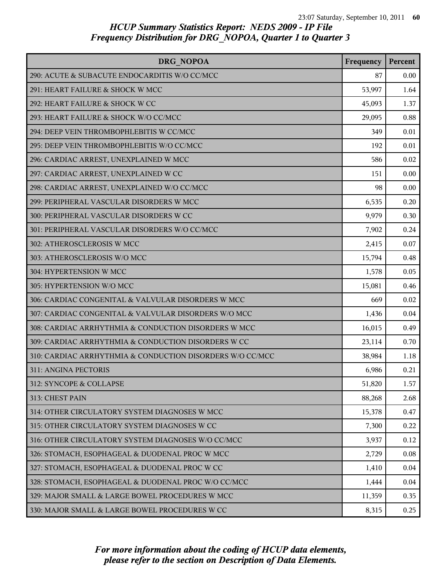| DRG NOPOA                                                 | Frequency | Percent  |
|-----------------------------------------------------------|-----------|----------|
| 290: ACUTE & SUBACUTE ENDOCARDITIS W/O CC/MCC             | 87        | $0.00\,$ |
| 291: HEART FAILURE & SHOCK W MCC                          | 53,997    | 1.64     |
| 292: HEART FAILURE & SHOCK W CC                           | 45,093    | 1.37     |
| 293: HEART FAILURE & SHOCK W/O CC/MCC                     | 29,095    | 0.88     |
| 294: DEEP VEIN THROMBOPHLEBITIS W CC/MCC                  | 349       | 0.01     |
| 295: DEEP VEIN THROMBOPHLEBITIS W/O CC/MCC                | 192       | 0.01     |
| 296: CARDIAC ARREST, UNEXPLAINED W MCC                    | 586       | 0.02     |
| 297: CARDIAC ARREST, UNEXPLAINED W CC                     | 151       | 0.00     |
| 298: CARDIAC ARREST, UNEXPLAINED W/O CC/MCC               | 98        | 0.00     |
| 299: PERIPHERAL VASCULAR DISORDERS W MCC                  | 6,535     | 0.20     |
| 300: PERIPHERAL VASCULAR DISORDERS W CC                   | 9,979     | 0.30     |
| 301: PERIPHERAL VASCULAR DISORDERS W/O CC/MCC             | 7,902     | 0.24     |
| 302: ATHEROSCLEROSIS W MCC                                | 2,415     | 0.07     |
| 303: ATHEROSCLEROSIS W/O MCC                              | 15,794    | 0.48     |
| 304: HYPERTENSION W MCC                                   | 1,578     | 0.05     |
| 305: HYPERTENSION W/O MCC                                 | 15,081    | 0.46     |
| 306: CARDIAC CONGENITAL & VALVULAR DISORDERS W MCC        | 669       | 0.02     |
| 307: CARDIAC CONGENITAL & VALVULAR DISORDERS W/O MCC      | 1,436     | 0.04     |
| 308: CARDIAC ARRHYTHMIA & CONDUCTION DISORDERS W MCC      | 16,015    | 0.49     |
| 309: CARDIAC ARRHYTHMIA & CONDUCTION DISORDERS W CC       | 23,114    | 0.70     |
| 310: CARDIAC ARRHYTHMIA & CONDUCTION DISORDERS W/O CC/MCC | 38,984    | 1.18     |
| 311: ANGINA PECTORIS                                      | 6,986     | 0.21     |
| 312: SYNCOPE & COLLAPSE                                   | 51,820    | 1.57     |
| 313: CHEST PAIN                                           | 88,268    | 2.68     |
| 314: OTHER CIRCULATORY SYSTEM DIAGNOSES W MCC             | 15,378    | 0.47     |
| 315: OTHER CIRCULATORY SYSTEM DIAGNOSES W CC              | 7,300     | 0.22     |
| 316: OTHER CIRCULATORY SYSTEM DIAGNOSES W/O CC/MCC        | 3,937     | 0.12     |
| 326: STOMACH, ESOPHAGEAL & DUODENAL PROC W MCC            | 2,729     | 0.08     |
| 327: STOMACH, ESOPHAGEAL & DUODENAL PROC W CC             | 1,410     | 0.04     |
| 328: STOMACH, ESOPHAGEAL & DUODENAL PROC W/O CC/MCC       | 1,444     | 0.04     |
| 329: MAJOR SMALL & LARGE BOWEL PROCEDURES W MCC           | 11,359    | 0.35     |
| 330: MAJOR SMALL & LARGE BOWEL PROCEDURES W CC            | 8,315     | 0.25     |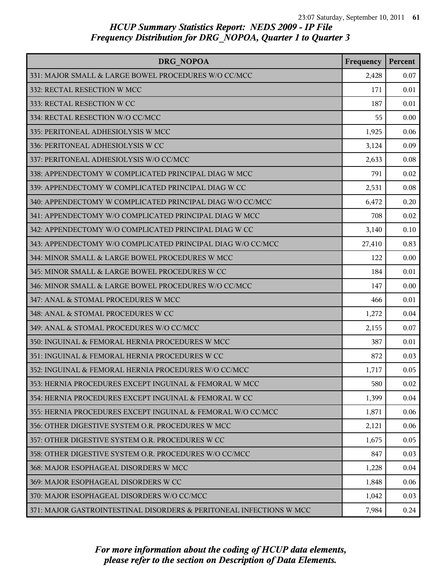| DRG NOPOA                                                           | Frequency | Percent |
|---------------------------------------------------------------------|-----------|---------|
| 331: MAJOR SMALL & LARGE BOWEL PROCEDURES W/O CC/MCC                | 2,428     | 0.07    |
| 332: RECTAL RESECTION W MCC                                         | 171       | 0.01    |
| 333: RECTAL RESECTION W CC                                          | 187       | 0.01    |
| 334: RECTAL RESECTION W/O CC/MCC                                    | 55        | 0.00    |
| 335: PERITONEAL ADHESIOLYSIS W MCC                                  | 1,925     | 0.06    |
| 336: PERITONEAL ADHESIOLYSIS W CC                                   | 3,124     | 0.09    |
| 337: PERITONEAL ADHESIOLYSIS W/O CC/MCC                             | 2,633     | 0.08    |
| 338: APPENDECTOMY W COMPLICATED PRINCIPAL DIAG W MCC                | 791       | 0.02    |
| 339: APPENDECTOMY W COMPLICATED PRINCIPAL DIAG W CC                 | 2,531     | 0.08    |
| 340: APPENDECTOMY W COMPLICATED PRINCIPAL DIAG W/O CC/MCC           | 6,472     | 0.20    |
| 341: APPENDECTOMY W/O COMPLICATED PRINCIPAL DIAG W MCC              | 708       | 0.02    |
| 342: APPENDECTOMY W/O COMPLICATED PRINCIPAL DIAG W CC               | 3,140     | 0.10    |
| 343: APPENDECTOMY W/O COMPLICATED PRINCIPAL DIAG W/O CC/MCC         | 27,410    | 0.83    |
| 344: MINOR SMALL & LARGE BOWEL PROCEDURES W MCC                     | 122       | 0.00    |
| 345: MINOR SMALL & LARGE BOWEL PROCEDURES W CC                      | 184       | 0.01    |
| 346: MINOR SMALL & LARGE BOWEL PROCEDURES W/O CC/MCC                | 147       | 0.00    |
| 347: ANAL & STOMAL PROCEDURES W MCC                                 | 466       | 0.01    |
| 348: ANAL & STOMAL PROCEDURES W CC                                  | 1,272     | 0.04    |
| 349: ANAL & STOMAL PROCEDURES W/O CC/MCC                            | 2,155     | 0.07    |
| 350: INGUINAL & FEMORAL HERNIA PROCEDURES W MCC                     | 387       | 0.01    |
| 351: INGUINAL & FEMORAL HERNIA PROCEDURES W CC                      | 872       | 0.03    |
| 352: INGUINAL & FEMORAL HERNIA PROCEDURES W/O CC/MCC                | 1,717     | 0.05    |
| 353: HERNIA PROCEDURES EXCEPT INGUINAL & FEMORAL W MCC              | 580       | 0.02    |
| 354: HERNIA PROCEDURES EXCEPT INGUINAL & FEMORAL W CC               | 1,399     | 0.04    |
| 355: HERNIA PROCEDURES EXCEPT INGUINAL & FEMORAL W/O CC/MCC         | 1,871     | 0.06    |
| 356: OTHER DIGESTIVE SYSTEM O.R. PROCEDURES W MCC                   | 2,121     | 0.06    |
| 357: OTHER DIGESTIVE SYSTEM O.R. PROCEDURES W CC                    | 1,675     | 0.05    |
| 358: OTHER DIGESTIVE SYSTEM O.R. PROCEDURES W/O CC/MCC              | 847       | 0.03    |
| 368: MAJOR ESOPHAGEAL DISORDERS W MCC                               | 1,228     | 0.04    |
| 369: MAJOR ESOPHAGEAL DISORDERS W CC                                | 1,848     | 0.06    |
| 370: MAJOR ESOPHAGEAL DISORDERS W/O CC/MCC                          | 1,042     | 0.03    |
| 371: MAJOR GASTROINTESTINAL DISORDERS & PERITONEAL INFECTIONS W MCC | 7,984     | 0.24    |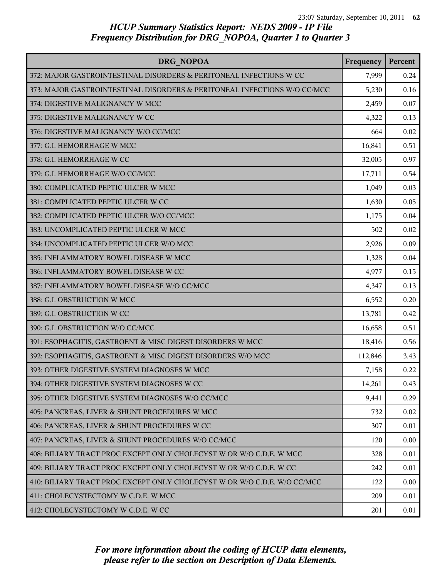| DRG NOPOA                                                                | Frequency | Percent |
|--------------------------------------------------------------------------|-----------|---------|
| 372: MAJOR GASTROINTESTINAL DISORDERS & PERITONEAL INFECTIONS W CC       | 7,999     | 0.24    |
| 373: MAJOR GASTROINTESTINAL DISORDERS & PERITONEAL INFECTIONS W/O CC/MCC | 5,230     | 0.16    |
| 374: DIGESTIVE MALIGNANCY W MCC                                          | 2,459     | 0.07    |
| 375: DIGESTIVE MALIGNANCY W CC                                           | 4,322     | 0.13    |
| 376: DIGESTIVE MALIGNANCY W/O CC/MCC                                     | 664       | 0.02    |
| 377: G.I. HEMORRHAGE W MCC                                               | 16,841    | 0.51    |
| 378: G.I. HEMORRHAGE W CC                                                | 32,005    | 0.97    |
| 379: G.I. HEMORRHAGE W/O CC/MCC                                          | 17,711    | 0.54    |
| 380: COMPLICATED PEPTIC ULCER W MCC                                      | 1,049     | 0.03    |
| 381: COMPLICATED PEPTIC ULCER W CC                                       | 1,630     | 0.05    |
| 382: COMPLICATED PEPTIC ULCER W/O CC/MCC                                 | 1,175     | 0.04    |
| 383: UNCOMPLICATED PEPTIC ULCER W MCC                                    | 502       | 0.02    |
| 384: UNCOMPLICATED PEPTIC ULCER W/O MCC                                  | 2,926     | 0.09    |
| 385: INFLAMMATORY BOWEL DISEASE W MCC                                    | 1,328     | 0.04    |
| 386: INFLAMMATORY BOWEL DISEASE W CC                                     | 4,977     | 0.15    |
| 387: INFLAMMATORY BOWEL DISEASE W/O CC/MCC                               | 4,347     | 0.13    |
| 388: G.I. OBSTRUCTION W MCC                                              | 6,552     | 0.20    |
| 389: G.I. OBSTRUCTION W CC                                               | 13,781    | 0.42    |
| 390: G.I. OBSTRUCTION W/O CC/MCC                                         | 16,658    | 0.51    |
| 391: ESOPHAGITIS, GASTROENT & MISC DIGEST DISORDERS W MCC                | 18,416    | 0.56    |
| 392: ESOPHAGITIS, GASTROENT & MISC DIGEST DISORDERS W/O MCC              | 112,846   | 3.43    |
| 393: OTHER DIGESTIVE SYSTEM DIAGNOSES W MCC                              | 7,158     | 0.22    |
| 394: OTHER DIGESTIVE SYSTEM DIAGNOSES W CC                               | 14,261    | 0.43    |
| 395: OTHER DIGESTIVE SYSTEM DIAGNOSES W/O CC/MCC                         | 9,441     | 0.29    |
| 405: PANCREAS, LIVER & SHUNT PROCEDURES W MCC                            | 732       | 0.02    |
| 406: PANCREAS, LIVER & SHUNT PROCEDURES W CC                             | 307       | 0.01    |
| 407: PANCREAS, LIVER & SHUNT PROCEDURES W/O CC/MCC                       | 120       | 0.00    |
| 408: BILIARY TRACT PROC EXCEPT ONLY CHOLECYST W OR W/O C.D.E. W MCC      | 328       | 0.01    |
| 409: BILIARY TRACT PROC EXCEPT ONLY CHOLECYST W OR W/O C.D.E. W CC       | 242       | 0.01    |
| 410: BILIARY TRACT PROC EXCEPT ONLY CHOLECYST W OR W/O C.D.E. W/O CC/MCC | 122       | 0.00    |
| 411: CHOLECYSTECTOMY W C.D.E. W MCC                                      | 209       | 0.01    |
| 412: CHOLECYSTECTOMY W C.D.E. W CC                                       | 201       | 0.01    |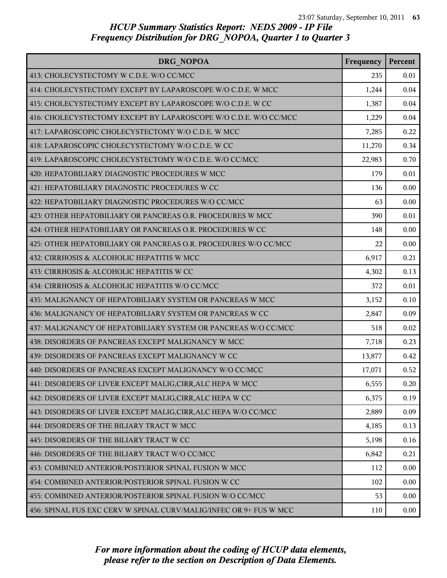| DRG NOPOA                                                          | Frequency | Percent |
|--------------------------------------------------------------------|-----------|---------|
| 413: CHOLECYSTECTOMY W C.D.E. W/O CC/MCC                           | 235       | 0.01    |
| 414: CHOLECYSTECTOMY EXCEPT BY LAPAROSCOPE W/O C.D.E. W MCC        | 1,244     | 0.04    |
| 415: CHOLECYSTECTOMY EXCEPT BY LAPAROSCOPE W/O C.D.E. W CC         | 1,387     | 0.04    |
| 416: CHOLECYSTECTOMY EXCEPT BY LAPAROSCOPE W/O C.D.E. W/O CC/MCC   | 1,229     | 0.04    |
| 417: LAPAROSCOPIC CHOLECYSTECTOMY W/O C.D.E. W MCC                 | 7,285     | 0.22    |
| 418: LAPAROSCOPIC CHOLECYSTECTOMY W/O C.D.E. W CC                  | 11,270    | 0.34    |
| 419: LAPAROSCOPIC CHOLECYSTECTOMY W/O C.D.E. W/O CC/MCC            | 22,983    | 0.70    |
| 420: HEPATOBILIARY DIAGNOSTIC PROCEDURES W MCC                     | 179       | 0.01    |
| 421: HEPATOBILIARY DIAGNOSTIC PROCEDURES W CC                      | 136       | 0.00    |
| 422: HEPATOBILIARY DIAGNOSTIC PROCEDURES W/O CC/MCC                | 63        | 0.00    |
| 423: OTHER HEPATOBILIARY OR PANCREAS O.R. PROCEDURES W MCC         | 390       | 0.01    |
| 424: OTHER HEPATOBILIARY OR PANCREAS O.R. PROCEDURES W CC          | 148       | 0.00    |
| 425: OTHER HEPATOBILIARY OR PANCREAS O.R. PROCEDURES W/O CC/MCC    | 22        | 0.00    |
| 432: CIRRHOSIS & ALCOHOLIC HEPATITIS W MCC                         | 6,917     | 0.21    |
| 433: CIRRHOSIS & ALCOHOLIC HEPATITIS W CC                          | 4,302     | 0.13    |
| 434: CIRRHOSIS & ALCOHOLIC HEPATITIS W/O CC/MCC                    | 372       | 0.01    |
| 435: MALIGNANCY OF HEPATOBILIARY SYSTEM OR PANCREAS W MCC          | 3,152     | 0.10    |
| 436: MALIGNANCY OF HEPATOBILIARY SYSTEM OR PANCREAS W CC           | 2,847     | 0.09    |
| 437: MALIGNANCY OF HEPATOBILIARY SYSTEM OR PANCREAS W/O CC/MCC     | 518       | 0.02    |
| 438: DISORDERS OF PANCREAS EXCEPT MALIGNANCY W MCC                 | 7,718     | 0.23    |
| 439: DISORDERS OF PANCREAS EXCEPT MALIGNANCY W CC                  | 13,877    | 0.42    |
| 440: DISORDERS OF PANCREAS EXCEPT MALIGNANCY W/O CC/MCC            | 17,071    | 0.52    |
| 441: DISORDERS OF LIVER EXCEPT MALIG, CIRR, ALC HEPA W MCC         | 6,555     | 0.20    |
| 442: DISORDERS OF LIVER EXCEPT MALIG, CIRR, ALC HEPA W CC          | 6,375     | 0.19    |
| 443: DISORDERS OF LIVER EXCEPT MALIG, CIRR, ALC HEPA W/O CC/MCC    | 2,889     | 0.09    |
| 444: DISORDERS OF THE BILIARY TRACT W MCC                          | 4,185     | 0.13    |
| 445: DISORDERS OF THE BILIARY TRACT W CC                           | 5,198     | 0.16    |
| 446: DISORDERS OF THE BILIARY TRACT W/O CC/MCC                     | 6,842     | 0.21    |
| 453: COMBINED ANTERIOR/POSTERIOR SPINAL FUSION W MCC               | 112       | 0.00    |
| 454: COMBINED ANTERIOR/POSTERIOR SPINAL FUSION W CC                | 102       | 0.00    |
| 455: COMBINED ANTERIOR/POSTERIOR SPINAL FUSION W/O CC/MCC          | 53        | 0.00    |
| 456: SPINAL FUS EXC CERV W SPINAL CURV/MALIG/INFEC OR 9+ FUS W MCC | 110       | 0.00    |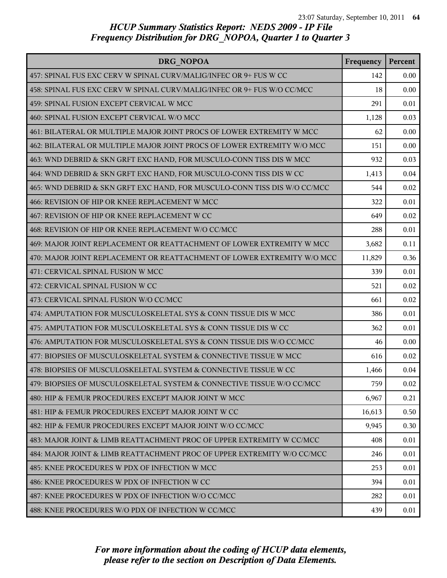| DRG NOPOA                                                                 | Frequency | Percent |
|---------------------------------------------------------------------------|-----------|---------|
| 457: SPINAL FUS EXC CERV W SPINAL CURV/MALIG/INFEC OR 9+ FUS W CC         | 142       | 0.00    |
| 458: SPINAL FUS EXC CERV W SPINAL CURV/MALIG/INFEC OR 9+ FUS W/O CC/MCC   | 18        | 0.00    |
| 459: SPINAL FUSION EXCEPT CERVICAL W MCC                                  | 291       | 0.01    |
| 460: SPINAL FUSION EXCEPT CERVICAL W/O MCC                                | 1,128     | 0.03    |
| 461: BILATERAL OR MULTIPLE MAJOR JOINT PROCS OF LOWER EXTREMITY W MCC     | 62        | 0.00    |
| 462: BILATERAL OR MULTIPLE MAJOR JOINT PROCS OF LOWER EXTREMITY W/O MCC   | 151       | 0.00    |
| 463: WND DEBRID & SKN GRFT EXC HAND, FOR MUSCULO-CONN TISS DIS W MCC      | 932       | 0.03    |
| 464: WND DEBRID & SKN GRFT EXC HAND, FOR MUSCULO-CONN TISS DIS W CC       | 1,413     | 0.04    |
| 465: WND DEBRID & SKN GRFT EXC HAND, FOR MUSCULO-CONN TISS DIS W/O CC/MCC | 544       | 0.02    |
| 466: REVISION OF HIP OR KNEE REPLACEMENT W MCC                            | 322       | 0.01    |
| 467: REVISION OF HIP OR KNEE REPLACEMENT W CC                             | 649       | 0.02    |
| 468: REVISION OF HIP OR KNEE REPLACEMENT W/O CC/MCC                       | 288       | 0.01    |
| 469: MAJOR JOINT REPLACEMENT OR REATTACHMENT OF LOWER EXTREMITY W MCC     | 3,682     | 0.11    |
| 470: MAJOR JOINT REPLACEMENT OR REATTACHMENT OF LOWER EXTREMITY W/O MCC   | 11,829    | 0.36    |
| 471: CERVICAL SPINAL FUSION W MCC                                         | 339       | 0.01    |
| 472: CERVICAL SPINAL FUSION W CC                                          | 521       | 0.02    |
| 473: CERVICAL SPINAL FUSION W/O CC/MCC                                    | 661       | 0.02    |
| 474: AMPUTATION FOR MUSCULOSKELETAL SYS & CONN TISSUE DIS W MCC           | 386       | 0.01    |
| 475: AMPUTATION FOR MUSCULOSKELETAL SYS & CONN TISSUE DIS W CC            | 362       | 0.01    |
| 476: AMPUTATION FOR MUSCULOSKELETAL SYS & CONN TISSUE DIS W/O CC/MCC      | 46        | 0.00    |
| 477: BIOPSIES OF MUSCULOSKELETAL SYSTEM & CONNECTIVE TISSUE W MCC         | 616       | 0.02    |
| 478: BIOPSIES OF MUSCULOSKELETAL SYSTEM & CONNECTIVE TISSUE W CC          | 1,466     | 0.04    |
| 479: BIOPSIES OF MUSCULOSKELETAL SYSTEM & CONNECTIVE TISSUE W/O CC/MCC    | 759       | 0.02    |
| 480: HIP & FEMUR PROCEDURES EXCEPT MAJOR JOINT W MCC                      | 6,967     | 0.21    |
| 481: HIP & FEMUR PROCEDURES EXCEPT MAJOR JOINT W CC                       | 16,613    | 0.50    |
| 482: HIP & FEMUR PROCEDURES EXCEPT MAJOR JOINT W/O CC/MCC                 | 9,945     | 0.30    |
| 483: MAJOR JOINT & LIMB REATTACHMENT PROC OF UPPER EXTREMITY W CC/MCC     | 408       | 0.01    |
| 484: MAJOR JOINT & LIMB REATTACHMENT PROC OF UPPER EXTREMITY W/O CC/MCC   | 246       | 0.01    |
| 485: KNEE PROCEDURES W PDX OF INFECTION W MCC                             | 253       | 0.01    |
| 486: KNEE PROCEDURES W PDX OF INFECTION W CC                              | 394       | 0.01    |
| 487: KNEE PROCEDURES W PDX OF INFECTION W/O CC/MCC                        | 282       | 0.01    |
| 488: KNEE PROCEDURES W/O PDX OF INFECTION W CC/MCC                        | 439       | 0.01    |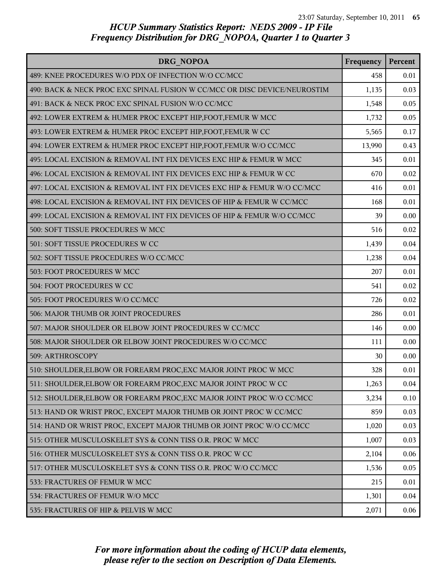| DRG NOPOA                                                                 | Frequency | Percent |
|---------------------------------------------------------------------------|-----------|---------|
| 489: KNEE PROCEDURES W/O PDX OF INFECTION W/O CC/MCC                      | 458       | 0.01    |
| 490: BACK & NECK PROC EXC SPINAL FUSION W CC/MCC OR DISC DEVICE/NEUROSTIM | 1,135     | 0.03    |
| 491: BACK & NECK PROC EXC SPINAL FUSION W/O CC/MCC                        | 1,548     | 0.05    |
| 492: LOWER EXTREM & HUMER PROC EXCEPT HIP, FOOT, FEMUR W MCC              | 1,732     | 0.05    |
| 493: LOWER EXTREM & HUMER PROC EXCEPT HIP, FOOT, FEMUR W CC               | 5,565     | 0.17    |
| 494: LOWER EXTREM & HUMER PROC EXCEPT HIP, FOOT, FEMUR W/O CC/MCC         | 13,990    | 0.43    |
| 495: LOCAL EXCISION & REMOVAL INT FIX DEVICES EXC HIP & FEMUR W MCC       | 345       | 0.01    |
| 496: LOCAL EXCISION & REMOVAL INT FIX DEVICES EXC HIP & FEMUR W CC        | 670       | 0.02    |
| 497: LOCAL EXCISION & REMOVAL INT FIX DEVICES EXC HIP & FEMUR W/O CC/MCC  | 416       | 0.01    |
| 498: LOCAL EXCISION & REMOVAL INT FIX DEVICES OF HIP & FEMUR W CC/MCC     | 168       | 0.01    |
| 499: LOCAL EXCISION & REMOVAL INT FIX DEVICES OF HIP & FEMUR W/O CC/MCC   | 39        | 0.00    |
| 500: SOFT TISSUE PROCEDURES W MCC                                         | 516       | 0.02    |
| 501: SOFT TISSUE PROCEDURES W CC                                          | 1,439     | 0.04    |
| 502: SOFT TISSUE PROCEDURES W/O CC/MCC                                    | 1,238     | 0.04    |
| 503: FOOT PROCEDURES W MCC                                                | 207       | 0.01    |
| 504: FOOT PROCEDURES W CC                                                 | 541       | 0.02    |
| 505: FOOT PROCEDURES W/O CC/MCC                                           | 726       | 0.02    |
| 506: MAJOR THUMB OR JOINT PROCEDURES                                      | 286       | 0.01    |
| 507: MAJOR SHOULDER OR ELBOW JOINT PROCEDURES W CC/MCC                    | 146       | 0.00    |
| 508: MAJOR SHOULDER OR ELBOW JOINT PROCEDURES W/O CC/MCC                  | 111       | 0.00    |
| 509: ARTHROSCOPY                                                          | 30        | 0.00    |
| 510: SHOULDER, ELBOW OR FOREARM PROC, EXC MAJOR JOINT PROC W MCC          | 328       | 0.01    |
| 511: SHOULDER, ELBOW OR FOREARM PROC, EXC MAJOR JOINT PROC W CC           | 1,263     | 0.04    |
| 512: SHOULDER, ELBOW OR FOREARM PROC, EXC MAJOR JOINT PROC W/O CC/MCC     | 3,234     | 0.10    |
| 513: HAND OR WRIST PROC, EXCEPT MAJOR THUMB OR JOINT PROC W CC/MCC        | 859       | 0.03    |
| 514: HAND OR WRIST PROC, EXCEPT MAJOR THUMB OR JOINT PROC W/O CC/MCC      | 1,020     | 0.03    |
| 515: OTHER MUSCULOSKELET SYS & CONN TISS O.R. PROC W MCC                  | 1,007     | 0.03    |
| 516: OTHER MUSCULOSKELET SYS & CONN TISS O.R. PROC W CC                   | 2,104     | 0.06    |
| 517: OTHER MUSCULOSKELET SYS & CONN TISS O.R. PROC W/O CC/MCC             | 1,536     | 0.05    |
| 533: FRACTURES OF FEMUR W MCC                                             | 215       | 0.01    |
| 534: FRACTURES OF FEMUR W/O MCC                                           | 1,301     | 0.04    |
| 535: FRACTURES OF HIP & PELVIS W MCC                                      | 2,071     | 0.06    |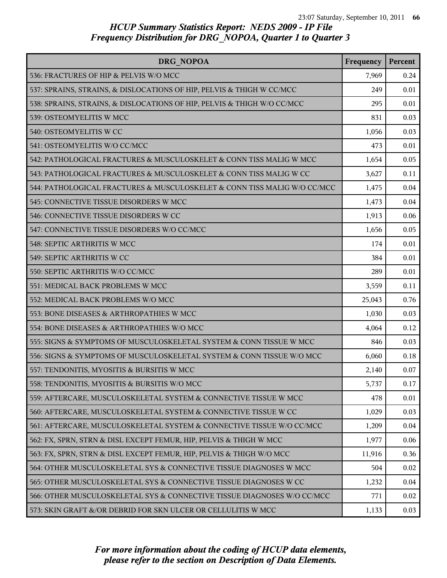| DRG NOPOA                                                                | Frequency | Percent |
|--------------------------------------------------------------------------|-----------|---------|
| 536: FRACTURES OF HIP & PELVIS W/O MCC                                   | 7,969     | 0.24    |
| 537: SPRAINS, STRAINS, & DISLOCATIONS OF HIP, PELVIS & THIGH W CC/MCC    | 249       | 0.01    |
| 538: SPRAINS, STRAINS, & DISLOCATIONS OF HIP, PELVIS & THIGH W/O CC/MCC  | 295       | 0.01    |
| 539: OSTEOMYELITIS W MCC                                                 | 831       | 0.03    |
| 540: OSTEOMYELITIS W CC                                                  | 1,056     | 0.03    |
| 541: OSTEOMYELITIS W/O CC/MCC                                            | 473       | 0.01    |
| 542: PATHOLOGICAL FRACTURES & MUSCULOSKELET & CONN TISS MALIG W MCC      | 1,654     | 0.05    |
| 543: PATHOLOGICAL FRACTURES & MUSCULOSKELET & CONN TISS MALIG W CC       | 3,627     | 0.11    |
| 544: PATHOLOGICAL FRACTURES & MUSCULOSKELET & CONN TISS MALIG W/O CC/MCC | 1,475     | 0.04    |
| 545: CONNECTIVE TISSUE DISORDERS W MCC                                   | 1,473     | 0.04    |
| 546: CONNECTIVE TISSUE DISORDERS W CC                                    | 1,913     | 0.06    |
| 547: CONNECTIVE TISSUE DISORDERS W/O CC/MCC                              | 1,656     | 0.05    |
| 548: SEPTIC ARTHRITIS W MCC                                              | 174       | 0.01    |
| 549: SEPTIC ARTHRITIS W CC                                               | 384       | 0.01    |
| 550: SEPTIC ARTHRITIS W/O CC/MCC                                         | 289       | 0.01    |
| 551: MEDICAL BACK PROBLEMS W MCC                                         | 3,559     | 0.11    |
| 552: MEDICAL BACK PROBLEMS W/O MCC                                       | 25,043    | 0.76    |
| 553: BONE DISEASES & ARTHROPATHIES W MCC                                 | 1,030     | 0.03    |
| 554: BONE DISEASES & ARTHROPATHIES W/O MCC                               | 4,064     | 0.12    |
| 555: SIGNS & SYMPTOMS OF MUSCULOSKELETAL SYSTEM & CONN TISSUE W MCC      | 846       | 0.03    |
| 556: SIGNS & SYMPTOMS OF MUSCULOSKELETAL SYSTEM & CONN TISSUE W/O MCC    | 6,060     | 0.18    |
| 557: TENDONITIS, MYOSITIS & BURSITIS W MCC                               | 2,140     | 0.07    |
| 558: TENDONITIS, MYOSITIS & BURSITIS W/O MCC                             | 5,737     | 0.17    |
| 559: AFTERCARE, MUSCULOSKELETAL SYSTEM & CONNECTIVE TISSUE W MCC         | 478       | 0.01    |
| 560: AFTERCARE, MUSCULOSKELETAL SYSTEM & CONNECTIVE TISSUE W CC          | 1,029     | 0.03    |
| 561: AFTERCARE, MUSCULOSKELETAL SYSTEM & CONNECTIVE TISSUE W/O CC/MCC    | 1,209     | 0.04    |
| 562: FX, SPRN, STRN & DISL EXCEPT FEMUR, HIP, PELVIS & THIGH W MCC       | 1,977     | 0.06    |
| 563: FX, SPRN, STRN & DISL EXCEPT FEMUR, HIP, PELVIS & THIGH W/O MCC     | 11,916    | 0.36    |
| 564: OTHER MUSCULOSKELETAL SYS & CONNECTIVE TISSUE DIAGNOSES W MCC       | 504       | 0.02    |
| 565: OTHER MUSCULOSKELETAL SYS & CONNECTIVE TISSUE DIAGNOSES W CC        | 1,232     | 0.04    |
| 566: OTHER MUSCULOSKELETAL SYS & CONNECTIVE TISSUE DIAGNOSES W/O CC/MCC  | 771       | 0.02    |
| 573: SKIN GRAFT &/OR DEBRID FOR SKN ULCER OR CELLULITIS W MCC            | 1,133     | 0.03    |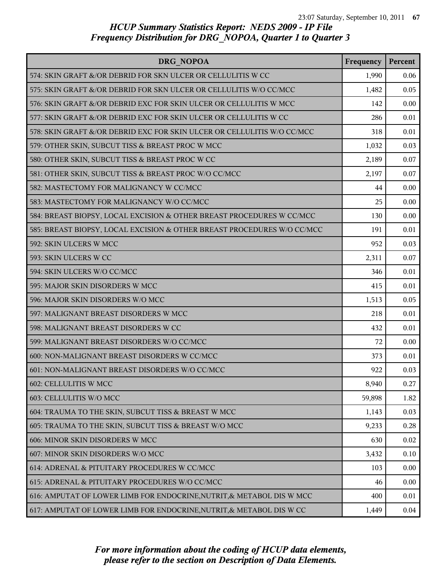| DRG NOPOA                                                               | Frequency | Percent |
|-------------------------------------------------------------------------|-----------|---------|
| 574: SKIN GRAFT &/OR DEBRID FOR SKN ULCER OR CELLULITIS W CC            | 1,990     | 0.06    |
| 575: SKIN GRAFT &/OR DEBRID FOR SKN ULCER OR CELLULITIS W/O CC/MCC      | 1,482     | 0.05    |
| 576: SKIN GRAFT &/OR DEBRID EXC FOR SKIN ULCER OR CELLULITIS W MCC      | 142       | 0.00    |
| 577: SKIN GRAFT &/OR DEBRID EXC FOR SKIN ULCER OR CELLULITIS W CC       | 286       | 0.01    |
| 578: SKIN GRAFT &/OR DEBRID EXC FOR SKIN ULCER OR CELLULITIS W/O CC/MCC | 318       | 0.01    |
| 579: OTHER SKIN, SUBCUT TISS & BREAST PROC W MCC                        | 1,032     | 0.03    |
| 580: OTHER SKIN, SUBCUT TISS & BREAST PROC W CC                         | 2,189     | 0.07    |
| 581: OTHER SKIN, SUBCUT TISS & BREAST PROC W/O CC/MCC                   | 2,197     | 0.07    |
| 582: MASTECTOMY FOR MALIGNANCY W CC/MCC                                 | 44        | 0.00    |
| 583: MASTECTOMY FOR MALIGNANCY W/O CC/MCC                               | 25        | 0.00    |
| 584: BREAST BIOPSY, LOCAL EXCISION & OTHER BREAST PROCEDURES W CC/MCC   | 130       | 0.00    |
| 585: BREAST BIOPSY, LOCAL EXCISION & OTHER BREAST PROCEDURES W/O CC/MCC | 191       | 0.01    |
| 592: SKIN ULCERS W MCC                                                  | 952       | 0.03    |
| 593: SKIN ULCERS W CC                                                   | 2,311     | 0.07    |
| 594: SKIN ULCERS W/O CC/MCC                                             | 346       | 0.01    |
| 595: MAJOR SKIN DISORDERS W MCC                                         | 415       | 0.01    |
| 596: MAJOR SKIN DISORDERS W/O MCC                                       | 1,513     | 0.05    |
| 597: MALIGNANT BREAST DISORDERS W MCC                                   | 218       | 0.01    |
| 598: MALIGNANT BREAST DISORDERS W CC                                    | 432       | 0.01    |
| 599: MALIGNANT BREAST DISORDERS W/O CC/MCC                              | 72        | 0.00    |
| 600: NON-MALIGNANT BREAST DISORDERS W CC/MCC                            | 373       | 0.01    |
| 601: NON-MALIGNANT BREAST DISORDERS W/O CC/MCC                          | 922       | 0.03    |
| 602: CELLULITIS W MCC                                                   | 8,940     | 0.27    |
| 603: CELLULITIS W/O MCC                                                 | 59,898    | 1.82    |
| 604: TRAUMA TO THE SKIN, SUBCUT TISS & BREAST W MCC                     | 1,143     | 0.03    |
| 605: TRAUMA TO THE SKIN, SUBCUT TISS & BREAST W/O MCC                   | 9,233     | 0.28    |
| 606: MINOR SKIN DISORDERS W MCC                                         | 630       | 0.02    |
| 607: MINOR SKIN DISORDERS W/O MCC                                       | 3,432     | 0.10    |
| 614: ADRENAL & PITUITARY PROCEDURES W CC/MCC                            | 103       | 0.00    |
| 615: ADRENAL & PITUITARY PROCEDURES W/O CC/MCC                          | 46        | 0.00    |
| 616: AMPUTAT OF LOWER LIMB FOR ENDOCRINE, NUTRIT, & METABOL DIS W MCC   | 400       | 0.01    |
| 617: AMPUTAT OF LOWER LIMB FOR ENDOCRINE, NUTRIT, & METABOL DIS W CC    | 1,449     | 0.04    |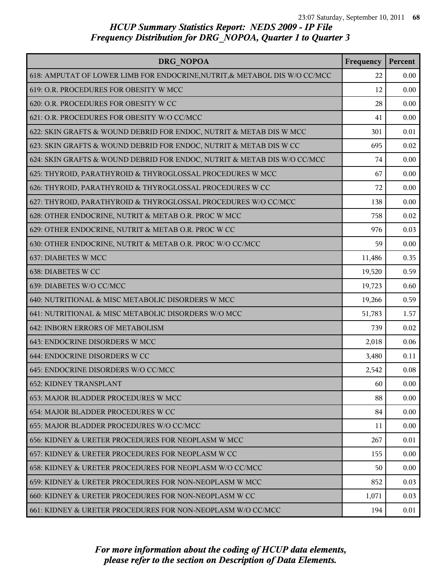| DRG NOPOA                                                                  | Frequency | Percent |
|----------------------------------------------------------------------------|-----------|---------|
| 618: AMPUTAT OF LOWER LIMB FOR ENDOCRINE, NUTRIT, & METABOL DIS W/O CC/MCC | 22        | 0.00    |
| 619: O.R. PROCEDURES FOR OBESITY W MCC                                     | 12        | 0.00    |
| 620: O.R. PROCEDURES FOR OBESITY W CC                                      | 28        | 0.00    |
| 621: O.R. PROCEDURES FOR OBESITY W/O CC/MCC                                | 41        | 0.00    |
| 622: SKIN GRAFTS & WOUND DEBRID FOR ENDOC, NUTRIT & METAB DIS W MCC        | 301       | 0.01    |
| 623: SKIN GRAFTS & WOUND DEBRID FOR ENDOC, NUTRIT & METAB DIS W CC         | 695       | 0.02    |
| 624: SKIN GRAFTS & WOUND DEBRID FOR ENDOC, NUTRIT & METAB DIS W/O CC/MCC   | 74        | 0.00    |
| 625: THYROID, PARATHYROID & THYROGLOSSAL PROCEDURES W MCC                  | 67        | 0.00    |
| 626: THYROID, PARATHYROID & THYROGLOSSAL PROCEDURES W CC                   | 72        | 0.00    |
| 627: THYROID, PARATHYROID & THYROGLOSSAL PROCEDURES W/O CC/MCC             | 138       | 0.00    |
| 628: OTHER ENDOCRINE, NUTRIT & METAB O.R. PROC W MCC                       | 758       | 0.02    |
| 629: OTHER ENDOCRINE, NUTRIT & METAB O.R. PROC W CC                        | 976       | 0.03    |
| 630: OTHER ENDOCRINE, NUTRIT & METAB O.R. PROC W/O CC/MCC                  | 59        | 0.00    |
| 637: DIABETES W MCC                                                        | 11,486    | 0.35    |
| 638: DIABETES W CC                                                         | 19,520    | 0.59    |
| 639: DIABETES W/O CC/MCC                                                   | 19,723    | 0.60    |
| 640: NUTRITIONAL & MISC METABOLIC DISORDERS W MCC                          | 19,266    | 0.59    |
| 641: NUTRITIONAL & MISC METABOLIC DISORDERS W/O MCC                        | 51,783    | 1.57    |
| 642: INBORN ERRORS OF METABOLISM                                           | 739       | 0.02    |
| 643: ENDOCRINE DISORDERS W MCC                                             | 2,018     | 0.06    |
| 644: ENDOCRINE DISORDERS W CC                                              | 3,480     | 0.11    |
| 645: ENDOCRINE DISORDERS W/O CC/MCC                                        | 2,542     | 0.08    |
| <b>652: KIDNEY TRANSPLANT</b>                                              | 60        | 0.00    |
| 653: MAJOR BLADDER PROCEDURES W MCC                                        | 88        | 0.00    |
| 654: MAJOR BLADDER PROCEDURES W CC                                         | 84        | 0.00    |
| 655: MAJOR BLADDER PROCEDURES W/O CC/MCC                                   | 11        | 0.00    |
| 656: KIDNEY & URETER PROCEDURES FOR NEOPLASM W MCC                         | 267       | 0.01    |
| 657: KIDNEY & URETER PROCEDURES FOR NEOPLASM W CC                          | 155       | 0.00    |
| 658: KIDNEY & URETER PROCEDURES FOR NEOPLASM W/O CC/MCC                    | 50        | 0.00    |
| 659: KIDNEY & URETER PROCEDURES FOR NON-NEOPLASM W MCC                     | 852       | 0.03    |
| 660: KIDNEY & URETER PROCEDURES FOR NON-NEOPLASM W CC                      | 1,071     | 0.03    |
| 661: KIDNEY & URETER PROCEDURES FOR NON-NEOPLASM W/O CC/MCC                | 194       | 0.01    |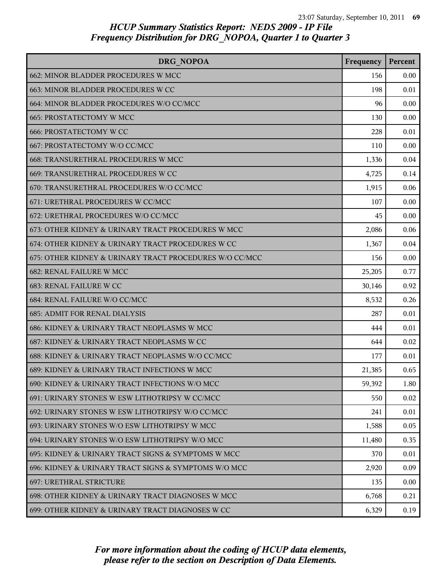| DRG NOPOA                                               | Frequency | Percent |
|---------------------------------------------------------|-----------|---------|
| 662: MINOR BLADDER PROCEDURES W MCC                     | 156       | 0.00    |
| 663: MINOR BLADDER PROCEDURES W CC                      | 198       | 0.01    |
| 664: MINOR BLADDER PROCEDURES W/O CC/MCC                | 96        | 0.00    |
| 665: PROSTATECTOMY W MCC                                | 130       | 0.00    |
| <b>666: PROSTATECTOMY W CC</b>                          | 228       | 0.01    |
| 667: PROSTATECTOMY W/O CC/MCC                           | 110       | 0.00    |
| 668: TRANSURETHRAL PROCEDURES W MCC                     | 1,336     | 0.04    |
| 669: TRANSURETHRAL PROCEDURES W CC                      | 4,725     | 0.14    |
| 670: TRANSURETHRAL PROCEDURES W/O CC/MCC                | 1,915     | 0.06    |
| 671: URETHRAL PROCEDURES W CC/MCC                       | 107       | 0.00    |
| 672: URETHRAL PROCEDURES W/O CC/MCC                     | 45        | 0.00    |
| 673: OTHER KIDNEY & URINARY TRACT PROCEDURES W MCC      | 2,086     | 0.06    |
| 674: OTHER KIDNEY & URINARY TRACT PROCEDURES W CC       | 1,367     | 0.04    |
| 675: OTHER KIDNEY & URINARY TRACT PROCEDURES W/O CC/MCC | 156       | 0.00    |
| <b>682: RENAL FAILURE W MCC</b>                         | 25,205    | 0.77    |
| 683: RENAL FAILURE W CC                                 | 30,146    | 0.92    |
| 684: RENAL FAILURE W/O CC/MCC                           | 8,532     | 0.26    |
| <b>685: ADMIT FOR RENAL DIALYSIS</b>                    | 287       | 0.01    |
| 686: KIDNEY & URINARY TRACT NEOPLASMS W MCC             | 444       | 0.01    |
| 687: KIDNEY & URINARY TRACT NEOPLASMS W CC              | 644       | 0.02    |
| 688: KIDNEY & URINARY TRACT NEOPLASMS W/O CC/MCC        | 177       | 0.01    |
| 689: KIDNEY & URINARY TRACT INFECTIONS W MCC            | 21,385    | 0.65    |
| 690: KIDNEY & URINARY TRACT INFECTIONS W/O MCC          | 59,392    | 1.80    |
| 691: URINARY STONES W ESW LITHOTRIPSY W CC/MCC          | 550       | 0.02    |
| 692: URINARY STONES W ESW LITHOTRIPSY W/O CC/MCC        | 241       | 0.01    |
| 693: URINARY STONES W/O ESW LITHOTRIPSY W MCC           | 1,588     | 0.05    |
| 694: URINARY STONES W/O ESW LITHOTRIPSY W/O MCC         | 11,480    | 0.35    |
| 695: KIDNEY & URINARY TRACT SIGNS & SYMPTOMS W MCC      | 370       | 0.01    |
| 696: KIDNEY & URINARY TRACT SIGNS & SYMPTOMS W/O MCC    | 2,920     | 0.09    |
| 697: URETHRAL STRICTURE                                 | 135       | 0.00    |
| 698: OTHER KIDNEY & URINARY TRACT DIAGNOSES W MCC       | 6,768     | 0.21    |
| 699: OTHER KIDNEY & URINARY TRACT DIAGNOSES W CC        | 6,329     | 0.19    |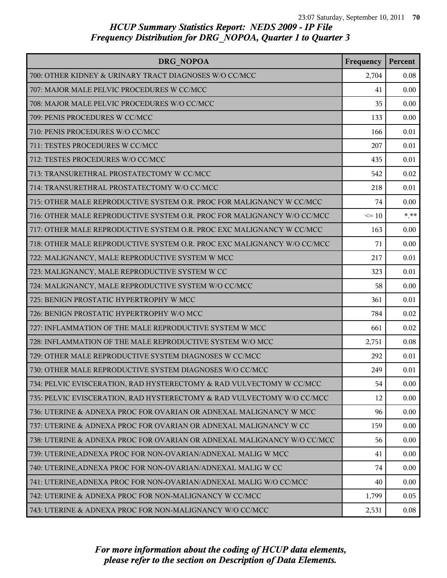| DRG NOPOA                                                               | Frequency | Percent |
|-------------------------------------------------------------------------|-----------|---------|
| 700: OTHER KIDNEY & URINARY TRACT DIAGNOSES W/O CC/MCC                  | 2,704     | 0.08    |
| 707: MAJOR MALE PELVIC PROCEDURES W CC/MCC                              | 41        | 0.00    |
| 708: MAJOR MALE PELVIC PROCEDURES W/O CC/MCC                            | 35        | 0.00    |
| 709: PENIS PROCEDURES W CC/MCC                                          | 133       | 0.00    |
| 710: PENIS PROCEDURES W/O CC/MCC                                        | 166       | 0.01    |
| 711: TESTES PROCEDURES W CC/MCC                                         | 207       | 0.01    |
| 712: TESTES PROCEDURES W/O CC/MCC                                       | 435       | 0.01    |
| 713: TRANSURETHRAL PROSTATECTOMY W CC/MCC                               | 542       | 0.02    |
| 714: TRANSURETHRAL PROSTATECTOMY W/O CC/MCC                             | 218       | 0.01    |
| 715: OTHER MALE REPRODUCTIVE SYSTEM O.R. PROC FOR MALIGNANCY W CC/MCC   | 74        | 0.00    |
| 716: OTHER MALE REPRODUCTIVE SYSTEM O.R. PROC FOR MALIGNANCY W/O CC/MCC | $\leq 10$ | $***$   |
| 717: OTHER MALE REPRODUCTIVE SYSTEM O.R. PROC EXC MALIGNANCY W CC/MCC   | 163       | 0.00    |
| 718: OTHER MALE REPRODUCTIVE SYSTEM O.R. PROC EXC MALIGNANCY W/O CC/MCC | 71        | 0.00    |
| 722: MALIGNANCY, MALE REPRODUCTIVE SYSTEM W MCC                         | 217       | 0.01    |
| 723: MALIGNANCY, MALE REPRODUCTIVE SYSTEM W CC                          | 323       | 0.01    |
| 724: MALIGNANCY, MALE REPRODUCTIVE SYSTEM W/O CC/MCC                    | 58        | 0.00    |
| 725: BENIGN PROSTATIC HYPERTROPHY W MCC                                 | 361       | 0.01    |
| 726: BENIGN PROSTATIC HYPERTROPHY W/O MCC                               | 784       | 0.02    |
| 727: INFLAMMATION OF THE MALE REPRODUCTIVE SYSTEM W MCC                 | 661       | 0.02    |
| 728: INFLAMMATION OF THE MALE REPRODUCTIVE SYSTEM W/O MCC               | 2,751     | 0.08    |
| 729: OTHER MALE REPRODUCTIVE SYSTEM DIAGNOSES W CC/MCC                  | 292       | 0.01    |
| 730: OTHER MALE REPRODUCTIVE SYSTEM DIAGNOSES W/O CC/MCC                | 249       | 0.01    |
| 734: PELVIC EVISCERATION, RAD HYSTERECTOMY & RAD VULVECTOMY W CC/MCC    | 54        | 0.00    |
| 735: PELVIC EVISCERATION, RAD HYSTERECTOMY & RAD VULVECTOMY W/O CC/MCC  | 12        | 0.00    |
| 736: UTERINE & ADNEXA PROC FOR OVARIAN OR ADNEXAL MALIGNANCY W MCC      | 96        | 0.00    |
| 737: UTERINE & ADNEXA PROC FOR OVARIAN OR ADNEXAL MALIGNANCY W CC       | 159       | 0.00    |
| 738: UTERINE & ADNEXA PROC FOR OVARIAN OR ADNEXAL MALIGNANCY W/O CC/MCC | 56        | 0.00    |
| 739: UTERINE, ADNEXA PROC FOR NON-OVARIAN/ADNEXAL MALIG W MCC           | 41        | 0.00    |
| 740: UTERINE, ADNEXA PROC FOR NON-OVARIAN/ADNEXAL MALIG W CC            | 74        | 0.00    |
| 741: UTERINE, ADNEXA PROC FOR NON-OVARIAN/ADNEXAL MALIG W/O CC/MCC      | 40        | 0.00    |
| 742: UTERINE & ADNEXA PROC FOR NON-MALIGNANCY W CC/MCC                  | 1,799     | 0.05    |
| 743: UTERINE & ADNEXA PROC FOR NON-MALIGNANCY W/O CC/MCC                | 2,531     | 0.08    |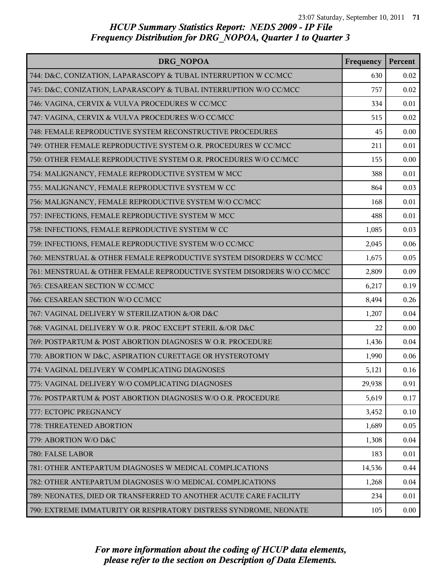| DRG NOPOA                                                              | Frequency | Percent |
|------------------------------------------------------------------------|-----------|---------|
| 744: D&C, CONIZATION, LAPARASCOPY & TUBAL INTERRUPTION W CC/MCC        | 630       | 0.02    |
| 745: D&C, CONIZATION, LAPARASCOPY & TUBAL INTERRUPTION W/O CC/MCC      | 757       | 0.02    |
| 746: VAGINA, CERVIX & VULVA PROCEDURES W CC/MCC                        | 334       | 0.01    |
| 747: VAGINA, CERVIX & VULVA PROCEDURES W/O CC/MCC                      | 515       | 0.02    |
| 748: FEMALE REPRODUCTIVE SYSTEM RECONSTRUCTIVE PROCEDURES              | 45        | 0.00    |
| 749: OTHER FEMALE REPRODUCTIVE SYSTEM O.R. PROCEDURES W CC/MCC         | 211       | 0.01    |
| 750: OTHER FEMALE REPRODUCTIVE SYSTEM O.R. PROCEDURES W/O CC/MCC       | 155       | 0.00    |
| 754: MALIGNANCY, FEMALE REPRODUCTIVE SYSTEM W MCC                      | 388       | 0.01    |
| 755: MALIGNANCY, FEMALE REPRODUCTIVE SYSTEM W CC                       | 864       | 0.03    |
| 756: MALIGNANCY, FEMALE REPRODUCTIVE SYSTEM W/O CC/MCC                 | 168       | 0.01    |
| 757: INFECTIONS, FEMALE REPRODUCTIVE SYSTEM W MCC                      | 488       | 0.01    |
| 758: INFECTIONS, FEMALE REPRODUCTIVE SYSTEM W CC                       | 1,085     | 0.03    |
| 759: INFECTIONS, FEMALE REPRODUCTIVE SYSTEM W/O CC/MCC                 | 2,045     | 0.06    |
| 760: MENSTRUAL & OTHER FEMALE REPRODUCTIVE SYSTEM DISORDERS W CC/MCC   | 1,675     | 0.05    |
| 761: MENSTRUAL & OTHER FEMALE REPRODUCTIVE SYSTEM DISORDERS W/O CC/MCC | 2,809     | 0.09    |
| 765: CESAREAN SECTION W CC/MCC                                         | 6,217     | 0.19    |
| 766: CESAREAN SECTION W/O CC/MCC                                       | 8,494     | 0.26    |
| 767: VAGINAL DELIVERY W STERILIZATION &/OR D&C                         | 1,207     | 0.04    |
| 768: VAGINAL DELIVERY W O.R. PROC EXCEPT STERIL &/OR D&C               | 22        | 0.00    |
| 769: POSTPARTUM & POST ABORTION DIAGNOSES W O.R. PROCEDURE             | 1,436     | 0.04    |
| 770: ABORTION W D&C, ASPIRATION CURETTAGE OR HYSTEROTOMY               | 1,990     | 0.06    |
| 774: VAGINAL DELIVERY W COMPLICATING DIAGNOSES                         | 5,121     | 0.16    |
| 775: VAGINAL DELIVERY W/O COMPLICATING DIAGNOSES                       | 29,938    | 0.91    |
| 776: POSTPARTUM & POST ABORTION DIAGNOSES W/O O.R. PROCEDURE           | 5,619     | 0.17    |
| 777: ECTOPIC PREGNANCY                                                 | 3,452     | 0.10    |
| 778: THREATENED ABORTION                                               | 1,689     | 0.05    |
| 779: ABORTION W/O D&C                                                  | 1,308     | 0.04    |
| 780: FALSE LABOR                                                       | 183       | 0.01    |
| 781: OTHER ANTEPARTUM DIAGNOSES W MEDICAL COMPLICATIONS                | 14,536    | 0.44    |
| 782: OTHER ANTEPARTUM DIAGNOSES W/O MEDICAL COMPLICATIONS              | 1,268     | 0.04    |
| 789: NEONATES, DIED OR TRANSFERRED TO ANOTHER ACUTE CARE FACILITY      | 234       | 0.01    |
| 790: EXTREME IMMATURITY OR RESPIRATORY DISTRESS SYNDROME, NEONATE      | 105       | 0.00    |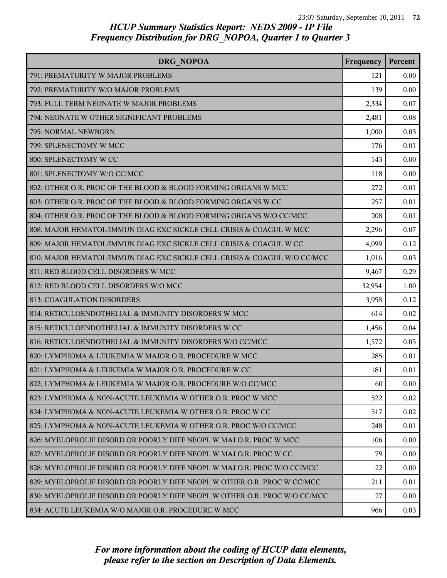| DRG NOPOA                                                                 | Frequency | Percent  |
|---------------------------------------------------------------------------|-----------|----------|
| 791: PREMATURITY W MAJOR PROBLEMS                                         | 121       | $0.00\,$ |
| 792: PREMATURITY W/O MAJOR PROBLEMS                                       | 139       | 0.00     |
| 793: FULL TERM NEONATE W MAJOR PROBLEMS                                   | 2,334     | 0.07     |
| 794: NEONATE W OTHER SIGNIFICANT PROBLEMS                                 | 2,481     | 0.08     |
| 795: NORMAL NEWBORN                                                       | 1,000     | 0.03     |
| 799: SPLENECTOMY W MCC                                                    | 176       | 0.01     |
| 800: SPLENECTOMY W CC                                                     | 143       | 0.00     |
| 801: SPLENECTOMY W/O CC/MCC                                               | 118       | 0.00     |
| 802: OTHER O.R. PROC OF THE BLOOD & BLOOD FORMING ORGANS W MCC            | 272       | 0.01     |
| 803: OTHER O.R. PROC OF THE BLOOD & BLOOD FORMING ORGANS W CC             | 257       | 0.01     |
| 804: OTHER O.R. PROC OF THE BLOOD & BLOOD FORMING ORGANS W/O CC/MCC       | 208       | 0.01     |
| 808: MAJOR HEMATOL/IMMUN DIAG EXC SICKLE CELL CRISIS & COAGUL W MCC       | 2,296     | 0.07     |
| 809: MAJOR HEMATOL/IMMUN DIAG EXC SICKLE CELL CRISIS & COAGUL W CC        | 4,099     | 0.12     |
| 810: MAJOR HEMATOL/IMMUN DIAG EXC SICKLE CELL CRISIS & COAGUL W/O CC/MCC  | 1,016     | 0.03     |
| 811: RED BLOOD CELL DISORDERS W MCC                                       | 9,467     | 0.29     |
| 812: RED BLOOD CELL DISORDERS W/O MCC                                     | 32,954    | 1.00     |
| 813: COAGULATION DISORDERS                                                | 3,958     | 0.12     |
| 814: RETICULOENDOTHELIAL & IMMUNITY DISORDERS W MCC                       | 614       | 0.02     |
| 815: RETICULOENDOTHELIAL & IMMUNITY DISORDERS W CC                        | 1,456     | 0.04     |
| 816: RETICULOENDOTHELIAL & IMMUNITY DISORDERS W/O CC/MCC                  | 1,572     | 0.05     |
| 820: LYMPHOMA & LEUKEMIA W MAJOR O.R. PROCEDURE W MCC                     | 285       | 0.01     |
| 821: LYMPHOMA & LEUKEMIA W MAJOR O.R. PROCEDURE W CC                      | 181       | 0.01     |
| 822: LYMPHOMA & LEUKEMIA W MAJOR O.R. PROCEDURE W/O CC/MCC                | 60        | 0.00     |
| 823: LYMPHOMA & NON-ACUTE LEUKEMIA W OTHER O.R. PROC W MCC                | 522       | 0.02     |
| 824: LYMPHOMA & NON-ACUTE LEUKEMIA W OTHER O.R. PROC W CC                 | 517       | 0.02     |
| 825: LYMPHOMA & NON-ACUTE LEUKEMIA W OTHER O.R. PROC W/O CC/MCC           | 248       | 0.01     |
| 826: MYELOPROLIF DISORD OR POORLY DIFF NEOPL W MAJ O.R. PROC W MCC        | 106       | 0.00     |
| 827: MYELOPROLIF DISORD OR POORLY DIFF NEOPL W MAJ O.R. PROC W CC         | 79        | 0.00     |
| 828: MYELOPROLIF DISORD OR POORLY DIFF NEOPL W MAJ O.R. PROC W/O CC/MCC   | 22        | 0.00     |
| 829: MYELOPROLIF DISORD OR POORLY DIFF NEOPL W OTHER O.R. PROC W CC/MCC   | 211       | 0.01     |
| 830: MYELOPROLIF DISORD OR POORLY DIFF NEOPL W OTHER O.R. PROC W/O CC/MCC | 27        | 0.00     |
| 834: ACUTE LEUKEMIA W/O MAJOR O.R. PROCEDURE W MCC                        | 966       | 0.03     |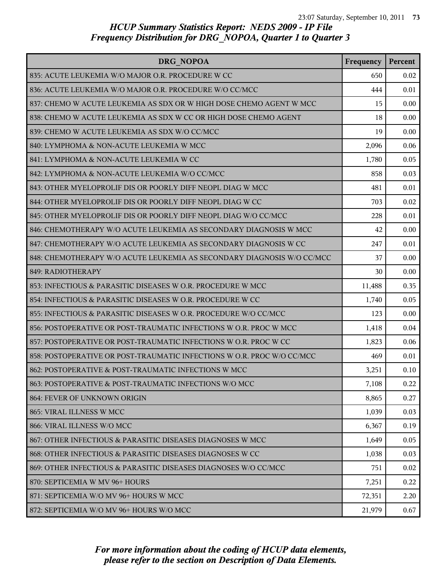| DRG NOPOA                                                              | Frequency | Percent |
|------------------------------------------------------------------------|-----------|---------|
| 835: ACUTE LEUKEMIA W/O MAJOR O.R. PROCEDURE W CC                      | 650       | 0.02    |
| 836: ACUTE LEUKEMIA W/O MAJOR O.R. PROCEDURE W/O CC/MCC                | 444       | 0.01    |
| 837: CHEMO W ACUTE LEUKEMIA AS SDX OR W HIGH DOSE CHEMO AGENT W MCC    | 15        | 0.00    |
| 838: CHEMO W ACUTE LEUKEMIA AS SDX W CC OR HIGH DOSE CHEMO AGENT       | 18        | 0.00    |
| 839: CHEMO W ACUTE LEUKEMIA AS SDX W/O CC/MCC                          | 19        | 0.00    |
| 840: LYMPHOMA & NON-ACUTE LEUKEMIA W MCC                               | 2,096     | 0.06    |
| 841: LYMPHOMA & NON-ACUTE LEUKEMIA W CC                                | 1,780     | 0.05    |
| 842: LYMPHOMA & NON-ACUTE LEUKEMIA W/O CC/MCC                          | 858       | 0.03    |
| 843: OTHER MYELOPROLIF DIS OR POORLY DIFF NEOPL DIAG W MCC             | 481       | 0.01    |
| 844: OTHER MYELOPROLIF DIS OR POORLY DIFF NEOPL DIAG W CC              | 703       | 0.02    |
| 845: OTHER MYELOPROLIF DIS OR POORLY DIFF NEOPL DIAG W/O CC/MCC        | 228       | 0.01    |
| 846: CHEMOTHERAPY W/O ACUTE LEUKEMIA AS SECONDARY DIAGNOSIS W MCC      | 42        | 0.00    |
| 847: CHEMOTHERAPY W/O ACUTE LEUKEMIA AS SECONDARY DIAGNOSIS W CC       | 247       | 0.01    |
| 848: CHEMOTHERAPY W/O ACUTE LEUKEMIA AS SECONDARY DIAGNOSIS W/O CC/MCC | 37        | 0.00    |
| 849: RADIOTHERAPY                                                      | 30        | 0.00    |
| 853: INFECTIOUS & PARASITIC DISEASES W O.R. PROCEDURE W MCC            | 11,488    | 0.35    |
| 854: INFECTIOUS & PARASITIC DISEASES W O.R. PROCEDURE W CC             | 1,740     | 0.05    |
| 855: INFECTIOUS & PARASITIC DISEASES W O.R. PROCEDURE W/O CC/MCC       | 123       | 0.00    |
| 856: POSTOPERATIVE OR POST-TRAUMATIC INFECTIONS W O.R. PROC W MCC      | 1,418     | 0.04    |
| 857: POSTOPERATIVE OR POST-TRAUMATIC INFECTIONS W O.R. PROC W CC       | 1,823     | 0.06    |
| 858: POSTOPERATIVE OR POST-TRAUMATIC INFECTIONS W O.R. PROC W/O CC/MCC | 469       | 0.01    |
| 862: POSTOPERATIVE & POST-TRAUMATIC INFECTIONS W MCC                   | 3,251     | 0.10    |
| 863: POSTOPERATIVE & POST-TRAUMATIC INFECTIONS W/O MCC                 | 7,108     | 0.22    |
| 864: FEVER OF UNKNOWN ORIGIN                                           | 8,865     | 0.27    |
| 865: VIRAL ILLNESS W MCC                                               | 1,039     | 0.03    |
| 866: VIRAL ILLNESS W/O MCC                                             | 6,367     | 0.19    |
| 867: OTHER INFECTIOUS & PARASITIC DISEASES DIAGNOSES W MCC             | 1,649     | 0.05    |
| 868: OTHER INFECTIOUS & PARASITIC DISEASES DIAGNOSES W CC              | 1,038     | 0.03    |
| 869: OTHER INFECTIOUS & PARASITIC DISEASES DIAGNOSES W/O CC/MCC        | 751       | 0.02    |
| 870: SEPTICEMIA W MV 96+ HOURS                                         | 7,251     | 0.22    |
| 871: SEPTICEMIA W/O MV 96+ HOURS W MCC                                 | 72,351    | 2.20    |
| 872: SEPTICEMIA W/O MV 96+ HOURS W/O MCC                               | 21,979    | 0.67    |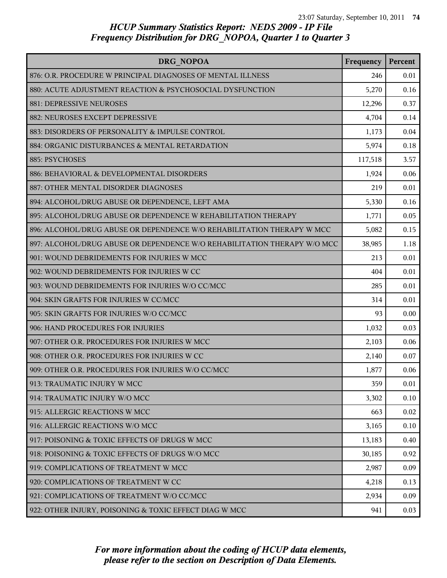| DRG NOPOA                                                                | Frequency | Percent |
|--------------------------------------------------------------------------|-----------|---------|
| 876: O.R. PROCEDURE W PRINCIPAL DIAGNOSES OF MENTAL ILLNESS              | 246       | 0.01    |
| 880: ACUTE ADJUSTMENT REACTION & PSYCHOSOCIAL DYSFUNCTION                | 5,270     | 0.16    |
| 881: DEPRESSIVE NEUROSES                                                 | 12,296    | 0.37    |
| 882: NEUROSES EXCEPT DEPRESSIVE                                          | 4,704     | 0.14    |
| 883: DISORDERS OF PERSONALITY & IMPULSE CONTROL                          | 1,173     | 0.04    |
| 884: ORGANIC DISTURBANCES & MENTAL RETARDATION                           | 5,974     | 0.18    |
| 885: PSYCHOSES                                                           | 117,518   | 3.57    |
| 886: BEHAVIORAL & DEVELOPMENTAL DISORDERS                                | 1,924     | 0.06    |
| 887: OTHER MENTAL DISORDER DIAGNOSES                                     | 219       | 0.01    |
| 894: ALCOHOL/DRUG ABUSE OR DEPENDENCE, LEFT AMA                          | 5,330     | 0.16    |
| 895: ALCOHOL/DRUG ABUSE OR DEPENDENCE W REHABILITATION THERAPY           | 1,771     | 0.05    |
| 896: ALCOHOL/DRUG ABUSE OR DEPENDENCE W/O REHABILITATION THERAPY W MCC   | 5,082     | 0.15    |
| 897: ALCOHOL/DRUG ABUSE OR DEPENDENCE W/O REHABILITATION THERAPY W/O MCC | 38,985    | 1.18    |
| 901: WOUND DEBRIDEMENTS FOR INJURIES W MCC                               | 213       | 0.01    |
| 902: WOUND DEBRIDEMENTS FOR INJURIES W CC                                | 404       | 0.01    |
| 903: WOUND DEBRIDEMENTS FOR INJURIES W/O CC/MCC                          | 285       | 0.01    |
| 904: SKIN GRAFTS FOR INJURIES W CC/MCC                                   | 314       | 0.01    |
| 905: SKIN GRAFTS FOR INJURIES W/O CC/MCC                                 | 93        | 0.00    |
| 906: HAND PROCEDURES FOR INJURIES                                        | 1,032     | 0.03    |
| 907: OTHER O.R. PROCEDURES FOR INJURIES W MCC                            | 2,103     | 0.06    |
| 908: OTHER O.R. PROCEDURES FOR INJURIES W CC                             | 2,140     | 0.07    |
| 909: OTHER O.R. PROCEDURES FOR INJURIES W/O CC/MCC                       | 1,877     | 0.06    |
| 913: TRAUMATIC INJURY W MCC                                              | 359       | 0.01    |
| 914: TRAUMATIC INJURY W/O MCC                                            | 3,302     | 0.10    |
| 915: ALLERGIC REACTIONS W MCC                                            | 663       | 0.02    |
| 916: ALLERGIC REACTIONS W/O MCC                                          | 3,165     | 0.10    |
| 917: POISONING & TOXIC EFFECTS OF DRUGS W MCC                            | 13,183    | 0.40    |
| 918: POISONING & TOXIC EFFECTS OF DRUGS W/O MCC                          | 30,185    | 0.92    |
| 919: COMPLICATIONS OF TREATMENT W MCC                                    | 2,987     | 0.09    |
| 920: COMPLICATIONS OF TREATMENT W CC                                     | 4,218     | 0.13    |
| 921: COMPLICATIONS OF TREATMENT W/O CC/MCC                               | 2,934     | 0.09    |
| 922: OTHER INJURY, POISONING & TOXIC EFFECT DIAG W MCC                   | 941       | 0.03    |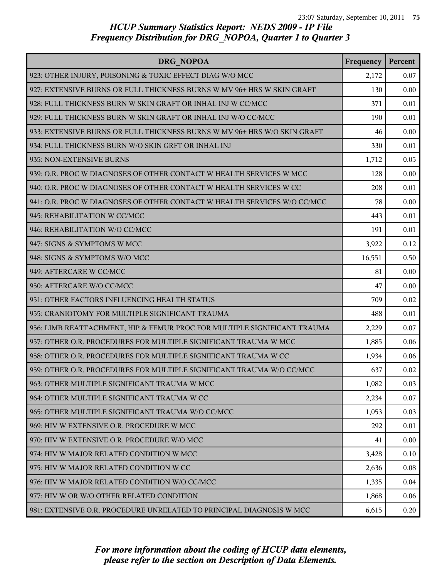| DRG NOPOA                                                                | Frequency | Percent |
|--------------------------------------------------------------------------|-----------|---------|
| 923: OTHER INJURY, POISONING & TOXIC EFFECT DIAG W/O MCC                 | 2,172     | 0.07    |
| 927: EXTENSIVE BURNS OR FULL THICKNESS BURNS W MV 96+ HRS W SKIN GRAFT   | 130       | 0.00    |
| 928: FULL THICKNESS BURN W SKIN GRAFT OR INHAL INJ W CC/MCC              | 371       | 0.01    |
| 929: FULL THICKNESS BURN W SKIN GRAFT OR INHAL INJ W/O CC/MCC            | 190       | 0.01    |
| 933: EXTENSIVE BURNS OR FULL THICKNESS BURNS W MV 96+ HRS W/O SKIN GRAFT | 46        | 0.00    |
| 934: FULL THICKNESS BURN W/O SKIN GRFT OR INHAL INJ                      | 330       | 0.01    |
| 935: NON-EXTENSIVE BURNS                                                 | 1,712     | 0.05    |
| 939: O.R. PROC W DIAGNOSES OF OTHER CONTACT W HEALTH SERVICES W MCC      | 128       | 0.00    |
| 940: O.R. PROC W DIAGNOSES OF OTHER CONTACT W HEALTH SERVICES W CC       | 208       | 0.01    |
| 941: O.R. PROC W DIAGNOSES OF OTHER CONTACT W HEALTH SERVICES W/O CC/MCC | 78        | 0.00    |
| 945: REHABILITATION W CC/MCC                                             | 443       | 0.01    |
| 946: REHABILITATION W/O CC/MCC                                           | 191       | 0.01    |
| 947: SIGNS & SYMPTOMS W MCC                                              | 3,922     | 0.12    |
| 948: SIGNS & SYMPTOMS W/O MCC                                            | 16,551    | 0.50    |
| 949: AFTERCARE W CC/MCC                                                  | 81        | 0.00    |
| 950: AFTERCARE W/O CC/MCC                                                | 47        | 0.00    |
| 951: OTHER FACTORS INFLUENCING HEALTH STATUS                             | 709       | 0.02    |
| 955: CRANIOTOMY FOR MULTIPLE SIGNIFICANT TRAUMA                          | 488       | 0.01    |
| 956: LIMB REATTACHMENT, HIP & FEMUR PROC FOR MULTIPLE SIGNIFICANT TRAUMA | 2,229     | 0.07    |
| 957: OTHER O.R. PROCEDURES FOR MULTIPLE SIGNIFICANT TRAUMA W MCC         | 1,885     | 0.06    |
| 958: OTHER O.R. PROCEDURES FOR MULTIPLE SIGNIFICANT TRAUMA W CC          | 1,934     | 0.06    |
| 959: OTHER O.R. PROCEDURES FOR MULTIPLE SIGNIFICANT TRAUMA W/O CC/MCC    | 637       | 0.02    |
| 963: OTHER MULTIPLE SIGNIFICANT TRAUMA W MCC                             | 1,082     | 0.03    |
| 964: OTHER MULTIPLE SIGNIFICANT TRAUMA W CC                              | 2,234     | 0.07    |
| 965: OTHER MULTIPLE SIGNIFICANT TRAUMA W/O CC/MCC                        | 1,053     | 0.03    |
| 969: HIV W EXTENSIVE O.R. PROCEDURE W MCC                                | 292       | 0.01    |
| 970: HIV W EXTENSIVE O.R. PROCEDURE W/O MCC                              | 41        | 0.00    |
| 974: HIV W MAJOR RELATED CONDITION W MCC                                 | 3,428     | 0.10    |
| 975: HIV W MAJOR RELATED CONDITION W CC                                  | 2,636     | 0.08    |
| 976: HIV W MAJOR RELATED CONDITION W/O CC/MCC                            | 1,335     | 0.04    |
| 977: HIV W OR W/O OTHER RELATED CONDITION                                | 1,868     | 0.06    |
| 981: EXTENSIVE O.R. PROCEDURE UNRELATED TO PRINCIPAL DIAGNOSIS W MCC     | 6,615     | 0.20    |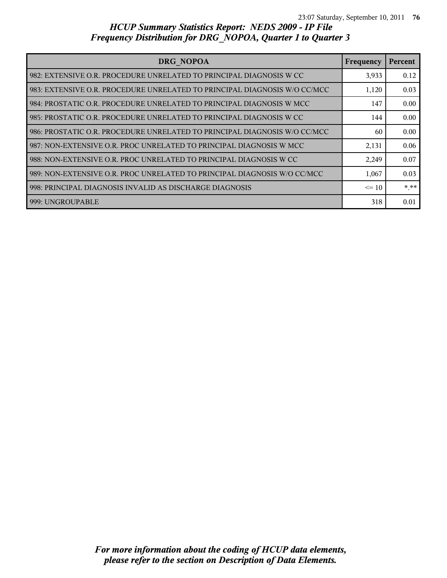| DRG NOPOA                                                                 | Frequency | Percent |
|---------------------------------------------------------------------------|-----------|---------|
| 982: EXTENSIVE O.R. PROCEDURE UNRELATED TO PRINCIPAL DIAGNOSIS W CC       | 3,933     | 0.12    |
| 983: EXTENSIVE O.R. PROCEDURE UNRELATED TO PRINCIPAL DIAGNOSIS W/O CC/MCC | 1,120     | 0.03    |
| 984: PROSTATIC O.R. PROCEDURE UNRELATED TO PRINCIPAL DIAGNOSIS W MCC      | 147       | 0.00    |
| 985: PROSTATIC O.R. PROCEDURE UNRELATED TO PRINCIPAL DIAGNOSIS W CC       | 144       | 0.00    |
| 986: PROSTATIC O.R. PROCEDURE UNRELATED TO PRINCIPAL DIAGNOSIS W/O CC/MCC | 60        | 0.00    |
| 987: NON-EXTENSIVE O.R. PROC UNRELATED TO PRINCIPAL DIAGNOSIS W MCC       | 2,131     | 0.06    |
| 988: NON-EXTENSIVE O.R. PROC UNRELATED TO PRINCIPAL DIAGNOSIS W CC        | 2,249     | 0.07    |
| 989: NON-EXTENSIVE O.R. PROC UNRELATED TO PRINCIPAL DIAGNOSIS W/O CC/MCC  | 1,067     | 0.03    |
| 998: PRINCIPAL DIAGNOSIS INVALID AS DISCHARGE DIAGNOSIS                   | $\leq$ 10 | * **    |
| 999: UNGROUPABLE                                                          | 318       | 0.01    |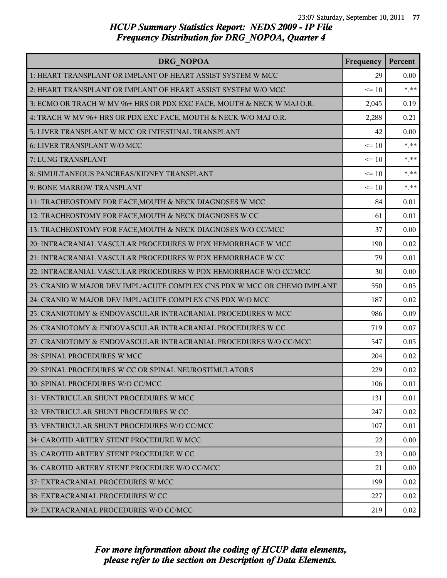| DRG NOPOA                                                                | Frequency | Percent |
|--------------------------------------------------------------------------|-----------|---------|
| 1: HEART TRANSPLANT OR IMPLANT OF HEART ASSIST SYSTEM W MCC              | 29        | 0.00    |
| 2: HEART TRANSPLANT OR IMPLANT OF HEART ASSIST SYSTEM W/O MCC            | $\leq 10$ | $***$   |
| 3: ECMO OR TRACH W MV 96+ HRS OR PDX EXC FACE, MOUTH & NECK W MAJ O.R.   | 2,045     | 0.19    |
| 4: TRACH W MV 96+ HRS OR PDX EXC FACE, MOUTH & NECK W/O MAJ O.R.         | 2,288     | 0.21    |
| 5: LIVER TRANSPLANT W MCC OR INTESTINAL TRANSPLANT                       | 42        | 0.00    |
| 6: LIVER TRANSPLANT W/O MCC                                              | $\leq 10$ | $***$   |
| 7: LUNG TRANSPLANT                                                       | $\leq 10$ | $* * *$ |
| 8: SIMULTANEOUS PANCREAS/KIDNEY TRANSPLANT                               | $\leq 10$ | $***$   |
| 9: BONE MARROW TRANSPLANT                                                | $\leq 10$ | $***$   |
| 11: TRACHEOSTOMY FOR FACE, MOUTH & NECK DIAGNOSES W MCC                  | 84        | 0.01    |
| 12: TRACHEOSTOMY FOR FACE, MOUTH & NECK DIAGNOSES W CC                   | 61        | 0.01    |
| 13: TRACHEOSTOMY FOR FACE, MOUTH & NECK DIAGNOSES W/O CC/MCC             | 37        | 0.00    |
| 20: INTRACRANIAL VASCULAR PROCEDURES W PDX HEMORRHAGE W MCC              | 190       | 0.02    |
| 21: INTRACRANIAL VASCULAR PROCEDURES W PDX HEMORRHAGE W CC               | 79        | 0.01    |
| 22: INTRACRANIAL VASCULAR PROCEDURES W PDX HEMORRHAGE W/O CC/MCC         | 30        | 0.00    |
| 23: CRANIO W MAJOR DEV IMPL/ACUTE COMPLEX CNS PDX W MCC OR CHEMO IMPLANT | 550       | 0.05    |
| 24: CRANIO W MAJOR DEV IMPL/ACUTE COMPLEX CNS PDX W/O MCC                | 187       | 0.02    |
| 25: CRANIOTOMY & ENDOVASCULAR INTRACRANIAL PROCEDURES W MCC              | 986       | 0.09    |
| 26: CRANIOTOMY & ENDOVASCULAR INTRACRANIAL PROCEDURES W CC               | 719       | 0.07    |
| 27: CRANIOTOMY & ENDOVASCULAR INTRACRANIAL PROCEDURES W/O CC/MCC         | 547       | 0.05    |
| 28: SPINAL PROCEDURES W MCC                                              | 204       | 0.02    |
| 29: SPINAL PROCEDURES W CC OR SPINAL NEUROSTIMULATORS                    | 229       | 0.02    |
| 30: SPINAL PROCEDURES W/O CC/MCC                                         | 106       | 0.01    |
| 31: VENTRICULAR SHUNT PROCEDURES W MCC                                   | 131       | 0.01    |
| 32: VENTRICULAR SHUNT PROCEDURES W CC                                    | 247       | 0.02    |
| 33: VENTRICULAR SHUNT PROCEDURES W/O CC/MCC                              | 107       | 0.01    |
| 34: CAROTID ARTERY STENT PROCEDURE W MCC                                 | 22        | 0.00    |
| 35: CAROTID ARTERY STENT PROCEDURE W CC                                  | 23        | 0.00    |
| 36: CAROTID ARTERY STENT PROCEDURE W/O CC/MCC                            | 21        | 0.00    |
| 37: EXTRACRANIAL PROCEDURES W MCC                                        | 199       | 0.02    |
| 38: EXTRACRANIAL PROCEDURES W CC                                         | 227       | 0.02    |
| 39: EXTRACRANIAL PROCEDURES W/O CC/MCC                                   | 219       | 0.02    |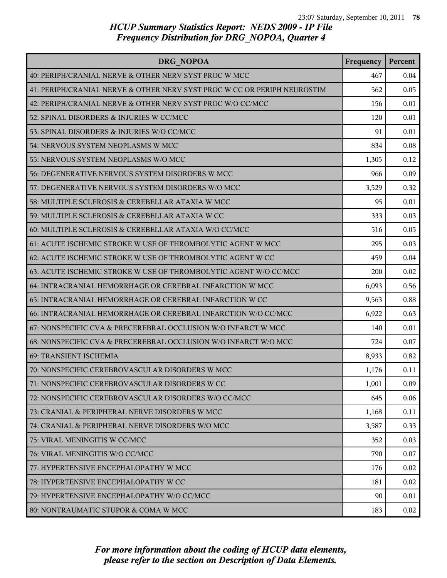| DRG NOPOA                                                                | Frequency  | Percent |
|--------------------------------------------------------------------------|------------|---------|
| 40: PERIPH/CRANIAL NERVE & OTHER NERV SYST PROC W MCC                    | 467        | 0.04    |
| 41: PERIPH/CRANIAL NERVE & OTHER NERV SYST PROC W CC OR PERIPH NEUROSTIM | 562        | 0.05    |
| 42: PERIPH/CRANIAL NERVE & OTHER NERV SYST PROC W/O CC/MCC               | 156        | 0.01    |
| 52: SPINAL DISORDERS & INJURIES W CC/MCC                                 | 120        | 0.01    |
| 53: SPINAL DISORDERS & INJURIES W/O CC/MCC                               | 91         | 0.01    |
| 54: NERVOUS SYSTEM NEOPLASMS W MCC                                       | 834        | 0.08    |
| 55: NERVOUS SYSTEM NEOPLASMS W/O MCC                                     | 1,305      | 0.12    |
| 56: DEGENERATIVE NERVOUS SYSTEM DISORDERS W MCC                          | 966        | 0.09    |
| 57: DEGENERATIVE NERVOUS SYSTEM DISORDERS W/O MCC                        | 3,529      | 0.32    |
| 58: MULTIPLE SCLEROSIS & CEREBELLAR ATAXIA W MCC                         | 95         | 0.01    |
| 59: MULTIPLE SCLEROSIS & CEREBELLAR ATAXIA W CC                          | 333        | 0.03    |
| 60: MULTIPLE SCLEROSIS & CEREBELLAR ATAXIA W/O CC/MCC                    | 516        | 0.05    |
| 61: ACUTE ISCHEMIC STROKE W USE OF THROMBOLYTIC AGENT W MCC              | 295        | 0.03    |
| 62: ACUTE ISCHEMIC STROKE W USE OF THROMBOLYTIC AGENT W CC               | 459        | 0.04    |
| 63: ACUTE ISCHEMIC STROKE W USE OF THROMBOLYTIC AGENT W/O CC/MCC         | <b>200</b> | 0.02    |
| 64: INTRACRANIAL HEMORRHAGE OR CEREBRAL INFARCTION W MCC                 | 6,093      | 0.56    |
| 65: INTRACRANIAL HEMORRHAGE OR CEREBRAL INFARCTION W CC                  | 9,563      | 0.88    |
| 66: INTRACRANIAL HEMORRHAGE OR CEREBRAL INFARCTION W/O CC/MCC            | 6,922      | 0.63    |
| 67: NONSPECIFIC CVA & PRECEREBRAL OCCLUSION W/O INFARCT W MCC            | 140        | 0.01    |
| 68: NONSPECIFIC CVA & PRECEREBRAL OCCLUSION W/O INFARCT W/O MCC          | 724        | 0.07    |
| 69: TRANSIENT ISCHEMIA                                                   | 8,933      | 0.82    |
| 70: NONSPECIFIC CEREBROVASCULAR DISORDERS W MCC                          | 1,176      | 0.11    |
| 71: NONSPECIFIC CEREBROVASCULAR DISORDERS W CC                           | 1,001      | 0.09    |
| 72: NONSPECIFIC CEREBROVASCULAR DISORDERS W/O CC/MCC                     | 645        | 0.06    |
| 73: CRANIAL & PERIPHERAL NERVE DISORDERS W MCC                           | 1,168      | 0.11    |
| 74: CRANIAL & PERIPHERAL NERVE DISORDERS W/O MCC                         | 3,587      | 0.33    |
| 75: VIRAL MENINGITIS W CC/MCC                                            | 352        | 0.03    |
| 76: VIRAL MENINGITIS W/O CC/MCC                                          | 790        | 0.07    |
| 77: HYPERTENSIVE ENCEPHALOPATHY W MCC                                    | 176        | 0.02    |
| 78: HYPERTENSIVE ENCEPHALOPATHY W CC                                     | 181        | 0.02    |
| 79: HYPERTENSIVE ENCEPHALOPATHY W/O CC/MCC                               | 90         | 0.01    |
| 80: NONTRAUMATIC STUPOR & COMA W MCC                                     | 183        | 0.02    |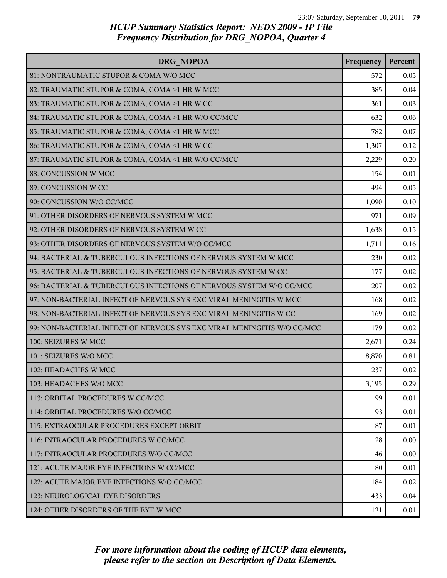| DRG NOPOA                                                               | Frequency | Percent |
|-------------------------------------------------------------------------|-----------|---------|
| 81: NONTRAUMATIC STUPOR & COMA W/O MCC                                  | 572       | 0.05    |
| 82: TRAUMATIC STUPOR & COMA, COMA >1 HR W MCC                           | 385       | 0.04    |
| 83: TRAUMATIC STUPOR & COMA, COMA >1 HR W CC                            | 361       | 0.03    |
| 84: TRAUMATIC STUPOR & COMA, COMA >1 HR W/O CC/MCC                      | 632       | 0.06    |
| 85: TRAUMATIC STUPOR & COMA, COMA <1 HR W MCC                           | 782       | 0.07    |
| 86: TRAUMATIC STUPOR & COMA, COMA <1 HR W CC                            | 1,307     | 0.12    |
| 87: TRAUMATIC STUPOR & COMA, COMA <1 HR W/O CC/MCC                      | 2,229     | 0.20    |
| 88: CONCUSSION W MCC                                                    | 154       | 0.01    |
| 89: CONCUSSION W CC                                                     | 494       | 0.05    |
| 90: CONCUSSION W/O CC/MCC                                               | 1,090     | 0.10    |
| 91: OTHER DISORDERS OF NERVOUS SYSTEM W MCC                             | 971       | 0.09    |
| 92: OTHER DISORDERS OF NERVOUS SYSTEM W CC                              | 1,638     | 0.15    |
| 93: OTHER DISORDERS OF NERVOUS SYSTEM W/O CC/MCC                        | 1,711     | 0.16    |
| 94: BACTERIAL & TUBERCULOUS INFECTIONS OF NERVOUS SYSTEM W MCC          | 230       | 0.02    |
| 95: BACTERIAL & TUBERCULOUS INFECTIONS OF NERVOUS SYSTEM W CC           | 177       | 0.02    |
| 96: BACTERIAL & TUBERCULOUS INFECTIONS OF NERVOUS SYSTEM W/O CC/MCC     | 207       | 0.02    |
| 97: NON-BACTERIAL INFECT OF NERVOUS SYS EXC VIRAL MENINGITIS W MCC      | 168       | 0.02    |
| 98: NON-BACTERIAL INFECT OF NERVOUS SYS EXC VIRAL MENINGITIS W CC       | 169       | 0.02    |
| 99: NON-BACTERIAL INFECT OF NERVOUS SYS EXC VIRAL MENINGITIS W/O CC/MCC | 179       | 0.02    |
| 100: SEIZURES W MCC                                                     | 2,671     | 0.24    |
| 101: SEIZURES W/O MCC                                                   | 8,870     | 0.81    |
| 102: HEADACHES W MCC                                                    | 237       | 0.02    |
| 103: HEADACHES W/O MCC                                                  | 3,195     | 0.29    |
| 113: ORBITAL PROCEDURES W CC/MCC                                        | 99        | 0.01    |
| 114: ORBITAL PROCEDURES W/O CC/MCC                                      | 93        | 0.01    |
| 115: EXTRAOCULAR PROCEDURES EXCEPT ORBIT                                | 87        | 0.01    |
| 116: INTRAOCULAR PROCEDURES W CC/MCC                                    | 28        | 0.00    |
| 117: INTRAOCULAR PROCEDURES W/O CC/MCC                                  | 46        | 0.00    |
| 121: ACUTE MAJOR EYE INFECTIONS W CC/MCC                                | 80        | 0.01    |
| 122: ACUTE MAJOR EYE INFECTIONS W/O CC/MCC                              | 184       | 0.02    |
| 123: NEUROLOGICAL EYE DISORDERS                                         | 433       | 0.04    |
| 124: OTHER DISORDERS OF THE EYE W MCC                                   | 121       | 0.01    |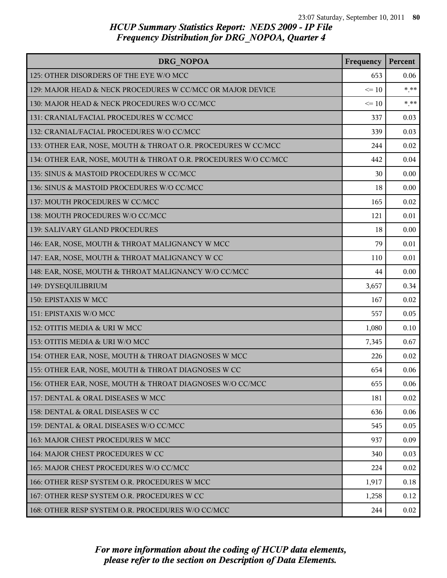| DRG NOPOA                                                       | Frequency | Percent |
|-----------------------------------------------------------------|-----------|---------|
| 125: OTHER DISORDERS OF THE EYE W/O MCC                         | 653       | 0.06    |
| 129: MAJOR HEAD & NECK PROCEDURES W CC/MCC OR MAJOR DEVICE      | $\leq$ 10 | $***$   |
| 130: MAJOR HEAD & NECK PROCEDURES W/O CC/MCC                    | $\leq 10$ | $***$   |
| 131: CRANIAL/FACIAL PROCEDURES W CC/MCC                         | 337       | 0.03    |
| 132: CRANIAL/FACIAL PROCEDURES W/O CC/MCC                       | 339       | 0.03    |
| 133: OTHER EAR, NOSE, MOUTH & THROAT O.R. PROCEDURES W CC/MCC   | 244       | 0.02    |
| 134: OTHER EAR, NOSE, MOUTH & THROAT O.R. PROCEDURES W/O CC/MCC | 442       | 0.04    |
| 135: SINUS & MASTOID PROCEDURES W CC/MCC                        | 30        | 0.00    |
| 136: SINUS & MASTOID PROCEDURES W/O CC/MCC                      | 18        | 0.00    |
| 137: MOUTH PROCEDURES W CC/MCC                                  | 165       | 0.02    |
| 138: MOUTH PROCEDURES W/O CC/MCC                                | 121       | 0.01    |
| 139: SALIVARY GLAND PROCEDURES                                  | 18        | 0.00    |
| 146: EAR, NOSE, MOUTH & THROAT MALIGNANCY W MCC                 | 79        | 0.01    |
| 147: EAR, NOSE, MOUTH & THROAT MALIGNANCY W CC                  | 110       | 0.01    |
| 148: EAR, NOSE, MOUTH & THROAT MALIGNANCY W/O CC/MCC            | 44        | 0.00    |
| 149: DYSEQUILIBRIUM                                             | 3,657     | 0.34    |
| 150: EPISTAXIS W MCC                                            | 167       | 0.02    |
| 151: EPISTAXIS W/O MCC                                          | 557       | 0.05    |
| 152: OTITIS MEDIA & URI W MCC                                   | 1,080     | 0.10    |
| 153: OTITIS MEDIA & URI W/O MCC                                 | 7,345     | 0.67    |
| 154: OTHER EAR, NOSE, MOUTH & THROAT DIAGNOSES W MCC            | 226       | 0.02    |
| 155: OTHER EAR, NOSE, MOUTH & THROAT DIAGNOSES W CC             | 654       | 0.06    |
| 156: OTHER EAR, NOSE, MOUTH & THROAT DIAGNOSES W/O CC/MCC       | 655       | 0.06    |
| 157: DENTAL & ORAL DISEASES W MCC                               | 181       | 0.02    |
| 158: DENTAL & ORAL DISEASES W CC                                | 636       | 0.06    |
| 159: DENTAL & ORAL DISEASES W/O CC/MCC                          | 545       | 0.05    |
| 163: MAJOR CHEST PROCEDURES W MCC                               | 937       | 0.09    |
| 164: MAJOR CHEST PROCEDURES W CC                                | 340       | 0.03    |
| 165: MAJOR CHEST PROCEDURES W/O CC/MCC                          | 224       | 0.02    |
| 166: OTHER RESP SYSTEM O.R. PROCEDURES W MCC                    | 1,917     | 0.18    |
| 167: OTHER RESP SYSTEM O.R. PROCEDURES W CC                     | 1,258     | 0.12    |
| 168: OTHER RESP SYSTEM O.R. PROCEDURES W/O CC/MCC               | 244       | 0.02    |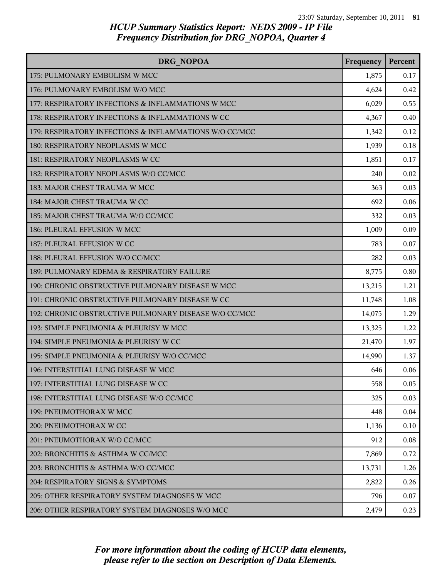| DRG NOPOA                                              | Frequency | Percent |
|--------------------------------------------------------|-----------|---------|
| 175: PULMONARY EMBOLISM W MCC                          | 1,875     | 0.17    |
| 176: PULMONARY EMBOLISM W/O MCC                        | 4,624     | 0.42    |
| 177: RESPIRATORY INFECTIONS & INFLAMMATIONS W MCC      | 6,029     | 0.55    |
| 178: RESPIRATORY INFECTIONS & INFLAMMATIONS W CC       | 4,367     | 0.40    |
| 179: RESPIRATORY INFECTIONS & INFLAMMATIONS W/O CC/MCC | 1,342     | 0.12    |
| 180: RESPIRATORY NEOPLASMS W MCC                       | 1,939     | 0.18    |
| 181: RESPIRATORY NEOPLASMS W CC                        | 1,851     | 0.17    |
| 182: RESPIRATORY NEOPLASMS W/O CC/MCC                  | 240       | 0.02    |
| 183: MAJOR CHEST TRAUMA W MCC                          | 363       | 0.03    |
| 184: MAJOR CHEST TRAUMA W CC                           | 692       | 0.06    |
| 185: MAJOR CHEST TRAUMA W/O CC/MCC                     | 332       | 0.03    |
| 186: PLEURAL EFFUSION W MCC                            | 1,009     | 0.09    |
| 187: PLEURAL EFFUSION W CC                             | 783       | 0.07    |
| 188: PLEURAL EFFUSION W/O CC/MCC                       | 282       | 0.03    |
| 189: PULMONARY EDEMA & RESPIRATORY FAILURE             | 8,775     | 0.80    |
| 190: CHRONIC OBSTRUCTIVE PULMONARY DISEASE W MCC       | 13,215    | 1.21    |
| 191: CHRONIC OBSTRUCTIVE PULMONARY DISEASE W CC        | 11,748    | 1.08    |
| 192: CHRONIC OBSTRUCTIVE PULMONARY DISEASE W/O CC/MCC  | 14,075    | 1.29    |
| 193: SIMPLE PNEUMONIA & PLEURISY W MCC                 | 13,325    | 1.22    |
| 194: SIMPLE PNEUMONIA & PLEURISY W CC                  | 21,470    | 1.97    |
| 195: SIMPLE PNEUMONIA & PLEURISY W/O CC/MCC            | 14,990    | 1.37    |
| 196: INTERSTITIAL LUNG DISEASE W MCC                   | 646       | 0.06    |
| 197: INTERSTITIAL LUNG DISEASE W CC                    | 558       | 0.05    |
| 198: INTERSTITIAL LUNG DISEASE W/O CC/MCC              | 325       | 0.03    |
| 199: PNEUMOTHORAX W MCC                                | 448       | 0.04    |
| 200: PNEUMOTHORAX W CC                                 | 1,136     | 0.10    |
| 201: PNEUMOTHORAX W/O CC/MCC                           | 912       | 0.08    |
| 202: BRONCHITIS & ASTHMA W CC/MCC                      | 7,869     | 0.72    |
| 203: BRONCHITIS & ASTHMA W/O CC/MCC                    | 13,731    | 1.26    |
| 204: RESPIRATORY SIGNS & SYMPTOMS                      | 2,822     | 0.26    |
| 205: OTHER RESPIRATORY SYSTEM DIAGNOSES W MCC          | 796       | 0.07    |
| 206: OTHER RESPIRATORY SYSTEM DIAGNOSES W/O MCC        | 2,479     | 0.23    |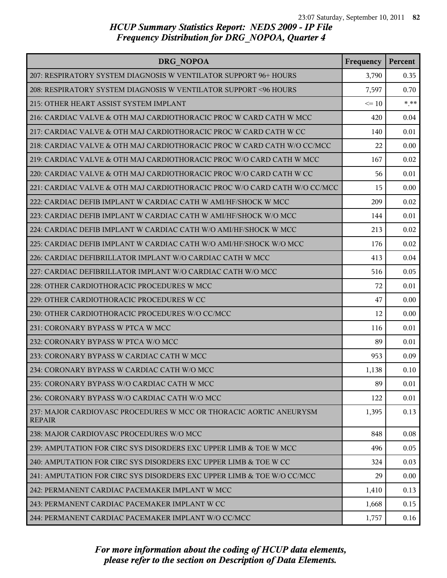| DRG NOPOA                                                                           | Frequency | Percent |
|-------------------------------------------------------------------------------------|-----------|---------|
| 207: RESPIRATORY SYSTEM DIAGNOSIS W VENTILATOR SUPPORT 96+ HOURS                    | 3,790     | 0.35    |
| 208: RESPIRATORY SYSTEM DIAGNOSIS W VENTILATOR SUPPORT <96 HOURS                    | 7,597     | 0.70    |
| 215: OTHER HEART ASSIST SYSTEM IMPLANT                                              | $\leq 10$ | $***$   |
| 216: CARDIAC VALVE & OTH MAJ CARDIOTHORACIC PROC W CARD CATH W MCC                  | 420       | 0.04    |
| 217: CARDIAC VALVE & OTH MAJ CARDIOTHORACIC PROC W CARD CATH W CC                   | 140       | 0.01    |
| 218: CARDIAC VALVE & OTH MAJ CARDIOTHORACIC PROC W CARD CATH W/O CC/MCC             | 22        | 0.00    |
| 219: CARDIAC VALVE & OTH MAJ CARDIOTHORACIC PROC W/O CARD CATH W MCC                | 167       | 0.02    |
| 220: CARDIAC VALVE & OTH MAJ CARDIOTHORACIC PROC W/O CARD CATH W CC                 | 56        | 0.01    |
| 221: CARDIAC VALVE & OTH MAJ CARDIOTHORACIC PROC W/O CARD CATH W/O CC/MCC           | 15        | 0.00    |
| 222: CARDIAC DEFIB IMPLANT W CARDIAC CATH W AMI/HF/SHOCK W MCC                      | 209       | 0.02    |
| 223: CARDIAC DEFIB IMPLANT W CARDIAC CATH W AMI/HF/SHOCK W/O MCC                    | 144       | 0.01    |
| 224: CARDIAC DEFIB IMPLANT W CARDIAC CATH W/O AMI/HF/SHOCK W MCC                    | 213       | 0.02    |
| 225: CARDIAC DEFIB IMPLANT W CARDIAC CATH W/O AMI/HF/SHOCK W/O MCC                  | 176       | 0.02    |
| 226: CARDIAC DEFIBRILLATOR IMPLANT W/O CARDIAC CATH W MCC                           | 413       | 0.04    |
| 227: CARDIAC DEFIBRILLATOR IMPLANT W/O CARDIAC CATH W/O MCC                         | 516       | 0.05    |
| 228: OTHER CARDIOTHORACIC PROCEDURES W MCC                                          | 72        | 0.01    |
| 229: OTHER CARDIOTHORACIC PROCEDURES W CC                                           | 47        | 0.00    |
| 230: OTHER CARDIOTHORACIC PROCEDURES W/O CC/MCC                                     | 12        | 0.00    |
| 231: CORONARY BYPASS W PTCA W MCC                                                   | 116       | 0.01    |
| 232: CORONARY BYPASS W PTCA W/O MCC                                                 | 89        | 0.01    |
| 233: CORONARY BYPASS W CARDIAC CATH W MCC                                           | 953       | 0.09    |
| 234: CORONARY BYPASS W CARDIAC CATH W/O MCC                                         | 1,138     | 0.10    |
| 235: CORONARY BYPASS W/O CARDIAC CATH W MCC                                         | 89        | 0.01    |
| 236: CORONARY BYPASS W/O CARDIAC CATH W/O MCC                                       | 122       | 0.01    |
| 237: MAJOR CARDIOVASC PROCEDURES W MCC OR THORACIC AORTIC ANEURYSM<br><b>REPAIR</b> | 1,395     | 0.13    |
| 238: MAJOR CARDIOVASC PROCEDURES W/O MCC                                            | 848       | 0.08    |
| 239: AMPUTATION FOR CIRC SYS DISORDERS EXC UPPER LIMB & TOE W MCC                   | 496       | 0.05    |
| 240: AMPUTATION FOR CIRC SYS DISORDERS EXC UPPER LIMB & TOE W CC                    | 324       | 0.03    |
| 241: AMPUTATION FOR CIRC SYS DISORDERS EXC UPPER LIMB & TOE W/O CC/MCC              | 29        | 0.00    |
| 242: PERMANENT CARDIAC PACEMAKER IMPLANT W MCC                                      | 1,410     | 0.13    |
| 243: PERMANENT CARDIAC PACEMAKER IMPLANT W CC                                       | 1,668     | 0.15    |
| 244: PERMANENT CARDIAC PACEMAKER IMPLANT W/O CC/MCC                                 | 1,757     | 0.16    |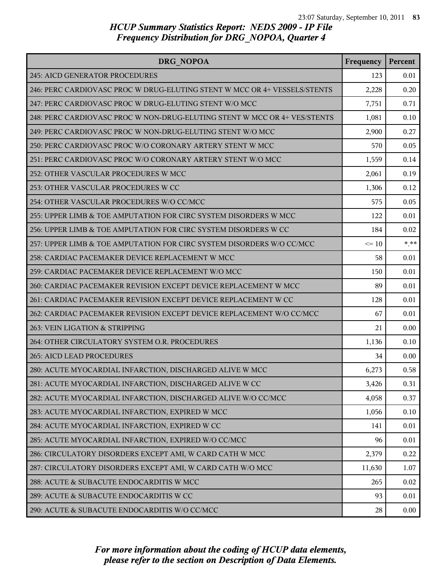| DRG NOPOA                                                                 | Frequency | Percent |
|---------------------------------------------------------------------------|-----------|---------|
| 245: AICD GENERATOR PROCEDURES                                            | 123       | 0.01    |
| 246: PERC CARDIOVASC PROC W DRUG-ELUTING STENT W MCC OR 4+ VESSELS/STENTS | 2,228     | 0.20    |
| 247: PERC CARDIOVASC PROC W DRUG-ELUTING STENT W/O MCC                    | 7,751     | 0.71    |
| 248: PERC CARDIOVASC PROC W NON-DRUG-ELUTING STENT W MCC OR 4+ VES/STENTS | 1,081     | 0.10    |
| 249: PERC CARDIOVASC PROC W NON-DRUG-ELUTING STENT W/O MCC                | 2,900     | 0.27    |
| 250: PERC CARDIOVASC PROC W/O CORONARY ARTERY STENT W MCC                 | 570       | 0.05    |
| 251: PERC CARDIOVASC PROC W/O CORONARY ARTERY STENT W/O MCC               | 1,559     | 0.14    |
| 252: OTHER VASCULAR PROCEDURES W MCC                                      | 2,061     | 0.19    |
| 253: OTHER VASCULAR PROCEDURES W CC                                       | 1,306     | 0.12    |
| 254: OTHER VASCULAR PROCEDURES W/O CC/MCC                                 | 575       | 0.05    |
| 255: UPPER LIMB & TOE AMPUTATION FOR CIRC SYSTEM DISORDERS W MCC          | 122       | 0.01    |
| 256: UPPER LIMB & TOE AMPUTATION FOR CIRC SYSTEM DISORDERS W CC           | 184       | 0.02    |
| 257: UPPER LIMB & TOE AMPUTATION FOR CIRC SYSTEM DISORDERS W/O CC/MCC     | $\leq 10$ | $* * *$ |
| 258: CARDIAC PACEMAKER DEVICE REPLACEMENT W MCC                           | 58        | 0.01    |
| 259: CARDIAC PACEMAKER DEVICE REPLACEMENT W/O MCC                         | 150       | 0.01    |
| 260: CARDIAC PACEMAKER REVISION EXCEPT DEVICE REPLACEMENT W MCC           | 89        | 0.01    |
| 261: CARDIAC PACEMAKER REVISION EXCEPT DEVICE REPLACEMENT W CC            | 128       | 0.01    |
| 262: CARDIAC PACEMAKER REVISION EXCEPT DEVICE REPLACEMENT W/O CC/MCC      | 67        | 0.01    |
| 263: VEIN LIGATION & STRIPPING                                            | 21        | 0.00    |
| 264: OTHER CIRCULATORY SYSTEM O.R. PROCEDURES                             | 1,136     | 0.10    |
| <b>265: AICD LEAD PROCEDURES</b>                                          | 34        | 0.00    |
| 280: ACUTE MYOCARDIAL INFARCTION, DISCHARGED ALIVE W MCC                  | 6,273     | 0.58    |
| 281: ACUTE MYOCARDIAL INFARCTION, DISCHARGED ALIVE W CC                   | 3,426     | 0.31    |
| 282: ACUTE MYOCARDIAL INFARCTION, DISCHARGED ALIVE W/O CC/MCC             | 4,058     | 0.37    |
| 283: ACUTE MYOCARDIAL INFARCTION, EXPIRED W MCC                           | 1,056     | 0.10    |
| 284: ACUTE MYOCARDIAL INFARCTION, EXPIRED W CC                            | 141       | 0.01    |
| 285: ACUTE MYOCARDIAL INFARCTION, EXPIRED W/O CC/MCC                      | 96        | 0.01    |
| 286: CIRCULATORY DISORDERS EXCEPT AMI, W CARD CATH W MCC                  | 2,379     | 0.22    |
| 287: CIRCULATORY DISORDERS EXCEPT AMI, W CARD CATH W/O MCC                | 11,630    | 1.07    |
| 288: ACUTE & SUBACUTE ENDOCARDITIS W MCC                                  | 265       | 0.02    |
| 289: ACUTE & SUBACUTE ENDOCARDITIS W CC                                   | 93        | 0.01    |
| 290: ACUTE & SUBACUTE ENDOCARDITIS W/O CC/MCC                             | 28        | 0.00    |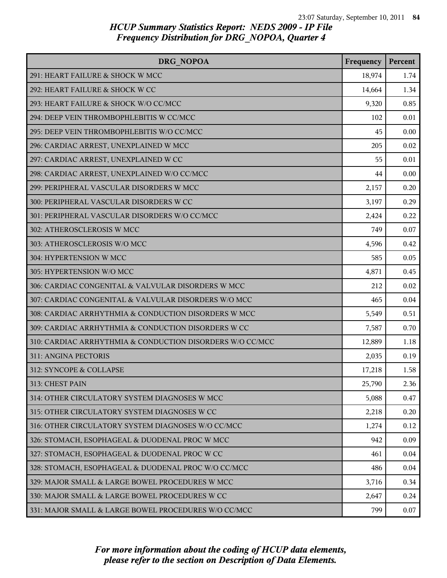| DRG NOPOA                                                 | Frequency | Percent |
|-----------------------------------------------------------|-----------|---------|
| 291: HEART FAILURE & SHOCK W MCC                          | 18,974    | 1.74    |
| 292: HEART FAILURE & SHOCK W CC                           | 14,664    | 1.34    |
| 293: HEART FAILURE & SHOCK W/O CC/MCC                     | 9,320     | 0.85    |
| 294: DEEP VEIN THROMBOPHLEBITIS W CC/MCC                  | 102       | 0.01    |
| 295: DEEP VEIN THROMBOPHLEBITIS W/O CC/MCC                | 45        | 0.00    |
| 296: CARDIAC ARREST, UNEXPLAINED W MCC                    | 205       | 0.02    |
| 297: CARDIAC ARREST, UNEXPLAINED W CC                     | 55        | 0.01    |
| 298: CARDIAC ARREST, UNEXPLAINED W/O CC/MCC               | 44        | 0.00    |
| 299: PERIPHERAL VASCULAR DISORDERS W MCC                  | 2,157     | 0.20    |
| 300: PERIPHERAL VASCULAR DISORDERS W CC                   | 3,197     | 0.29    |
| 301: PERIPHERAL VASCULAR DISORDERS W/O CC/MCC             | 2,424     | 0.22    |
| 302: ATHEROSCLEROSIS W MCC                                | 749       | 0.07    |
| 303: ATHEROSCLEROSIS W/O MCC                              | 4,596     | 0.42    |
| 304: HYPERTENSION W MCC                                   | 585       | 0.05    |
| 305: HYPERTENSION W/O MCC                                 | 4,871     | 0.45    |
| 306: CARDIAC CONGENITAL & VALVULAR DISORDERS W MCC        | 212       | 0.02    |
| 307: CARDIAC CONGENITAL & VALVULAR DISORDERS W/O MCC      | 465       | 0.04    |
| 308: CARDIAC ARRHYTHMIA & CONDUCTION DISORDERS W MCC      | 5,549     | 0.51    |
| 309: CARDIAC ARRHYTHMIA & CONDUCTION DISORDERS W CC       | 7,587     | 0.70    |
| 310: CARDIAC ARRHYTHMIA & CONDUCTION DISORDERS W/O CC/MCC | 12,889    | 1.18    |
| 311: ANGINA PECTORIS                                      | 2,035     | 0.19    |
| 312: SYNCOPE & COLLAPSE                                   | 17,218    | 1.58    |
| 313: CHEST PAIN                                           | 25,790    | 2.36    |
| 314: OTHER CIRCULATORY SYSTEM DIAGNOSES W MCC             | 5,088     | 0.47    |
| 315: OTHER CIRCULATORY SYSTEM DIAGNOSES W CC              | 2,218     | 0.20    |
| 316: OTHER CIRCULATORY SYSTEM DIAGNOSES W/O CC/MCC        | 1,274     | 0.12    |
| 326: STOMACH, ESOPHAGEAL & DUODENAL PROC W MCC            | 942       | 0.09    |
| 327: STOMACH, ESOPHAGEAL & DUODENAL PROC W CC             | 461       | 0.04    |
| 328: STOMACH, ESOPHAGEAL & DUODENAL PROC W/O CC/MCC       | 486       | 0.04    |
| 329: MAJOR SMALL & LARGE BOWEL PROCEDURES W MCC           | 3,716     | 0.34    |
| 330: MAJOR SMALL & LARGE BOWEL PROCEDURES W CC            | 2,647     | 0.24    |
| 331: MAJOR SMALL & LARGE BOWEL PROCEDURES W/O CC/MCC      | 799       | 0.07    |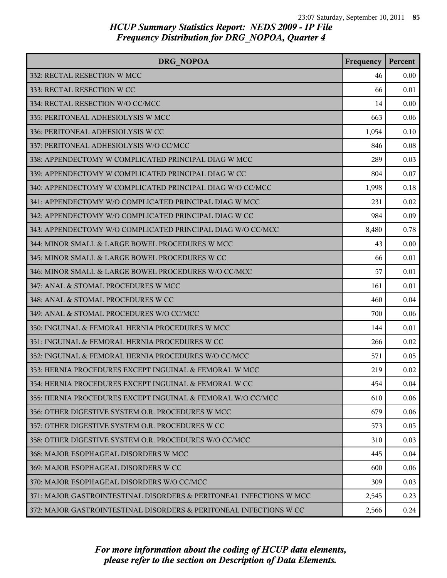| DRG NOPOA                                                           | Frequency | Percent |
|---------------------------------------------------------------------|-----------|---------|
| 332: RECTAL RESECTION W MCC                                         | 46        | 0.00    |
| 333: RECTAL RESECTION W CC                                          | 66        | 0.01    |
| 334: RECTAL RESECTION W/O CC/MCC                                    | 14        | 0.00    |
| 335: PERITONEAL ADHESIOLYSIS W MCC                                  | 663       | 0.06    |
| 336: PERITONEAL ADHESIOLYSIS W CC                                   | 1,054     | 0.10    |
| 337: PERITONEAL ADHESIOLYSIS W/O CC/MCC                             | 846       | 0.08    |
| 338: APPENDECTOMY W COMPLICATED PRINCIPAL DIAG W MCC                | 289       | 0.03    |
| 339: APPENDECTOMY W COMPLICATED PRINCIPAL DIAG W CC                 | 804       | 0.07    |
| 340: APPENDECTOMY W COMPLICATED PRINCIPAL DIAG W/O CC/MCC           | 1,998     | 0.18    |
| 341: APPENDECTOMY W/O COMPLICATED PRINCIPAL DIAG W MCC              | 231       | 0.02    |
| 342: APPENDECTOMY W/O COMPLICATED PRINCIPAL DIAG W CC               | 984       | 0.09    |
| 343: APPENDECTOMY W/O COMPLICATED PRINCIPAL DIAG W/O CC/MCC         | 8,480     | 0.78    |
| 344: MINOR SMALL & LARGE BOWEL PROCEDURES W MCC                     | 43        | 0.00    |
| 345: MINOR SMALL & LARGE BOWEL PROCEDURES W CC                      | 66        | 0.01    |
| 346: MINOR SMALL & LARGE BOWEL PROCEDURES W/O CC/MCC                | 57        | 0.01    |
| 347: ANAL & STOMAL PROCEDURES W MCC                                 | 161       | 0.01    |
| 348: ANAL & STOMAL PROCEDURES W CC                                  | 460       | 0.04    |
| 349: ANAL & STOMAL PROCEDURES W/O CC/MCC                            | 700       | 0.06    |
| 350: INGUINAL & FEMORAL HERNIA PROCEDURES W MCC                     | 144       | 0.01    |
| 351: INGUINAL & FEMORAL HERNIA PROCEDURES W CC                      | 266       | 0.02    |
| 352: INGUINAL & FEMORAL HERNIA PROCEDURES W/O CC/MCC                | 571       | 0.05    |
| 353: HERNIA PROCEDURES EXCEPT INGUINAL & FEMORAL W MCC              | 219       | 0.02    |
| 354: HERNIA PROCEDURES EXCEPT INGUINAL & FEMORAL W CC               | 454       | 0.04    |
| 355: HERNIA PROCEDURES EXCEPT INGUINAL & FEMORAL W/O CC/MCC         | 610       | 0.06    |
| 356: OTHER DIGESTIVE SYSTEM O.R. PROCEDURES W MCC                   | 679       | 0.06    |
| 357: OTHER DIGESTIVE SYSTEM O.R. PROCEDURES W CC                    | 573       | 0.05    |
| 358: OTHER DIGESTIVE SYSTEM O.R. PROCEDURES W/O CC/MCC              | 310       | 0.03    |
| 368: MAJOR ESOPHAGEAL DISORDERS W MCC                               | 445       | 0.04    |
| 369: MAJOR ESOPHAGEAL DISORDERS W CC                                | 600       | 0.06    |
| 370: MAJOR ESOPHAGEAL DISORDERS W/O CC/MCC                          | 309       | 0.03    |
| 371: MAJOR GASTROINTESTINAL DISORDERS & PERITONEAL INFECTIONS W MCC | 2,545     | 0.23    |
| 372: MAJOR GASTROINTESTINAL DISORDERS & PERITONEAL INFECTIONS W CC  | 2,566     | 0.24    |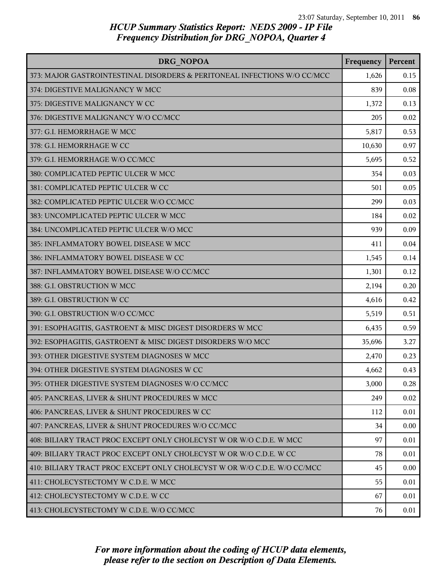| <b>DRG NOPOA</b>                                                         | Frequency | Percent  |
|--------------------------------------------------------------------------|-----------|----------|
| 373: MAJOR GASTROINTESTINAL DISORDERS & PERITONEAL INFECTIONS W/O CC/MCC | 1,626     | 0.15     |
| 374: DIGESTIVE MALIGNANCY W MCC                                          | 839       | 0.08     |
| 375: DIGESTIVE MALIGNANCY W CC                                           | 1,372     | 0.13     |
| 376: DIGESTIVE MALIGNANCY W/O CC/MCC                                     | 205       | 0.02     |
| 377: G.I. HEMORRHAGE W MCC                                               | 5,817     | 0.53     |
| 378: G.I. HEMORRHAGE W CC                                                | 10,630    | 0.97     |
| 379: G.I. HEMORRHAGE W/O CC/MCC                                          | 5,695     | 0.52     |
| 380: COMPLICATED PEPTIC ULCER W MCC                                      | 354       | 0.03     |
| 381: COMPLICATED PEPTIC ULCER W CC                                       | 501       | 0.05     |
| 382: COMPLICATED PEPTIC ULCER W/O CC/MCC                                 | 299       | 0.03     |
| 383: UNCOMPLICATED PEPTIC ULCER W MCC                                    | 184       | 0.02     |
| 384: UNCOMPLICATED PEPTIC ULCER W/O MCC                                  | 939       | 0.09     |
| 385: INFLAMMATORY BOWEL DISEASE W MCC                                    | 411       | 0.04     |
| 386: INFLAMMATORY BOWEL DISEASE W CC                                     | 1,545     | 0.14     |
| 387: INFLAMMATORY BOWEL DISEASE W/O CC/MCC                               | 1,301     | 0.12     |
| 388: G.I. OBSTRUCTION W MCC                                              | 2,194     | 0.20     |
| 389: G.I. OBSTRUCTION W CC                                               | 4,616     | 0.42     |
| 390: G.I. OBSTRUCTION W/O CC/MCC                                         | 5,519     | 0.51     |
| 391: ESOPHAGITIS, GASTROENT & MISC DIGEST DISORDERS W MCC                | 6,435     | 0.59     |
| 392: ESOPHAGITIS, GASTROENT & MISC DIGEST DISORDERS W/O MCC              | 35,696    | 3.27     |
| 393: OTHER DIGESTIVE SYSTEM DIAGNOSES W MCC                              | 2,470     | 0.23     |
| 394: OTHER DIGESTIVE SYSTEM DIAGNOSES W CC                               | 4,662     | 0.43     |
| 395: OTHER DIGESTIVE SYSTEM DIAGNOSES W/O CC/MCC                         | 3,000     | 0.28     |
| 405: PANCREAS, LIVER & SHUNT PROCEDURES W MCC                            | 249       | 0.02     |
| 406: PANCREAS, LIVER & SHUNT PROCEDURES W CC                             | 112       | 0.01     |
| 407: PANCREAS, LIVER & SHUNT PROCEDURES W/O CC/MCC                       | 34        | 0.00     |
| 408: BILIARY TRACT PROC EXCEPT ONLY CHOLECYST W OR W/O C.D.E. W MCC      | 97        | 0.01     |
| 409: BILIARY TRACT PROC EXCEPT ONLY CHOLECYST W OR W/O C.D.E. W CC       | 78        | 0.01     |
| 410: BILIARY TRACT PROC EXCEPT ONLY CHOLECYST W OR W/O C.D.E. W/O CC/MCC | 45        | $0.00\,$ |
| 411: CHOLECYSTECTOMY W C.D.E. W MCC                                      | 55        | 0.01     |
| 412: CHOLECYSTECTOMY W C.D.E. W CC                                       | 67        | 0.01     |
| 413: CHOLECYSTECTOMY W C.D.E. W/O CC/MCC                                 | 76        | 0.01     |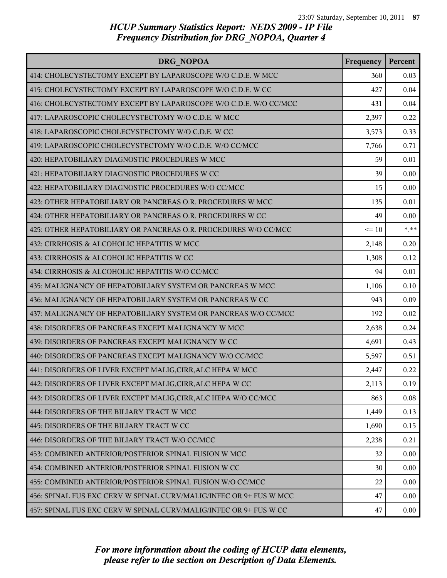| DRG NOPOA                                                          | Frequency | Percent |
|--------------------------------------------------------------------|-----------|---------|
| 414: CHOLECYSTECTOMY EXCEPT BY LAPAROSCOPE W/O C.D.E. W MCC        | 360       | 0.03    |
| 415: CHOLECYSTECTOMY EXCEPT BY LAPAROSCOPE W/O C.D.E. W CC         | 427       | 0.04    |
| 416: CHOLECYSTECTOMY EXCEPT BY LAPAROSCOPE W/O C.D.E. W/O CC/MCC   | 431       | 0.04    |
| 417: LAPAROSCOPIC CHOLECYSTECTOMY W/O C.D.E. W MCC                 | 2,397     | 0.22    |
| 418: LAPAROSCOPIC CHOLECYSTECTOMY W/O C.D.E. W CC                  | 3,573     | 0.33    |
| 419: LAPAROSCOPIC CHOLECYSTECTOMY W/O C.D.E. W/O CC/MCC            | 7,766     | 0.71    |
| 420: HEPATOBILIARY DIAGNOSTIC PROCEDURES W MCC                     | 59        | 0.01    |
| 421: HEPATOBILIARY DIAGNOSTIC PROCEDURES W CC                      | 39        | 0.00    |
| 422: HEPATOBILIARY DIAGNOSTIC PROCEDURES W/O CC/MCC                | 15        | 0.00    |
| 423: OTHER HEPATOBILIARY OR PANCREAS O.R. PROCEDURES W MCC         | 135       | 0.01    |
| 424: OTHER HEPATOBILIARY OR PANCREAS O.R. PROCEDURES W CC          | 49        | 0.00    |
| 425: OTHER HEPATOBILIARY OR PANCREAS O.R. PROCEDURES W/O CC/MCC    | $\leq 10$ | $***$   |
| 432: CIRRHOSIS & ALCOHOLIC HEPATITIS W MCC                         | 2,148     | 0.20    |
| 433: CIRRHOSIS & ALCOHOLIC HEPATITIS W CC                          | 1,308     | 0.12    |
| 434: CIRRHOSIS & ALCOHOLIC HEPATITIS W/O CC/MCC                    | 94        | 0.01    |
| 435: MALIGNANCY OF HEPATOBILIARY SYSTEM OR PANCREAS W MCC          | 1,106     | 0.10    |
| 436: MALIGNANCY OF HEPATOBILIARY SYSTEM OR PANCREAS W CC           | 943       | 0.09    |
| 437: MALIGNANCY OF HEPATOBILIARY SYSTEM OR PANCREAS W/O CC/MCC     | 192       | 0.02    |
| 438: DISORDERS OF PANCREAS EXCEPT MALIGNANCY W MCC                 | 2,638     | 0.24    |
| 439: DISORDERS OF PANCREAS EXCEPT MALIGNANCY W CC                  | 4,691     | 0.43    |
| 440: DISORDERS OF PANCREAS EXCEPT MALIGNANCY W/O CC/MCC            | 5,597     | 0.51    |
| 441: DISORDERS OF LIVER EXCEPT MALIG, CIRR, ALC HEPA W MCC         | 2,447     | 0.22    |
| 442: DISORDERS OF LIVER EXCEPT MALIG, CIRR, ALC HEPA W CC          | 2,113     | 0.19    |
| 443: DISORDERS OF LIVER EXCEPT MALIG, CIRR, ALC HEPA W/O CC/MCC    | 863       | 0.08    |
| 444: DISORDERS OF THE BILIARY TRACT W MCC                          | 1,449     | 0.13    |
| 445: DISORDERS OF THE BILIARY TRACT W CC                           | 1,690     | 0.15    |
| 446: DISORDERS OF THE BILIARY TRACT W/O CC/MCC                     | 2,238     | 0.21    |
| 453: COMBINED ANTERIOR/POSTERIOR SPINAL FUSION W MCC               | 32        | 0.00    |
| 454: COMBINED ANTERIOR/POSTERIOR SPINAL FUSION W CC                | 30        | 0.00    |
| 455: COMBINED ANTERIOR/POSTERIOR SPINAL FUSION W/O CC/MCC          | 22        | 0.00    |
| 456: SPINAL FUS EXC CERV W SPINAL CURV/MALIG/INFEC OR 9+ FUS W MCC | 47        | 0.00    |
| 457: SPINAL FUS EXC CERV W SPINAL CURV/MALIG/INFEC OR 9+ FUS W CC  | 47        | 0.00    |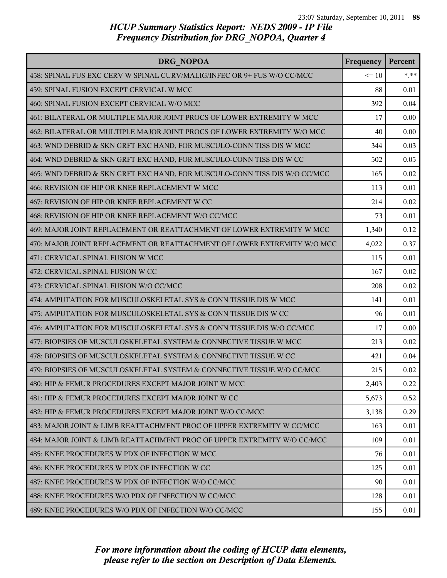| DRG NOPOA                                                                 | Frequency | Percent |
|---------------------------------------------------------------------------|-----------|---------|
| 458: SPINAL FUS EXC CERV W SPINAL CURV/MALIG/INFEC OR 9+ FUS W/O CC/MCC   | $\leq 10$ | $***$   |
| 459: SPINAL FUSION EXCEPT CERVICAL W MCC                                  | 88        | 0.01    |
| 460: SPINAL FUSION EXCEPT CERVICAL W/O MCC                                | 392       | 0.04    |
| 461: BILATERAL OR MULTIPLE MAJOR JOINT PROCS OF LOWER EXTREMITY W MCC     | 17        | 0.00    |
| 462: BILATERAL OR MULTIPLE MAJOR JOINT PROCS OF LOWER EXTREMITY W/O MCC   | 40        | 0.00    |
| 463: WND DEBRID & SKN GRFT EXC HAND, FOR MUSCULO-CONN TISS DIS W MCC      | 344       | 0.03    |
| 464: WND DEBRID & SKN GRFT EXC HAND, FOR MUSCULO-CONN TISS DIS W CC       | 502       | 0.05    |
| 465: WND DEBRID & SKN GRFT EXC HAND, FOR MUSCULO-CONN TISS DIS W/O CC/MCC | 165       | 0.02    |
| 466: REVISION OF HIP OR KNEE REPLACEMENT W MCC                            | 113       | 0.01    |
| 467: REVISION OF HIP OR KNEE REPLACEMENT W CC                             | 214       | 0.02    |
| 468: REVISION OF HIP OR KNEE REPLACEMENT W/O CC/MCC                       | 73        | 0.01    |
| 469: MAJOR JOINT REPLACEMENT OR REATTACHMENT OF LOWER EXTREMITY W MCC     | 1,340     | 0.12    |
| 470: MAJOR JOINT REPLACEMENT OR REATTACHMENT OF LOWER EXTREMITY W/O MCC   | 4,022     | 0.37    |
| 471: CERVICAL SPINAL FUSION W MCC                                         | 115       | 0.01    |
| 472: CERVICAL SPINAL FUSION W CC                                          | 167       | 0.02    |
| 473: CERVICAL SPINAL FUSION W/O CC/MCC                                    | 208       | 0.02    |
| 474: AMPUTATION FOR MUSCULOSKELETAL SYS & CONN TISSUE DIS W MCC           | 141       | 0.01    |
| 475: AMPUTATION FOR MUSCULOSKELETAL SYS & CONN TISSUE DIS W CC            | 96        | 0.01    |
| 476: AMPUTATION FOR MUSCULOSKELETAL SYS & CONN TISSUE DIS W/O CC/MCC      | 17        | 0.00    |
| 477: BIOPSIES OF MUSCULOSKELETAL SYSTEM & CONNECTIVE TISSUE W MCC         | 213       | 0.02    |
| 478: BIOPSIES OF MUSCULOSKELETAL SYSTEM & CONNECTIVE TISSUE W CC          | 421       | 0.04    |
| 479: BIOPSIES OF MUSCULOSKELETAL SYSTEM & CONNECTIVE TISSUE W/O CC/MCC    | 215       | 0.02    |
| 480: HIP & FEMUR PROCEDURES EXCEPT MAJOR JOINT W MCC                      | 2,403     | 0.22    |
| 481: HIP & FEMUR PROCEDURES EXCEPT MAJOR JOINT W CC                       | 5,673     | 0.52    |
| 482: HIP & FEMUR PROCEDURES EXCEPT MAJOR JOINT W/O CC/MCC                 | 3,138     | 0.29    |
| 483: MAJOR JOINT & LIMB REATTACHMENT PROC OF UPPER EXTREMITY W CC/MCC     | 163       | 0.01    |
| 484: MAJOR JOINT & LIMB REATTACHMENT PROC OF UPPER EXTREMITY W/O CC/MCC   | 109       | 0.01    |
| 485: KNEE PROCEDURES W PDX OF INFECTION W MCC                             | 76        | 0.01    |
| 486: KNEE PROCEDURES W PDX OF INFECTION W CC                              | 125       | 0.01    |
| 487: KNEE PROCEDURES W PDX OF INFECTION W/O CC/MCC                        | 90        | 0.01    |
| 488: KNEE PROCEDURES W/O PDX OF INFECTION W CC/MCC                        | 128       | 0.01    |
| 489: KNEE PROCEDURES W/O PDX OF INFECTION W/O CC/MCC                      | 155       | 0.01    |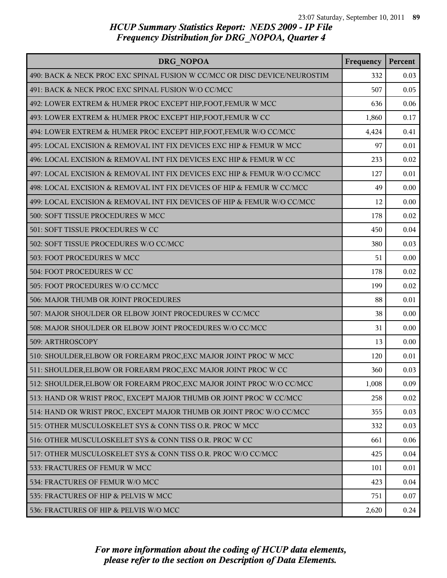| DRG NOPOA                                                                 | Frequency | Percent |
|---------------------------------------------------------------------------|-----------|---------|
| 490: BACK & NECK PROC EXC SPINAL FUSION W CC/MCC OR DISC DEVICE/NEUROSTIM | 332       | 0.03    |
| 491: BACK & NECK PROC EXC SPINAL FUSION W/O CC/MCC                        | 507       | 0.05    |
| 492: LOWER EXTREM & HUMER PROC EXCEPT HIP, FOOT, FEMUR W MCC              | 636       | 0.06    |
| 493: LOWER EXTREM & HUMER PROC EXCEPT HIP, FOOT, FEMUR W CC               | 1,860     | 0.17    |
| 494: LOWER EXTREM & HUMER PROC EXCEPT HIP, FOOT, FEMUR W/O CC/MCC         | 4,424     | 0.41    |
| 495: LOCAL EXCISION & REMOVAL INT FIX DEVICES EXC HIP & FEMUR W MCC       | 97        | 0.01    |
| 496: LOCAL EXCISION & REMOVAL INT FIX DEVICES EXC HIP & FEMUR W CC        | 233       | 0.02    |
| 497: LOCAL EXCISION & REMOVAL INT FIX DEVICES EXC HIP & FEMUR W/O CC/MCC  | 127       | 0.01    |
| 498: LOCAL EXCISION & REMOVAL INT FIX DEVICES OF HIP & FEMUR W CC/MCC     | 49        | 0.00    |
| 499: LOCAL EXCISION & REMOVAL INT FIX DEVICES OF HIP & FEMUR W/O CC/MCC   | 12        | 0.00    |
| 500: SOFT TISSUE PROCEDURES W MCC                                         | 178       | 0.02    |
| 501: SOFT TISSUE PROCEDURES W CC                                          | 450       | 0.04    |
| 502: SOFT TISSUE PROCEDURES W/O CC/MCC                                    | 380       | 0.03    |
| 503: FOOT PROCEDURES W MCC                                                | 51        | 0.00    |
| 504: FOOT PROCEDURES W CC                                                 | 178       | 0.02    |
| 505: FOOT PROCEDURES W/O CC/MCC                                           | 199       | 0.02    |
| 506: MAJOR THUMB OR JOINT PROCEDURES                                      | 88        | 0.01    |
| 507: MAJOR SHOULDER OR ELBOW JOINT PROCEDURES W CC/MCC                    | 38        | 0.00    |
| 508: MAJOR SHOULDER OR ELBOW JOINT PROCEDURES W/O CC/MCC                  | 31        | 0.00    |
| 509: ARTHROSCOPY                                                          | 13        | 0.00    |
| 510: SHOULDER, ELBOW OR FOREARM PROC, EXC MAJOR JOINT PROC W MCC          | 120       | 0.01    |
| 511: SHOULDER, ELBOW OR FOREARM PROC, EXC MAJOR JOINT PROC W CC           | 360       | 0.03    |
| 512: SHOULDER, ELBOW OR FOREARM PROC, EXC MAJOR JOINT PROC W/O CC/MCC     | 1,008     | 0.09    |
| 513: HAND OR WRIST PROC, EXCEPT MAJOR THUMB OR JOINT PROC W CC/MCC        | 258       | 0.02    |
| 514: HAND OR WRIST PROC, EXCEPT MAJOR THUMB OR JOINT PROC W/O CC/MCC      | 355       | 0.03    |
| 515: OTHER MUSCULOSKELET SYS & CONN TISS O.R. PROC W MCC                  | 332       | 0.03    |
| 516: OTHER MUSCULOSKELET SYS & CONN TISS O.R. PROC W CC                   | 661       | 0.06    |
| 517: OTHER MUSCULOSKELET SYS & CONN TISS O.R. PROC W/O CC/MCC             | 425       | 0.04    |
| 533: FRACTURES OF FEMUR W MCC                                             | 101       | 0.01    |
| 534: FRACTURES OF FEMUR W/O MCC                                           | 423       | 0.04    |
| 535: FRACTURES OF HIP & PELVIS W MCC                                      | 751       | 0.07    |
| 536: FRACTURES OF HIP & PELVIS W/O MCC                                    | 2,620     | 0.24    |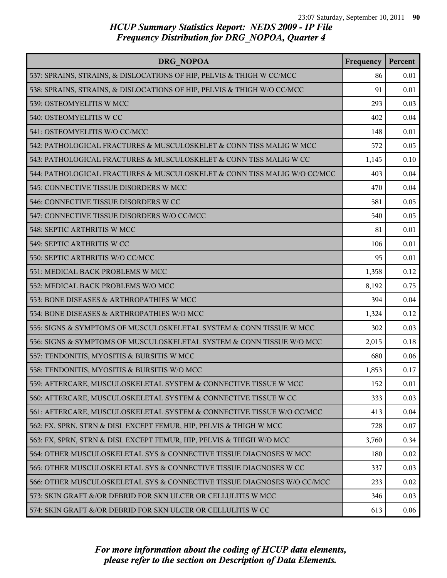| DRG NOPOA                                                                | Frequency | Percent |
|--------------------------------------------------------------------------|-----------|---------|
| 537: SPRAINS, STRAINS, & DISLOCATIONS OF HIP, PELVIS & THIGH W CC/MCC    | 86        | 0.01    |
| 538: SPRAINS, STRAINS, & DISLOCATIONS OF HIP, PELVIS & THIGH W/O CC/MCC  | 91        | 0.01    |
| 539: OSTEOMYELITIS W MCC                                                 | 293       | 0.03    |
| 540: OSTEOMYELITIS W CC                                                  | 402       | 0.04    |
| 541: OSTEOMYELITIS W/O CC/MCC                                            | 148       | 0.01    |
| 542: PATHOLOGICAL FRACTURES & MUSCULOSKELET & CONN TISS MALIG W MCC      | 572       | 0.05    |
| 543: PATHOLOGICAL FRACTURES & MUSCULOSKELET & CONN TISS MALIG W CC       | 1,145     | 0.10    |
| 544: PATHOLOGICAL FRACTURES & MUSCULOSKELET & CONN TISS MALIG W/O CC/MCC | 403       | 0.04    |
| 545: CONNECTIVE TISSUE DISORDERS W MCC                                   | 470       | 0.04    |
| 546: CONNECTIVE TISSUE DISORDERS W CC                                    | 581       | 0.05    |
| 547: CONNECTIVE TISSUE DISORDERS W/O CC/MCC                              | 540       | 0.05    |
| 548: SEPTIC ARTHRITIS W MCC                                              | 81        | 0.01    |
| 549: SEPTIC ARTHRITIS W CC                                               | 106       | 0.01    |
| 550: SEPTIC ARTHRITIS W/O CC/MCC                                         | 95        | 0.01    |
| 551: MEDICAL BACK PROBLEMS W MCC                                         | 1,358     | 0.12    |
| 552: MEDICAL BACK PROBLEMS W/O MCC                                       | 8,192     | 0.75    |
| 553: BONE DISEASES & ARTHROPATHIES W MCC                                 | 394       | 0.04    |
| 554: BONE DISEASES & ARTHROPATHIES W/O MCC                               | 1,324     | 0.12    |
| 555: SIGNS & SYMPTOMS OF MUSCULOSKELETAL SYSTEM & CONN TISSUE W MCC      | 302       | 0.03    |
| 556: SIGNS & SYMPTOMS OF MUSCULOSKELETAL SYSTEM & CONN TISSUE W/O MCC    | 2,015     | 0.18    |
| 557: TENDONITIS, MYOSITIS & BURSITIS W MCC                               | 680       | 0.06    |
| 558: TENDONITIS, MYOSITIS & BURSITIS W/O MCC                             | 1,853     | 0.17    |
| 559: AFTERCARE, MUSCULOSKELETAL SYSTEM & CONNECTIVE TISSUE W MCC         | 152       | 0.01    |
| 560: AFTERCARE, MUSCULOSKELETAL SYSTEM & CONNECTIVE TISSUE W CC          | 333       | 0.03    |
| 561: AFTERCARE, MUSCULOSKELETAL SYSTEM & CONNECTIVE TISSUE W/O CC/MCC    | 413       | 0.04    |
| 562: FX, SPRN, STRN & DISL EXCEPT FEMUR, HIP, PELVIS & THIGH W MCC       | 728       | 0.07    |
| 563: FX, SPRN, STRN & DISL EXCEPT FEMUR, HIP, PELVIS & THIGH W/O MCC     | 3,760     | 0.34    |
| 564: OTHER MUSCULOSKELETAL SYS & CONNECTIVE TISSUE DIAGNOSES W MCC       | 180       | 0.02    |
| 565: OTHER MUSCULOSKELETAL SYS & CONNECTIVE TISSUE DIAGNOSES W CC        | 337       | 0.03    |
| 566: OTHER MUSCULOSKELETAL SYS & CONNECTIVE TISSUE DIAGNOSES W/O CC/MCC  | 233       | 0.02    |
| 573: SKIN GRAFT &/OR DEBRID FOR SKN ULCER OR CELLULITIS W MCC            | 346       | 0.03    |
| 574: SKIN GRAFT &/OR DEBRID FOR SKN ULCER OR CELLULITIS W CC             | 613       | 0.06    |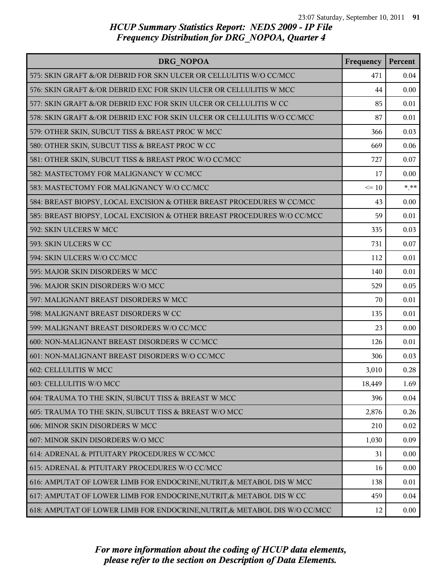| DRG NOPOA                                                                  | Frequency | Percent |
|----------------------------------------------------------------------------|-----------|---------|
| 575: SKIN GRAFT &/OR DEBRID FOR SKN ULCER OR CELLULITIS W/O CC/MCC         | 471       | 0.04    |
| 576: SKIN GRAFT &/OR DEBRID EXC FOR SKIN ULCER OR CELLULITIS W MCC         | 44        | 0.00    |
| 577: SKIN GRAFT &/OR DEBRID EXC FOR SKIN ULCER OR CELLULITIS W CC          | 85        | 0.01    |
| 578: SKIN GRAFT &/OR DEBRID EXC FOR SKIN ULCER OR CELLULITIS W/O CC/MCC    | 87        | 0.01    |
| 579: OTHER SKIN, SUBCUT TISS & BREAST PROC W MCC                           | 366       | 0.03    |
| 580: OTHER SKIN, SUBCUT TISS & BREAST PROC W CC                            | 669       | 0.06    |
| 581: OTHER SKIN, SUBCUT TISS & BREAST PROC W/O CC/MCC                      | 727       | 0.07    |
| 582: MASTECTOMY FOR MALIGNANCY W CC/MCC                                    | 17        | 0.00    |
| 583: MASTECTOMY FOR MALIGNANCY W/O CC/MCC                                  | $\leq 10$ | $* * *$ |
| 584: BREAST BIOPSY, LOCAL EXCISION & OTHER BREAST PROCEDURES W CC/MCC      | 43        | 0.00    |
| 585: BREAST BIOPSY, LOCAL EXCISION & OTHER BREAST PROCEDURES W/O CC/MCC    | 59        | 0.01    |
| 592: SKIN ULCERS W MCC                                                     | 335       | 0.03    |
| 593: SKIN ULCERS W CC                                                      | 731       | 0.07    |
| 594: SKIN ULCERS W/O CC/MCC                                                | 112       | 0.01    |
| 595: MAJOR SKIN DISORDERS W MCC                                            | 140       | 0.01    |
| 596: MAJOR SKIN DISORDERS W/O MCC                                          | 529       | 0.05    |
| 597: MALIGNANT BREAST DISORDERS W MCC                                      | 70        | 0.01    |
| 598: MALIGNANT BREAST DISORDERS W CC                                       | 135       | 0.01    |
| 599: MALIGNANT BREAST DISORDERS W/O CC/MCC                                 | 23        | 0.00    |
| 600: NON-MALIGNANT BREAST DISORDERS W CC/MCC                               | 126       | 0.01    |
| 601: NON-MALIGNANT BREAST DISORDERS W/O CC/MCC                             | 306       | 0.03    |
| 602: CELLULITIS W MCC                                                      | 3,010     | 0.28    |
| 603: CELLULITIS W/O MCC                                                    | 18,449    | 1.69    |
| 604: TRAUMA TO THE SKIN, SUBCUT TISS & BREAST W MCC                        | 396       | 0.04    |
| 605: TRAUMA TO THE SKIN, SUBCUT TISS & BREAST W/O MCC                      | 2,876     | 0.26    |
| 606: MINOR SKIN DISORDERS W MCC                                            | 210       | 0.02    |
| 607: MINOR SKIN DISORDERS W/O MCC                                          | 1,030     | 0.09    |
| 614: ADRENAL & PITUITARY PROCEDURES W CC/MCC                               | 31        | 0.00    |
| 615: ADRENAL & PITUITARY PROCEDURES W/O CC/MCC                             | 16        | 0.00    |
| 616: AMPUTAT OF LOWER LIMB FOR ENDOCRINE, NUTRIT, & METABOL DIS W MCC      | 138       | 0.01    |
| 617: AMPUTAT OF LOWER LIMB FOR ENDOCRINE, NUTRIT, & METABOL DIS W CC       | 459       | 0.04    |
| 618: AMPUTAT OF LOWER LIMB FOR ENDOCRINE, NUTRIT, & METABOL DIS W/O CC/MCC | 12        | 0.00    |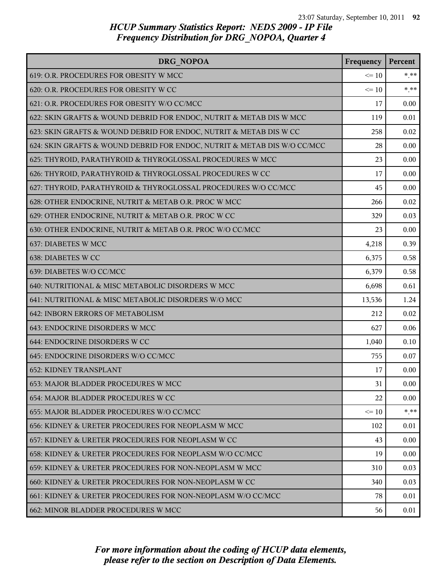| <b>DRG NOPOA</b>                                                         | Frequency | Percent  |
|--------------------------------------------------------------------------|-----------|----------|
| 619: O.R. PROCEDURES FOR OBESITY W MCC                                   | $\leq 10$ | $*$ $**$ |
| 620: O.R. PROCEDURES FOR OBESITY W CC                                    | $\leq 10$ | $* * *$  |
| 621: O.R. PROCEDURES FOR OBESITY W/O CC/MCC                              | 17        | 0.00     |
| 622: SKIN GRAFTS & WOUND DEBRID FOR ENDOC, NUTRIT & METAB DIS W MCC      | 119       | 0.01     |
| 623: SKIN GRAFTS & WOUND DEBRID FOR ENDOC, NUTRIT & METAB DIS W CC       | 258       | 0.02     |
| 624: SKIN GRAFTS & WOUND DEBRID FOR ENDOC, NUTRIT & METAB DIS W/O CC/MCC | 28        | 0.00     |
| 625: THYROID, PARATHYROID & THYROGLOSSAL PROCEDURES W MCC                | 23        | 0.00     |
| 626: THYROID, PARATHYROID & THYROGLOSSAL PROCEDURES W CC                 | 17        | 0.00     |
| 627: THYROID, PARATHYROID & THYROGLOSSAL PROCEDURES W/O CC/MCC           | 45        | 0.00     |
| 628: OTHER ENDOCRINE, NUTRIT & METAB O.R. PROC W MCC                     | 266       | 0.02     |
| 629: OTHER ENDOCRINE, NUTRIT & METAB O.R. PROC W CC                      | 329       | 0.03     |
| 630: OTHER ENDOCRINE, NUTRIT & METAB O.R. PROC W/O CC/MCC                | 23        | 0.00     |
| 637: DIABETES W MCC                                                      | 4,218     | 0.39     |
| 638: DIABETES W CC                                                       | 6,375     | 0.58     |
| 639: DIABETES W/O CC/MCC                                                 | 6,379     | 0.58     |
| 640: NUTRITIONAL & MISC METABOLIC DISORDERS W MCC                        | 6,698     | 0.61     |
| 641: NUTRITIONAL & MISC METABOLIC DISORDERS W/O MCC                      | 13,536    | 1.24     |
| 642: INBORN ERRORS OF METABOLISM                                         | 212       | 0.02     |
| 643: ENDOCRINE DISORDERS W MCC                                           | 627       | 0.06     |
| 644: ENDOCRINE DISORDERS W CC                                            | 1,040     | 0.10     |
| 645: ENDOCRINE DISORDERS W/O CC/MCC                                      | 755       | 0.07     |
| 652: KIDNEY TRANSPLANT                                                   | 17        | 0.00     |
| 653: MAJOR BLADDER PROCEDURES W MCC                                      | 31        | 0.00     |
| 654: MAJOR BLADDER PROCEDURES W CC                                       | 22        | 0.00     |
| 655: MAJOR BLADDER PROCEDURES W/O CC/MCC                                 | $\leq$ 10 | $*$ **   |
| 656: KIDNEY & URETER PROCEDURES FOR NEOPLASM W MCC                       | 102       | 0.01     |
| 657: KIDNEY & URETER PROCEDURES FOR NEOPLASM W CC                        | 43        | 0.00     |
| 658: KIDNEY & URETER PROCEDURES FOR NEOPLASM W/O CC/MCC                  | 19        | 0.00     |
| 659: KIDNEY & URETER PROCEDURES FOR NON-NEOPLASM W MCC                   | 310       | 0.03     |
| 660: KIDNEY & URETER PROCEDURES FOR NON-NEOPLASM W CC                    | 340       | 0.03     |
| 661: KIDNEY & URETER PROCEDURES FOR NON-NEOPLASM W/O CC/MCC              | 78        | 0.01     |
| 662: MINOR BLADDER PROCEDURES W MCC                                      | 56        | 0.01     |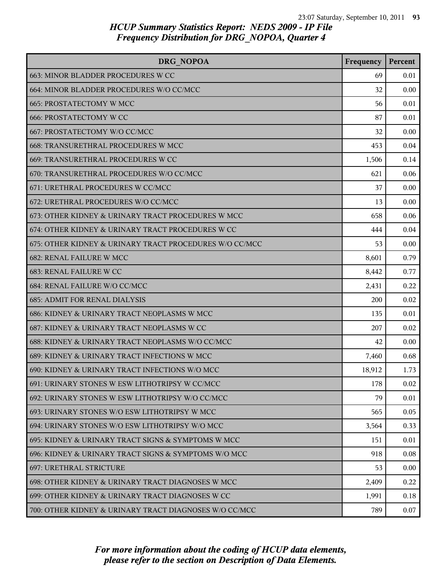| DRG NOPOA                                               | Frequency | Percent |
|---------------------------------------------------------|-----------|---------|
| 663: MINOR BLADDER PROCEDURES W CC                      | 69        | 0.01    |
| 664: MINOR BLADDER PROCEDURES W/O CC/MCC                | 32        | 0.00    |
| 665: PROSTATECTOMY W MCC                                | 56        | 0.01    |
| <b>666: PROSTATECTOMY W CC</b>                          | 87        | 0.01    |
| 667: PROSTATECTOMY W/O CC/MCC                           | 32        | 0.00    |
| 668: TRANSURETHRAL PROCEDURES W MCC                     | 453       | 0.04    |
| 669: TRANSURETHRAL PROCEDURES W CC                      | 1,506     | 0.14    |
| 670: TRANSURETHRAL PROCEDURES W/O CC/MCC                | 621       | 0.06    |
| 671: URETHRAL PROCEDURES W CC/MCC                       | 37        | 0.00    |
| 672: URETHRAL PROCEDURES W/O CC/MCC                     | 13        | 0.00    |
| 673: OTHER KIDNEY & URINARY TRACT PROCEDURES W MCC      | 658       | 0.06    |
| 674: OTHER KIDNEY & URINARY TRACT PROCEDURES W CC       | 444       | 0.04    |
| 675: OTHER KIDNEY & URINARY TRACT PROCEDURES W/O CC/MCC | 53        | 0.00    |
| 682: RENAL FAILURE W MCC                                | 8,601     | 0.79    |
| 683: RENAL FAILURE W CC                                 | 8,442     | 0.77    |
| 684: RENAL FAILURE W/O CC/MCC                           | 2,431     | 0.22    |
| <b>685: ADMIT FOR RENAL DIALYSIS</b>                    | 200       | 0.02    |
| 686: KIDNEY & URINARY TRACT NEOPLASMS W MCC             | 135       | 0.01    |
| 687: KIDNEY & URINARY TRACT NEOPLASMS W CC              | 207       | 0.02    |
| 688: KIDNEY & URINARY TRACT NEOPLASMS W/O CC/MCC        | 42        | 0.00    |
| 689: KIDNEY & URINARY TRACT INFECTIONS W MCC            | 7,460     | 0.68    |
| 690: KIDNEY & URINARY TRACT INFECTIONS W/O MCC          | 18,912    | 1.73    |
| 691: URINARY STONES W ESW LITHOTRIPSY W CC/MCC          | 178       | 0.02    |
| 692: URINARY STONES W ESW LITHOTRIPSY W/O CC/MCC        | 79        | 0.01    |
| 693: URINARY STONES W/O ESW LITHOTRIPSY W MCC           | 565       | 0.05    |
| 694: URINARY STONES W/O ESW LITHOTRIPSY W/O MCC         | 3,564     | 0.33    |
| 695: KIDNEY & URINARY TRACT SIGNS & SYMPTOMS W MCC      | 151       | 0.01    |
| 696: KIDNEY & URINARY TRACT SIGNS & SYMPTOMS W/O MCC    | 918       | 0.08    |
| 697: URETHRAL STRICTURE                                 | 53        | 0.00    |
| 698: OTHER KIDNEY & URINARY TRACT DIAGNOSES W MCC       | 2,409     | 0.22    |
| 699: OTHER KIDNEY & URINARY TRACT DIAGNOSES W CC        | 1,991     | 0.18    |
| 700: OTHER KIDNEY & URINARY TRACT DIAGNOSES W/O CC/MCC  | 789       | 0.07    |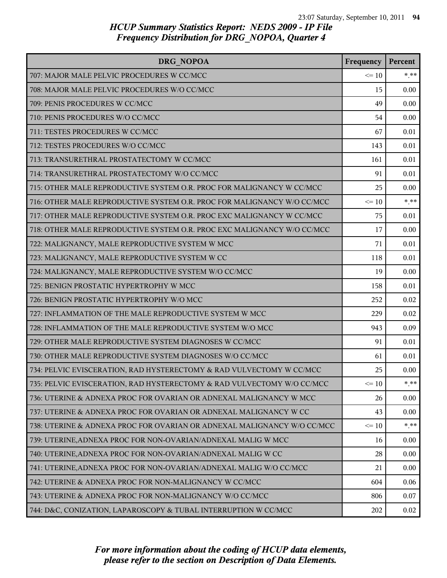| DRG NOPOA                                                               | Frequency | Percent |
|-------------------------------------------------------------------------|-----------|---------|
| 707: MAJOR MALE PELVIC PROCEDURES W CC/MCC                              | $\leq 10$ | $*.**$  |
| 708: MAJOR MALE PELVIC PROCEDURES W/O CC/MCC                            | 15        | 0.00    |
| 709: PENIS PROCEDURES W CC/MCC                                          | 49        | 0.00    |
| 710: PENIS PROCEDURES W/O CC/MCC                                        | 54        | 0.00    |
| 711: TESTES PROCEDURES W CC/MCC                                         | 67        | 0.01    |
| 712: TESTES PROCEDURES W/O CC/MCC                                       | 143       | 0.01    |
| 713: TRANSURETHRAL PROSTATECTOMY W CC/MCC                               | 161       | 0.01    |
| 714: TRANSURETHRAL PROSTATECTOMY W/O CC/MCC                             | 91        | 0.01    |
| 715: OTHER MALE REPRODUCTIVE SYSTEM O.R. PROC FOR MALIGNANCY W CC/MCC   | 25        | 0.00    |
| 716: OTHER MALE REPRODUCTIVE SYSTEM O.R. PROC FOR MALIGNANCY W/O CC/MCC | $\leq 10$ | $***$   |
| 717: OTHER MALE REPRODUCTIVE SYSTEM O.R. PROC EXC MALIGNANCY W CC/MCC   | 75        | 0.01    |
| 718: OTHER MALE REPRODUCTIVE SYSTEM O.R. PROC EXC MALIGNANCY W/O CC/MCC | 17        | 0.00    |
| 722: MALIGNANCY, MALE REPRODUCTIVE SYSTEM W MCC                         | 71        | 0.01    |
| 723: MALIGNANCY, MALE REPRODUCTIVE SYSTEM W CC                          | 118       | 0.01    |
| 724: MALIGNANCY, MALE REPRODUCTIVE SYSTEM W/O CC/MCC                    | 19        | 0.00    |
| 725: BENIGN PROSTATIC HYPERTROPHY W MCC                                 | 158       | 0.01    |
| 726: BENIGN PROSTATIC HYPERTROPHY W/O MCC                               | 252       | 0.02    |
| 727: INFLAMMATION OF THE MALE REPRODUCTIVE SYSTEM W MCC                 | 229       | 0.02    |
| 728: INFLAMMATION OF THE MALE REPRODUCTIVE SYSTEM W/O MCC               | 943       | 0.09    |
| 729: OTHER MALE REPRODUCTIVE SYSTEM DIAGNOSES W CC/MCC                  | 91        | 0.01    |
| 730: OTHER MALE REPRODUCTIVE SYSTEM DIAGNOSES W/O CC/MCC                | 61        | 0.01    |
| 734: PELVIC EVISCERATION, RAD HYSTERECTOMY & RAD VULVECTOMY W CC/MCC    | 25        | 0.00    |
| 735: PELVIC EVISCERATION, RAD HYSTERECTOMY & RAD VULVECTOMY W/O CC/MCC  | $\leq 10$ | $*$ **  |
| 736: UTERINE & ADNEXA PROC FOR OVARIAN OR ADNEXAL MALIGNANCY W MCC      | 26        | 0.00    |
| 737: UTERINE & ADNEXA PROC FOR OVARIAN OR ADNEXAL MALIGNANCY W CC       | 43        | 0.00    |
| 738: UTERINE & ADNEXA PROC FOR OVARIAN OR ADNEXAL MALIGNANCY W/O CC/MCC | $\leq 10$ | $* * *$ |
| 739: UTERINE, ADNEXA PROC FOR NON-OVARIAN/ADNEXAL MALIG W MCC           | 16        | 0.00    |
| 740: UTERINE, ADNEXA PROC FOR NON-OVARIAN/ADNEXAL MALIG W CC            | 28        | 0.00    |
| 741: UTERINE, ADNEXA PROC FOR NON-OVARIAN/ADNEXAL MALIG W/O CC/MCC      | 21        | 0.00    |
| 742: UTERINE & ADNEXA PROC FOR NON-MALIGNANCY W CC/MCC                  | 604       | 0.06    |
| 743: UTERINE & ADNEXA PROC FOR NON-MALIGNANCY W/O CC/MCC                | 806       | 0.07    |
| 744: D&C, CONIZATION, LAPAROSCOPY & TUBAL INTERRUPTION W CC/MCC         | 202       | 0.02    |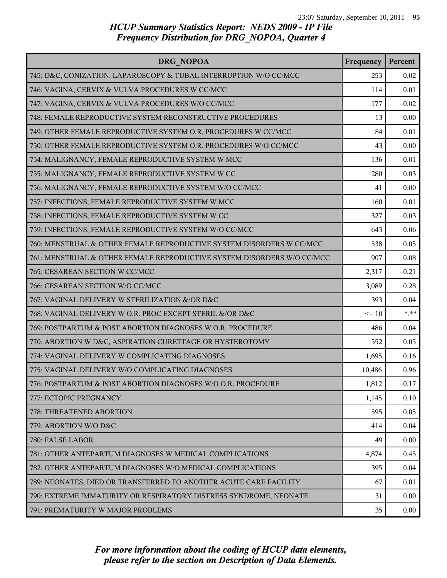| DRG NOPOA                                                              | Frequency | Percent |
|------------------------------------------------------------------------|-----------|---------|
| 745: D&C, CONIZATION, LAPAROSCOPY & TUBAL INTERRUPTION W/O CC/MCC      | 253       | 0.02    |
| 746: VAGINA, CERVIX & VULVA PROCEDURES W CC/MCC                        | 114       | 0.01    |
| 747: VAGINA, CERVIX & VULVA PROCEDURES W/O CC/MCC                      | 177       | 0.02    |
| 748: FEMALE REPRODUCTIVE SYSTEM RECONSTRUCTIVE PROCEDURES              | 13        | 0.00    |
| 749: OTHER FEMALE REPRODUCTIVE SYSTEM O.R. PROCEDURES W CC/MCC         | 84        | 0.01    |
| 750: OTHER FEMALE REPRODUCTIVE SYSTEM O.R. PROCEDURES W/O CC/MCC       | 43        | 0.00    |
| 754: MALIGNANCY, FEMALE REPRODUCTIVE SYSTEM W MCC                      | 136       | 0.01    |
| 755: MALIGNANCY, FEMALE REPRODUCTIVE SYSTEM W CC                       | 280       | 0.03    |
| 756: MALIGNANCY, FEMALE REPRODUCTIVE SYSTEM W/O CC/MCC                 | 41        | 0.00    |
| 757: INFECTIONS, FEMALE REPRODUCTIVE SYSTEM W MCC                      | 160       | 0.01    |
| 758: INFECTIONS, FEMALE REPRODUCTIVE SYSTEM W CC                       | 327       | 0.03    |
| 759: INFECTIONS, FEMALE REPRODUCTIVE SYSTEM W/O CC/MCC                 | 643       | 0.06    |
| 760: MENSTRUAL & OTHER FEMALE REPRODUCTIVE SYSTEM DISORDERS W CC/MCC   | 538       | 0.05    |
| 761: MENSTRUAL & OTHER FEMALE REPRODUCTIVE SYSTEM DISORDERS W/O CC/MCC | 907       | 0.08    |
| 765: CESAREAN SECTION W CC/MCC                                         | 2,317     | 0.21    |
| 766: CESAREAN SECTION W/O CC/MCC                                       | 3,089     | 0.28    |
| 767: VAGINAL DELIVERY W STERILIZATION &/OR D&C                         | 393       | 0.04    |
| 768: VAGINAL DELIVERY W O.R. PROC EXCEPT STERIL &/OR D&C               | $\leq 10$ | $***$   |
| 769: POSTPARTUM & POST ABORTION DIAGNOSES W O.R. PROCEDURE             | 486       | 0.04    |
| 770: ABORTION W D&C, ASPIRATION CURETTAGE OR HYSTEROTOMY               | 552       | 0.05    |
| 774: VAGINAL DELIVERY W COMPLICATING DIAGNOSES                         | 1,695     | 0.16    |
| 775: VAGINAL DELIVERY W/O COMPLICATING DIAGNOSES                       | 10,486    | 0.96    |
| 776: POSTPARTUM & POST ABORTION DIAGNOSES W/O O.R. PROCEDURE           | 1,812     | 0.17    |
| 777: ECTOPIC PREGNANCY                                                 | 1,145     | 0.10    |
| 778: THREATENED ABORTION                                               | 595       | 0.05    |
| 779: ABORTION W/O D&C                                                  | 414       | 0.04    |
| 780: FALSE LABOR                                                       | 49        | 0.00    |
| 781: OTHER ANTEPARTUM DIAGNOSES W MEDICAL COMPLICATIONS                | 4,874     | 0.45    |
| 782: OTHER ANTEPARTUM DIAGNOSES W/O MEDICAL COMPLICATIONS              | 395       | 0.04    |
| 789: NEONATES, DIED OR TRANSFERRED TO ANOTHER ACUTE CARE FACILITY      | 67        | 0.01    |
| 790: EXTREME IMMATURITY OR RESPIRATORY DISTRESS SYNDROME, NEONATE      | 31        | 0.00    |
| 791: PREMATURITY W MAJOR PROBLEMS                                      | 35        | 0.00    |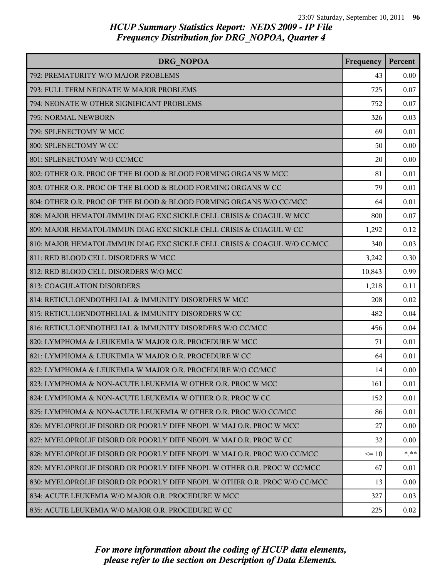| DRG NOPOA                                                                 | Frequency | Percent |
|---------------------------------------------------------------------------|-----------|---------|
| 792: PREMATURITY W/O MAJOR PROBLEMS                                       | 43        | 0.00    |
| 793: FULL TERM NEONATE W MAJOR PROBLEMS                                   | 725       | 0.07    |
| 794: NEONATE W OTHER SIGNIFICANT PROBLEMS                                 | 752       | 0.07    |
| 795: NORMAL NEWBORN                                                       | 326       | 0.03    |
| 799: SPLENECTOMY W MCC                                                    | 69        | 0.01    |
| 800: SPLENECTOMY W CC                                                     | 50        | 0.00    |
| 801: SPLENECTOMY W/O CC/MCC                                               | 20        | 0.00    |
| 802: OTHER O.R. PROC OF THE BLOOD & BLOOD FORMING ORGANS W MCC            | 81        | 0.01    |
| 803: OTHER O.R. PROC OF THE BLOOD & BLOOD FORMING ORGANS W CC             | 79        | 0.01    |
| 804: OTHER O.R. PROC OF THE BLOOD & BLOOD FORMING ORGANS W/O CC/MCC       | 64        | 0.01    |
| 808: MAJOR HEMATOL/IMMUN DIAG EXC SICKLE CELL CRISIS & COAGUL W MCC       | 800       | 0.07    |
| 809: MAJOR HEMATOL/IMMUN DIAG EXC SICKLE CELL CRISIS & COAGUL W CC        | 1,292     | 0.12    |
| 810: MAJOR HEMATOL/IMMUN DIAG EXC SICKLE CELL CRISIS & COAGUL W/O CC/MCC  | 340       | 0.03    |
| 811: RED BLOOD CELL DISORDERS W MCC                                       | 3,242     | 0.30    |
| 812: RED BLOOD CELL DISORDERS W/O MCC                                     | 10,843    | 0.99    |
| 813: COAGULATION DISORDERS                                                | 1,218     | 0.11    |
| 814: RETICULOENDOTHELIAL & IMMUNITY DISORDERS W MCC                       | 208       | 0.02    |
| 815: RETICULOENDOTHELIAL & IMMUNITY DISORDERS W CC                        | 482       | 0.04    |
| 816: RETICULOENDOTHELIAL & IMMUNITY DISORDERS W/O CC/MCC                  | 456       | 0.04    |
| 820: LYMPHOMA & LEUKEMIA W MAJOR O.R. PROCEDURE W MCC                     | 71        | 0.01    |
| 821: LYMPHOMA & LEUKEMIA W MAJOR O.R. PROCEDURE W CC                      | 64        | 0.01    |
| 822: LYMPHOMA & LEUKEMIA W MAJOR O.R. PROCEDURE W/O CC/MCC                | 14        | 0.00    |
| 823: LYMPHOMA & NON-ACUTE LEUKEMIA W OTHER O.R. PROC W MCC                | 161       | 0.01    |
| 824: LYMPHOMA & NON-ACUTE LEUKEMIA W OTHER O.R. PROC W CC                 | 152       | 0.01    |
| 825: LYMPHOMA & NON-ACUTE LEUKEMIA W OTHER O.R. PROC W/O CC/MCC           | 86        | 0.01    |
| 826: MYELOPROLIF DISORD OR POORLY DIFF NEOPL W MAJ O.R. PROC W MCC        | 27        | 0.00    |
| 827: MYELOPROLIF DISORD OR POORLY DIFF NEOPL W MAJ O.R. PROC W CC         | 32        | 0.00    |
| 828: MYELOPROLIF DISORD OR POORLY DIFF NEOPL W MAJ O.R. PROC W/O CC/MCC   | $\leq 10$ | $* * *$ |
| 829: MYELOPROLIF DISORD OR POORLY DIFF NEOPL W OTHER O.R. PROC W CC/MCC   | 67        | 0.01    |
| 830: MYELOPROLIF DISORD OR POORLY DIFF NEOPL W OTHER O.R. PROC W/O CC/MCC | 13        | 0.00    |
| 834: ACUTE LEUKEMIA W/O MAJOR O.R. PROCEDURE W MCC                        | 327       | 0.03    |
| 835: ACUTE LEUKEMIA W/O MAJOR O.R. PROCEDURE W CC                         | 225       | 0.02    |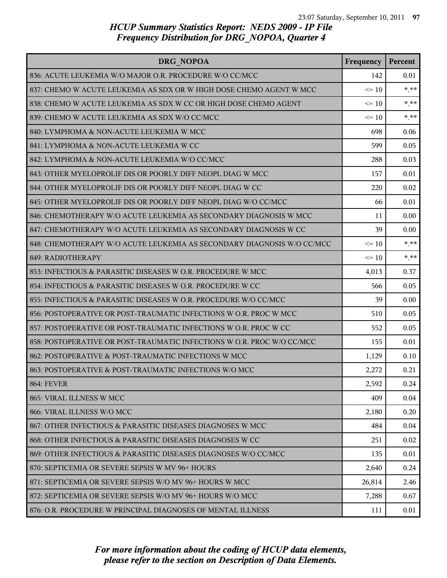| DRG NOPOA                                                              | Frequency | Percent |
|------------------------------------------------------------------------|-----------|---------|
| 836: ACUTE LEUKEMIA W/O MAJOR O.R. PROCEDURE W/O CC/MCC                | 142       | 0.01    |
| 837: CHEMO W ACUTE LEUKEMIA AS SDX OR W HIGH DOSE CHEMO AGENT W MCC    | $\leq 10$ | $***$   |
| 838: CHEMO W ACUTE LEUKEMIA AS SDX W CC OR HIGH DOSE CHEMO AGENT       | $\leq 10$ | $* * *$ |
| 839: CHEMO W ACUTE LEUKEMIA AS SDX W/O CC/MCC                          | $\leq 10$ | $* * *$ |
| 840: LYMPHOMA & NON-ACUTE LEUKEMIA W MCC                               | 698       | 0.06    |
| 841: LYMPHOMA & NON-ACUTE LEUKEMIA W CC                                | 599       | 0.05    |
| 842: LYMPHOMA & NON-ACUTE LEUKEMIA W/O CC/MCC                          | 288       | 0.03    |
| 843: OTHER MYELOPROLIF DIS OR POORLY DIFF NEOPL DIAG W MCC             | 157       | 0.01    |
| 844: OTHER MYELOPROLIF DIS OR POORLY DIFF NEOPL DIAG W CC              | 220       | 0.02    |
| 845: OTHER MYELOPROLIF DIS OR POORLY DIFF NEOPL DIAG W/O CC/MCC        | 66        | 0.01    |
| 846: CHEMOTHERAPY W/O ACUTE LEUKEMIA AS SECONDARY DIAGNOSIS W MCC      | 11        | 0.00    |
| 847: CHEMOTHERAPY W/O ACUTE LEUKEMIA AS SECONDARY DIAGNOSIS W CC       | 39        | 0.00    |
| 848: CHEMOTHERAPY W/O ACUTE LEUKEMIA AS SECONDARY DIAGNOSIS W/O CC/MCC | $\leq 10$ | $***$   |
| 849: RADIOTHERAPY                                                      | $\leq 10$ | $* * *$ |
| 853: INFECTIOUS & PARASITIC DISEASES W O.R. PROCEDURE W MCC            | 4,013     | 0.37    |
| 854: INFECTIOUS & PARASITIC DISEASES W O.R. PROCEDURE W CC             | 566       | 0.05    |
| 855: INFECTIOUS & PARASITIC DISEASES W O.R. PROCEDURE W/O CC/MCC       | 39        | 0.00    |
| 856: POSTOPERATIVE OR POST-TRAUMATIC INFECTIONS W O.R. PROC W MCC      | 510       | 0.05    |
| 857: POSTOPERATIVE OR POST-TRAUMATIC INFECTIONS W O.R. PROC W CC       | 552       | 0.05    |
| 858: POSTOPERATIVE OR POST-TRAUMATIC INFECTIONS W O.R. PROC W/O CC/MCC | 155       | 0.01    |
| 862: POSTOPERATIVE & POST-TRAUMATIC INFECTIONS W MCC                   | 1,129     | 0.10    |
| 863: POSTOPERATIVE & POST-TRAUMATIC INFECTIONS W/O MCC                 | 2,272     | 0.21    |
| <b>864: FEVER</b>                                                      | 2,592     | 0.24    |
| 865: VIRAL ILLNESS W MCC                                               | 409       | 0.04    |
| 866: VIRAL ILLNESS W/O MCC                                             | 2,180     | 0.20    |
| 867: OTHER INFECTIOUS & PARASITIC DISEASES DIAGNOSES W MCC             | 484       | 0.04    |
| 868: OTHER INFECTIOUS & PARASITIC DISEASES DIAGNOSES W CC              | 251       | 0.02    |
| 869: OTHER INFECTIOUS & PARASITIC DISEASES DIAGNOSES W/O CC/MCC        | 135       | 0.01    |
| 870: SEPTICEMIA OR SEVERE SEPSIS W MV 96+ HOURS                        | 2,640     | 0.24    |
| 871: SEPTICEMIA OR SEVERE SEPSIS W/O MV 96+ HOURS W MCC                | 26,814    | 2.46    |
| 872: SEPTICEMIA OR SEVERE SEPSIS W/O MV 96+ HOURS W/O MCC              | 7,288     | 0.67    |
| 876: O.R. PROCEDURE W PRINCIPAL DIAGNOSES OF MENTAL ILLNESS            | 111       | 0.01    |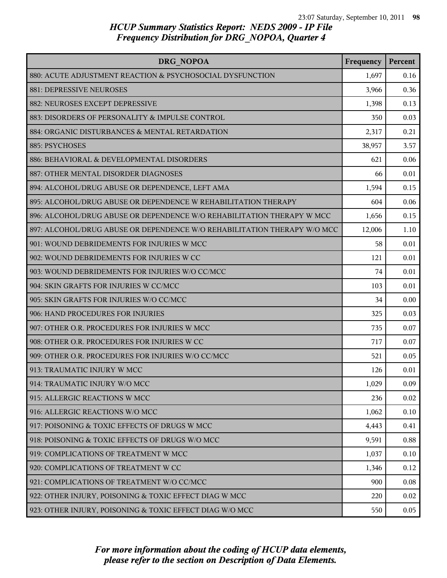| DRG NOPOA                                                                | Frequency | Percent |
|--------------------------------------------------------------------------|-----------|---------|
| 880: ACUTE ADJUSTMENT REACTION & PSYCHOSOCIAL DYSFUNCTION                | 1,697     | 0.16    |
| 881: DEPRESSIVE NEUROSES                                                 | 3,966     | 0.36    |
| 882: NEUROSES EXCEPT DEPRESSIVE                                          | 1,398     | 0.13    |
| 883: DISORDERS OF PERSONALITY & IMPULSE CONTROL                          | 350       | 0.03    |
| 884: ORGANIC DISTURBANCES & MENTAL RETARDATION                           | 2,317     | 0.21    |
| 885: PSYCHOSES                                                           | 38,957    | 3.57    |
| 886: BEHAVIORAL & DEVELOPMENTAL DISORDERS                                | 621       | 0.06    |
| 887: OTHER MENTAL DISORDER DIAGNOSES                                     | 66        | 0.01    |
| 894: ALCOHOL/DRUG ABUSE OR DEPENDENCE, LEFT AMA                          | 1,594     | 0.15    |
| 895: ALCOHOL/DRUG ABUSE OR DEPENDENCE W REHABILITATION THERAPY           | 604       | 0.06    |
| 896: ALCOHOL/DRUG ABUSE OR DEPENDENCE W/O REHABILITATION THERAPY W MCC   | 1,656     | 0.15    |
| 897: ALCOHOL/DRUG ABUSE OR DEPENDENCE W/O REHABILITATION THERAPY W/O MCC | 12,006    | 1.10    |
| 901: WOUND DEBRIDEMENTS FOR INJURIES W MCC                               | 58        | 0.01    |
| 902: WOUND DEBRIDEMENTS FOR INJURIES W CC                                | 121       | 0.01    |
| 903: WOUND DEBRIDEMENTS FOR INJURIES W/O CC/MCC                          | 74        | 0.01    |
| 904: SKIN GRAFTS FOR INJURIES W CC/MCC                                   | 103       | 0.01    |
| 905: SKIN GRAFTS FOR INJURIES W/O CC/MCC                                 | 34        | 0.00    |
| 906: HAND PROCEDURES FOR INJURIES                                        | 325       | 0.03    |
| 907: OTHER O.R. PROCEDURES FOR INJURIES W MCC                            | 735       | 0.07    |
| 908: OTHER O.R. PROCEDURES FOR INJURIES W CC                             | 717       | 0.07    |
| 909: OTHER O.R. PROCEDURES FOR INJURIES W/O CC/MCC                       | 521       | 0.05    |
| 913: TRAUMATIC INJURY W MCC                                              | 126       | 0.01    |
| 914: TRAUMATIC INJURY W/O MCC                                            | 1,029     | 0.09    |
| 915: ALLERGIC REACTIONS W MCC                                            | 236       | 0.02    |
| 916: ALLERGIC REACTIONS W/O MCC                                          | 1,062     | 0.10    |
| 917: POISONING & TOXIC EFFECTS OF DRUGS W MCC                            | 4,443     | 0.41    |
| 918: POISONING & TOXIC EFFECTS OF DRUGS W/O MCC                          | 9,591     | 0.88    |
| 919: COMPLICATIONS OF TREATMENT W MCC                                    | 1,037     | 0.10    |
| 920: COMPLICATIONS OF TREATMENT W CC                                     | 1,346     | 0.12    |
| 921: COMPLICATIONS OF TREATMENT W/O CC/MCC                               | 900       | 0.08    |
| 922: OTHER INJURY, POISONING & TOXIC EFFECT DIAG W MCC                   | 220       | 0.02    |
| 923: OTHER INJURY, POISONING & TOXIC EFFECT DIAG W/O MCC                 | 550       | 0.05    |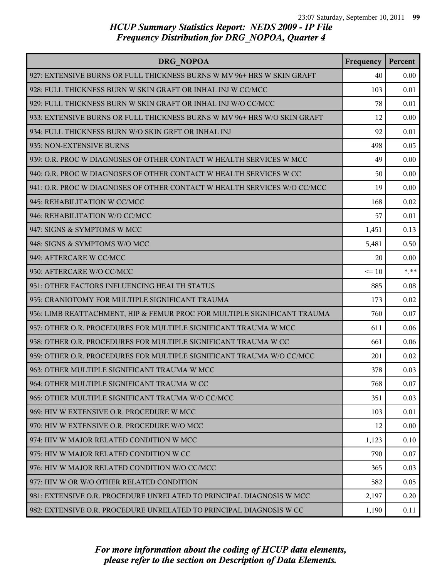| DRG NOPOA                                                                | Frequency | Percent |
|--------------------------------------------------------------------------|-----------|---------|
| 927: EXTENSIVE BURNS OR FULL THICKNESS BURNS W MV 96+ HRS W SKIN GRAFT   | 40        | 0.00    |
| 928: FULL THICKNESS BURN W SKIN GRAFT OR INHAL INJ W CC/MCC              | 103       | 0.01    |
| 929: FULL THICKNESS BURN W SKIN GRAFT OR INHAL INJ W/O CC/MCC            | 78        | 0.01    |
| 933: EXTENSIVE BURNS OR FULL THICKNESS BURNS W MV 96+ HRS W/O SKIN GRAFT | 12        | 0.00    |
| 934: FULL THICKNESS BURN W/O SKIN GRFT OR INHAL INJ                      | 92        | 0.01    |
| 935: NON-EXTENSIVE BURNS                                                 | 498       | 0.05    |
| 939: O.R. PROC W DIAGNOSES OF OTHER CONTACT W HEALTH SERVICES W MCC      | 49        | 0.00    |
| 940: O.R. PROC W DIAGNOSES OF OTHER CONTACT W HEALTH SERVICES W CC       | 50        | 0.00    |
| 941: O.R. PROC W DIAGNOSES OF OTHER CONTACT W HEALTH SERVICES W/O CC/MCC | 19        | 0.00    |
| 945: REHABILITATION W CC/MCC                                             | 168       | 0.02    |
| 946: REHABILITATION W/O CC/MCC                                           | 57        | 0.01    |
| 947: SIGNS & SYMPTOMS W MCC                                              | 1,451     | 0.13    |
| 948: SIGNS & SYMPTOMS W/O MCC                                            | 5,481     | 0.50    |
| 949: AFTERCARE W CC/MCC                                                  | 20        | 0.00    |
| 950: AFTERCARE W/O CC/MCC                                                | $\leq 10$ | $* * *$ |
| 951: OTHER FACTORS INFLUENCING HEALTH STATUS                             | 885       | 0.08    |
| 955: CRANIOTOMY FOR MULTIPLE SIGNIFICANT TRAUMA                          | 173       | 0.02    |
| 956: LIMB REATTACHMENT, HIP & FEMUR PROC FOR MULTIPLE SIGNIFICANT TRAUMA | 760       | 0.07    |
| 957: OTHER O.R. PROCEDURES FOR MULTIPLE SIGNIFICANT TRAUMA W MCC         | 611       | 0.06    |
| 958: OTHER O.R. PROCEDURES FOR MULTIPLE SIGNIFICANT TRAUMA W CC          | 661       | 0.06    |
| 959: OTHER O.R. PROCEDURES FOR MULTIPLE SIGNIFICANT TRAUMA W/O CC/MCC    | 201       | 0.02    |
| 963: OTHER MULTIPLE SIGNIFICANT TRAUMA W MCC                             | 378       | 0.03    |
| 964: OTHER MULTIPLE SIGNIFICANT TRAUMA W CC                              | 768       | 0.07    |
| 965: OTHER MULTIPLE SIGNIFICANT TRAUMA W/O CC/MCC                        | 351       | 0.03    |
| 969: HIV W EXTENSIVE O.R. PROCEDURE W MCC                                | 103       | 0.01    |
| 970: HIV W EXTENSIVE O.R. PROCEDURE W/O MCC                              | 12        | 0.00    |
| 974: HIV W MAJOR RELATED CONDITION W MCC                                 | 1,123     | 0.10    |
| 975: HIV W MAJOR RELATED CONDITION W CC                                  | 790       | 0.07    |
| 976: HIV W MAJOR RELATED CONDITION W/O CC/MCC                            | 365       | 0.03    |
| 977: HIV W OR W/O OTHER RELATED CONDITION                                | 582       | 0.05    |
| 981: EXTENSIVE O.R. PROCEDURE UNRELATED TO PRINCIPAL DIAGNOSIS W MCC     | 2,197     | 0.20    |
| 982: EXTENSIVE O.R. PROCEDURE UNRELATED TO PRINCIPAL DIAGNOSIS W CC      | 1,190     | 0.11    |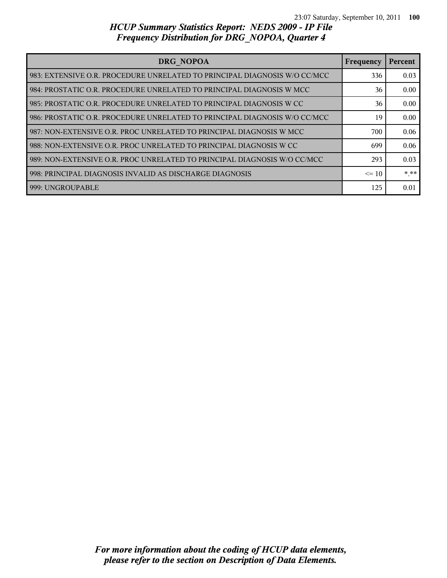| DRG NOPOA                                                                   | Frequency | Percent |
|-----------------------------------------------------------------------------|-----------|---------|
| l 983: EXTENSIVE O.R. PROCEDURE UNRELATED TO PRINCIPAL DIAGNOSIS W/O CC/MCC | 336       | 0.03    |
| 984: PROSTATIC O.R. PROCEDURE UNRELATED TO PRINCIPAL DIAGNOSIS W MCC        | 36        | 0.00    |
| 985: PROSTATIC O.R. PROCEDURE UNRELATED TO PRINCIPAL DIAGNOSIS W CC         | 36        | 0.00    |
| l 986: PROSTATIC O.R. PROCEDURE UNRELATED TO PRINCIPAL DIAGNOSIS W/O CC/MCC | 19        | 0.00    |
| 987: NON-EXTENSIVE O.R. PROC UNRELATED TO PRINCIPAL DIAGNOSIS W MCC         | 700       | 0.06    |
| l 988: NON-EXTENSIVE O.R. PROC UNRELATED TO PRINCIPAL DIAGNOSIS W CC        | 699       | 0.06    |
| 989: NON-EXTENSIVE O.R. PROC UNRELATED TO PRINCIPAL DIAGNOSIS W/O CC/MCC    | 293       | 0.03    |
| 998: PRINCIPAL DIAGNOSIS INVALID AS DISCHARGE DIAGNOSIS                     | $\leq 10$ | $* * *$ |
| 999: UNGROUPABLE                                                            | 125       | 0.01    |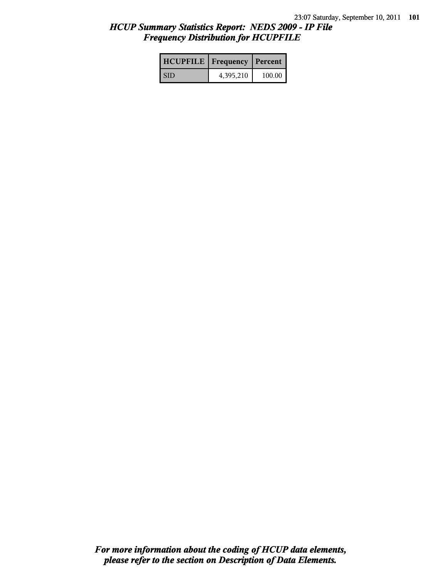### *HCUP Summary Statistics Report: NEDS 2009 - IP File Frequency Distribution for HCUPFILE*

| <b>HCUPFILE</b>   Frequency   Percent |           |        |
|---------------------------------------|-----------|--------|
| <b>SID</b>                            | 4,395,210 | 100.00 |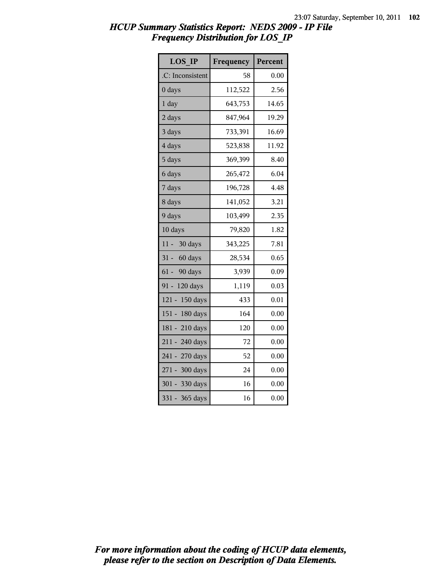### *HCUP Summary Statistics Report: NEDS 2009 - IP File Frequency Distribution for LOS\_IP*

| <b>LOS IP</b>       | Frequency | Percent |
|---------------------|-----------|---------|
| .C: Inconsistent    | 58        | 0.00    |
| 0 days              | 112,522   | 2.56    |
| $1$ day             | 643,753   | 14.65   |
| 2 days              | 847,964   | 19.29   |
| 3 days              | 733,391   | 16.69   |
| 4 days              | 523,838   | 11.92   |
| 5 days              | 369,399   | 8.40    |
| 6 days              | 265,472   | 6.04    |
| 7 days              | 196,728   | 4.48    |
| 8 days              | 141,052   | 3.21    |
| 9 days              | 103,499   | 2.35    |
| 10 days             | 79,820    | 1.82    |
| $11 -$<br>30 days   | 343,225   | 7.81    |
| $31 -$<br>60 days   | 28,534    | 0.65    |
| $61 -$<br>90 days   | 3,939     | 0.09    |
| $91 -$<br>120 days  | 1,119     | 0.03    |
| 150 days<br>$121 -$ | 433       | 0.01    |
| $151 -$<br>180 days | 164       | 0.00    |
| 181 - 210 days      | 120       | 0.00    |
| 211 - 240 days      | 72        | 0.00    |
| 241 - 270 days      | 52        | 0.00    |
| 271 - 300 days      | 24        | 0.00    |
| 301 - 330 days      | 16        | 0.00    |
| $331 -$<br>365 days | 16        | 0.00    |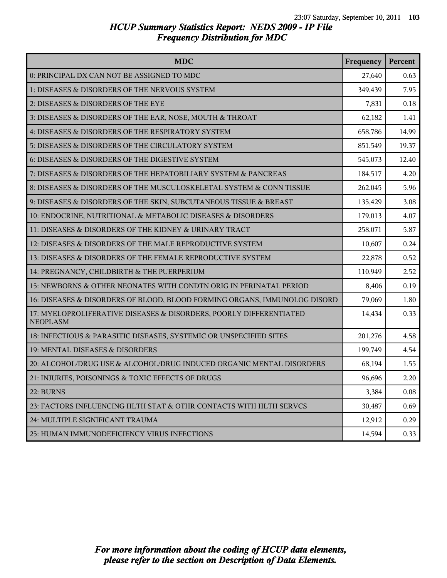### *HCUP Summary Statistics Report: NEDS 2009 - IP File Frequency Distribution for MDC*

| <b>MDC</b>                                                                            | Frequency | Percent |
|---------------------------------------------------------------------------------------|-----------|---------|
| 0: PRINCIPAL DX CAN NOT BE ASSIGNED TO MDC                                            | 27,640    | 0.63    |
| 1: DISEASES & DISORDERS OF THE NERVOUS SYSTEM                                         | 349,439   | 7.95    |
| 2: DISEASES & DISORDERS OF THE EYE                                                    | 7,831     | 0.18    |
| 3: DISEASES & DISORDERS OF THE EAR, NOSE, MOUTH & THROAT                              | 62,182    | 1.41    |
| 4: DISEASES & DISORDERS OF THE RESPIRATORY SYSTEM                                     | 658,786   | 14.99   |
| 5: DISEASES & DISORDERS OF THE CIRCULATORY SYSTEM                                     | 851,549   | 19.37   |
| 6: DISEASES & DISORDERS OF THE DIGESTIVE SYSTEM                                       | 545,073   | 12.40   |
| 7: DISEASES & DISORDERS OF THE HEPATOBILIARY SYSTEM & PANCREAS                        | 184,517   | 4.20    |
| 8: DISEASES & DISORDERS OF THE MUSCULOSKELETAL SYSTEM & CONN TISSUE                   | 262,045   | 5.96    |
| 9: DISEASES & DISORDERS OF THE SKIN, SUBCUTANEOUS TISSUE & BREAST                     | 135,429   | 3.08    |
| 10: ENDOCRINE, NUTRITIONAL & METABOLIC DISEASES & DISORDERS                           | 179,013   | 4.07    |
| 11: DISEASES & DISORDERS OF THE KIDNEY & URINARY TRACT                                | 258,071   | 5.87    |
| 12: DISEASES & DISORDERS OF THE MALE REPRODUCTIVE SYSTEM                              | 10,607    | 0.24    |
| 13: DISEASES & DISORDERS OF THE FEMALE REPRODUCTIVE SYSTEM                            | 22,878    | 0.52    |
| 14: PREGNANCY, CHILDBIRTH & THE PUERPERIUM                                            | 110,949   | 2.52    |
| 15: NEWBORNS & OTHER NEONATES WITH CONDTN ORIG IN PERINATAL PERIOD                    | 8,406     | 0.19    |
| 16: DISEASES & DISORDERS OF BLOOD, BLOOD FORMING ORGANS, IMMUNOLOG DISORD             | 79,069    | 1.80    |
| 17: MYELOPROLIFERATIVE DISEASES & DISORDERS, POORLY DIFFERENTIATED<br><b>NEOPLASM</b> | 14,434    | 0.33    |
| 18: INFECTIOUS & PARASITIC DISEASES, SYSTEMIC OR UNSPECIFIED SITES                    | 201,276   | 4.58    |
| 19: MENTAL DISEASES & DISORDERS                                                       | 199,749   | 4.54    |
| 20: ALCOHOL/DRUG USE & ALCOHOL/DRUG INDUCED ORGANIC MENTAL DISORDERS                  | 68,194    | 1.55    |
| 21: INJURIES, POISONINGS & TOXIC EFFECTS OF DRUGS                                     | 96,696    | 2.20    |
| 22: BURNS                                                                             | 3,384     | 0.08    |
| 23: FACTORS INFLUENCING HLTH STAT & OTHR CONTACTS WITH HLTH SERVCS                    | 30,487    | 0.69    |
| 24: MULTIPLE SIGNIFICANT TRAUMA                                                       | 12,912    | 0.29    |
| 25: HUMAN IMMUNODEFICIENCY VIRUS INFECTIONS                                           | 14,594    | 0.33    |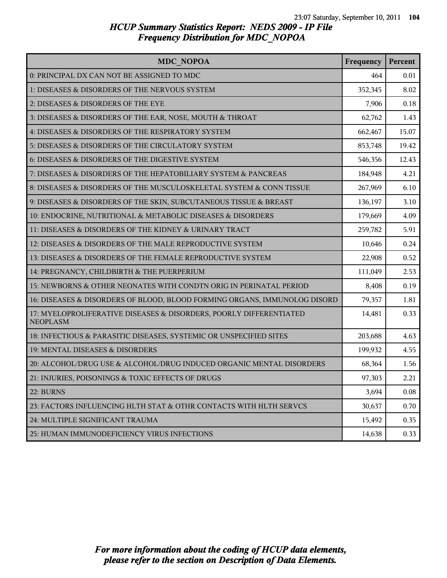| <b>MDC NOPOA</b>                                                                      | Frequency | Percent |
|---------------------------------------------------------------------------------------|-----------|---------|
| 0: PRINCIPAL DX CAN NOT BE ASSIGNED TO MDC                                            | 464       | 0.01    |
| 1: DISEASES & DISORDERS OF THE NERVOUS SYSTEM                                         | 352,345   | 8.02    |
| 2: DISEASES & DISORDERS OF THE EYE                                                    | 7,906     | 0.18    |
| 3: DISEASES & DISORDERS OF THE EAR, NOSE, MOUTH & THROAT                              | 62,762    | 1.43    |
| 4: DISEASES & DISORDERS OF THE RESPIRATORY SYSTEM                                     | 662,467   | 15.07   |
| 5: DISEASES & DISORDERS OF THE CIRCULATORY SYSTEM                                     | 853,748   | 19.42   |
| 6: DISEASES & DISORDERS OF THE DIGESTIVE SYSTEM                                       | 546,356   | 12.43   |
| 7: DISEASES & DISORDERS OF THE HEPATOBILIARY SYSTEM & PANCREAS                        | 184,948   | 4.21    |
| 8: DISEASES & DISORDERS OF THE MUSCULOSKELETAL SYSTEM & CONN TISSUE                   | 267,969   | 6.10    |
| 9: DISEASES & DISORDERS OF THE SKIN, SUBCUTANEOUS TISSUE & BREAST                     | 136,197   | 3.10    |
| 10: ENDOCRINE, NUTRITIONAL & METABOLIC DISEASES & DISORDERS                           | 179,669   | 4.09    |
| 11: DISEASES & DISORDERS OF THE KIDNEY & URINARY TRACT                                | 259,782   | 5.91    |
| 12: DISEASES & DISORDERS OF THE MALE REPRODUCTIVE SYSTEM                              | 10,646    | 0.24    |
| 13: DISEASES & DISORDERS OF THE FEMALE REPRODUCTIVE SYSTEM                            | 22,908    | 0.52    |
| 14: PREGNANCY, CHILDBIRTH & THE PUERPERIUM                                            | 111,049   | 2.53    |
| 15: NEWBORNS & OTHER NEONATES WITH CONDTN ORIG IN PERINATAL PERIOD                    | 8,408     | 0.19    |
| 16: DISEASES & DISORDERS OF BLOOD, BLOOD FORMING ORGANS, IMMUNOLOG DISORD             | 79,357    | 1.81    |
| 17: MYELOPROLIFERATIVE DISEASES & DISORDERS, POORLY DIFFERENTIATED<br><b>NEOPLASM</b> | 14,481    | 0.33    |
| 18: INFECTIOUS & PARASITIC DISEASES, SYSTEMIC OR UNSPECIFIED SITES                    | 203,688   | 4.63    |
| 19: MENTAL DISEASES & DISORDERS                                                       | 199,932   | 4.55    |
| 20: ALCOHOL/DRUG USE & ALCOHOL/DRUG INDUCED ORGANIC MENTAL DISORDERS                  | 68,364    | 1.56    |
| 21: INJURIES, POISONINGS & TOXIC EFFECTS OF DRUGS                                     | 97,303    | 2.21    |
| 22: BURNS                                                                             | 3,694     | 0.08    |
| 23: FACTORS INFLUENCING HLTH STAT & OTHR CONTACTS WITH HLTH SERVCS                    | 30,637    | 0.70    |
| 24: MULTIPLE SIGNIFICANT TRAUMA                                                       | 15,492    | 0.35    |
| 25: HUMAN IMMUNODEFICIENCY VIRUS INFECTIONS                                           | 14,638    | 0.33    |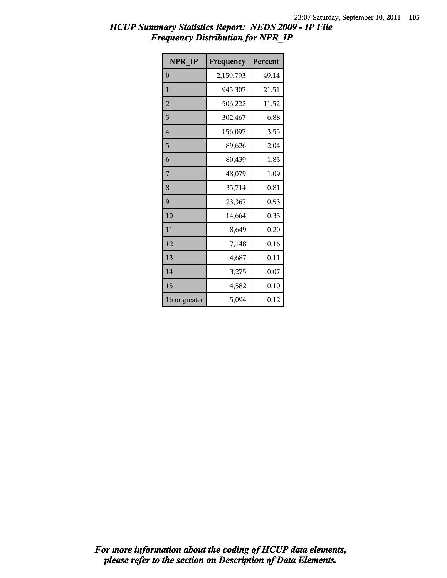### *HCUP Summary Statistics Report: NEDS 2009 - IP File Frequency Distribution for NPR\_IP*

| NPR IP         | Frequency | Percent |
|----------------|-----------|---------|
| $\theta$       | 2,159,793 | 49.14   |
| 1              | 945,307   | 21.51   |
| $\overline{2}$ | 506,222   | 11.52   |
| 3              | 302,467   | 6.88    |
| 4              | 156,097   | 3.55    |
| 5              | 89,626    | 2.04    |
| 6              | 80,439    | 1.83    |
| 7              | 48,079    | 1.09    |
| 8              | 35,714    | 0.81    |
| 9              | 23,367    | 0.53    |
| 10             | 14,664    | 0.33    |
| 11             | 8,649     | 0.20    |
| 12             | 7,148     | 0.16    |
| 13             | 4,687     | 0.11    |
| 14             | 3,275     | 0.07    |
| 15             | 4,582     | 0.10    |
| 16 or greater  | 5,094     | 0.12    |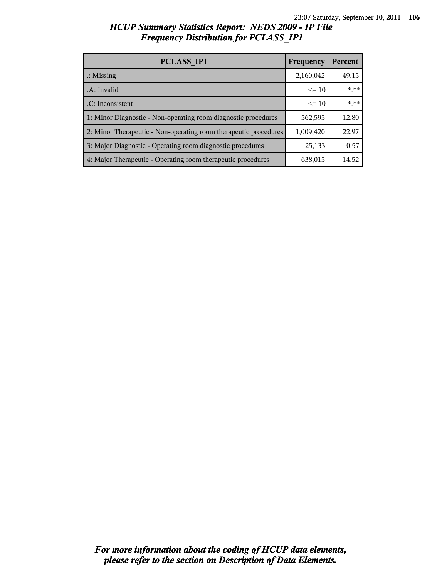#### *HCUP Summary Statistics Report: NEDS 2009 - IP File Frequency Distribution for PCLASS\_IP1*

| PCLASS IP1                                                       | Frequency | Percent |
|------------------------------------------------------------------|-----------|---------|
| $\therefore$ Missing                                             | 2,160,042 | 49.15   |
| .A: Invalid                                                      | $\leq 10$ | * **    |
| .C: Inconsistent                                                 | $\leq 10$ | $***$   |
| 1: Minor Diagnostic - Non-operating room diagnostic procedures   | 562,595   | 12.80   |
| 2: Minor Therapeutic - Non-operating room therapeutic procedures | 1,009,420 | 22.97   |
| 3: Major Diagnostic - Operating room diagnostic procedures       | 25,133    | 0.57    |
| 4: Major Therapeutic - Operating room therapeutic procedures     | 638,015   | 14.52   |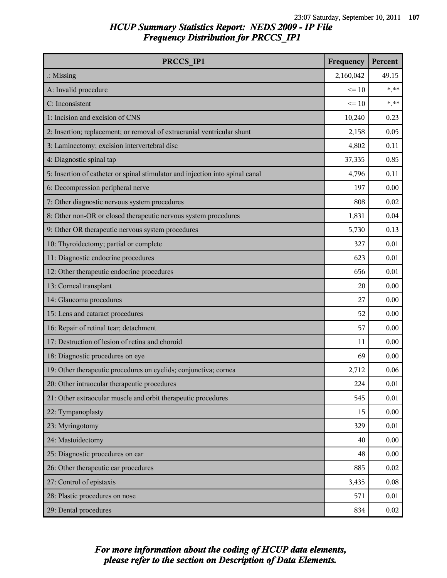### *HCUP Summary Statistics Report: NEDS 2009 - IP File Frequency Distribution for PRCCS\_IP1*

| PRCCS IP1                                                                     | Frequency | Percent  |
|-------------------------------------------------------------------------------|-----------|----------|
| $\therefore$ Missing                                                          | 2,160,042 | 49.15    |
| A: Invalid procedure                                                          | $\leq 10$ | $***$    |
| C: Inconsistent                                                               | $\leq 10$ | $***$    |
| 1: Incision and excision of CNS                                               | 10,240    | 0.23     |
| 2: Insertion; replacement; or removal of extracranial ventricular shunt       | 2,158     | 0.05     |
| 3: Laminectomy; excision intervertebral disc                                  | 4,802     | 0.11     |
| 4: Diagnostic spinal tap                                                      | 37,335    | 0.85     |
| 5: Insertion of catheter or spinal stimulator and injection into spinal canal | 4,796     | 0.11     |
| 6: Decompression peripheral nerve                                             | 197       | 0.00     |
| 7: Other diagnostic nervous system procedures                                 | 808       | 0.02     |
| 8: Other non-OR or closed therapeutic nervous system procedures               | 1,831     | 0.04     |
| 9: Other OR therapeutic nervous system procedures                             | 5,730     | 0.13     |
| 10: Thyroidectomy; partial or complete                                        | 327       | 0.01     |
| 11: Diagnostic endocrine procedures                                           | 623       | 0.01     |
| 12: Other therapeutic endocrine procedures                                    | 656       | 0.01     |
| 13: Corneal transplant                                                        | 20        | 0.00     |
| 14: Glaucoma procedures                                                       | 27        | 0.00     |
| 15: Lens and cataract procedures                                              | 52        | 0.00     |
| 16: Repair of retinal tear; detachment                                        | 57        | 0.00     |
| 17: Destruction of lesion of retina and choroid                               | 11        | 0.00     |
| 18: Diagnostic procedures on eye                                              | 69        | 0.00     |
| 19: Other therapeutic procedures on eyelids; conjunctiva; cornea              | 2,712     | 0.06     |
| 20: Other intraocular therapeutic procedures                                  | 224       | $0.01\,$ |
| 21: Other extraocular muscle and orbit therapeutic procedures                 | 545       | 0.01     |
| 22: Tympanoplasty                                                             | 15        | 0.00     |
| 23: Myringotomy                                                               | 329       | 0.01     |
| 24: Mastoidectomy                                                             | 40        | 0.00     |
| 25: Diagnostic procedures on ear                                              | 48        | 0.00     |
| 26: Other therapeutic ear procedures                                          | 885       | 0.02     |
| 27: Control of epistaxis                                                      | 3,435     | 0.08     |
| 28: Plastic procedures on nose                                                | 571       | 0.01     |
| 29: Dental procedures                                                         | 834       | 0.02     |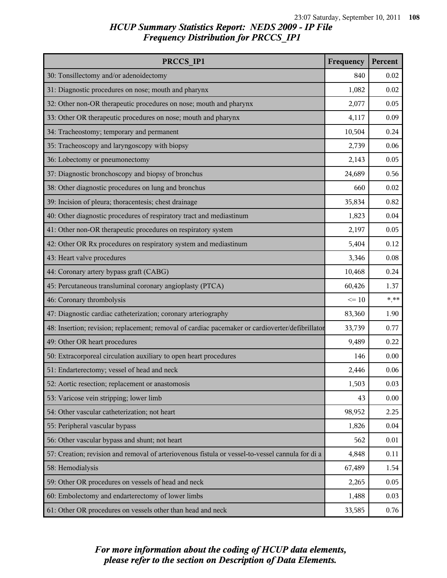### *HCUP Summary Statistics Report: NEDS 2009 - IP File Frequency Distribution for PRCCS\_IP1*

| PRCCS_IP1                                                                                        | Frequency | Percent |
|--------------------------------------------------------------------------------------------------|-----------|---------|
| 30: Tonsillectomy and/or adenoidectomy                                                           | 840       | 0.02    |
| 31: Diagnostic procedures on nose; mouth and pharynx                                             | 1,082     | 0.02    |
| 32: Other non-OR therapeutic procedures on nose; mouth and pharynx                               | 2,077     | 0.05    |
| 33: Other OR therapeutic procedures on nose; mouth and pharynx                                   | 4,117     | 0.09    |
| 34: Tracheostomy; temporary and permanent                                                        | 10,504    | 0.24    |
| 35: Tracheoscopy and laryngoscopy with biopsy                                                    | 2,739     | 0.06    |
| 36: Lobectomy or pneumonectomy                                                                   | 2,143     | 0.05    |
| 37: Diagnostic bronchoscopy and biopsy of bronchus                                               | 24,689    | 0.56    |
| 38: Other diagnostic procedures on lung and bronchus                                             | 660       | 0.02    |
| 39: Incision of pleura; thoracentesis; chest drainage                                            | 35,834    | 0.82    |
| 40: Other diagnostic procedures of respiratory tract and mediastinum                             | 1,823     | 0.04    |
| 41: Other non-OR therapeutic procedures on respiratory system                                    | 2,197     | 0.05    |
| 42: Other OR Rx procedures on respiratory system and mediastinum                                 | 5,404     | 0.12    |
| 43: Heart valve procedures                                                                       | 3,346     | 0.08    |
| 44: Coronary artery bypass graft (CABG)                                                          | 10,468    | 0.24    |
| 45: Percutaneous transluminal coronary angioplasty (PTCA)                                        | 60,426    | 1.37    |
| 46: Coronary thrombolysis                                                                        | $\leq 10$ | $***$   |
| 47: Diagnostic cardiac catheterization; coronary arteriography                                   | 83,360    | 1.90    |
| 48: Insertion; revision; replacement; removal of cardiac pacemaker or cardioverter/defibrillator | 33,739    | 0.77    |
| 49: Other OR heart procedures                                                                    | 9,489     | 0.22    |
| 50: Extracorporeal circulation auxiliary to open heart procedures                                | 146       | 0.00    |
| 51: Endarterectomy; vessel of head and neck                                                      | 2,446     | 0.06    |
| 52: Aortic resection; replacement or anastomosis                                                 | 1,503     | 0.03    |
| 53: Varicose vein stripping; lower limb                                                          | 43        | 0.00    |
| 54: Other vascular catheterization; not heart                                                    | 98,952    | 2.25    |
| 55: Peripheral vascular bypass                                                                   | 1,826     | 0.04    |
| 56: Other vascular bypass and shunt; not heart                                                   | 562       | 0.01    |
| 57: Creation; revision and removal of arteriovenous fistula or vessel-to-vessel cannula for di a | 4,848     | 0.11    |
| 58: Hemodialysis                                                                                 | 67,489    | 1.54    |
| 59: Other OR procedures on vessels of head and neck                                              | 2,265     | 0.05    |
| 60: Embolectomy and endarterectomy of lower limbs                                                | 1,488     | 0.03    |
| 61: Other OR procedures on vessels other than head and neck                                      | 33,585    | 0.76    |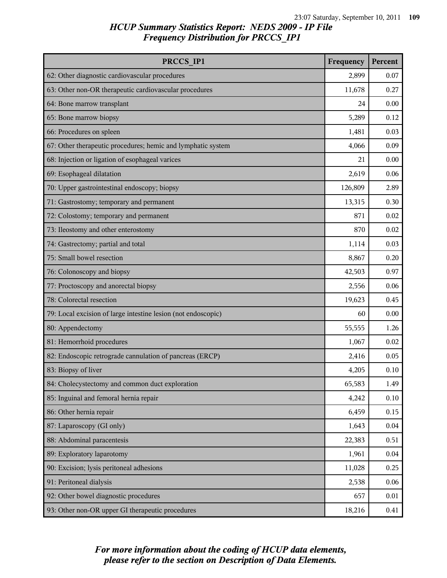| PRCCS IP1                                                     | Frequency | Percent |
|---------------------------------------------------------------|-----------|---------|
| 62: Other diagnostic cardiovascular procedures                | 2,899     | 0.07    |
| 63: Other non-OR therapeutic cardiovascular procedures        | 11,678    | 0.27    |
| 64: Bone marrow transplant                                    | 24        | 0.00    |
| 65: Bone marrow biopsy                                        | 5,289     | 0.12    |
| 66: Procedures on spleen                                      | 1,481     | 0.03    |
| 67: Other therapeutic procedures; hemic and lymphatic system  | 4,066     | 0.09    |
| 68: Injection or ligation of esophageal varices               | 21        | 0.00    |
| 69: Esophageal dilatation                                     | 2,619     | 0.06    |
| 70: Upper gastrointestinal endoscopy; biopsy                  | 126,809   | 2.89    |
| 71: Gastrostomy; temporary and permanent                      | 13,315    | 0.30    |
| 72: Colostomy; temporary and permanent                        | 871       | 0.02    |
| 73: Ileostomy and other enterostomy                           | 870       | 0.02    |
| 74: Gastrectomy; partial and total                            | 1,114     | 0.03    |
| 75: Small bowel resection                                     | 8,867     | 0.20    |
| 76: Colonoscopy and biopsy                                    | 42,503    | 0.97    |
| 77: Proctoscopy and anorectal biopsy                          | 2,556     | 0.06    |
| 78: Colorectal resection                                      | 19,623    | 0.45    |
| 79: Local excision of large intestine lesion (not endoscopic) | 60        | 0.00    |
| 80: Appendectomy                                              | 55,555    | 1.26    |
| 81: Hemorrhoid procedures                                     | 1,067     | 0.02    |
| 82: Endoscopic retrograde cannulation of pancreas (ERCP)      | 2,416     | 0.05    |
| 83: Biopsy of liver                                           | 4,205     | 0.10    |
| 84: Cholecystectomy and common duct exploration               | 65,583    | 1.49    |
| 85: Inguinal and femoral hernia repair                        | 4,242     | 0.10    |
| 86: Other hernia repair                                       | 6,459     | 0.15    |
| 87: Laparoscopy (GI only)                                     | 1,643     | 0.04    |
| 88: Abdominal paracentesis                                    | 22,383    | 0.51    |
| 89: Exploratory laparotomy                                    | 1,961     | 0.04    |
| 90: Excision; lysis peritoneal adhesions                      | 11,028    | 0.25    |
| 91: Peritoneal dialysis                                       | 2,538     | 0.06    |
| 92: Other bowel diagnostic procedures                         | 657       | 0.01    |
| 93: Other non-OR upper GI therapeutic procedures              | 18,216    | 0.41    |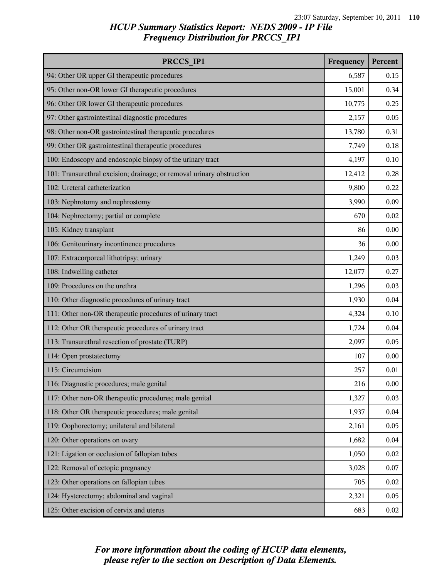| PRCCS IP1                                                             | Frequency | Percent |
|-----------------------------------------------------------------------|-----------|---------|
| 94: Other OR upper GI therapeutic procedures                          | 6,587     | 0.15    |
| 95: Other non-OR lower GI therapeutic procedures                      | 15,001    | 0.34    |
| 96: Other OR lower GI therapeutic procedures                          | 10,775    | 0.25    |
| 97: Other gastrointestinal diagnostic procedures                      | 2,157     | 0.05    |
| 98: Other non-OR gastrointestinal therapeutic procedures              | 13,780    | 0.31    |
| 99: Other OR gastrointestinal therapeutic procedures                  | 7,749     | 0.18    |
| 100: Endoscopy and endoscopic biopsy of the urinary tract             | 4,197     | 0.10    |
| 101: Transurethral excision; drainage; or removal urinary obstruction | 12,412    | 0.28    |
| 102: Ureteral catheterization                                         | 9,800     | 0.22    |
| 103: Nephrotomy and nephrostomy                                       | 3,990     | 0.09    |
| 104: Nephrectomy; partial or complete                                 | 670       | 0.02    |
| 105: Kidney transplant                                                | 86        | 0.00    |
| 106: Genitourinary incontinence procedures                            | 36        | 0.00    |
| 107: Extracorporeal lithotripsy; urinary                              | 1,249     | 0.03    |
| 108: Indwelling catheter                                              | 12,077    | 0.27    |
| 109: Procedures on the urethra                                        | 1,296     | 0.03    |
| 110: Other diagnostic procedures of urinary tract                     | 1,930     | 0.04    |
| 111: Other non-OR therapeutic procedures of urinary tract             | 4,324     | 0.10    |
| 112: Other OR therapeutic procedures of urinary tract                 | 1,724     | 0.04    |
| 113: Transurethral resection of prostate (TURP)                       | 2,097     | 0.05    |
| 114: Open prostatectomy                                               | 107       | 0.00    |
| 115: Circumcision                                                     | 257       | 0.01    |
| 116: Diagnostic procedures; male genital                              | 216       | 0.00    |
| 117: Other non-OR therapeutic procedures; male genital                | 1,327     | 0.03    |
| 118: Other OR therapeutic procedures; male genital                    | 1,937     | 0.04    |
| 119: Oophorectomy; unilateral and bilateral                           | 2,161     | 0.05    |
| 120: Other operations on ovary                                        | 1,682     | 0.04    |
| 121: Ligation or occlusion of fallopian tubes                         | 1,050     | 0.02    |
| 122: Removal of ectopic pregnancy                                     | 3,028     | 0.07    |
| 123: Other operations on fallopian tubes                              | 705       | 0.02    |
| 124: Hysterectomy; abdominal and vaginal                              | 2,321     | 0.05    |
| 125: Other excision of cervix and uterus                              | 683       | 0.02    |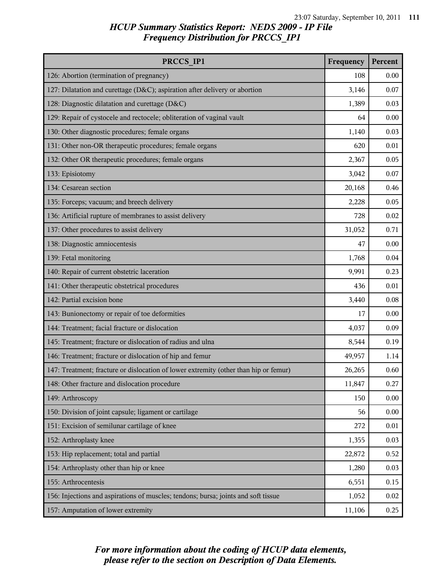| PRCCS IP1                                                                            | Frequency | Percent |
|--------------------------------------------------------------------------------------|-----------|---------|
| 126: Abortion (termination of pregnancy)                                             | 108       | 0.00    |
| 127: Dilatation and curettage (D&C); aspiration after delivery or abortion           | 3,146     | 0.07    |
| 128: Diagnostic dilatation and curettage (D&C)                                       | 1,389     | 0.03    |
| 129: Repair of cystocele and rectocele; obliteration of vaginal vault                | 64        | 0.00    |
| 130: Other diagnostic procedures; female organs                                      | 1,140     | 0.03    |
| 131: Other non-OR therapeutic procedures; female organs                              | 620       | 0.01    |
| 132: Other OR therapeutic procedures; female organs                                  | 2,367     | 0.05    |
| 133: Episiotomy                                                                      | 3,042     | 0.07    |
| 134: Cesarean section                                                                | 20,168    | 0.46    |
| 135: Forceps; vacuum; and breech delivery                                            | 2,228     | 0.05    |
| 136: Artificial rupture of membranes to assist delivery                              | 728       | 0.02    |
| 137: Other procedures to assist delivery                                             | 31,052    | 0.71    |
| 138: Diagnostic amniocentesis                                                        | 47        | 0.00    |
| 139: Fetal monitoring                                                                | 1,768     | 0.04    |
| 140: Repair of current obstetric laceration                                          | 9,991     | 0.23    |
| 141: Other therapeutic obstetrical procedures                                        | 436       | 0.01    |
| 142: Partial excision bone                                                           | 3,440     | 0.08    |
| 143: Bunionectomy or repair of toe deformities                                       | 17        | 0.00    |
| 144: Treatment; facial fracture or dislocation                                       | 4,037     | 0.09    |
| 145: Treatment; fracture or dislocation of radius and ulna                           | 8,544     | 0.19    |
| 146: Treatment; fracture or dislocation of hip and femur                             | 49,957    | 1.14    |
| 147: Treatment; fracture or dislocation of lower extremity (other than hip or femur) | 26,265    | 0.60    |
| 148: Other fracture and dislocation procedure                                        | 11,847    | 0.27    |
| 149: Arthroscopy                                                                     | 150       | 0.00    |
| 150: Division of joint capsule; ligament or cartilage                                | 56        | 0.00    |
| 151: Excision of semilunar cartilage of knee                                         | 272       | 0.01    |
| 152: Arthroplasty knee                                                               | 1,355     | 0.03    |
| 153: Hip replacement; total and partial                                              | 22,872    | 0.52    |
| 154: Arthroplasty other than hip or knee                                             | 1,280     | 0.03    |
| 155: Arthrocentesis                                                                  | 6,551     | 0.15    |
| 156: Injections and aspirations of muscles; tendons; bursa; joints and soft tissue   | 1,052     | 0.02    |
| 157: Amputation of lower extremity                                                   | 11,106    | 0.25    |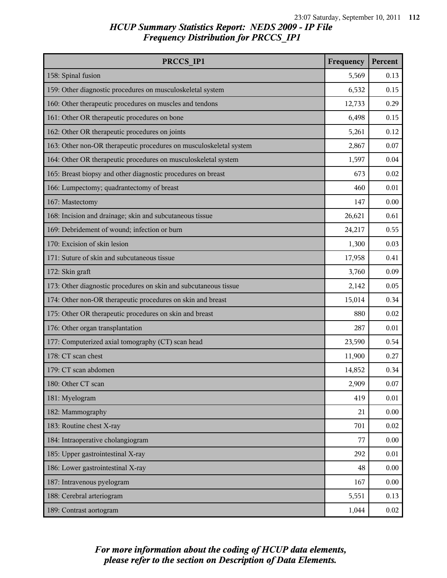| PRCCS IP1                                                          | Frequency | Percent |
|--------------------------------------------------------------------|-----------|---------|
| 158: Spinal fusion                                                 | 5,569     | 0.13    |
| 159: Other diagnostic procedures on musculoskeletal system         | 6,532     | 0.15    |
| 160: Other therapeutic procedures on muscles and tendons           | 12,733    | 0.29    |
| 161: Other OR therapeutic procedures on bone                       | 6,498     | 0.15    |
| 162: Other OR therapeutic procedures on joints                     | 5,261     | 0.12    |
| 163: Other non-OR therapeutic procedures on musculoskeletal system | 2,867     | 0.07    |
| 164: Other OR therapeutic procedures on musculoskeletal system     | 1,597     | 0.04    |
| 165: Breast biopsy and other diagnostic procedures on breast       | 673       | 0.02    |
| 166: Lumpectomy; quadrantectomy of breast                          | 460       | 0.01    |
| 167: Mastectomy                                                    | 147       | 0.00    |
| 168: Incision and drainage; skin and subcutaneous tissue           | 26,621    | 0.61    |
| 169: Debridement of wound; infection or burn                       | 24,217    | 0.55    |
| 170: Excision of skin lesion                                       | 1,300     | 0.03    |
| 171: Suture of skin and subcutaneous tissue                        | 17,958    | 0.41    |
| 172: Skin graft                                                    | 3,760     | 0.09    |
| 173: Other diagnostic procedures on skin and subcutaneous tissue   | 2,142     | 0.05    |
| 174: Other non-OR therapeutic procedures on skin and breast        | 15,014    | 0.34    |
| 175: Other OR therapeutic procedures on skin and breast            | 880       | 0.02    |
| 176: Other organ transplantation                                   | 287       | 0.01    |
| 177: Computerized axial tomography (CT) scan head                  | 23,590    | 0.54    |
| 178: CT scan chest                                                 | 11,900    | 0.27    |
| 179: CT scan abdomen                                               | 14,852    | 0.34    |
| 180: Other CT scan                                                 | 2,909     | 0.07    |
| 181: Myelogram                                                     | 419       | 0.01    |
| 182: Mammography                                                   | 21        | 0.00    |
| 183: Routine chest X-ray                                           | 701       | 0.02    |
| 184: Intraoperative cholangiogram                                  | 77        | 0.00    |
| 185: Upper gastrointestinal X-ray                                  | 292       | 0.01    |
| 186: Lower gastrointestinal X-ray                                  | 48        | 0.00    |
| 187: Intravenous pyelogram                                         | 167       | 0.00    |
| 188: Cerebral arteriogram                                          | 5,551     | 0.13    |
| 189: Contrast aortogram                                            | 1,044     | 0.02    |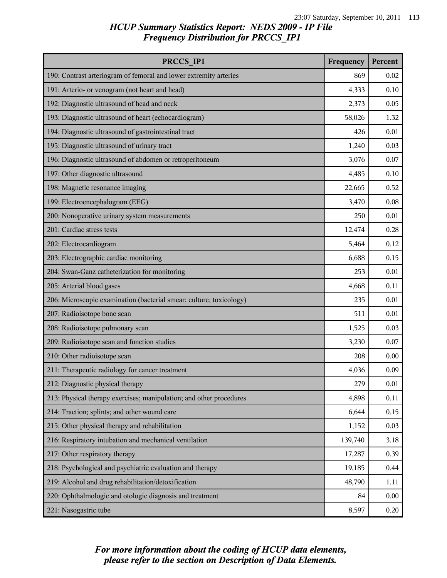| PRCCS IP1                                                           | Frequency | Percent |
|---------------------------------------------------------------------|-----------|---------|
| 190: Contrast arteriogram of femoral and lower extremity arteries   | 869       | 0.02    |
| 191: Arterio- or venogram (not heart and head)                      | 4,333     | 0.10    |
| 192: Diagnostic ultrasound of head and neck                         | 2,373     | 0.05    |
| 193: Diagnostic ultrasound of heart (echocardiogram)                | 58,026    | 1.32    |
| 194: Diagnostic ultrasound of gastrointestinal tract                | 426       | 0.01    |
| 195: Diagnostic ultrasound of urinary tract                         | 1,240     | 0.03    |
| 196: Diagnostic ultrasound of abdomen or retroperitoneum            | 3,076     | 0.07    |
| 197: Other diagnostic ultrasound                                    | 4,485     | 0.10    |
| 198: Magnetic resonance imaging                                     | 22,665    | 0.52    |
| 199: Electroencephalogram (EEG)                                     | 3,470     | 0.08    |
| 200: Nonoperative urinary system measurements                       | 250       | 0.01    |
| 201: Cardiac stress tests                                           | 12,474    | 0.28    |
| 202: Electrocardiogram                                              | 5,464     | 0.12    |
| 203: Electrographic cardiac monitoring                              | 6,688     | 0.15    |
| 204: Swan-Ganz catheterization for monitoring                       | 253       | 0.01    |
| 205: Arterial blood gases                                           | 4,668     | 0.11    |
| 206: Microscopic examination (bacterial smear; culture; toxicology) | 235       | 0.01    |
| 207: Radioisotope bone scan                                         | 511       | 0.01    |
| 208: Radioisotope pulmonary scan                                    | 1,525     | 0.03    |
| 209: Radioisotope scan and function studies                         | 3,230     | 0.07    |
| 210: Other radioisotope scan                                        | 208       | 0.00    |
| 211: Therapeutic radiology for cancer treatment                     | 4,036     | 0.09    |
| 212: Diagnostic physical therapy                                    | 279       | 0.01    |
| 213: Physical therapy exercises; manipulation; and other procedures | 4,898     | 0.11    |
| 214: Traction; splints; and other wound care                        | 6,644     | 0.15    |
| 215: Other physical therapy and rehabilitation                      | 1,152     | 0.03    |
| 216: Respiratory intubation and mechanical ventilation              | 139,740   | 3.18    |
| 217: Other respiratory therapy                                      | 17,287    | 0.39    |
| 218: Psychological and psychiatric evaluation and therapy           | 19,185    | 0.44    |
| 219: Alcohol and drug rehabilitation/detoxification                 | 48,790    | 1.11    |
| 220: Ophthalmologic and otologic diagnosis and treatment            | 84        | 0.00    |
| 221: Nasogastric tube                                               | 8,597     | 0.20    |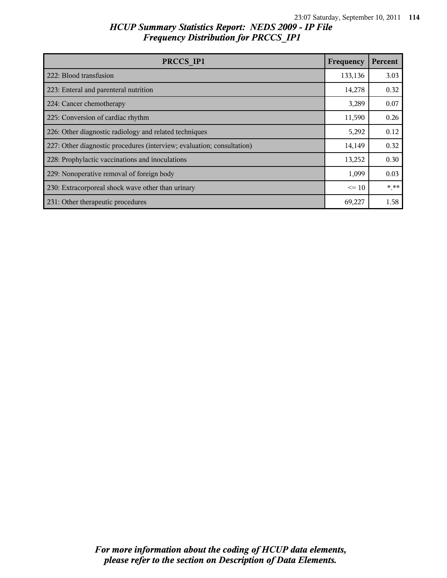| PRCCS IP1                                                              | Frequency | Percent |
|------------------------------------------------------------------------|-----------|---------|
| 222: Blood transfusion                                                 | 133,136   | 3.03    |
| 223: Enteral and parenteral nutrition                                  | 14,278    | 0.32    |
| 224: Cancer chemotherapy                                               | 3,289     | 0.07    |
| 225: Conversion of cardiac rhythm                                      | 11,590    | 0.26    |
| 226: Other diagnostic radiology and related techniques                 | 5,292     | 0.12    |
| 227: Other diagnostic procedures (interview; evaluation; consultation) | 14,149    | 0.32    |
| 228: Prophylactic vaccinations and inoculations                        | 13,252    | 0.30    |
| 229: Nonoperative removal of foreign body                              | 1,099     | 0.03    |
| 230: Extracorporeal shock wave other than urinary                      | $\leq$ 10 | * **    |
| 231: Other therapeutic procedures                                      | 69,227    | 1.58    |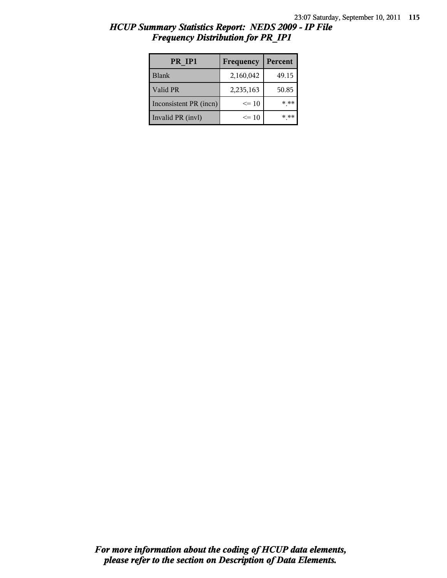| PR IP1                 | Frequency | Percent |
|------------------------|-----------|---------|
| <b>Blank</b>           | 2,160,042 | 49.15   |
| Valid PR               | 2,235,163 | 50.85   |
| Inconsistent PR (incn) | $\leq$ 10 | * **    |
| Invalid PR (invl)      | $\leq$ 10 | $***$   |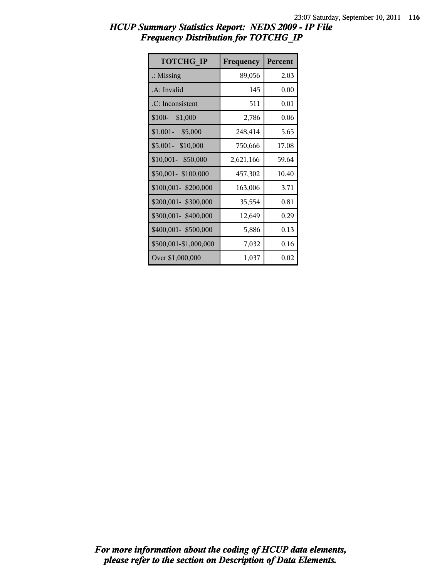| <b>TOTCHG IP</b>      | Frequency | Percent |
|-----------------------|-----------|---------|
| $\therefore$ Missing  | 89,056    | 2.03    |
| $A:$ Invalid          | 145       | 0.00    |
| .C: Inconsistent      | 511       | 0.01    |
| $$100-$ \$1,000       | 2,786     | 0.06    |
| $$1,001-$<br>\$5,000  | 248,414   | 5.65    |
| \$5,001- \$10,000     | 750,666   | 17.08   |
| \$10,001- \$50,000    | 2,621,166 | 59.64   |
| \$50,001-\$100,000    | 457,302   | 10.40   |
| \$100,001-\$200,000   | 163,006   | 3.71    |
| \$200,001- \$300,000  | 35,554    | 0.81    |
| \$300,001- \$400,000  | 12,649    | 0.29    |
| \$400,001- \$500,000  | 5,886     | 0.13    |
| \$500,001-\$1,000,000 | 7,032     | 0.16    |
| Over \$1,000,000      | 1,037     | 0.02    |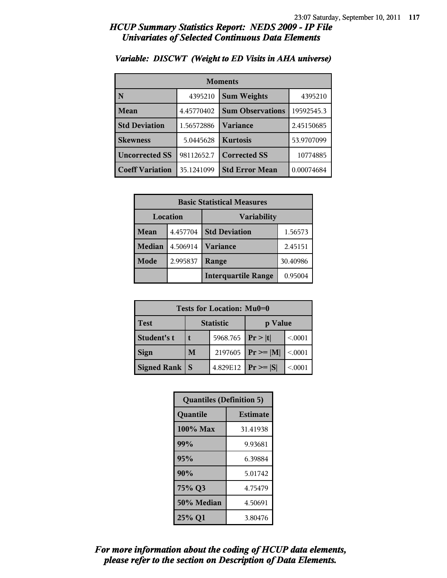| <b>Moments</b>         |            |                         |            |
|------------------------|------------|-------------------------|------------|
| N                      | 4395210    | <b>Sum Weights</b>      | 4395210    |
| Mean                   | 4.45770402 | <b>Sum Observations</b> | 19592545.3 |
| <b>Std Deviation</b>   | 1.56572886 | Variance                | 2.45150685 |
| <b>Skewness</b>        | 5.0445628  | <b>Kurtosis</b>         | 53.9707099 |
| <b>Uncorrected SS</b>  | 98112652.7 | <b>Corrected SS</b>     | 10774885   |
| <b>Coeff Variation</b> | 35.1241099 | <b>Std Error Mean</b>   | 0.00074684 |

#### *Variable: DISCWT (Weight to ED Visits in AHA universe)*

| <b>Basic Statistical Measures</b> |          |                            |          |  |
|-----------------------------------|----------|----------------------------|----------|--|
| Location                          |          | <b>Variability</b>         |          |  |
| Mean                              | 4.457704 | <b>Std Deviation</b>       | 1.56573  |  |
| <b>Median</b>                     | 4.506914 | <b>Variance</b>            | 2.45151  |  |
| Mode                              | 2.995837 | Range                      | 30.40986 |  |
|                                   |          | <b>Interquartile Range</b> | 0.95004  |  |

| Tests for Location: Mu0=0 |   |                    |               |         |
|---------------------------|---|--------------------|---------------|---------|
| <b>Test</b>               |   | <b>Statistic</b>   | p Value       |         |
| Student's t               |   | 5968.765 $ Pr> t $ |               | < 0.001 |
| <b>Sign</b>               | M | 2197605            | $Pr \geq  M $ | < 0.001 |
| <b>Signed Rank</b>        | S | 4.829E12           | $Pr \geq  S $ | < 0.001 |

| <b>Quantiles (Definition 5)</b> |                 |  |
|---------------------------------|-----------------|--|
| Quantile                        | <b>Estimate</b> |  |
| $100\%$ Max                     | 31.41938        |  |
| 99%                             | 9.93681         |  |
| 95%                             | 6.39884         |  |
| 90%                             | 5.01742         |  |
| 75% Q3                          | 4.75479         |  |
| 50% Median                      | 4.50691         |  |
| 25% Q1                          | 3.80476         |  |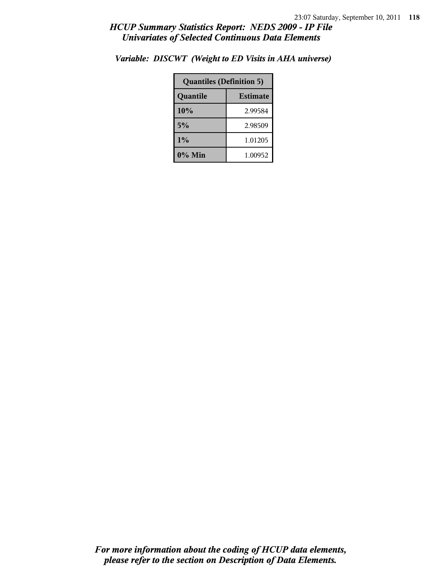| <b>Quantiles (Definition 5)</b> |         |  |
|---------------------------------|---------|--|
| <b>Estimate</b><br>Quantile     |         |  |
| 10%                             | 2.99584 |  |
| 5%<br>2.98509                   |         |  |
| $1\%$<br>1.01205                |         |  |
| 0% Min<br>1.00952               |         |  |

*Variable: DISCWT (Weight to ED Visits in AHA universe)*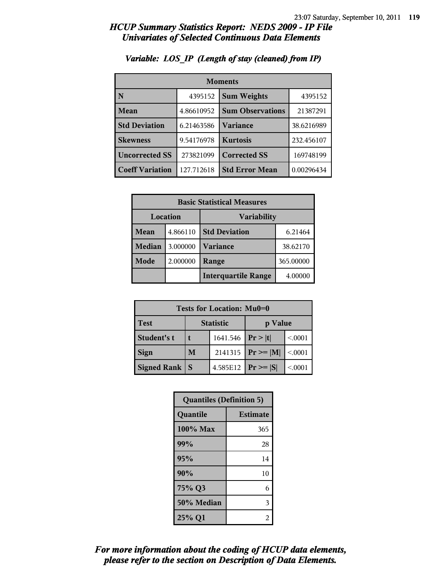| <b>Moments</b>         |            |                               |            |
|------------------------|------------|-------------------------------|------------|
| N                      | 4395152    | <b>Sum Weights</b><br>4395152 |            |
| Mean                   | 4.86610952 | <b>Sum Observations</b>       | 21387291   |
| <b>Std Deviation</b>   | 6.21463586 | Variance                      | 38.6216989 |
| <b>Skewness</b>        | 9.54176978 | <b>Kurtosis</b>               | 232.456107 |
| <b>Uncorrected SS</b>  | 273821099  | <b>Corrected SS</b>           | 169748199  |
| <b>Coeff Variation</b> | 127.712618 | <b>Std Error Mean</b>         | 0.00296434 |

### *Variable: LOS\_IP (Length of stay (cleaned) from IP)*

|                                | <b>Basic Statistical Measures</b> |                            |          |  |
|--------------------------------|-----------------------------------|----------------------------|----------|--|
| Location<br><b>Variability</b> |                                   |                            |          |  |
| Mean                           | 4.866110                          | <b>Std Deviation</b>       | 6.21464  |  |
| <b>Median</b>                  | 3.000000                          | <b>Variance</b>            | 38.62170 |  |
| Mode                           | 2.000000                          | 365.00000<br>Range         |          |  |
|                                |                                   | <b>Interquartile Range</b> | 4.00000  |  |

| Tests for Location: Mu0=0 |                             |          |                 |         |
|---------------------------|-----------------------------|----------|-----------------|---------|
| <b>Test</b>               | <b>Statistic</b><br>p Value |          |                 |         |
| Student's t               | 1641.546                    |          | Pr> t           | < 0.001 |
| <b>Sign</b>               | 2141315<br>M                |          | $Pr \geq  M $   | < 0001  |
| <b>Signed Rank</b>        | S                           | 4.585E12 | $ Pr \ge =  S $ | < 0.001 |

| <b>Quantiles (Definition 5)</b> |                 |  |
|---------------------------------|-----------------|--|
| Quantile                        | <b>Estimate</b> |  |
| 100% Max                        | 365             |  |
| 99%<br>28                       |                 |  |
| 95%<br>14                       |                 |  |
| 90%                             | 10              |  |
| 75% Q3<br>6                     |                 |  |
| 50% Median<br>3                 |                 |  |
| 25% Q1<br>2                     |                 |  |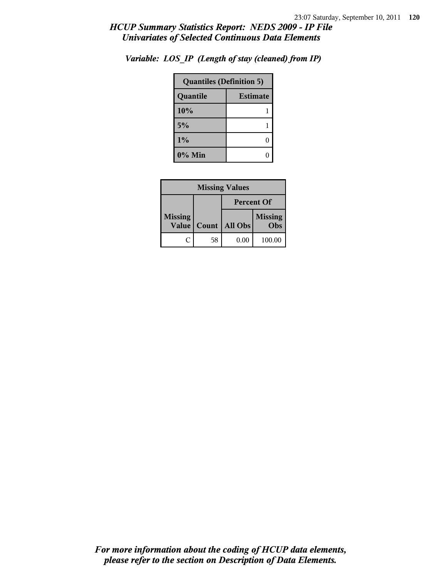| <b>Quantiles (Definition 5)</b> |  |  |
|---------------------------------|--|--|
| <b>Estimate</b><br>Quantile     |  |  |
| 10%                             |  |  |
| 5%                              |  |  |
| 1%<br>0                         |  |  |
| $0\%$ Min                       |  |  |

*Variable: LOS\_IP (Length of stay (cleaned) from IP)*

| <b>Missing Values</b>          |                   |         |                       |
|--------------------------------|-------------------|---------|-----------------------|
|                                | <b>Percent Of</b> |         |                       |
| <b>Missing</b><br><b>Value</b> | Count             | All Obs | <b>Missing</b><br>Obs |
| ſ.                             | 58                | 0.00    | 100.00                |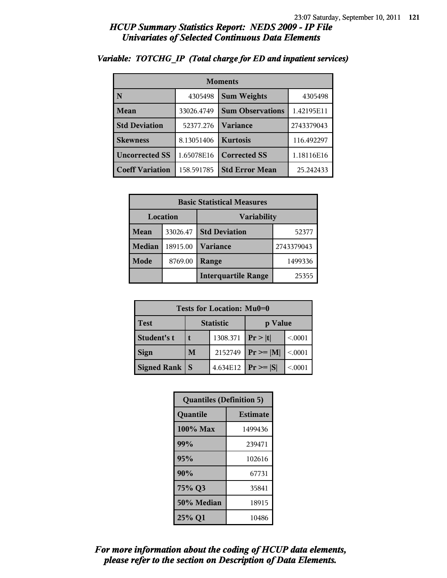| <b>Moments</b>          |            |                         |            |  |
|-------------------------|------------|-------------------------|------------|--|
| $\overline{\mathbf{N}}$ | 4305498    | <b>Sum Weights</b>      | 4305498    |  |
| Mean                    | 33026.4749 | <b>Sum Observations</b> | 1.42195E11 |  |
| <b>Std Deviation</b>    | 52377.276  | <b>Variance</b>         | 2743379043 |  |
| <b>Skewness</b>         | 8.13051406 | <b>Kurtosis</b>         | 116.492297 |  |
| <b>Uncorrected SS</b>   | 1.65078E16 | <b>Corrected SS</b>     | 1.18116E16 |  |
| <b>Coeff Variation</b>  | 158.591785 | <b>Std Error Mean</b>   | 25.242433  |  |

### *Variable: TOTCHG\_IP (Total charge for ED and inpatient services)*

|               | <b>Basic Statistical Measures</b> |                            |            |  |  |
|---------------|-----------------------------------|----------------------------|------------|--|--|
|               | Location<br>Variability           |                            |            |  |  |
| Mean          | 33026.47                          | <b>Std Deviation</b>       | 52377      |  |  |
| <b>Median</b> | 18915.00                          | <b>Variance</b>            | 2743379043 |  |  |
| <b>Mode</b>   | 8769.00                           | Range<br>1499336           |            |  |  |
|               |                                   | <b>Interquartile Range</b> | 25355      |  |  |

| Tests for Location: Mu0=0 |                             |          |               |         |
|---------------------------|-----------------------------|----------|---------------|---------|
| <b>Test</b>               | <b>Statistic</b><br>p Value |          |               |         |
| Student's t               | 1308.371                    |          | Pr >  t       | < 0.001 |
| <b>Sign</b>               | M<br>2152749                |          | $Pr \geq  M $ | < 0.001 |
| <b>Signed Rank</b>        | S                           | 4.634E12 | $Pr \geq  S $ | < 0001  |

| <b>Quantiles (Definition 5)</b> |                 |  |  |
|---------------------------------|-----------------|--|--|
| Quantile                        | <b>Estimate</b> |  |  |
| 100% Max                        | 1499436         |  |  |
| 99%<br>239471                   |                 |  |  |
| 95%<br>102616                   |                 |  |  |
| 90%<br>67731                    |                 |  |  |
| 75% Q3<br>35841                 |                 |  |  |
| 50% Median<br>18915             |                 |  |  |
| 25% Q1<br>10486                 |                 |  |  |